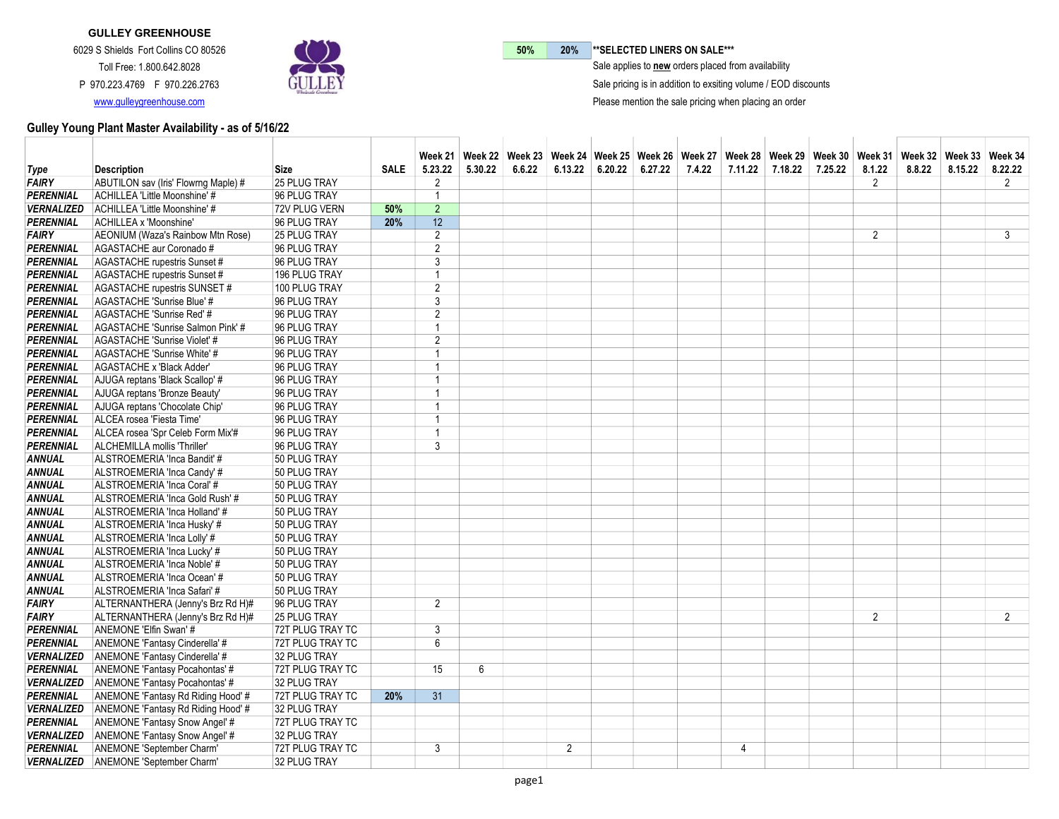

50% 20% \*\* SELECTED LINERS ON SALE\*\*\*

 $\bar{\ }$  Sale applies to new orders placed from availability

Sale pricing is in addition to exsiting volume / EOD discounts

Please mention the sale pricing when placing an order

|                   |                                               |                     |             |                |         |        |                |                   | Week 21   Week 22   Week 23   Week 24   Week 25   Week 26   Week 27   Week 28   Week 39   Week 30   Week 31   Week 32   Week 33   Week 34 |         |         |         |                |        |         |                |
|-------------------|-----------------------------------------------|---------------------|-------------|----------------|---------|--------|----------------|-------------------|-------------------------------------------------------------------------------------------------------------------------------------------|---------|---------|---------|----------------|--------|---------|----------------|
| Type              | <b>Description</b>                            | <b>Size</b>         | <b>SALE</b> | 5.23.22        | 5.30.22 | 6.6.22 | 6.13.22        | $6.20.22$ 6.27.22 | 7.4.22                                                                                                                                    | 7.11.22 | 7.18.22 | 7.25.22 | 8.1.22         | 8.8.22 | 8.15.22 | 8.22.22        |
| <b>FAIRY</b>      | ABUTILON sav (Iris' Flowrng Maple) #          | 25 PLUG TRAY        |             | 2              |         |        |                |                   |                                                                                                                                           |         |         |         | $\overline{2}$ |        |         | $2^{\circ}$    |
| PERENNIAL         | ACHILLEA 'Little Moonshine' #                 | 96 PLUG TRAY        |             | $\overline{1}$ |         |        |                |                   |                                                                                                                                           |         |         |         |                |        |         |                |
| <b>VERNALIZED</b> | ACHILLEA 'Little Moonshine' #                 | 72V PLUG VERN       | 50%         | $\overline{2}$ |         |        |                |                   |                                                                                                                                           |         |         |         |                |        |         |                |
| <b>PERENNIAL</b>  | ACHILLEA x 'Moonshine'                        | 96 PLUG TRAY        | 20%         | 12             |         |        |                |                   |                                                                                                                                           |         |         |         |                |        |         |                |
| <b>FAIRY</b>      | AEONIUM (Waza's Rainbow Mtn Rose)             | 25 PLUG TRAY        |             | $\overline{2}$ |         |        |                |                   |                                                                                                                                           |         |         |         | 2              |        |         | 3              |
| PERENNIAL         | AGASTACHE aur Coronado#                       | 96 PLUG TRAY        |             | $\overline{2}$ |         |        |                |                   |                                                                                                                                           |         |         |         |                |        |         |                |
| <b>PERENNIAL</b>  | AGASTACHE rupestris Sunset #                  | 96 PLUG TRAY        |             | 3              |         |        |                |                   |                                                                                                                                           |         |         |         |                |        |         |                |
| <b>PERENNIAL</b>  | AGASTACHE rupestris Sunset #                  | 196 PLUG TRAY       |             | $\overline{1}$ |         |        |                |                   |                                                                                                                                           |         |         |         |                |        |         |                |
| PERENNIAL         | AGASTACHE rupestris SUNSET #                  | 100 PLUG TRAY       |             | $\overline{2}$ |         |        |                |                   |                                                                                                                                           |         |         |         |                |        |         |                |
| <b>PERENNIAL</b>  | AGASTACHE 'Sunrise Blue' #                    | 96 PLUG TRAY        |             | 3              |         |        |                |                   |                                                                                                                                           |         |         |         |                |        |         |                |
| <b>PERENNIAL</b>  | AGASTACHE 'Sunrise Red' #                     | 96 PLUG TRAY        |             | 2              |         |        |                |                   |                                                                                                                                           |         |         |         |                |        |         |                |
| <b>PERENNIAL</b>  | AGASTACHE 'Sunrise Salmon Pink' #             | 96 PLUG TRAY        |             | $\overline{1}$ |         |        |                |                   |                                                                                                                                           |         |         |         |                |        |         |                |
| PERENNIAL         | AGASTACHE 'Sunrise Violet' #                  | 96 PLUG TRAY        |             | $\overline{2}$ |         |        |                |                   |                                                                                                                                           |         |         |         |                |        |         |                |
| <b>PERENNIAL</b>  | AGASTACHE 'Sunrise White' #                   | 96 PLUG TRAY        |             | $\overline{1}$ |         |        |                |                   |                                                                                                                                           |         |         |         |                |        |         |                |
| <b>PERENNIAL</b>  | AGASTACHE x 'Black Adder'                     | 96 PLUG TRAY        |             | $\overline{1}$ |         |        |                |                   |                                                                                                                                           |         |         |         |                |        |         |                |
| <b>PERENNIAL</b>  | AJUGA reptans 'Black Scallop' #               | 96 PLUG TRAY        |             | $\overline{1}$ |         |        |                |                   |                                                                                                                                           |         |         |         |                |        |         |                |
| <b>PERENNIAL</b>  | AJUGA reptans 'Bronze Beauty'                 | 96 PLUG TRAY        |             | $\overline{1}$ |         |        |                |                   |                                                                                                                                           |         |         |         |                |        |         |                |
| PERENNIAL         | AJUGA reptans 'Chocolate Chip'                | 96 PLUG TRAY        |             | $\overline{1}$ |         |        |                |                   |                                                                                                                                           |         |         |         |                |        |         |                |
| <b>PERENNIAL</b>  | ALCEA rosea 'Fiesta Time'                     | 96 PLUG TRAY        |             | $\overline{1}$ |         |        |                |                   |                                                                                                                                           |         |         |         |                |        |         |                |
| <b>PERENNIAL</b>  | ALCEA rosea 'Spr Celeb Form Mix'#             | 96 PLUG TRAY        |             | 1              |         |        |                |                   |                                                                                                                                           |         |         |         |                |        |         |                |
| <b>PERENNIAL</b>  | ALCHEMILLA mollis 'Thriller'                  | 96 PLUG TRAY        |             | 3              |         |        |                |                   |                                                                                                                                           |         |         |         |                |        |         |                |
| <b>ANNUAL</b>     | ALSTROEMERIA 'Inca Bandit' #                  | 50 PLUG TRAY        |             |                |         |        |                |                   |                                                                                                                                           |         |         |         |                |        |         |                |
| ANNUAL            | ALSTROEMERIA 'Inca Candy' #                   | 50 PLUG TRAY        |             |                |         |        |                |                   |                                                                                                                                           |         |         |         |                |        |         |                |
| <b>ANNUAL</b>     | ALSTROEMERIA 'Inca Coral' #                   | 50 PLUG TRAY        |             |                |         |        |                |                   |                                                                                                                                           |         |         |         |                |        |         |                |
| <b>ANNUAL</b>     | ALSTROEMERIA 'Inca Gold Rush' #               | 50 PLUG TRAY        |             |                |         |        |                |                   |                                                                                                                                           |         |         |         |                |        |         |                |
| <b>ANNUAL</b>     | ALSTROEMERIA 'Inca Holland' #                 | 50 PLUG TRAY        |             |                |         |        |                |                   |                                                                                                                                           |         |         |         |                |        |         |                |
| <b>ANNUAL</b>     |                                               | 50 PLUG TRAY        |             |                |         |        |                |                   |                                                                                                                                           |         |         |         |                |        |         |                |
|                   | ALSTROEMERIA 'Inca Husky' #                   |                     |             |                |         |        |                |                   |                                                                                                                                           |         |         |         |                |        |         |                |
| <b>ANNUAL</b>     | ALSTROEMERIA 'Inca Lolly' #                   | 50 PLUG TRAY        |             |                |         |        |                |                   |                                                                                                                                           |         |         |         |                |        |         |                |
| <b>ANNUAL</b>     | ALSTROEMERIA 'Inca Lucky' #                   | 50 PLUG TRAY        |             |                |         |        |                |                   |                                                                                                                                           |         |         |         |                |        |         |                |
| <b>ANNUAL</b>     | ALSTROEMERIA 'Inca Noble' #                   | 50 PLUG TRAY        |             |                |         |        |                |                   |                                                                                                                                           |         |         |         |                |        |         |                |
| <b>ANNUAL</b>     | ALSTROEMERIA 'Inca Ocean' #                   | 50 PLUG TRAY        |             |                |         |        |                |                   |                                                                                                                                           |         |         |         |                |        |         |                |
| <b>ANNUAL</b>     | ALSTROEMERIA 'Inca Safari' #                  | 50 PLUG TRAY        |             |                |         |        |                |                   |                                                                                                                                           |         |         |         |                |        |         |                |
| FAIRY             | ALTERNANTHERA (Jenny's Brz Rd H)#             | 96 PLUG TRAY        |             | $\overline{2}$ |         |        |                |                   |                                                                                                                                           |         |         |         |                |        |         |                |
| <b>FAIRY</b>      | ALTERNANTHERA (Jenny's Brz Rd H)#             | <b>25 PLUG TRAY</b> |             |                |         |        |                |                   |                                                                                                                                           |         |         |         | $\overline{2}$ |        |         | $\overline{2}$ |
| <b>PERENNIAL</b>  | ANEMONE 'Elfin Swan' #                        | 72T PLUG TRAY TC    |             | 3              |         |        |                |                   |                                                                                                                                           |         |         |         |                |        |         |                |
| <b>PERENNIAL</b>  | ANEMONE 'Fantasy Cinderella' #                | 72T PLUG TRAY TC    |             | 6              |         |        |                |                   |                                                                                                                                           |         |         |         |                |        |         |                |
| <b>VERNALIZED</b> | ANEMONE 'Fantasy Cinderella' #                | 32 PLUG TRAY        |             |                |         |        |                |                   |                                                                                                                                           |         |         |         |                |        |         |                |
| <b>PERENNIAL</b>  | ANEMONE 'Fantasy Pocahontas' #                | 72T PLUG TRAY TC    |             | 15             | 6       |        |                |                   |                                                                                                                                           |         |         |         |                |        |         |                |
| <b>VERNALIZED</b> | ANEMONE 'Fantasy Pocahontas' #                | 32 PLUG TRAY        |             |                |         |        |                |                   |                                                                                                                                           |         |         |         |                |        |         |                |
| <b>PERENNIAL</b>  | ANEMONE 'Fantasy Rd Riding Hood' #            | 72T PLUG TRAY TC    | 20%         | 31             |         |        |                |                   |                                                                                                                                           |         |         |         |                |        |         |                |
|                   | VERNALIZED ANEMONE 'Fantasy Rd Riding Hood' # | 32 PLUG TRAY        |             |                |         |        |                |                   |                                                                                                                                           |         |         |         |                |        |         |                |
| <b>PERENNIAL</b>  | ANEMONE 'Fantasy Snow Angel' #                | 72T PLUG TRAY TC    |             |                |         |        |                |                   |                                                                                                                                           |         |         |         |                |        |         |                |
| <b>VERNALIZED</b> | ANEMONE 'Fantasy Snow Angel' #                | 32 PLUG TRAY        |             |                |         |        |                |                   |                                                                                                                                           |         |         |         |                |        |         |                |
| <b>PERENNIAL</b>  | ANEMONE 'September Charm'                     | 72T PLUG TRAY TC    |             | 3              |         |        | $\overline{2}$ |                   |                                                                                                                                           | 4       |         |         |                |        |         |                |
| <b>VERNALIZED</b> | ANEMONE 'September Charm'                     | 32 PLUG TRAY        |             |                |         |        |                |                   |                                                                                                                                           |         |         |         |                |        |         |                |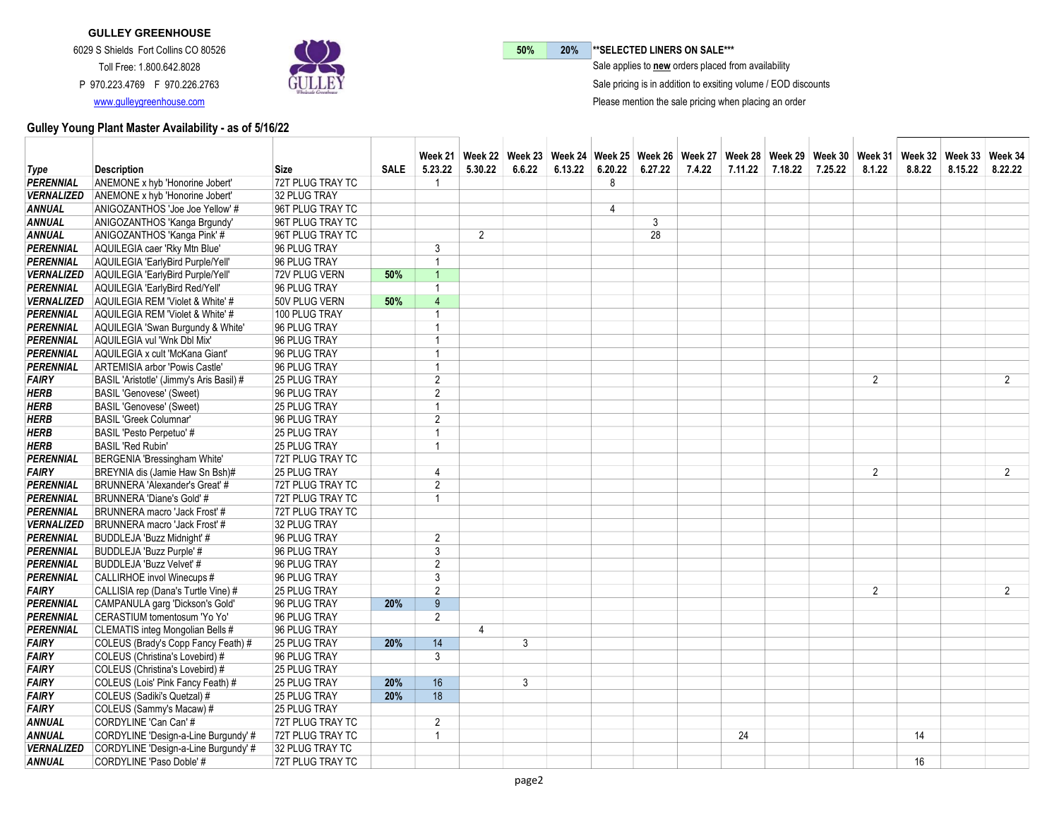

50% 20% \*\* SELECTED LINERS ON SALE\*\*\*

 $\bar{\ }$  Sale applies to new orders placed from availability

Sale pricing is in addition to exsiting volume / EOD discounts

Please mention the sale pricing when placing an order

|                   |                                          |                     |             |                         |                |        | Week 21「Week 22「Week 23」Week 24「Week 25」Week 26」Week 27「Week 28」Week 29」Week 30「Week 31」Week 32「Week 33」Week 34 |         |         |        |         |         |         |                |        |         |                |
|-------------------|------------------------------------------|---------------------|-------------|-------------------------|----------------|--------|-----------------------------------------------------------------------------------------------------------------|---------|---------|--------|---------|---------|---------|----------------|--------|---------|----------------|
| Type              | <b>Description</b>                       | Size                | <b>SALE</b> | 5.23.22                 | 5.30.22        | 6.6.22 | 6.13.22                                                                                                         | 6.20.22 | 6.27.22 | 7.4.22 | 7.11.22 | 7.18.22 | 7.25.22 | 8.1.22         | 8.8.22 | 8.15.22 | 8.22.22        |
| <b>PERENNIAL</b>  | ANEMONE x hyb 'Honorine Jobert'          | 72T PLUG TRAY TC    |             | - 1                     |                |        |                                                                                                                 | 8       |         |        |         |         |         |                |        |         |                |
| <b>VERNALIZED</b> | ANEMONE x hyb 'Honorine Jobert'          | 32 PLUG TRAY        |             |                         |                |        |                                                                                                                 |         |         |        |         |         |         |                |        |         |                |
| <b>ANNUAL</b>     | ANIGOZANTHOS 'Joe Joe Yellow' #          | 96T PLUG TRAY TC    |             |                         |                |        |                                                                                                                 | 4       |         |        |         |         |         |                |        |         |                |
| <b>ANNUAL</b>     | ANIGOZANTHOS 'Kanga Brgundy'             | 96T PLUG TRAY TC    |             |                         |                |        |                                                                                                                 |         | 3       |        |         |         |         |                |        |         |                |
| <b>ANNUAL</b>     | ANIGOZANTHOS 'Kanga Pink' #              | 96T PLUG TRAY TC    |             |                         | $\overline{2}$ |        |                                                                                                                 |         | 28      |        |         |         |         |                |        |         |                |
| <b>PERENNIAL</b>  | AQUILEGIA caer 'Rky Mtn Blue'            | 96 PLUG TRAY        |             | 3                       |                |        |                                                                                                                 |         |         |        |         |         |         |                |        |         |                |
| <b>PERENNIAL</b>  | AQUILEGIA 'EarlyBird Purple/Yell'        | 96 PLUG TRAY        |             | $\overline{1}$          |                |        |                                                                                                                 |         |         |        |         |         |         |                |        |         |                |
| <b>VERNALIZED</b> | AQUILEGIA 'EarlyBird Purple/Yell'        | 72V PLUG VERN       | 50%         | $\overline{1}$          |                |        |                                                                                                                 |         |         |        |         |         |         |                |        |         |                |
| <b>PERENNIAL</b>  | AQUILEGIA 'EarlyBird Red/Yell'           | 96 PLUG TRAY        |             | $\overline{\mathbf{1}}$ |                |        |                                                                                                                 |         |         |        |         |         |         |                |        |         |                |
| <b>VERNALIZED</b> | AQUILEGIA REM 'Violet & White' #         | 50V PLUG VERN       | 50%         | $\overline{4}$          |                |        |                                                                                                                 |         |         |        |         |         |         |                |        |         |                |
| <b>PERENNIAL</b>  | AQUILEGIA REM 'Violet & White' #         | 100 PLUG TRAY       |             | 1                       |                |        |                                                                                                                 |         |         |        |         |         |         |                |        |         |                |
| <b>PERENNIAL</b>  | AQUILEGIA 'Swan Burgundy & White'        | 96 PLUG TRAY        |             | $\overline{1}$          |                |        |                                                                                                                 |         |         |        |         |         |         |                |        |         |                |
| <b>PERENNIAL</b>  | AQUILEGIA vul 'Wnk Dbl Mix'              | 96 PLUG TRAY        |             | $\overline{1}$          |                |        |                                                                                                                 |         |         |        |         |         |         |                |        |         |                |
| <b>PERENNIAL</b>  | AQUILEGIA x cult 'McKana Giant'          | 96 PLUG TRAY        |             | $\overline{1}$          |                |        |                                                                                                                 |         |         |        |         |         |         |                |        |         |                |
| <b>PERENNIAL</b>  | ARTEMISIA arbor 'Powis Castle'           | 96 PLUG TRAY        |             | $\overline{1}$          |                |        |                                                                                                                 |         |         |        |         |         |         |                |        |         |                |
| <b>FAIRY</b>      | BASIL 'Aristotle' (Jimmy's Aris Basil) # | 25 PLUG TRAY        |             | $\overline{2}$          |                |        |                                                                                                                 |         |         |        |         |         |         | 2              |        |         | $\overline{2}$ |
| <b>HERB</b>       | <b>BASIL 'Genovese' (Sweet)</b>          | 96 PLUG TRAY        |             | $\overline{2}$          |                |        |                                                                                                                 |         |         |        |         |         |         |                |        |         |                |
| <b>HERB</b>       | <b>BASIL 'Genovese' (Sweet)</b>          | 25 PLUG TRAY        |             | $\overline{1}$          |                |        |                                                                                                                 |         |         |        |         |         |         |                |        |         |                |
| <b>HERB</b>       | <b>BASIL 'Greek Columnar'</b>            | 96 PLUG TRAY        |             | $\overline{2}$          |                |        |                                                                                                                 |         |         |        |         |         |         |                |        |         |                |
| <b>HERB</b>       | BASIL 'Pesto Perpetuo' #                 | <b>25 PLUG TRAY</b> |             | $\overline{1}$          |                |        |                                                                                                                 |         |         |        |         |         |         |                |        |         |                |
| <b>HERB</b>       | <b>BASIL 'Red Rubin'</b>                 | 25 PLUG TRAY        |             | $\overline{1}$          |                |        |                                                                                                                 |         |         |        |         |         |         |                |        |         |                |
| PERENNIAL         | BERGENIA 'Bressingham White'             | 72T PLUG TRAY TC    |             |                         |                |        |                                                                                                                 |         |         |        |         |         |         |                |        |         |                |
| <b>FAIRY</b>      | BREYNIA dis (Jamie Haw Sn Bsh)#          | 25 PLUG TRAY        |             | $\overline{4}$          |                |        |                                                                                                                 |         |         |        |         |         |         | $\overline{2}$ |        |         | $\overline{2}$ |
| <b>PERENNIAL</b>  | BRUNNERA 'Alexander's Great' #           | 72T PLUG TRAY TC    |             | $\overline{2}$          |                |        |                                                                                                                 |         |         |        |         |         |         |                |        |         |                |
| <b>PERENNIAL</b>  | BRUNNERA 'Diane's Gold' #                | 72T PLUG TRAY TC    |             | 1                       |                |        |                                                                                                                 |         |         |        |         |         |         |                |        |         |                |
| <b>PERENNIAL</b>  | BRUNNERA macro 'Jack Frost' #            | 72T PLUG TRAY TC    |             |                         |                |        |                                                                                                                 |         |         |        |         |         |         |                |        |         |                |
| <b>VERNALIZED</b> | BRUNNERA macro 'Jack Frost' #            | 32 PLUG TRAY        |             |                         |                |        |                                                                                                                 |         |         |        |         |         |         |                |        |         |                |
| <b>PERENNIAL</b>  | BUDDLEJA 'Buzz Midnight' #               | 96 PLUG TRAY        |             | 2                       |                |        |                                                                                                                 |         |         |        |         |         |         |                |        |         |                |
| <b>PERENNIAL</b>  | BUDDLEJA 'Buzz Purple' #                 | 96 PLUG TRAY        |             | 3                       |                |        |                                                                                                                 |         |         |        |         |         |         |                |        |         |                |
| <b>PERENNIAL</b>  | BUDDLEJA 'Buzz Velvet' #                 | 96 PLUG TRAY        |             | $\overline{2}$          |                |        |                                                                                                                 |         |         |        |         |         |         |                |        |         |                |
| <b>PERENNIAL</b>  | CALLIRHOE invol Winecups #               | 96 PLUG TRAY        |             | $\overline{3}$          |                |        |                                                                                                                 |         |         |        |         |         |         |                |        |         |                |
| <b>FAIRY</b>      | CALLISIA rep (Dana's Turtle Vine) #      | <b>25 PLUG TRAY</b> |             | $\overline{2}$          |                |        |                                                                                                                 |         |         |        |         |         |         | $\overline{2}$ |        |         | $2^{\circ}$    |
| <b>PERENNIAL</b>  | CAMPANULA garg 'Dickson's Gold'          | 96 PLUG TRAY        | 20%         | 9                       |                |        |                                                                                                                 |         |         |        |         |         |         |                |        |         |                |
| <b>PERENNIAL</b>  | CERASTIUM tomentosum 'Yo Yo'             | 96 PLUG TRAY        |             | $\overline{2}$          |                |        |                                                                                                                 |         |         |        |         |         |         |                |        |         |                |
| <b>PERENNIAL</b>  | CLEMATIS integ Mongolian Bells #         | 96 PLUG TRAY        |             |                         | 4              |        |                                                                                                                 |         |         |        |         |         |         |                |        |         |                |
| <b>FAIRY</b>      | COLEUS (Brady's Copp Fancy Feath) #      | <b>25 PLUG TRAY</b> | 20%         | 14                      |                | 3      |                                                                                                                 |         |         |        |         |         |         |                |        |         |                |
| <b>FAIRY</b>      | COLEUS (Christina's Lovebird) #          | 96 PLUG TRAY        |             | 3                       |                |        |                                                                                                                 |         |         |        |         |         |         |                |        |         |                |
| <b>FAIRY</b>      | COLEUS (Christina's Lovebird) #          | 25 PLUG TRAY        |             |                         |                |        |                                                                                                                 |         |         |        |         |         |         |                |        |         |                |
| <b>FAIRY</b>      | COLEUS (Lois' Pink Fancy Feath) #        | 25 PLUG TRAY        | 20%         | 16                      |                | 3      |                                                                                                                 |         |         |        |         |         |         |                |        |         |                |
| <b>FAIRY</b>      | COLEUS (Sadiki's Quetzal) #              | 25 PLUG TRAY        | 20%         | 18                      |                |        |                                                                                                                 |         |         |        |         |         |         |                |        |         |                |
| <b>FAIRY</b>      | COLEUS (Sammy's Macaw) #                 | <b>25 PLUG TRAY</b> |             |                         |                |        |                                                                                                                 |         |         |        |         |         |         |                |        |         |                |
| <b>ANNUAL</b>     | CORDYLINE 'Can Can' #                    | 72T PLUG TRAY TC    |             | 2                       |                |        |                                                                                                                 |         |         |        |         |         |         |                |        |         |                |
| <b>ANNUAL</b>     | CORDYLINE 'Design-a-Line Burgundy' #     | 72T PLUG TRAY TC    |             | 1                       |                |        |                                                                                                                 |         |         |        | 24      |         |         |                | 14     |         |                |
| <b>VERNALIZED</b> | CORDYLINE 'Design-a-Line Burgundy' #     | 32 PLUG TRAY TC     |             |                         |                |        |                                                                                                                 |         |         |        |         |         |         |                |        |         |                |
| <b>ANNUAL</b>     | CORDYLINE 'Paso Doble' #                 | 72T PLUG TRAY TC    |             |                         |                |        |                                                                                                                 |         |         |        |         |         |         |                | 16     |         |                |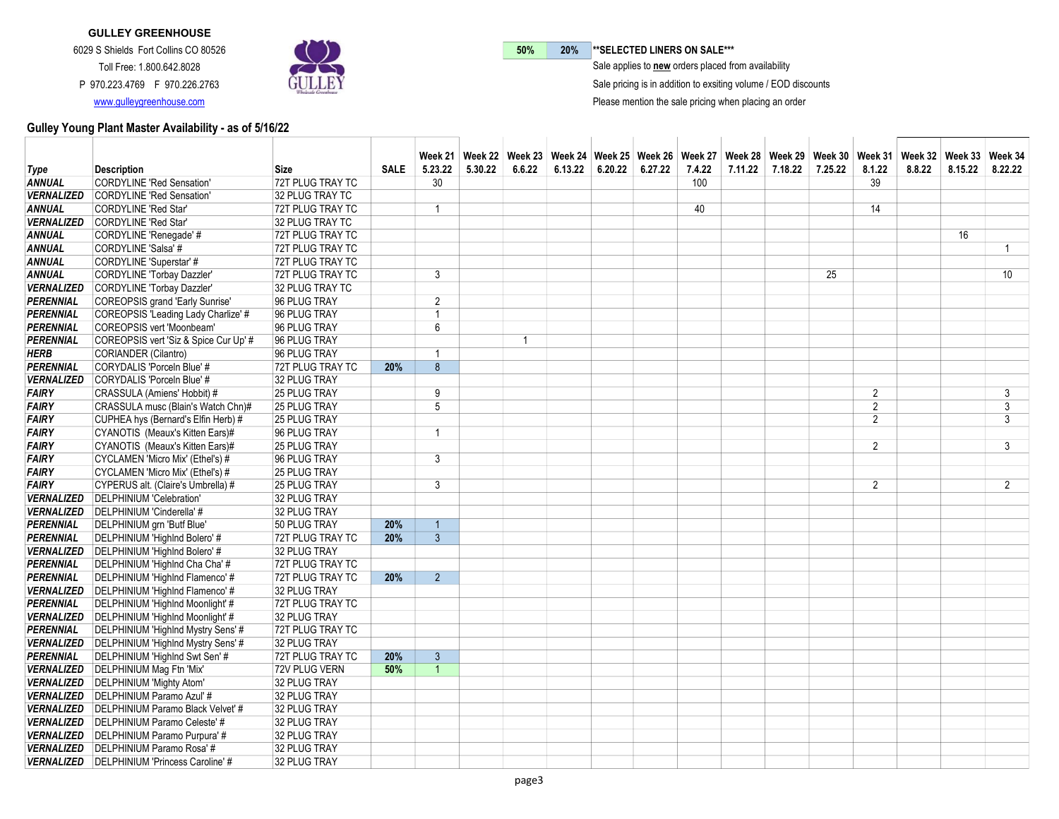

50% 20% \*\* SELECTED LINERS ON SALE\*\*\*

 $\bar{\ }$  Sale applies to new orders placed from availability

Sale pricing is in addition to exsiting volume / EOD discounts

Please mention the sale pricing when placing an order

|                                |                                                                                 |                                  |             |                |         |                |         |         |         |        |         |         |         |                | Week 21   Week 22   Week 23   Week 24   Week 25   Week 26   Week 27   Week 28   Week 29   Week 30   Week 31   Week 32   Week 33   Week 34 |         |                |
|--------------------------------|---------------------------------------------------------------------------------|----------------------------------|-------------|----------------|---------|----------------|---------|---------|---------|--------|---------|---------|---------|----------------|-------------------------------------------------------------------------------------------------------------------------------------------|---------|----------------|
| Type                           | <b>Description</b>                                                              | Size                             | <b>SALE</b> | 5.23.22        | 5.30.22 | 6.6.22         | 6.13.22 | 6.20.22 | 6.27.22 | 7.4.22 | 7.11.22 | 7.18.22 | 7.25.22 | 8.1.22         | 8.8.22                                                                                                                                    | 8.15.22 | 8.22.22        |
| <b>ANNUAL</b>                  | <b>CORDYLINE 'Red Sensation'</b>                                                | 72T PLUG TRAY TC                 |             | 30             |         |                |         |         |         | 100    |         |         |         | 39             |                                                                                                                                           |         |                |
| <b>VERNALIZED</b>              | CORDYLINE 'Red Sensation'                                                       | 32 PLUG TRAY TC                  |             |                |         |                |         |         |         |        |         |         |         |                |                                                                                                                                           |         |                |
| <b>ANNUAL</b>                  | <b>CORDYLINE 'Red Star'</b>                                                     | 72T PLUG TRAY TC                 |             | -1             |         |                |         |         |         | 40     |         |         |         | 14             |                                                                                                                                           |         |                |
| <b>VERNALIZED</b>              | CORDYLINE 'Red Star'                                                            | 32 PLUG TRAY TC                  |             |                |         |                |         |         |         |        |         |         |         |                |                                                                                                                                           |         |                |
| ANNUAL                         | CORDYLINE 'Renegade' #                                                          | 72T PLUG TRAY TC                 |             |                |         |                |         |         |         |        |         |         |         |                |                                                                                                                                           | 16      |                |
| ANNUAL                         | CORDYLINE 'Salsa' #                                                             | 72T PLUG TRAY TC                 |             |                |         |                |         |         |         |        |         |         |         |                |                                                                                                                                           |         | $\overline{1}$ |
| <b>ANNUAL</b>                  | CORDYLINE 'Superstar' #                                                         | 72T PLUG TRAY TC                 |             |                |         |                |         |         |         |        |         |         |         |                |                                                                                                                                           |         |                |
| <b>ANNUAL</b>                  | CORDYLINE 'Torbay Dazzler'                                                      | 72T PLUG TRAY TC                 |             | 3              |         |                |         |         |         |        |         |         | 25      |                |                                                                                                                                           |         | 10             |
| <b>VERNALIZED</b>              | <b>CORDYLINE 'Torbay Dazzler'</b>                                               | 32 PLUG TRAY TC                  |             |                |         |                |         |         |         |        |         |         |         |                |                                                                                                                                           |         |                |
| PERENNIAL                      | <b>COREOPSIS</b> grand 'Early Sunrise'                                          | 96 PLUG TRAY                     |             | $\overline{2}$ |         |                |         |         |         |        |         |         |         |                |                                                                                                                                           |         |                |
| PERENNIAL                      | COREOPSIS 'Leading Lady Charlize' #                                             | 96 PLUG TRAY                     |             | $\overline{1}$ |         |                |         |         |         |        |         |         |         |                |                                                                                                                                           |         |                |
| PERENNIAL                      | COREOPSIS vert 'Moonbeam'                                                       | 96 PLUG TRAY                     |             | $6\phantom{1}$ |         |                |         |         |         |        |         |         |         |                |                                                                                                                                           |         |                |
| <b>PERENNIAL</b>               | COREOPSIS vert 'Siz & Spice Cur Up' #                                           | 96 PLUG TRAY                     |             |                |         | $\overline{1}$ |         |         |         |        |         |         |         |                |                                                                                                                                           |         |                |
| <b>HERB</b>                    | CORIANDER (Cilantro)                                                            | 96 PLUG TRAY                     |             | -1             |         |                |         |         |         |        |         |         |         |                |                                                                                                                                           |         |                |
| <b>PERENNIAL</b>               | CORYDALIS 'Porceln Blue' #                                                      | 72T PLUG TRAY TC                 | 20%         | 8              |         |                |         |         |         |        |         |         |         |                |                                                                                                                                           |         |                |
| <b>VERNALIZED</b>              | CORYDALIS 'Porceln Blue' #                                                      | 32 PLUG TRAY                     |             |                |         |                |         |         |         |        |         |         |         |                |                                                                                                                                           |         |                |
| <b>FAIRY</b>                   | CRASSULA (Amiens' Hobbit) #                                                     | <b>25 PLUG TRAY</b>              |             | 9              |         |                |         |         |         |        |         |         |         | $\overline{2}$ |                                                                                                                                           |         | 3              |
| <b>FAIRY</b>                   | CRASSULA musc (Blain's Watch Chn)#                                              | 25 PLUG TRAY                     |             | 5              |         |                |         |         |         |        |         |         |         | $\overline{2}$ |                                                                                                                                           |         | 3              |
| <b>FAIRY</b>                   | CUPHEA hys (Bernard's Elfin Herb) #                                             | <b>25 PLUG TRAY</b>              |             |                |         |                |         |         |         |        |         |         |         | $\mathfrak{p}$ |                                                                                                                                           |         | 3              |
| <i>FAIRY</i>                   | CYANOTIS (Meaux's Kitten Ears)#                                                 | 96 PLUG TRAY                     |             | $\overline{1}$ |         |                |         |         |         |        |         |         |         |                |                                                                                                                                           |         |                |
| FAIRY                          | CYANOTIS (Meaux's Kitten Ears)#                                                 | <b>25 PLUG TRAY</b>              |             |                |         |                |         |         |         |        |         |         |         | $\overline{2}$ |                                                                                                                                           |         | 3              |
| <i>FAIRY</i>                   | CYCLAMEN 'Micro Mix' (Ethel's) #                                                | 96 PLUG TRAY                     |             | 3              |         |                |         |         |         |        |         |         |         |                |                                                                                                                                           |         |                |
| <b>FAIRY</b>                   | CYCLAMEN 'Micro Mix' (Ethel's) #                                                | <b>25 PLUG TRAY</b>              |             |                |         |                |         |         |         |        |         |         |         |                |                                                                                                                                           |         |                |
| <b>FAIRY</b>                   | CYPERUS alt. (Claire's Umbrella) #                                              | 25 PLUG TRAY                     |             | 3              |         |                |         |         |         |        |         |         |         | $\overline{2}$ |                                                                                                                                           |         | $\overline{2}$ |
| <b>VERNALIZED</b>              | <b>DELPHINIUM 'Celebration'</b>                                                 | 32 PLUG TRAY                     |             |                |         |                |         |         |         |        |         |         |         |                |                                                                                                                                           |         |                |
| <b>VERNALIZED</b>              | DELPHINIUM 'Cinderella' #                                                       | 32 PLUG TRAY                     |             |                |         |                |         |         |         |        |         |         |         |                |                                                                                                                                           |         |                |
| <b>PERENNIAL</b>               | DELPHINIUM grn 'Butf Blue'                                                      | 50 PLUG TRAY                     | 20%         | $\overline{1}$ |         |                |         |         |         |        |         |         |         |                |                                                                                                                                           |         |                |
| <b>PERENNIAL</b>               | DELPHINIUM 'Highlnd Bolero' #                                                   | 72T PLUG TRAY TC                 | 20%         | $\overline{3}$ |         |                |         |         |         |        |         |         |         |                |                                                                                                                                           |         |                |
| <b>VERNALIZED</b>              | DELPHINIUM 'Highlnd Bolero' #                                                   | 32 PLUG TRAY                     |             |                |         |                |         |         |         |        |         |         |         |                |                                                                                                                                           |         |                |
| <b>PERENNIAL</b>               | DELPHINIUM 'Highlnd Cha Cha' #                                                  | 72T PLUG TRAY TC                 |             |                |         |                |         |         |         |        |         |         |         |                |                                                                                                                                           |         |                |
| PERENNIAL<br><b>VERNALIZED</b> | DELPHINIUM 'Highlnd Flamenco' #                                                 | 72T PLUG TRAY TC                 | 20%         | $\overline{2}$ |         |                |         |         |         |        |         |         |         |                |                                                                                                                                           |         |                |
| <b>PERENNIAL</b>               | DELPHINIUM 'Highlnd Flamenco' #                                                 | 32 PLUG TRAY<br>72T PLUG TRAY TC |             |                |         |                |         |         |         |        |         |         |         |                |                                                                                                                                           |         |                |
|                                | DELPHINIUM 'Highlnd Moonlight' #<br>VERNALIZED DELPHINIUM 'Highlnd Moonlight' # | 32 PLUG TRAY                     |             |                |         |                |         |         |         |        |         |         |         |                |                                                                                                                                           |         |                |
| <b>PERENNIAL</b>               | DELPHINIUM 'Highlnd Mystry Sens' #                                              | 72T PLUG TRAY TC                 |             |                |         |                |         |         |         |        |         |         |         |                |                                                                                                                                           |         |                |
| <b>VERNALIZED</b>              | DELPHINIUM 'Highlnd Mystry Sens' #                                              | 32 PLUG TRAY                     |             |                |         |                |         |         |         |        |         |         |         |                |                                                                                                                                           |         |                |
| <b>PERENNIAL</b>               | DELPHINIUM 'Highlnd Swt Sen' #                                                  | 72T PLUG TRAY TC                 | 20%         | $\mathbf{3}$   |         |                |         |         |         |        |         |         |         |                |                                                                                                                                           |         |                |
|                                | VERNALIZED   DELPHINIUM Mag Ftn 'Mix'                                           | 72V PLUG VERN                    | 50%         | $\overline{1}$ |         |                |         |         |         |        |         |         |         |                |                                                                                                                                           |         |                |
| <b>VERNALIZED</b>              | DELPHINIUM 'Mighty Atom'                                                        | 32 PLUG TRAY                     |             |                |         |                |         |         |         |        |         |         |         |                |                                                                                                                                           |         |                |
|                                | <b>VERNALIZED</b> DELPHINIUM Paramo Azul' #                                     | 32 PLUG TRAY                     |             |                |         |                |         |         |         |        |         |         |         |                |                                                                                                                                           |         |                |
|                                | <b>VERNALIZED</b> DELPHINIUM Paramo Black Velvet' #                             | 32 PLUG TRAY                     |             |                |         |                |         |         |         |        |         |         |         |                |                                                                                                                                           |         |                |
|                                | VERNALIZED   DELPHINIUM Paramo Celeste' #                                       | 32 PLUG TRAY                     |             |                |         |                |         |         |         |        |         |         |         |                |                                                                                                                                           |         |                |
|                                | <b>VERNALIZED</b>   DELPHINIUM Paramo Purpura' #                                | 32 PLUG TRAY                     |             |                |         |                |         |         |         |        |         |         |         |                |                                                                                                                                           |         |                |
|                                | VERNALIZED DELPHINIUM Paramo Rosa' #                                            | 32 PLUG TRAY                     |             |                |         |                |         |         |         |        |         |         |         |                |                                                                                                                                           |         |                |
|                                | <b>VERNALIZED</b> DELPHINIUM 'Princess Caroline' #                              | 32 PLUG TRAY                     |             |                |         |                |         |         |         |        |         |         |         |                |                                                                                                                                           |         |                |
|                                |                                                                                 |                                  |             |                |         |                |         |         |         |        |         |         |         |                |                                                                                                                                           |         |                |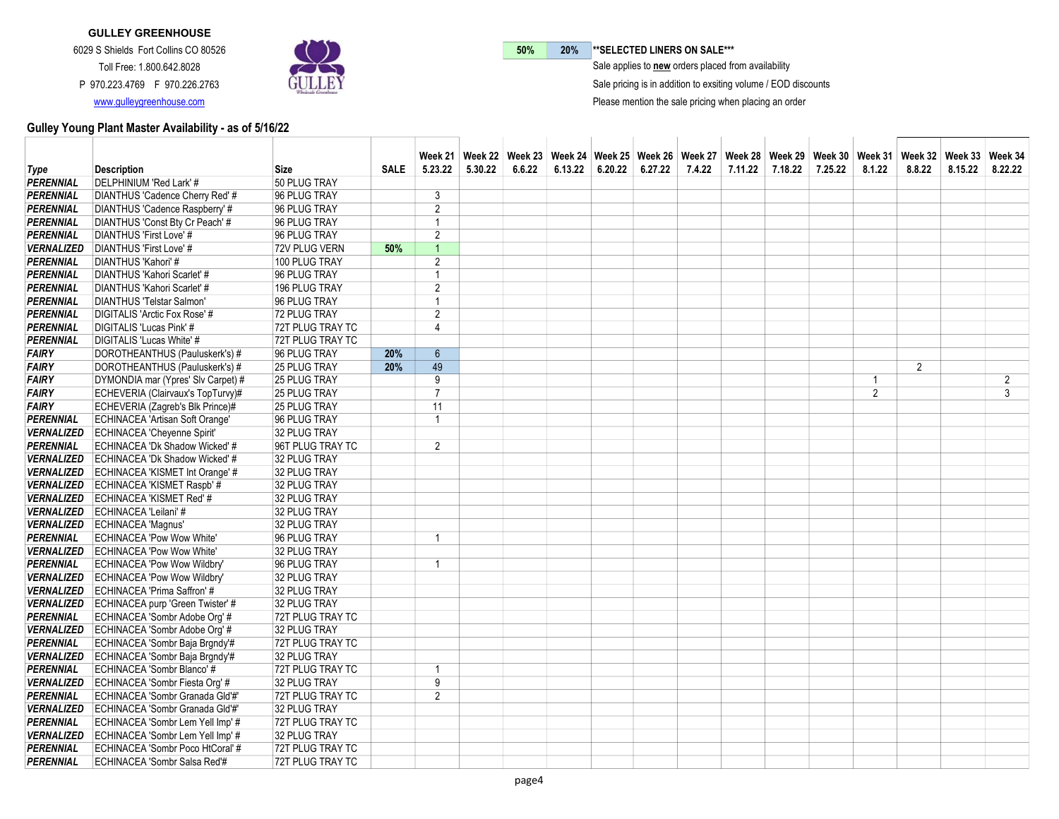

50% 20% \*\* SELECTED LINERS ON SALE\*\*\*

 $\bar{\ }$  Sale applies to new orders placed from availability

Sale pricing is in addition to exsiting volume / EOD discounts

Please mention the sale pricing when placing an order

|                   |                                             |                         |             |                | Week 21   Week 22   Week 23   Week 24   Week 25   Week 26   Week 27   Week 28   Week 29   Week 31   Week 32   Week 33   Week 34 |        |         |                   |        |         |         |         |                |        |         |                |
|-------------------|---------------------------------------------|-------------------------|-------------|----------------|---------------------------------------------------------------------------------------------------------------------------------|--------|---------|-------------------|--------|---------|---------|---------|----------------|--------|---------|----------------|
| <b>Type</b>       | <b>Description</b>                          | Size                    | <b>SALE</b> | 5.23.22        | 5.30.22                                                                                                                         | 6.6.22 | 6.13.22 | $6.20.22$ 6.27.22 | 7.4.22 | 7.11.22 | 7.18.22 | 7.25.22 | 8.1.22         | 8.8.22 | 8.15.22 | 8.22.22        |
| <b>PERENNIAL</b>  | DELPHINIUM 'Red Lark' #                     | 50 PLUG TRAY            |             |                |                                                                                                                                 |        |         |                   |        |         |         |         |                |        |         |                |
| <b>PERENNIAL</b>  | DIANTHUS 'Cadence Cherry Red' #             | 96 PLUG TRAY            |             | 3              |                                                                                                                                 |        |         |                   |        |         |         |         |                |        |         |                |
| <b>PERENNIAL</b>  | DIANTHUS 'Cadence Raspberry' #              | 96 PLUG TRAY            |             | $\overline{2}$ |                                                                                                                                 |        |         |                   |        |         |         |         |                |        |         |                |
| <b>PERENNIAL</b>  | DIANTHUS 'Const Bty Cr Peach' #             | 96 PLUG TRAY            |             | 1              |                                                                                                                                 |        |         |                   |        |         |         |         |                |        |         |                |
| <b>PERENNIAL</b>  | DIANTHUS 'First Love' #                     | 96 PLUG TRAY            |             | $\overline{2}$ |                                                                                                                                 |        |         |                   |        |         |         |         |                |        |         |                |
| <b>VERNALIZED</b> | DIANTHUS 'First Love' #                     | 72V PLUG VERN           | 50%         | $\mathbf{1}$   |                                                                                                                                 |        |         |                   |        |         |         |         |                |        |         |                |
| <b>PERENNIAL</b>  | DIANTHUS 'Kahori' #                         | 100 PLUG TRAY           |             | $\overline{2}$ |                                                                                                                                 |        |         |                   |        |         |         |         |                |        |         |                |
| <b>PERENNIAL</b>  | DIANTHUS 'Kahori Scarlet' #                 | 96 PLUG TRAY            |             | $\overline{1}$ |                                                                                                                                 |        |         |                   |        |         |         |         |                |        |         |                |
| <b>PERENNIAL</b>  | DIANTHUS 'Kahori Scarlet' #                 | 196 PLUG TRAY           |             | $\overline{2}$ |                                                                                                                                 |        |         |                   |        |         |         |         |                |        |         |                |
| <b>PERENNIAL</b>  | DIANTHUS 'Telstar Salmon'                   | 96 PLUG TRAY            |             | $\overline{1}$ |                                                                                                                                 |        |         |                   |        |         |         |         |                |        |         |                |
| <b>PERENNIAL</b>  | DIGITALIS 'Arctic Fox Rose' #               | 72 PLUG TRAY            |             | $\overline{2}$ |                                                                                                                                 |        |         |                   |        |         |         |         |                |        |         |                |
| <b>PERENNIAL</b>  | DIGITALIS 'Lucas Pink' #                    | 72T PLUG TRAY TC        |             | 4              |                                                                                                                                 |        |         |                   |        |         |         |         |                |        |         |                |
| <b>PERENNIAL</b>  | DIGITALIS 'Lucas White' #                   | 72T PLUG TRAY TC        |             |                |                                                                                                                                 |        |         |                   |        |         |         |         |                |        |         |                |
| <b>FAIRY</b>      | DOROTHEANTHUS (Pauluskerk's) #              | 96 PLUG TRAY            | 20%         | $6\phantom{a}$ |                                                                                                                                 |        |         |                   |        |         |         |         |                |        |         |                |
| <b>FAIRY</b>      | DOROTHEANTHUS (Pauluskerk's) #              | 25 PLUG TRAY            | 20%         | 49             |                                                                                                                                 |        |         |                   |        |         |         |         |                | 2      |         |                |
| <b>FAIRY</b>      | DYMONDIA mar (Ypres' Slv Carpet) #          | 25 PLUG TRAY            |             | 9              |                                                                                                                                 |        |         |                   |        |         |         |         | $\overline{1}$ |        |         | $\overline{c}$ |
| <b>FAIRY</b>      | ECHEVERIA (Clairvaux's TopTurvy)#           | <b>25 PLUG TRAY</b>     |             | $\overline{7}$ |                                                                                                                                 |        |         |                   |        |         |         |         | 2              |        |         | 3              |
| <b>FAIRY</b>      | ECHEVERIA (Zagreb's Blk Prince)#            | <b>25 PLUG TRAY</b>     |             | 11             |                                                                                                                                 |        |         |                   |        |         |         |         |                |        |         |                |
| <b>PERENNIAL</b>  | <b>ECHINACEA 'Artisan Soft Orange'</b>      | 96 PLUG TRAY            |             | $\overline{1}$ |                                                                                                                                 |        |         |                   |        |         |         |         |                |        |         |                |
| <b>VERNALIZED</b> | <b>ECHINACEA 'Cheyenne Spirit'</b>          | 32 PLUG TRAY            |             |                |                                                                                                                                 |        |         |                   |        |         |         |         |                |        |         |                |
| <b>PERENNIAL</b>  | ECHINACEA 'Dk Shadow Wicked' #              | 96T PLUG TRAY TC        |             | $\overline{2}$ |                                                                                                                                 |        |         |                   |        |         |         |         |                |        |         |                |
| <b>VERNALIZED</b> | ECHINACEA 'Dk Shadow Wicked' #              | 32 PLUG TRAY            |             |                |                                                                                                                                 |        |         |                   |        |         |         |         |                |        |         |                |
|                   | VERNALIZED ECHINACEA 'KISMET Int Orange' #  | 32 PLUG TRAY            |             |                |                                                                                                                                 |        |         |                   |        |         |         |         |                |        |         |                |
|                   | VERNALIZED ECHINACEA 'KISMET Raspb' #       | 32 PLUG TRAY            |             |                |                                                                                                                                 |        |         |                   |        |         |         |         |                |        |         |                |
|                   | VERNALIZED ECHINACEA 'KISMET Red' #         | 32 PLUG TRAY            |             |                |                                                                                                                                 |        |         |                   |        |         |         |         |                |        |         |                |
| <b>VERNALIZED</b> | ECHINACEA 'Leilani' #                       | 32 PLUG TRAY            |             |                |                                                                                                                                 |        |         |                   |        |         |         |         |                |        |         |                |
|                   | VERNALIZED ECHINACEA 'Magnus'               | 32 PLUG TRAY            |             |                |                                                                                                                                 |        |         |                   |        |         |         |         |                |        |         |                |
| <b>PERENNIAL</b>  | <b>ECHINACEA 'Pow Wow White'</b>            | 96 PLUG TRAY            |             | 1              |                                                                                                                                 |        |         |                   |        |         |         |         |                |        |         |                |
|                   | VERNALIZED ECHINACEA 'Pow Wow White'        | 32 PLUG TRAY            |             |                |                                                                                                                                 |        |         |                   |        |         |         |         |                |        |         |                |
| <b>PERENNIAL</b>  | <b>ECHINACEA 'Pow Wow Wildbry'</b>          | 96 PLUG TRAY            |             | 1              |                                                                                                                                 |        |         |                   |        |         |         |         |                |        |         |                |
| <b>VERNALIZED</b> | <b>ECHINACEA 'Pow Wow Wildbry'</b>          | 32 PLUG TRAY            |             |                |                                                                                                                                 |        |         |                   |        |         |         |         |                |        |         |                |
| <b>VERNALIZED</b> | ECHINACEA 'Prima Saffron' #                 | 32 PLUG TRAY            |             |                |                                                                                                                                 |        |         |                   |        |         |         |         |                |        |         |                |
|                   | VERNALIZED ECHINACEA purp 'Green Twister' # | 32 PLUG TRAY            |             |                |                                                                                                                                 |        |         |                   |        |         |         |         |                |        |         |                |
| <b>PERENNIAL</b>  | ECHINACEA 'Sombr Adobe Org' #               | 72T PLUG TRAY TC        |             |                |                                                                                                                                 |        |         |                   |        |         |         |         |                |        |         |                |
|                   | VERNALIZED ECHINACEA 'Sombr Adobe Org' #    | 32 PLUG TRAY            |             |                |                                                                                                                                 |        |         |                   |        |         |         |         |                |        |         |                |
| <b>PERENNIAL</b>  | ECHINACEA 'Sombr Baja Brgndy'#              | 72T PLUG TRAY TC        |             |                |                                                                                                                                 |        |         |                   |        |         |         |         |                |        |         |                |
| <b>VERNALIZED</b> | ECHINACEA 'Sombr Baja Brgndy'#              | 32 PLUG TRAY            |             |                |                                                                                                                                 |        |         |                   |        |         |         |         |                |        |         |                |
| <b>PERENNIAL</b>  | ECHINACEA 'Sombr Blanco' #                  | 72T PLUG TRAY TC        |             | 1              |                                                                                                                                 |        |         |                   |        |         |         |         |                |        |         |                |
| <b>VERNALIZED</b> | ECHINACEA 'Sombr Fiesta Org' #              | 32 PLUG TRAY            |             | 9              |                                                                                                                                 |        |         |                   |        |         |         |         |                |        |         |                |
| <b>PERENNIAL</b>  | ECHINACEA 'Sombr Granada Gld'#'             | 72T PLUG TRAY TC        |             | $\overline{2}$ |                                                                                                                                 |        |         |                   |        |         |         |         |                |        |         |                |
| <b>VERNALIZED</b> | ECHINACEA 'Sombr Granada Gld'#'             | 32 PLUG TRAY            |             |                |                                                                                                                                 |        |         |                   |        |         |         |         |                |        |         |                |
| <b>PERENNIAL</b>  | ECHINACEA 'Sombr Lem Yell Imp' #            | 72T PLUG TRAY TC        |             |                |                                                                                                                                 |        |         |                   |        |         |         |         |                |        |         |                |
| <b>VERNALIZED</b> | ECHINACEA 'Sombr Lem Yell Imp' #            | 32 PLUG TRAY            |             |                |                                                                                                                                 |        |         |                   |        |         |         |         |                |        |         |                |
| <b>PERENNIAL</b>  | ECHINACEA 'Sombr Poco HtCoral' #            | 72T PLUG TRAY TC        |             |                |                                                                                                                                 |        |         |                   |        |         |         |         |                |        |         |                |
| <b>PERENNIAL</b>  | ECHINACEA 'Sombr Salsa Red'#                | <b>72T PLUG TRAY TC</b> |             |                |                                                                                                                                 |        |         |                   |        |         |         |         |                |        |         |                |
|                   |                                             |                         |             |                |                                                                                                                                 |        |         |                   |        |         |         |         |                |        |         |                |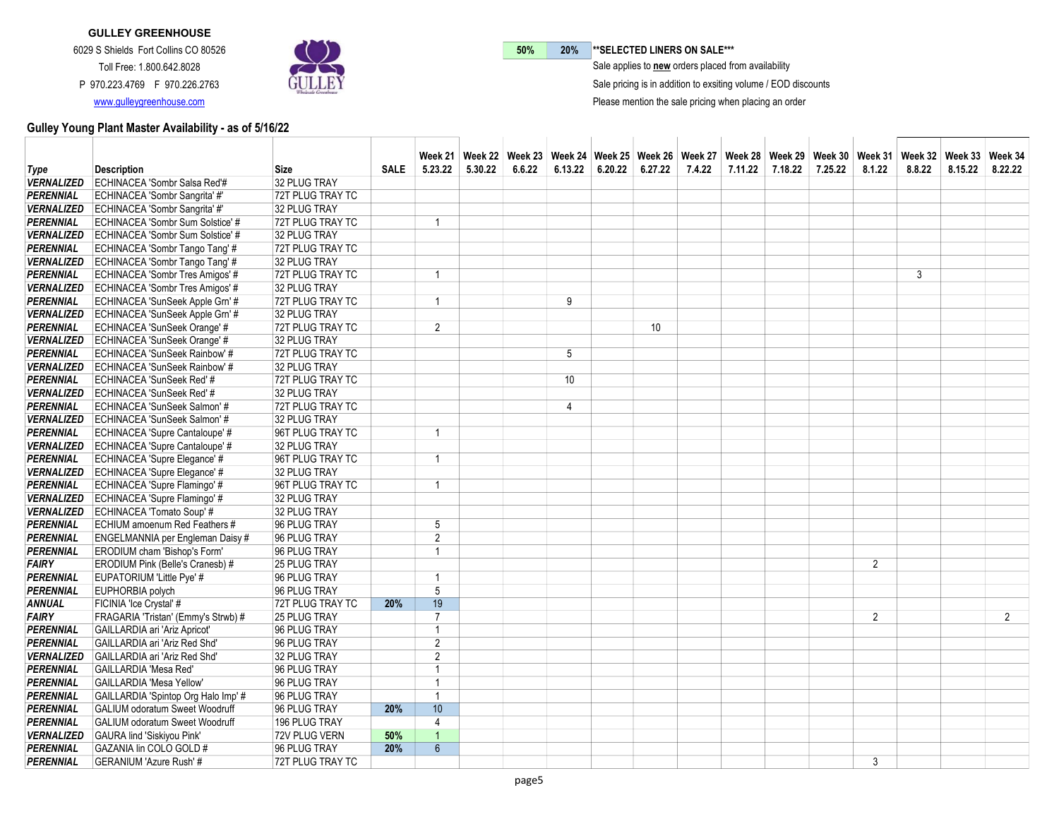

50% 20% \*\* SELECTED LINERS ON SALE\*\*\*

 $\bar{\ }$  Sale applies to new orders placed from availability

Sale pricing is in addition to exsiting volume / EOD discounts

Please mention the sale pricing when placing an order

|                   |                                             |                     |             |                | Week 21   Week 22   Week 23   Week 24   Week 25   Week 26   Week 27   Week 28   Week 30   Week 31   Week 32   Week 33   Week 34   Week 34   Week 34   Week 34   Week 34   Week 34   Week 34   Week 34   Week 34   Week 34   We |        |                |                   |        |         |         |         |                |        |         |                |
|-------------------|---------------------------------------------|---------------------|-------------|----------------|--------------------------------------------------------------------------------------------------------------------------------------------------------------------------------------------------------------------------------|--------|----------------|-------------------|--------|---------|---------|---------|----------------|--------|---------|----------------|
| <b>Type</b>       | <b>Description</b>                          | Size                | <b>SALE</b> | 5.23.22        | 5.30.22                                                                                                                                                                                                                        | 6.6.22 | 6.13.22        | $6.20.22$ 6.27.22 | 7.4.22 | 7.11.22 | 7.18.22 | 7.25.22 | 8.1.22         | 8.8.22 | 8.15.22 | 8.22.22        |
| <b>VERNALIZED</b> | ECHINACEA 'Sombr Salsa Red'#                | 32 PLUG TRAY        |             |                |                                                                                                                                                                                                                                |        |                |                   |        |         |         |         |                |        |         |                |
| <b>PERENNIAL</b>  | ECHINACEA 'Sombr Sangrita' #'               | 72T PLUG TRAY TC    |             |                |                                                                                                                                                                                                                                |        |                |                   |        |         |         |         |                |        |         |                |
|                   | VERNALIZED ECHINACEA 'Sombr Sangrita' #'    | 32 PLUG TRAY        |             |                |                                                                                                                                                                                                                                |        |                |                   |        |         |         |         |                |        |         |                |
| <b>PERENNIAL</b>  | ECHINACEA 'Sombr Sum Solstice' #            | 72T PLUG TRAY TC    |             | 1              |                                                                                                                                                                                                                                |        |                |                   |        |         |         |         |                |        |         |                |
| <b>VERNALIZED</b> | ECHINACEA 'Sombr Sum Solstice' #            | 32 PLUG TRAY        |             |                |                                                                                                                                                                                                                                |        |                |                   |        |         |         |         |                |        |         |                |
| <b>PERENNIAL</b>  | ECHINACEA 'Sombr Tango Tang' #              | 72T PLUG TRAY TC    |             |                |                                                                                                                                                                                                                                |        |                |                   |        |         |         |         |                |        |         |                |
|                   | VERNALIZED   ECHINACEA 'Sombr Tango Tang' # | 32 PLUG TRAY        |             |                |                                                                                                                                                                                                                                |        |                |                   |        |         |         |         |                |        |         |                |
| <b>PERENNIAL</b>  | ECHINACEA 'Sombr Tres Amigos' #             | 72T PLUG TRAY TC    |             | 1              |                                                                                                                                                                                                                                |        |                |                   |        |         |         |         |                | 3      |         |                |
|                   | VERNALIZED ECHINACEA 'Sombr Tres Amigos' #  | 32 PLUG TRAY        |             |                |                                                                                                                                                                                                                                |        |                |                   |        |         |         |         |                |        |         |                |
| <b>PERENNIAL</b>  | ECHINACEA 'SunSeek Apple Grn' #             | 72T PLUG TRAY TC    |             | 1              |                                                                                                                                                                                                                                |        | 9              |                   |        |         |         |         |                |        |         |                |
| <b>VERNALIZED</b> | ECHINACEA 'SunSeek Apple Grn' #             | 32 PLUG TRAY        |             |                |                                                                                                                                                                                                                                |        |                |                   |        |         |         |         |                |        |         |                |
| <b>PERENNIAL</b>  | ECHINACEA 'SunSeek Orange' #                | 72T PLUG TRAY TC    |             | $\overline{2}$ |                                                                                                                                                                                                                                |        |                | 10 <sup>°</sup>   |        |         |         |         |                |        |         |                |
|                   | VERNALIZED ECHINACEA 'SunSeek Orange' #     | 32 PLUG TRAY        |             |                |                                                                                                                                                                                                                                |        |                |                   |        |         |         |         |                |        |         |                |
| <b>PERENNIAL</b>  | ECHINACEA 'SunSeek Rainbow' #               | 72T PLUG TRAY TC    |             |                |                                                                                                                                                                                                                                |        | 5              |                   |        |         |         |         |                |        |         |                |
| <b>VERNALIZED</b> | ECHINACEA 'SunSeek Rainbow' #               | 32 PLUG TRAY        |             |                |                                                                                                                                                                                                                                |        |                |                   |        |         |         |         |                |        |         |                |
| <b>PERENNIAL</b>  | ECHINACEA 'SunSeek Red' #                   | 72T PLUG TRAY TC    |             |                |                                                                                                                                                                                                                                |        | 10             |                   |        |         |         |         |                |        |         |                |
| <b>VERNALIZED</b> | ECHINACEA 'SunSeek Red' #                   | 32 PLUG TRAY        |             |                |                                                                                                                                                                                                                                |        |                |                   |        |         |         |         |                |        |         |                |
| <b>PERENNIAL</b>  | ECHINACEA 'SunSeek Salmon' #                | 72T PLUG TRAY TC    |             |                |                                                                                                                                                                                                                                |        | $\overline{4}$ |                   |        |         |         |         |                |        |         |                |
| <b>VERNALIZED</b> | ECHINACEA 'SunSeek Salmon' #                | 32 PLUG TRAY        |             |                |                                                                                                                                                                                                                                |        |                |                   |        |         |         |         |                |        |         |                |
| <b>PERENNIAL</b>  | ECHINACEA 'Supre Cantaloupe' #              | 96T PLUG TRAY TC    |             | 1              |                                                                                                                                                                                                                                |        |                |                   |        |         |         |         |                |        |         |                |
| <b>VERNALIZED</b> | ECHINACEA 'Supre Cantaloupe' #              | 32 PLUG TRAY        |             |                |                                                                                                                                                                                                                                |        |                |                   |        |         |         |         |                |        |         |                |
| <b>PERENNIAL</b>  | ECHINACEA 'Supre Elegance' #                | 96T PLUG TRAY TC    |             | 1              |                                                                                                                                                                                                                                |        |                |                   |        |         |         |         |                |        |         |                |
|                   | VERNALIZED ECHINACEA 'Supre Elegance' #     | 32 PLUG TRAY        |             |                |                                                                                                                                                                                                                                |        |                |                   |        |         |         |         |                |        |         |                |
| <b>PERENNIAL</b>  | ECHINACEA 'Supre Flamingo' #                | 96T PLUG TRAY TC    |             | 1              |                                                                                                                                                                                                                                |        |                |                   |        |         |         |         |                |        |         |                |
|                   | VERNALIZED ECHINACEA 'Supre Flamingo' #     | 32 PLUG TRAY        |             |                |                                                                                                                                                                                                                                |        |                |                   |        |         |         |         |                |        |         |                |
| <b>VERNALIZED</b> | ECHINACEA 'Tomato Soup' #                   | 32 PLUG TRAY        |             |                |                                                                                                                                                                                                                                |        |                |                   |        |         |         |         |                |        |         |                |
| <b>PERENNIAL</b>  | ECHIUM amoenum Red Feathers #               | 96 PLUG TRAY        |             | 5              |                                                                                                                                                                                                                                |        |                |                   |        |         |         |         |                |        |         |                |
| <b>PERENNIAL</b>  | ENGELMANNIA per Engleman Daisy #            | 96 PLUG TRAY        |             | $\overline{2}$ |                                                                                                                                                                                                                                |        |                |                   |        |         |         |         |                |        |         |                |
| <b>PERENNIAL</b>  | ERODIUM cham 'Bishop's Form'                | 96 PLUG TRAY        |             | $\overline{1}$ |                                                                                                                                                                                                                                |        |                |                   |        |         |         |         |                |        |         |                |
| <b>FAIRY</b>      | <b>ERODIUM Pink (Belle's Cranesb) #</b>     | <b>25 PLUG TRAY</b> |             |                |                                                                                                                                                                                                                                |        |                |                   |        |         |         |         | 2              |        |         |                |
| <b>PERENNIAL</b>  | EUPATORIUM 'Little Pye' #                   | 96 PLUG TRAY        |             | 1              |                                                                                                                                                                                                                                |        |                |                   |        |         |         |         |                |        |         |                |
| <b>PERENNIAL</b>  | EUPHORBIA polych                            | 96 PLUG TRAY        |             | 5              |                                                                                                                                                                                                                                |        |                |                   |        |         |         |         |                |        |         |                |
| <b>ANNUAL</b>     | FICINIA 'Ice Crystal' #                     | 72T PLUG TRAY TC    | 20%         | 19             |                                                                                                                                                                                                                                |        |                |                   |        |         |         |         |                |        |         |                |
| <b>FAIRY</b>      | FRAGARIA 'Tristan' (Emmy's Strwb) #         | <b>25 PLUG TRAY</b> |             | $\overline{7}$ |                                                                                                                                                                                                                                |        |                |                   |        |         |         |         | $\overline{2}$ |        |         | $\overline{2}$ |
| <b>PERENNIAL</b>  | GAILLARDIA ari 'Ariz Apricot'               | 96 PLUG TRAY        |             | 1              |                                                                                                                                                                                                                                |        |                |                   |        |         |         |         |                |        |         |                |
| <b>PERENNIAL</b>  | GAILLARDIA ari 'Ariz Red Shd'               | 96 PLUG TRAY        |             | $\overline{2}$ |                                                                                                                                                                                                                                |        |                |                   |        |         |         |         |                |        |         |                |
| <b>VERNALIZED</b> | GAILLARDIA ari 'Ariz Red Shd'               | 32 PLUG TRAY        |             | $\overline{2}$ |                                                                                                                                                                                                                                |        |                |                   |        |         |         |         |                |        |         |                |
| <b>PERENNIAL</b>  | GAILLARDIA 'Mesa Red'                       | 96 PLUG TRAY        |             | 1              |                                                                                                                                                                                                                                |        |                |                   |        |         |         |         |                |        |         |                |
| <b>PERENNIAL</b>  | GAILLARDIA 'Mesa Yellow'                    | 96 PLUG TRAY        |             | $\overline{1}$ |                                                                                                                                                                                                                                |        |                |                   |        |         |         |         |                |        |         |                |
| <b>PERENNIAL</b>  | GAILLARDIA 'Spintop Org Halo Imp' #         | 96 PLUG TRAY        |             | $\overline{1}$ |                                                                                                                                                                                                                                |        |                |                   |        |         |         |         |                |        |         |                |
| <b>PERENNIAL</b>  | <b>GALIUM odoratum Sweet Woodruff</b>       | 96 PLUG TRAY        | 20%         | 10             |                                                                                                                                                                                                                                |        |                |                   |        |         |         |         |                |        |         |                |
| PERENNIAL         | <b>GALIUM odoratum Sweet Woodruff</b>       | 196 PLUG TRAY       |             | 4              |                                                                                                                                                                                                                                |        |                |                   |        |         |         |         |                |        |         |                |
| <b>VERNALIZED</b> | <b>GAURA lind 'Siskiyou Pink'</b>           | 72V PLUG VERN       | 50%         | $\overline{1}$ |                                                                                                                                                                                                                                |        |                |                   |        |         |         |         |                |        |         |                |
| PERENNIAL         | GAZANIA lin COLO GOLD #                     | 96 PLUG TRAY        | 20%         | 6              |                                                                                                                                                                                                                                |        |                |                   |        |         |         |         |                |        |         |                |
| <b>PERENNIAL</b>  | GERANIUM 'Azure Rush' #                     | 72T PLUG TRAY TC    |             |                |                                                                                                                                                                                                                                |        |                |                   |        |         |         |         | 3              |        |         |                |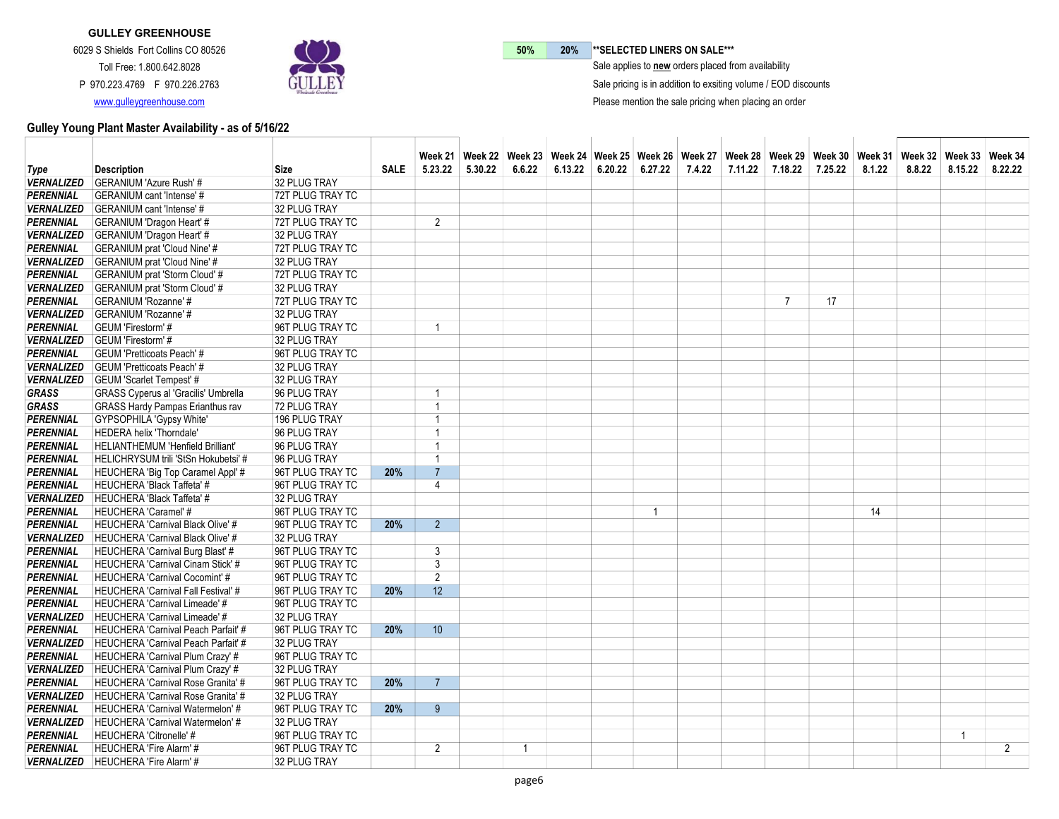

50% 20% \*\* SELECTED LINERS ON SALE\*\*\*

 $\bar{\ }$  Sale applies to new orders placed from availability

Sale pricing is in addition to exsiting volume / EOD discounts

Please mention the sale pricing when placing an order

|                   |                                             |                  |             |                 |         | Week 21   Week 22   Week 23   Week 24   Week 25   Week 26   Week 27   Week 28   Week 30   Week 31   Week 32   Week 33   Week 34   Week 34   Week 34   Week 34   Week 34   Week 34   Week 34   Week 34   Week 34   Week 34   We |         |         |         |        |         |                |         |        |        |             |                |
|-------------------|---------------------------------------------|------------------|-------------|-----------------|---------|--------------------------------------------------------------------------------------------------------------------------------------------------------------------------------------------------------------------------------|---------|---------|---------|--------|---------|----------------|---------|--------|--------|-------------|----------------|
| <b>Type</b>       | <b>Description</b>                          | <b>Size</b>      | <b>SALE</b> | 5.23.22         | 5.30.22 | 6.6.22                                                                                                                                                                                                                         | 6.13.22 | 6.20.22 | 6.27.22 | 7.4.22 | 7.11.22 | 7.18.22        | 7.25.22 | 8.1.22 | 8.8.22 | 8.15.22     | 8.22.22        |
| <b>VERNALIZED</b> | <b>GERANIUM 'Azure Rush' #</b>              | 32 PLUG TRAY     |             |                 |         |                                                                                                                                                                                                                                |         |         |         |        |         |                |         |        |        |             |                |
| <b>PERENNIAL</b>  | <b>GERANIUM</b> cant 'Intense' #            | 72T PLUG TRAY TC |             |                 |         |                                                                                                                                                                                                                                |         |         |         |        |         |                |         |        |        |             |                |
|                   | VERNALIZED GERANIUM cant 'Intense' #        | 32 PLUG TRAY     |             |                 |         |                                                                                                                                                                                                                                |         |         |         |        |         |                |         |        |        |             |                |
| <b>PERENNIAL</b>  | <b>GERANIUM 'Dragon Heart' #</b>            | 72T PLUG TRAY TC |             | $\overline{2}$  |         |                                                                                                                                                                                                                                |         |         |         |        |         |                |         |        |        |             |                |
|                   | VERNALIZED GERANIUM 'Dragon Heart' #        | 32 PLUG TRAY     |             |                 |         |                                                                                                                                                                                                                                |         |         |         |        |         |                |         |        |        |             |                |
| <b>PERENNIAL</b>  | <b>GERANIUM</b> prat 'Cloud Nine' #         | 72T PLUG TRAY TC |             |                 |         |                                                                                                                                                                                                                                |         |         |         |        |         |                |         |        |        |             |                |
| <b>VERNALIZED</b> | <b>GERANIUM</b> prat 'Cloud Nine' #         | 32 PLUG TRAY     |             |                 |         |                                                                                                                                                                                                                                |         |         |         |        |         |                |         |        |        |             |                |
| <b>PERENNIAL</b>  | <b>GERANIUM</b> prat 'Storm Cloud' #        | 72T PLUG TRAY TC |             |                 |         |                                                                                                                                                                                                                                |         |         |         |        |         |                |         |        |        |             |                |
|                   | VERNALIZED GERANIUM prat 'Storm Cloud' #    | 32 PLUG TRAY     |             |                 |         |                                                                                                                                                                                                                                |         |         |         |        |         |                |         |        |        |             |                |
| <b>PERENNIAL</b>  | <b>GERANIUM 'Rozanne' #</b>                 | 72T PLUG TRAY TC |             |                 |         |                                                                                                                                                                                                                                |         |         |         |        |         | $\overline{7}$ | 17      |        |        |             |                |
| <b>VERNALIZED</b> | <b>GERANIUM 'Rozanne' #</b>                 | 32 PLUG TRAY     |             |                 |         |                                                                                                                                                                                                                                |         |         |         |        |         |                |         |        |        |             |                |
| <b>PERENNIAL</b>  | GEUM 'Firestorm' #                          | 96T PLUG TRAY TC |             | $\overline{1}$  |         |                                                                                                                                                                                                                                |         |         |         |        |         |                |         |        |        |             |                |
|                   | VERNALIZED GEUM 'Firestorm' #               | 32 PLUG TRAY     |             |                 |         |                                                                                                                                                                                                                                |         |         |         |        |         |                |         |        |        |             |                |
| <b>PERENNIAL</b>  | <b>GEUM 'Pretticoats Peach' #</b>           | 96T PLUG TRAY TC |             |                 |         |                                                                                                                                                                                                                                |         |         |         |        |         |                |         |        |        |             |                |
| <b>VERNALIZED</b> | <b>GEUM 'Pretticoats Peach' #</b>           | 32 PLUG TRAY     |             |                 |         |                                                                                                                                                                                                                                |         |         |         |        |         |                |         |        |        |             |                |
| <b>VERNALIZED</b> | <b>GEUM 'Scarlet Tempest' #</b>             | 32 PLUG TRAY     |             |                 |         |                                                                                                                                                                                                                                |         |         |         |        |         |                |         |        |        |             |                |
| <b>GRASS</b>      | <b>GRASS Cyperus al 'Gracilis' Umbrella</b> | 96 PLUG TRAY     |             | $\overline{1}$  |         |                                                                                                                                                                                                                                |         |         |         |        |         |                |         |        |        |             |                |
| <b>GRASS</b>      | <b>GRASS Hardy Pampas Erianthus rav</b>     | 72 PLUG TRAY     |             | $\overline{1}$  |         |                                                                                                                                                                                                                                |         |         |         |        |         |                |         |        |        |             |                |
| <b>PERENNIAL</b>  | GYPSOPHILA 'Gypsy White'                    | 196 PLUG TRAY    |             | $\overline{1}$  |         |                                                                                                                                                                                                                                |         |         |         |        |         |                |         |        |        |             |                |
| <b>PERENNIAL</b>  | HEDERA helix 'Thorndale'                    | 96 PLUG TRAY     |             | $\overline{1}$  |         |                                                                                                                                                                                                                                |         |         |         |        |         |                |         |        |        |             |                |
| <b>PERENNIAL</b>  | <b>HELIANTHEMUM 'Henfield Brilliant'</b>    | 96 PLUG TRAY     |             | $\overline{1}$  |         |                                                                                                                                                                                                                                |         |         |         |        |         |                |         |        |        |             |                |
| <b>PERENNIAL</b>  | HELICHRYSUM trili 'StSn Hokubetsi' #        | 96 PLUG TRAY     |             | $\overline{1}$  |         |                                                                                                                                                                                                                                |         |         |         |        |         |                |         |        |        |             |                |
| <b>PERENNIAL</b>  | HEUCHERA 'Big Top Caramel Appl' #           | 96T PLUG TRAY TC | 20%         | $\overline{7}$  |         |                                                                                                                                                                                                                                |         |         |         |        |         |                |         |        |        |             |                |
| <b>PERENNIAL</b>  | HEUCHERA 'Black Taffeta' #                  | 96T PLUG TRAY TC |             | $\overline{4}$  |         |                                                                                                                                                                                                                                |         |         |         |        |         |                |         |        |        |             |                |
| <b>VERNALIZED</b> | HEUCHERA 'Black Taffeta' #                  | 32 PLUG TRAY     |             |                 |         |                                                                                                                                                                                                                                |         |         |         |        |         |                |         |        |        |             |                |
| <b>PERENNIAL</b>  | HEUCHERA 'Caramel' #                        | 96T PLUG TRAY TC |             |                 |         |                                                                                                                                                                                                                                |         |         | 1       |        |         |                |         | 14     |        |             |                |
| <b>PERENNIAL</b>  | HEUCHERA 'Carnival Black Olive' #           | 96T PLUG TRAY TC | 20%         | 2 <sup>2</sup>  |         |                                                                                                                                                                                                                                |         |         |         |        |         |                |         |        |        |             |                |
| <b>VERNALIZED</b> | HEUCHERA 'Carnival Black Olive' #           | 32 PLUG TRAY     |             |                 |         |                                                                                                                                                                                                                                |         |         |         |        |         |                |         |        |        |             |                |
| <b>PERENNIAL</b>  | HEUCHERA 'Carnival Burg Blast' #            | 96T PLUG TRAY TC |             | 3               |         |                                                                                                                                                                                                                                |         |         |         |        |         |                |         |        |        |             |                |
| <b>PERENNIAL</b>  | HEUCHERA 'Carnival Cinam Stick' #           | 96T PLUG TRAY TC |             | 3               |         |                                                                                                                                                                                                                                |         |         |         |        |         |                |         |        |        |             |                |
| <b>PERENNIAL</b>  | HEUCHERA 'Carnival Cocomint' #              | 96T PLUG TRAY TC |             | $\overline{2}$  |         |                                                                                                                                                                                                                                |         |         |         |        |         |                |         |        |        |             |                |
| <b>PERENNIAL</b>  | HEUCHERA 'Carnival Fall Festival' #         | 96T PLUG TRAY TC | 20%         | 12              |         |                                                                                                                                                                                                                                |         |         |         |        |         |                |         |        |        |             |                |
| <b>PERENNIAL</b>  | HEUCHERA 'Carnival Limeade' #               | 96T PLUG TRAY TC |             |                 |         |                                                                                                                                                                                                                                |         |         |         |        |         |                |         |        |        |             |                |
| <b>VERNALIZED</b> | HEUCHERA 'Carnival Limeade' #               | 32 PLUG TRAY     |             |                 |         |                                                                                                                                                                                                                                |         |         |         |        |         |                |         |        |        |             |                |
| <b>PERENNIAL</b>  | <b>HEUCHERA 'Carnival Peach Parfait' #</b>  | 96T PLUG TRAY TC | 20%         | 10 <sup>°</sup> |         |                                                                                                                                                                                                                                |         |         |         |        |         |                |         |        |        |             |                |
| <b>VERNALIZED</b> | HEUCHERA 'Carnival Peach Parfait' #         | 32 PLUG TRAY     |             |                 |         |                                                                                                                                                                                                                                |         |         |         |        |         |                |         |        |        |             |                |
| <b>PERENNIAL</b>  | HEUCHERA 'Carnival Plum Crazy' #            | 96T PLUG TRAY TC |             |                 |         |                                                                                                                                                                                                                                |         |         |         |        |         |                |         |        |        |             |                |
| <b>VERNALIZED</b> | HEUCHERA 'Carnival Plum Crazy' #            | 32 PLUG TRAY     |             |                 |         |                                                                                                                                                                                                                                |         |         |         |        |         |                |         |        |        |             |                |
| <b>PERENNIAL</b>  | <b>HEUCHERA 'Carnival Rose Granita' #</b>   | 96T PLUG TRAY TC | 20%         | $\overline{7}$  |         |                                                                                                                                                                                                                                |         |         |         |        |         |                |         |        |        |             |                |
| <b>VERNALIZED</b> | HEUCHERA 'Carnival Rose Granita' #          | 32 PLUG TRAY     |             |                 |         |                                                                                                                                                                                                                                |         |         |         |        |         |                |         |        |        |             |                |
| <b>PERENNIAL</b>  | HEUCHERA 'Carnival Watermelon' #            | 96T PLUG TRAY TC | 20%         | 9               |         |                                                                                                                                                                                                                                |         |         |         |        |         |                |         |        |        |             |                |
| <b>VERNALIZED</b> | HEUCHERA 'Carnival Watermelon' #            | 32 PLUG TRAY     |             |                 |         |                                                                                                                                                                                                                                |         |         |         |        |         |                |         |        |        |             |                |
| <b>PERENNIAL</b>  | HEUCHERA 'Citronelle' #                     | 96T PLUG TRAY TC |             |                 |         |                                                                                                                                                                                                                                |         |         |         |        |         |                |         |        |        | $\mathbf 1$ |                |
| <b>PERENNIAL</b>  | HEUCHERA 'Fire Alarm' #                     | 96T PLUG TRAY TC |             | 2               |         | $\mathbf{1}$                                                                                                                                                                                                                   |         |         |         |        |         |                |         |        |        |             | $\overline{2}$ |
| <b>VERNALIZED</b> | HEUCHERA 'Fire Alarm' #                     | 32 PLUG TRAY     |             |                 |         |                                                                                                                                                                                                                                |         |         |         |        |         |                |         |        |        |             |                |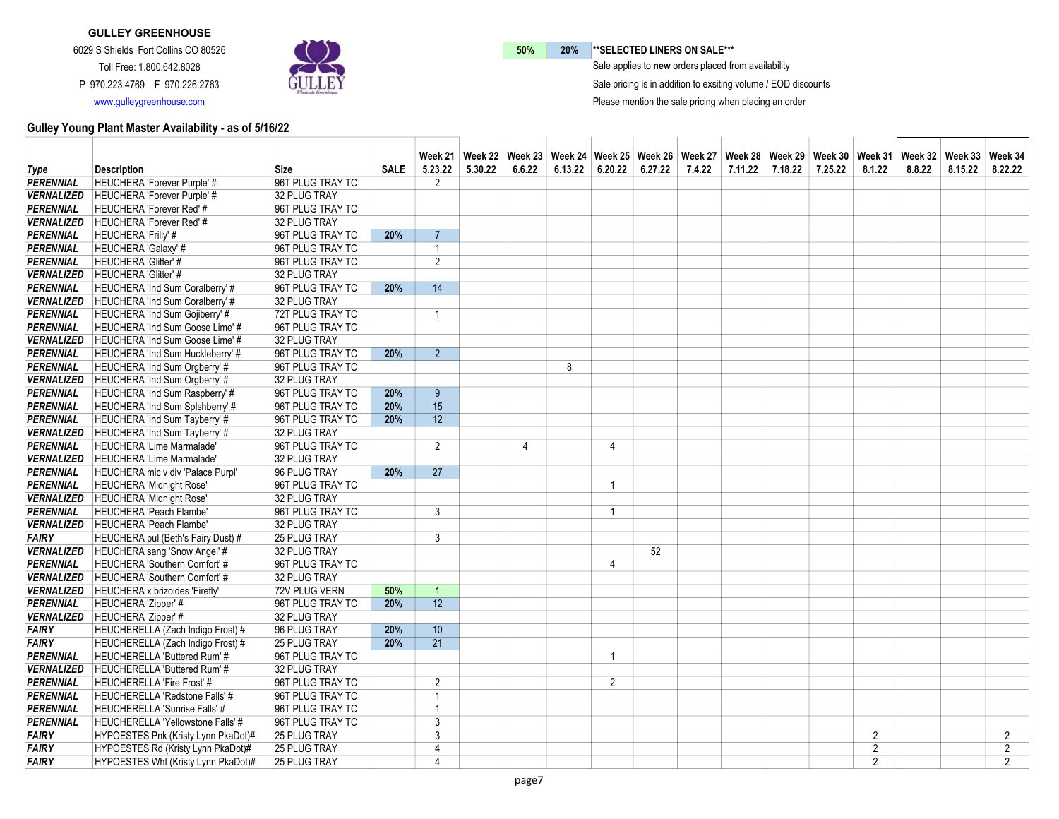

50% 20% \*\* SELECTED LINERS ON SALE\*\*\*

 $\bar{\ }$  Sale applies to new orders placed from availability

Sale pricing is in addition to exsiting volume / EOD discounts

Please mention the sale pricing when placing an order

|                   |                                         |                     |             |                 |         |        | Week 21   Week 22   Week 23   Week 24   Week 25   Week 26   Week 27   Week 28   Week 30   Week 31   Week 32   Week 33   Week 34   Week 34   Week 34   Week 34   Week 34   Week 34   Week 34   Week 34   Week 34   Week 34   We |                         |         |        |         |         |         |                |        |         |                |
|-------------------|-----------------------------------------|---------------------|-------------|-----------------|---------|--------|--------------------------------------------------------------------------------------------------------------------------------------------------------------------------------------------------------------------------------|-------------------------|---------|--------|---------|---------|---------|----------------|--------|---------|----------------|
| Type              | <b>Description</b>                      | <b>Size</b>         | <b>SALE</b> | 5.23.22         | 5.30.22 | 6.6.22 | 6.13.22                                                                                                                                                                                                                        | 6.20.22                 | 6.27.22 | 7.4.22 | 7.11.22 | 7.18.22 | 7.25.22 | 8.1.22         | 8.8.22 | 8.15.22 | 8.22.22        |
| PERENNIAL         | <b>HEUCHERA 'Forever Purple' #</b>      | 96T PLUG TRAY TC    |             | 2               |         |        |                                                                                                                                                                                                                                |                         |         |        |         |         |         |                |        |         |                |
| <b>VERNALIZED</b> | <b>HEUCHERA 'Forever Purple' #</b>      | 32 PLUG TRAY        |             |                 |         |        |                                                                                                                                                                                                                                |                         |         |        |         |         |         |                |        |         |                |
| <b>PERENNIAL</b>  | HEUCHERA 'Forever Red' #                | 96T PLUG TRAY TC    |             |                 |         |        |                                                                                                                                                                                                                                |                         |         |        |         |         |         |                |        |         |                |
| <b>VERNALIZED</b> | HEUCHERA 'Forever Red' #                | 32 PLUG TRAY        |             |                 |         |        |                                                                                                                                                                                                                                |                         |         |        |         |         |         |                |        |         |                |
| <b>PERENNIAL</b>  | <b>HEUCHERA 'Frilly' #</b>              | 96T PLUG TRAY TC    | 20%         | $\overline{7}$  |         |        |                                                                                                                                                                                                                                |                         |         |        |         |         |         |                |        |         |                |
| <b>PERENNIAL</b>  | HEUCHERA 'Galaxy' #                     | 96T PLUG TRAY TC    |             | $\overline{1}$  |         |        |                                                                                                                                                                                                                                |                         |         |        |         |         |         |                |        |         |                |
| <b>PERENNIAL</b>  | HEUCHERA 'Glitter' #                    | 96T PLUG TRAY TC    |             | 2               |         |        |                                                                                                                                                                                                                                |                         |         |        |         |         |         |                |        |         |                |
| <b>VERNALIZED</b> | HEUCHERA 'Glitter' #                    | 32 PLUG TRAY        |             |                 |         |        |                                                                                                                                                                                                                                |                         |         |        |         |         |         |                |        |         |                |
| <b>PERENNIAL</b>  | HEUCHERA 'Ind Sum Coralberry' #         | 96T PLUG TRAY TC    | 20%         | 14              |         |        |                                                                                                                                                                                                                                |                         |         |        |         |         |         |                |        |         |                |
| <b>VERNALIZED</b> | HEUCHERA 'Ind Sum Coralberry' #         | 32 PLUG TRAY        |             |                 |         |        |                                                                                                                                                                                                                                |                         |         |        |         |         |         |                |        |         |                |
| <b>PERENNIAL</b>  | HEUCHERA 'Ind Sum Gojiberry' #          | 72T PLUG TRAY TC    |             | 1               |         |        |                                                                                                                                                                                                                                |                         |         |        |         |         |         |                |        |         |                |
| <b>PERENNIAL</b>  | HEUCHERA 'Ind Sum Goose Lime' #         | 96T PLUG TRAY TC    |             |                 |         |        |                                                                                                                                                                                                                                |                         |         |        |         |         |         |                |        |         |                |
| <b>VERNALIZED</b> | HEUCHERA 'Ind Sum Goose Lime' #         | 32 PLUG TRAY        |             |                 |         |        |                                                                                                                                                                                                                                |                         |         |        |         |         |         |                |        |         |                |
| <b>PERENNIAL</b>  | HEUCHERA 'Ind Sum Huckleberry' #        | 96T PLUG TRAY TC    | 20%         | $\overline{2}$  |         |        |                                                                                                                                                                                                                                |                         |         |        |         |         |         |                |        |         |                |
| <b>PERENNIAL</b>  | HEUCHERA 'Ind Sum Orgberry' #           | 96T PLUG TRAY TC    |             |                 |         |        | 8                                                                                                                                                                                                                              |                         |         |        |         |         |         |                |        |         |                |
| <b>VERNALIZED</b> | HEUCHERA 'Ind Sum Orgberry' #           | 32 PLUG TRAY        |             |                 |         |        |                                                                                                                                                                                                                                |                         |         |        |         |         |         |                |        |         |                |
| <b>PERENNIAL</b>  | HEUCHERA 'Ind Sum Raspberry' #          | 96T PLUG TRAY TC    | 20%         | 9               |         |        |                                                                                                                                                                                                                                |                         |         |        |         |         |         |                |        |         |                |
| <b>PERENNIAL</b>  | HEUCHERA 'Ind Sum Splshberry' #         | 96T PLUG TRAY TC    | 20%         | 15              |         |        |                                                                                                                                                                                                                                |                         |         |        |         |         |         |                |        |         |                |
| <b>PERENNIAL</b>  | HEUCHERA 'Ind Sum Tayberry' #           | 96T PLUG TRAY TC    | 20%         | 12              |         |        |                                                                                                                                                                                                                                |                         |         |        |         |         |         |                |        |         |                |
| <b>VERNALIZED</b> | HEUCHERA 'Ind Sum Tayberry' #           | 32 PLUG TRAY        |             |                 |         |        |                                                                                                                                                                                                                                |                         |         |        |         |         |         |                |        |         |                |
| <b>PERENNIAL</b>  | HEUCHERA 'Lime Marmalade'               | 96T PLUG TRAY TC    |             | 2               |         | 4      |                                                                                                                                                                                                                                | 4                       |         |        |         |         |         |                |        |         |                |
| <b>VERNALIZED</b> | HEUCHERA 'Lime Marmalade'               | 32 PLUG TRAY        |             |                 |         |        |                                                                                                                                                                                                                                |                         |         |        |         |         |         |                |        |         |                |
| <b>PERENNIAL</b>  | HEUCHERA mic v div 'Palace Purpl'       | 96 PLUG TRAY        | 20%         | 27              |         |        |                                                                                                                                                                                                                                |                         |         |        |         |         |         |                |        |         |                |
| <b>PERENNIAL</b>  | HEUCHERA 'Midnight Rose'                | 96T PLUG TRAY TC    |             |                 |         |        |                                                                                                                                                                                                                                | $\overline{1}$          |         |        |         |         |         |                |        |         |                |
| <b>VERNALIZED</b> | <b>HEUCHERA 'Midnight Rose'</b>         | 32 PLUG TRAY        |             |                 |         |        |                                                                                                                                                                                                                                |                         |         |        |         |         |         |                |        |         |                |
| <b>PERENNIAL</b>  | HEUCHERA 'Peach Flambe'                 | 96T PLUG TRAY TC    |             | 3               |         |        |                                                                                                                                                                                                                                | $\overline{\mathbf{1}}$ |         |        |         |         |         |                |        |         |                |
| <b>VERNALIZED</b> | HEUCHERA 'Peach Flambe'                 | 32 PLUG TRAY        |             |                 |         |        |                                                                                                                                                                                                                                |                         |         |        |         |         |         |                |        |         |                |
| <b>FAIRY</b>      | HEUCHERA pul (Beth's Fairy Dust) #      | 25 PLUG TRAY        |             | 3               |         |        |                                                                                                                                                                                                                                |                         |         |        |         |         |         |                |        |         |                |
|                   | VERNALIZED HEUCHERA sang 'Snow Angel' # | 32 PLUG TRAY        |             |                 |         |        |                                                                                                                                                                                                                                |                         | 52      |        |         |         |         |                |        |         |                |
| <b>PERENNIAL</b>  | HEUCHERA 'Southern Comfort' #           | 96T PLUG TRAY TC    |             |                 |         |        |                                                                                                                                                                                                                                | 4                       |         |        |         |         |         |                |        |         |                |
| <b>VERNALIZED</b> | HEUCHERA 'Southern Comfort' #           | 32 PLUG TRAY        |             |                 |         |        |                                                                                                                                                                                                                                |                         |         |        |         |         |         |                |        |         |                |
| <b>VERNALIZED</b> | HEUCHERA x brizoides 'Firefly'          | 72V PLUG VERN       | 50%         | $\overline{1}$  |         |        |                                                                                                                                                                                                                                |                         |         |        |         |         |         |                |        |         |                |
| <b>PERENNIAL</b>  | HEUCHERA 'Zipper' #                     | 96T PLUG TRAY TC    | 20%         | 12              |         |        |                                                                                                                                                                                                                                |                         |         |        |         |         |         |                |        |         |                |
|                   | VERNALIZED   HEUCHERA 'Zipper' #        | 32 PLUG TRAY        |             |                 |         |        |                                                                                                                                                                                                                                |                         |         |        |         |         |         |                |        |         |                |
| <b>FAIRY</b>      | HEUCHERELLA (Zach Indigo Frost) #       | 96 PLUG TRAY        | 20%         | 10              |         |        |                                                                                                                                                                                                                                |                         |         |        |         |         |         |                |        |         |                |
| <b>FAIRY</b>      | HEUCHERELLA (Zach Indigo Frost) #       | 25 PLUG TRAY        | 20%         | $\overline{21}$ |         |        |                                                                                                                                                                                                                                |                         |         |        |         |         |         |                |        |         |                |
| <b>PERENNIAL</b>  | HEUCHERELLA 'Buttered Rum' #            | 96T PLUG TRAY TC    |             |                 |         |        |                                                                                                                                                                                                                                | 1                       |         |        |         |         |         |                |        |         |                |
| <b>VERNALIZED</b> | HEUCHERELLA 'Buttered Rum' #            | 32 PLUG TRAY        |             |                 |         |        |                                                                                                                                                                                                                                |                         |         |        |         |         |         |                |        |         |                |
| <b>PERENNIAL</b>  | HEUCHERELLA 'Fire Frost' #              | 96T PLUG TRAY TC    |             | 2               |         |        |                                                                                                                                                                                                                                | $\overline{2}$          |         |        |         |         |         |                |        |         |                |
| <b>PERENNIAL</b>  | <b>HEUCHERELLA 'Redstone Falls' #</b>   | 96T PLUG TRAY TC    |             | $\overline{1}$  |         |        |                                                                                                                                                                                                                                |                         |         |        |         |         |         |                |        |         |                |
| <b>PERENNIAL</b>  | HEUCHERELLA 'Sunrise Falls' #           | 96T PLUG TRAY TC    |             | $\overline{1}$  |         |        |                                                                                                                                                                                                                                |                         |         |        |         |         |         |                |        |         |                |
| PERENNIAL         | HEUCHERELLA 'Yellowstone Falls' #       | 96T PLUG TRAY TC    |             | 3               |         |        |                                                                                                                                                                                                                                |                         |         |        |         |         |         |                |        |         |                |
| <b>FAIRY</b>      | HYPOESTES Pnk (Kristy Lynn PkaDot)#     | <b>25 PLUG TRAY</b> |             | 3               |         |        |                                                                                                                                                                                                                                |                         |         |        |         |         |         | $\overline{2}$ |        |         | 2              |
| <b>FAIRY</b>      | HYPOESTES Rd (Kristy Lynn PkaDot)#      | <b>25 PLUG TRAY</b> |             | $\overline{4}$  |         |        |                                                                                                                                                                                                                                |                         |         |        |         |         |         | $\overline{2}$ |        |         | $\overline{2}$ |
| <b>FAIRY</b>      | HYPOESTES Wht (Kristy Lynn PkaDot)#     | <b>25 PLUG TRAY</b> |             | $\overline{4}$  |         |        |                                                                                                                                                                                                                                |                         |         |        |         |         |         | $\overline{2}$ |        |         | $\overline{2}$ |
|                   |                                         |                     |             |                 |         |        |                                                                                                                                                                                                                                |                         |         |        |         |         |         |                |        |         |                |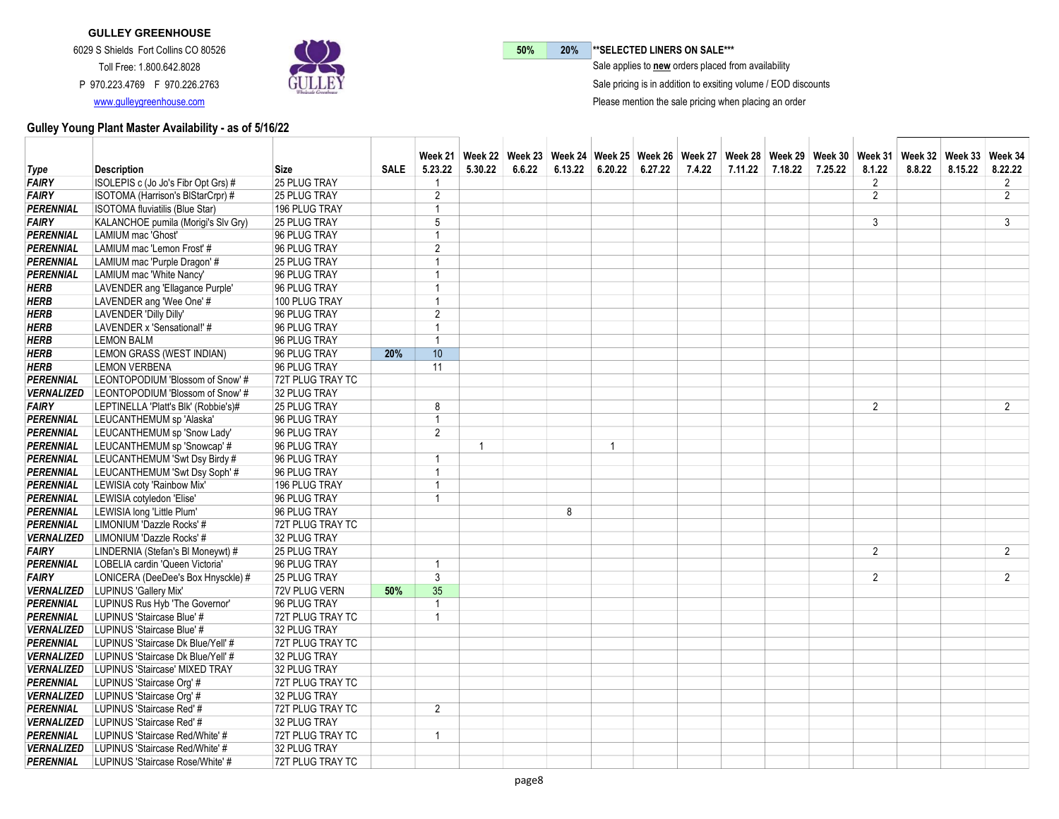

50% 20% \*\* SELECTED LINERS ON SALE\*\*\*

 $\bar{\ }$  Sale applies to new orders placed from availability

Sale pricing is in addition to exsiting volume / EOD discounts

Please mention the sale pricing when placing an order

|                   |                                                        |                         |             |                         |         |        |         |         |         |        |         |         |         |                | Week 21   Week 22   Week 23   Week 24   Week 25   Week 26   Week 27   Week 28   Week 29   Week 30   Week 31   Week 32   Week 33   Week 34 |         |                |
|-------------------|--------------------------------------------------------|-------------------------|-------------|-------------------------|---------|--------|---------|---------|---------|--------|---------|---------|---------|----------------|-------------------------------------------------------------------------------------------------------------------------------------------|---------|----------------|
| Type              | <b>Description</b>                                     | Size                    | <b>SALE</b> | 5.23.22                 | 5.30.22 | 6.6.22 | 6.13.22 | 6.20.22 | 6.27.22 | 7.4.22 | 7.11.22 | 7.18.22 | 7.25.22 | 8.1.22         | 8.8.22                                                                                                                                    | 8.15.22 | 8.22.22        |
| <b>FAIRY</b>      | ISOLEPIS c (Jo Jo's Fibr Opt Grs) #                    | 25 PLUG TRAY            |             | -1                      |         |        |         |         |         |        |         |         |         | 2              |                                                                                                                                           |         | $\overline{2}$ |
| <b>FAIRY</b>      | ISOTOMA (Harrison's BIStarCrpr) #                      | 25 PLUG TRAY            |             | $\overline{2}$          |         |        |         |         |         |        |         |         |         | 2              |                                                                                                                                           |         | $\overline{2}$ |
| <b>PERENNIAL</b>  | <b>ISOTOMA fluviatilis (Blue Star)</b>                 | 196 PLUG TRAY           |             | 1                       |         |        |         |         |         |        |         |         |         |                |                                                                                                                                           |         |                |
| <b>FAIRY</b>      | KALANCHOE pumila (Morigi's Slv Gry)                    | <b>25 PLUG TRAY</b>     |             | 5                       |         |        |         |         |         |        |         |         |         | 3              |                                                                                                                                           |         | 3              |
| PERENNIAL         | LAMIUM mac 'Ghost'                                     | 96 PLUG TRAY            |             | 1                       |         |        |         |         |         |        |         |         |         |                |                                                                                                                                           |         |                |
| PERENNIAL         | LAMIUM mac 'Lemon Frost' #                             | 96 PLUG TRAY            |             | $\overline{2}$          |         |        |         |         |         |        |         |         |         |                |                                                                                                                                           |         |                |
| <b>PERENNIAL</b>  | LAMIUM mac 'Purple Dragon' #                           | 25 PLUG TRAY            |             | 1                       |         |        |         |         |         |        |         |         |         |                |                                                                                                                                           |         |                |
| <b>PERENNIAL</b>  | LAMIUM mac 'White Nancy'                               | 96 PLUG TRAY            |             | $\overline{1}$          |         |        |         |         |         |        |         |         |         |                |                                                                                                                                           |         |                |
| <b>HERB</b>       | LAVENDER ang 'Ellagance Purple'                        | 96 PLUG TRAY            |             | -1                      |         |        |         |         |         |        |         |         |         |                |                                                                                                                                           |         |                |
| <b>HERB</b>       | LAVENDER ang 'Wee One' #                               | 100 PLUG TRAY           |             | $\overline{1}$          |         |        |         |         |         |        |         |         |         |                |                                                                                                                                           |         |                |
| <b>HERB</b>       | LAVENDER 'Dilly Dilly'                                 | 96 PLUG TRAY            |             | $\overline{2}$          |         |        |         |         |         |        |         |         |         |                |                                                                                                                                           |         |                |
| HERB              | LAVENDER x 'Sensational!' #                            | 96 PLUG TRAY            |             | 1                       |         |        |         |         |         |        |         |         |         |                |                                                                                                                                           |         |                |
| <b>HERB</b>       | <b>LEMON BALM</b>                                      | 96 PLUG TRAY            |             | $\overline{1}$          |         |        |         |         |         |        |         |         |         |                |                                                                                                                                           |         |                |
| <b>HERB</b>       | LEMON GRASS (WEST INDIAN)                              | 96 PLUG TRAY            | 20%         | 10                      |         |        |         |         |         |        |         |         |         |                |                                                                                                                                           |         |                |
| <b>HERB</b>       | <b>LEMON VERBENA</b>                                   | 96 PLUG TRAY            |             | 11                      |         |        |         |         |         |        |         |         |         |                |                                                                                                                                           |         |                |
| <b>PERENNIAL</b>  | LEONTOPODIUM 'Blossom of Snow' #                       | 72T PLUG TRAY TC        |             |                         |         |        |         |         |         |        |         |         |         |                |                                                                                                                                           |         |                |
| <b>VERNALIZED</b> | LEONTOPODIUM 'Blossom of Snow' #                       | 32 PLUG TRAY            |             |                         |         |        |         |         |         |        |         |         |         |                |                                                                                                                                           |         |                |
| <b>FAIRY</b>      | LEPTINELLA 'Platt's Blk' (Robbie's)#                   | 25 PLUG TRAY            |             | 8                       |         |        |         |         |         |        |         |         |         | 2              |                                                                                                                                           |         | $\overline{2}$ |
| PERENNIAL         | LEUCANTHEMUM sp 'Alaska'                               | 96 PLUG TRAY            |             | $\overline{1}$          |         |        |         |         |         |        |         |         |         |                |                                                                                                                                           |         |                |
| <b>PERENNIAL</b>  | LEUCANTHEMUM sp 'Snow Lady'                            | 96 PLUG TRAY            |             | $\overline{2}$          |         |        |         |         |         |        |         |         |         |                |                                                                                                                                           |         |                |
| <b>PERENNIAL</b>  | LEUCANTHEMUM sp 'Snowcap' #                            | 96 PLUG TRAY            |             |                         | 1       |        |         | 1       |         |        |         |         |         |                |                                                                                                                                           |         |                |
| PERENNIAL         | LEUCANTHEMUM 'Swt Dsy Birdy #                          | 96 PLUG TRAY            |             | $\overline{1}$          |         |        |         |         |         |        |         |         |         |                |                                                                                                                                           |         |                |
| <b>PERENNIAL</b>  | LEUCANTHEMUM 'Swt Dsy Soph' #                          | 96 PLUG TRAY            |             | $\overline{1}$          |         |        |         |         |         |        |         |         |         |                |                                                                                                                                           |         |                |
| <b>PERENNIAL</b>  | LEWISIA coty 'Rainbow Mix'                             | 196 PLUG TRAY           |             | $\overline{1}$          |         |        |         |         |         |        |         |         |         |                |                                                                                                                                           |         |                |
| <b>PERENNIAL</b>  | LEWISIA cotyledon 'Elise'                              | 96 PLUG TRAY            |             | $\overline{1}$          |         |        |         |         |         |        |         |         |         |                |                                                                                                                                           |         |                |
| PERENNIAL         | LEWISIA long 'Little Plum'                             | 96 PLUG TRAY            |             |                         |         |        | 8       |         |         |        |         |         |         |                |                                                                                                                                           |         |                |
| PERENNIAL         | LIMONIUM 'Dazzle Rocks' #                              | 72T PLUG TRAY TC        |             |                         |         |        |         |         |         |        |         |         |         |                |                                                                                                                                           |         |                |
| <b>VERNALIZED</b> | LIMONIUM 'Dazzle Rocks' #                              | 32 PLUG TRAY            |             |                         |         |        |         |         |         |        |         |         |         |                |                                                                                                                                           |         |                |
| <b>FAIRY</b>      | LINDERNIA (Stefan's BI Moneywt) #                      | 25 PLUG TRAY            |             |                         |         |        |         |         |         |        |         |         |         | 2              |                                                                                                                                           |         | $\overline{2}$ |
| <b>PERENNIAL</b>  | LOBELIA cardin 'Queen Victoria'                        | 96 PLUG TRAY            |             | $\overline{\mathbf{1}}$ |         |        |         |         |         |        |         |         |         |                |                                                                                                                                           |         |                |
| FAIRY             | LONICERA (DeeDee's Box Hnysckle) #                     | <b>25 PLUG TRAY</b>     |             | $\overline{3}$          |         |        |         |         |         |        |         |         |         | $\overline{2}$ |                                                                                                                                           |         | $\overline{2}$ |
|                   | <b>VERNALIZED</b>   LUPINUS 'Gallery Mix'              | 72V PLUG VERN           | 50%         | 35                      |         |        |         |         |         |        |         |         |         |                |                                                                                                                                           |         |                |
| <b>PERENNIAL</b>  | LUPINUS Rus Hyb 'The Governor'                         | 96 PLUG TRAY            |             | $\overline{1}$          |         |        |         |         |         |        |         |         |         |                |                                                                                                                                           |         |                |
| <b>PERENNIAL</b>  | LUPINUS 'Staircase Blue' #                             | 72T PLUG TRAY TC        |             | $\overline{1}$          |         |        |         |         |         |        |         |         |         |                |                                                                                                                                           |         |                |
|                   | <b>VERNALIZED</b> LUPINUS 'Staircase Blue' #           | 32 PLUG TRAY            |             |                         |         |        |         |         |         |        |         |         |         |                |                                                                                                                                           |         |                |
| <b>PERENNIAL</b>  | LUPINUS 'Staircase Dk Blue/Yell' #                     | 72T PLUG TRAY TC        |             |                         |         |        |         |         |         |        |         |         |         |                |                                                                                                                                           |         |                |
|                   | <b>VERNALIZED</b>   LUPINUS 'Staircase Dk Blue/Yell' # | 32 PLUG TRAY            |             |                         |         |        |         |         |         |        |         |         |         |                |                                                                                                                                           |         |                |
|                   | VERNALIZED   LUPINUS 'Staircase' MIXED TRAY            | 32 PLUG TRAY            |             |                         |         |        |         |         |         |        |         |         |         |                |                                                                                                                                           |         |                |
| <b>PERENNIAL</b>  | LUPINUS 'Staircase Org' #                              | 72T PLUG TRAY TC        |             |                         |         |        |         |         |         |        |         |         |         |                |                                                                                                                                           |         |                |
|                   | VERNALIZED LUPINUS 'Staircase Org' #                   | 32 PLUG TRAY            |             |                         |         |        |         |         |         |        |         |         |         |                |                                                                                                                                           |         |                |
| <b>PERENNIAL</b>  | LUPINUS 'Staircase Red' #                              | <b>72T PLUG TRAY TC</b> |             | $\overline{2}$          |         |        |         |         |         |        |         |         |         |                |                                                                                                                                           |         |                |
|                   | <b>VERNALIZED</b>   LUPINUS 'Staircase Red' #          | 32 PLUG TRAY            |             |                         |         |        |         |         |         |        |         |         |         |                |                                                                                                                                           |         |                |
| <b>PERENNIAL</b>  | LUPINUS 'Staircase Red/White' #                        | 72T PLUG TRAY TC        |             | $\overline{1}$          |         |        |         |         |         |        |         |         |         |                |                                                                                                                                           |         |                |
|                   | <b>VERNALIZED</b> LUPINUS 'Staircase Red/White' #      | 32 PLUG TRAY            |             |                         |         |        |         |         |         |        |         |         |         |                |                                                                                                                                           |         |                |
| <b>PERENNIAL</b>  | LUPINUS 'Staircase Rose/White' #                       | 72T PLUG TRAY TC        |             |                         |         |        |         |         |         |        |         |         |         |                |                                                                                                                                           |         |                |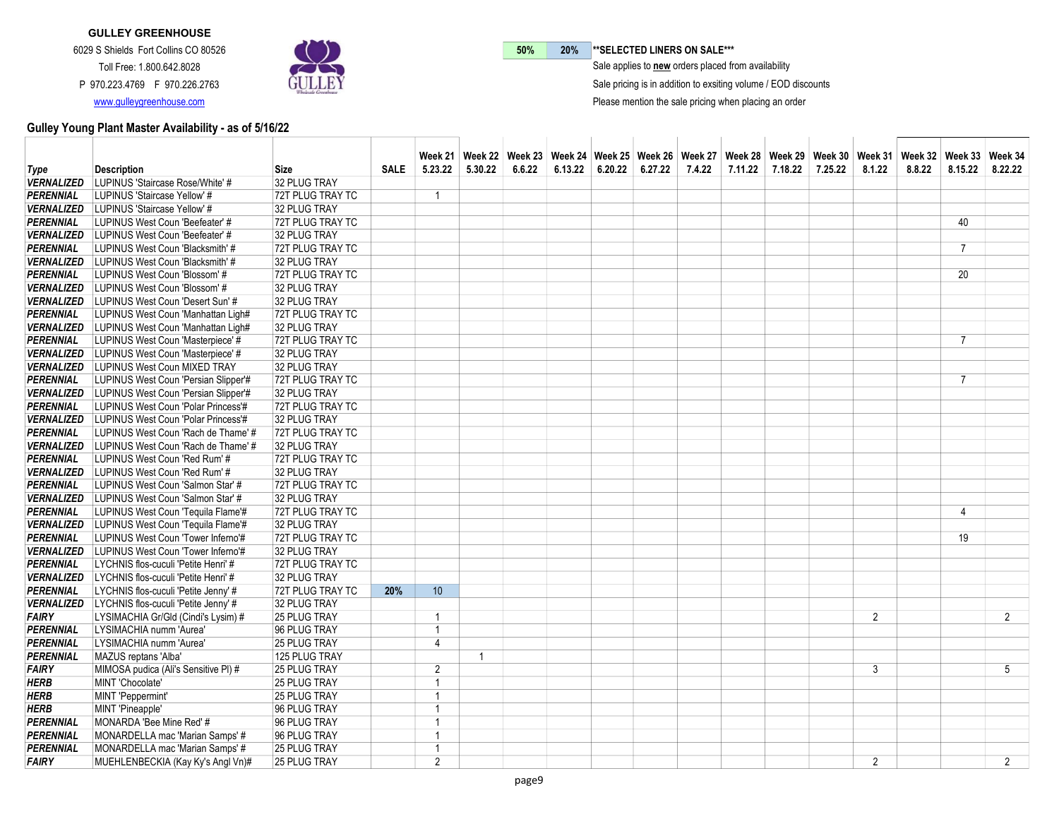

50% 20% \*\* SELECTED LINERS ON SALE\*\*\*

 $\bar{\ }$  Sale applies to new orders placed from availability

Sale pricing is in addition to exsiting volume / EOD discounts

Please mention the sale pricing when placing an order

| Type              | <b>Description</b>                                    | Size             | <b>SALE</b> | 5.23.22         | 5.30.22      | 6.6.22 | 6.13.22 | $6.20.22$ 6.27.22 | 7.4.22 | 7.11.22 | 7.18.22 | 7.25.22 | 8.1.22         | Week 21   Week 22   Week 23   Week 24   Week 25   Week 26   Week 27   Week 28   Week 39   Week 30   Week 31   Week 32   Week 33   Week 34<br>8.8.22 | 8.15.22        | 8.22.22        |
|-------------------|-------------------------------------------------------|------------------|-------------|-----------------|--------------|--------|---------|-------------------|--------|---------|---------|---------|----------------|-----------------------------------------------------------------------------------------------------------------------------------------------------|----------------|----------------|
| <b>VERNALIZED</b> | LUPINUS 'Staircase Rose/White' #                      | 32 PLUG TRAY     |             |                 |              |        |         |                   |        |         |         |         |                |                                                                                                                                                     |                |                |
| <b>PERENNIAL</b>  | LUPINUS 'Staircase Yellow' #                          | 72T PLUG TRAY TC |             | $\overline{1}$  |              |        |         |                   |        |         |         |         |                |                                                                                                                                                     |                |                |
|                   | VERNALIZED LUPINUS 'Staircase Yellow' #               | 32 PLUG TRAY     |             |                 |              |        |         |                   |        |         |         |         |                |                                                                                                                                                     |                |                |
| <b>PERENNIAL</b>  | LUPINUS West Coun 'Beefeater' #                       | 72T PLUG TRAY TC |             |                 |              |        |         |                   |        |         |         |         |                |                                                                                                                                                     | 40             |                |
|                   | <b>VERNALIZED</b> LUPINUS West Coun 'Beefeater' #     | 32 PLUG TRAY     |             |                 |              |        |         |                   |        |         |         |         |                |                                                                                                                                                     |                |                |
| <b>PERENNIAL</b>  | LUPINUS West Coun 'Blacksmith' #                      | 72T PLUG TRAY TC |             |                 |              |        |         |                   |        |         |         |         |                |                                                                                                                                                     | $\overline{7}$ |                |
|                   | VERNALIZED LUPINUS West Coun 'Blacksmith' #           | 32 PLUG TRAY     |             |                 |              |        |         |                   |        |         |         |         |                |                                                                                                                                                     |                |                |
| <b>PERENNIAL</b>  | LUPINUS West Coun 'Blossom' #                         | 72T PLUG TRAY TC |             |                 |              |        |         |                   |        |         |         |         |                |                                                                                                                                                     | 20             |                |
|                   | VERNALIZED LUPINUS West Coun 'Blossom' #              | 32 PLUG TRAY     |             |                 |              |        |         |                   |        |         |         |         |                |                                                                                                                                                     |                |                |
|                   | VERNALIZED LUPINUS West Coun 'Desert Sun' #           | 32 PLUG TRAY     |             |                 |              |        |         |                   |        |         |         |         |                |                                                                                                                                                     |                |                |
| <b>PERENNIAL</b>  | LUPINUS West Coun 'Manhattan Ligh#                    | 72T PLUG TRAY TC |             |                 |              |        |         |                   |        |         |         |         |                |                                                                                                                                                     |                |                |
|                   | VERNALIZED LUPINUS West Coun 'Manhattan Ligh#         | 32 PLUG TRAY     |             |                 |              |        |         |                   |        |         |         |         |                |                                                                                                                                                     |                |                |
| <b>PERENNIAL</b>  | LUPINUS West Coun 'Masterpiece' #                     | 72T PLUG TRAY TC |             |                 |              |        |         |                   |        |         |         |         |                |                                                                                                                                                     | $\overline{7}$ |                |
|                   | VERNALIZED LUPINUS West Coun 'Masterpiece' #          | 32 PLUG TRAY     |             |                 |              |        |         |                   |        |         |         |         |                |                                                                                                                                                     |                |                |
|                   |                                                       |                  |             |                 |              |        |         |                   |        |         |         |         |                |                                                                                                                                                     |                |                |
|                   | <b>VERNALIZED</b> LUPINUS West Coun MIXED TRAY        | 32 PLUG TRAY     |             |                 |              |        |         |                   |        |         |         |         |                |                                                                                                                                                     |                |                |
| <b>PERENNIAL</b>  | LUPINUS West Coun 'Persian Slipper'#                  | 72T PLUG TRAY TC |             |                 |              |        |         |                   |        |         |         |         |                |                                                                                                                                                     | $\overline{7}$ |                |
|                   | VERNALIZED LUPINUS West Coun 'Persian Slipper'#       | 32 PLUG TRAY     |             |                 |              |        |         |                   |        |         |         |         |                |                                                                                                                                                     |                |                |
| <b>PERENNIAL</b>  | LUPINUS West Coun 'Polar Princess'#                   | 72T PLUG TRAY TC |             |                 |              |        |         |                   |        |         |         |         |                |                                                                                                                                                     |                |                |
|                   | VERNALIZED LUPINUS West Coun 'Polar Princess'#        | 32 PLUG TRAY     |             |                 |              |        |         |                   |        |         |         |         |                |                                                                                                                                                     |                |                |
| <b>PERENNIAL</b>  | LUPINUS West Coun 'Rach de Thame' #                   | 72T PLUG TRAY TC |             |                 |              |        |         |                   |        |         |         |         |                |                                                                                                                                                     |                |                |
|                   | <b>VERNALIZED</b> LUPINUS West Coun 'Rach de Thame' # | 32 PLUG TRAY     |             |                 |              |        |         |                   |        |         |         |         |                |                                                                                                                                                     |                |                |
| <b>PERENNIAL</b>  | LUPINUS West Coun 'Red Rum' #                         | 72T PLUG TRAY TC |             |                 |              |        |         |                   |        |         |         |         |                |                                                                                                                                                     |                |                |
|                   | VERNALIZED LUPINUS West Coun 'Red Rum' #              | 32 PLUG TRAY     |             |                 |              |        |         |                   |        |         |         |         |                |                                                                                                                                                     |                |                |
| <b>PERENNIAL</b>  | LUPINUS West Coun 'Salmon Star' #                     | 72T PLUG TRAY TC |             |                 |              |        |         |                   |        |         |         |         |                |                                                                                                                                                     |                |                |
|                   | VERNALIZED   LUPINUS West Coun 'Salmon Star' #        | 32 PLUG TRAY     |             |                 |              |        |         |                   |        |         |         |         |                |                                                                                                                                                     |                |                |
| <b>PERENNIAL</b>  | LUPINUS West Coun 'Tequila Flame'#                    | 72T PLUG TRAY TC |             |                 |              |        |         |                   |        |         |         |         |                |                                                                                                                                                     | 4              |                |
|                   | VERNALIZED LUPINUS West Coun 'Tequila Flame'#         | 32 PLUG TRAY     |             |                 |              |        |         |                   |        |         |         |         |                |                                                                                                                                                     |                |                |
| <b>PERENNIAL</b>  | LUPINUS West Coun 'Tower Inferno'#                    | 72T PLUG TRAY TC |             |                 |              |        |         |                   |        |         |         |         |                |                                                                                                                                                     | 19             |                |
|                   | VERNALIZED   LUPINUS West Coun 'Tower Inferno'#       | 32 PLUG TRAY     |             |                 |              |        |         |                   |        |         |         |         |                |                                                                                                                                                     |                |                |
| <b>PERENNIAL</b>  | LYCHNIS flos-cuculi 'Petite Henri' #                  | 72T PLUG TRAY TC |             |                 |              |        |         |                   |        |         |         |         |                |                                                                                                                                                     |                |                |
|                   | VERNALIZED LYCHNIS flos-cuculi 'Petite Henri' #       | 32 PLUG TRAY     |             |                 |              |        |         |                   |        |         |         |         |                |                                                                                                                                                     |                |                |
| <b>PERENNIAL</b>  | LYCHNIS flos-cuculi 'Petite Jenny' #                  | 72T PLUG TRAY TC | 20%         | 10 <sup>°</sup> |              |        |         |                   |        |         |         |         |                |                                                                                                                                                     |                |                |
|                   | VERNALIZED LYCHNIS flos-cuculi 'Petite Jenny' #       | 32 PLUG TRAY     |             |                 |              |        |         |                   |        |         |         |         |                |                                                                                                                                                     |                |                |
| FAIRY             | LYSIMACHIA Gr/Gld (Cindi's Lysim) #                   | 25 PLUG TRAY     |             | $\overline{1}$  |              |        |         |                   |        |         |         |         | $\overline{2}$ |                                                                                                                                                     |                | $\overline{2}$ |
| <b>PERENNIAL</b>  | LYSIMACHIA numm 'Aurea'                               | 96 PLUG TRAY     |             | $\overline{1}$  |              |        |         |                   |        |         |         |         |                |                                                                                                                                                     |                |                |
| <b>PERENNIAL</b>  | LYSIMACHIA numm 'Aurea'                               | 25 PLUG TRAY     |             | $\overline{4}$  |              |        |         |                   |        |         |         |         |                |                                                                                                                                                     |                |                |
| <b>PERENNIAL</b>  | MAZUS reptans 'Alba'                                  | 125 PLUG TRAY    |             |                 | $\mathbf{1}$ |        |         |                   |        |         |         |         |                |                                                                                                                                                     |                |                |
| <b>FAIRY</b>      | MIMOSA pudica (Ali's Sensitive PI) #                  | 25 PLUG TRAY     |             | 2               |              |        |         |                   |        |         |         |         | 3              |                                                                                                                                                     |                | 5              |
| <b>HERB</b>       | MINT 'Chocolate'                                      | 25 PLUG TRAY     |             | $\overline{1}$  |              |        |         |                   |        |         |         |         |                |                                                                                                                                                     |                |                |
| <b>HERB</b>       | MINT 'Peppermint'                                     | 25 PLUG TRAY     |             | $\overline{1}$  |              |        |         |                   |        |         |         |         |                |                                                                                                                                                     |                |                |
| <b>HERB</b>       | MINT 'Pineapple'                                      | 96 PLUG TRAY     |             | $\overline{1}$  |              |        |         |                   |        |         |         |         |                |                                                                                                                                                     |                |                |
| PERENNIAL         | MONARDA 'Bee Mine Red' #                              | 96 PLUG TRAY     |             | 1               |              |        |         |                   |        |         |         |         |                |                                                                                                                                                     |                |                |
| <b>PERENNIAL</b>  | MONARDELLA mac 'Marian Samps' #                       | 96 PLUG TRAY     |             | $\overline{1}$  |              |        |         |                   |        |         |         |         |                |                                                                                                                                                     |                |                |
| <b>PERENNIAL</b>  | MONARDELLA mac 'Marian Samps' #                       | 25 PLUG TRAY     |             | 1               |              |        |         |                   |        |         |         |         |                |                                                                                                                                                     |                |                |
| <b>FAIRY</b>      | MUEHLENBECKIA (Kay Ky's Angl Vn)#                     | 25 PLUG TRAY     |             | $\overline{2}$  |              |        |         |                   |        |         |         |         | $\overline{2}$ |                                                                                                                                                     |                | $\overline{2}$ |
|                   |                                                       |                  |             |                 |              |        |         |                   |        |         |         |         |                |                                                                                                                                                     |                |                |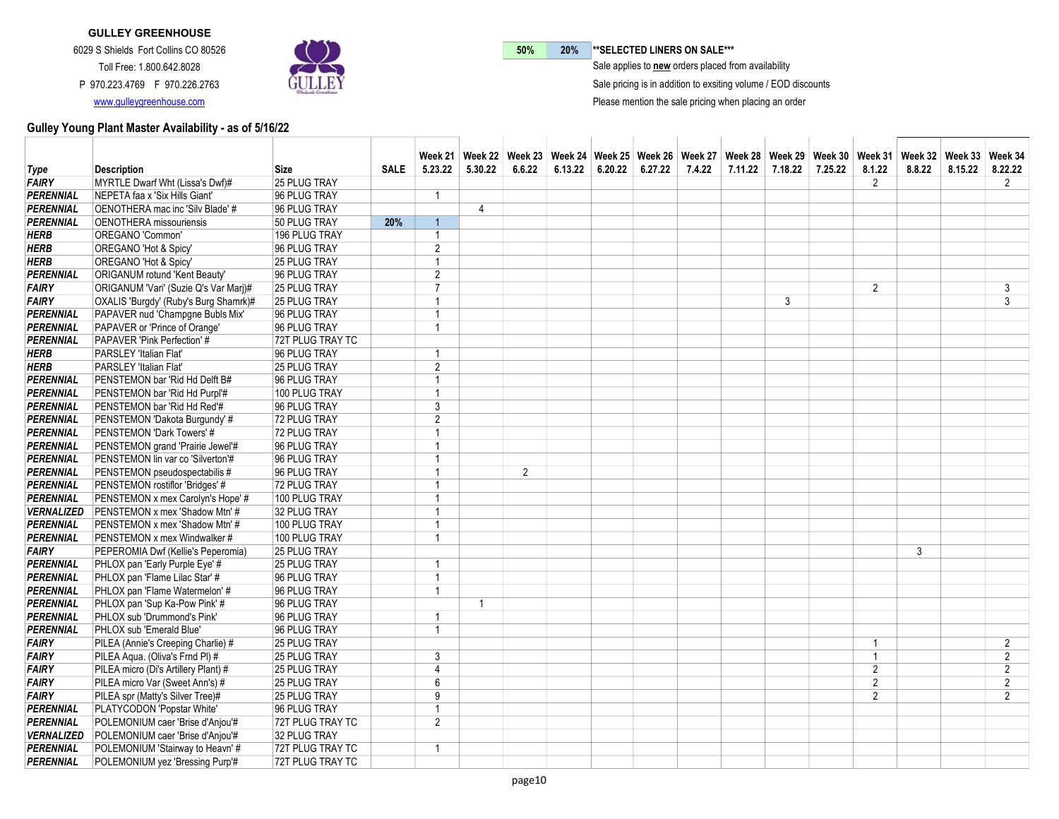

50% 20% \*\* SELECTED LINERS ON SALE\*\*\*

 $\bar{\ }$  Sale applies to new orders placed from availability

Sale pricing is in addition to exsiting volume / EOD discounts

Please mention the sale pricing when placing an order

|                   |                                       |                     |             |                         |         |                |         |                   |        |         |         | Week 21   Week 22   Week 23   Week 24   Week 25   Week 26   Week 27   Week 28   Week 29   Week 30   Week 31 |                |        | Week 32   Week 33   Week 34 |                |
|-------------------|---------------------------------------|---------------------|-------------|-------------------------|---------|----------------|---------|-------------------|--------|---------|---------|-------------------------------------------------------------------------------------------------------------|----------------|--------|-----------------------------|----------------|
| Type              | <b>Description</b>                    | <b>Size</b>         | <b>SALE</b> | 5.23.22                 | 5.30.22 | 6.6.22         | 6.13.22 | $6.20.22$ 6.27.22 | 7.4.22 | 7.11.22 | 7.18.22 | 7.25.22                                                                                                     | 8.1.22         | 8.8.22 | 8.15.22                     | 8.22.22        |
| FAIRY             | MYRTLE Dwarf Wht (Lissa's Dwf)#       | 25 PLUG TRAY        |             |                         |         |                |         |                   |        |         |         |                                                                                                             | 2              |        |                             | $\overline{2}$ |
| PERENNIAL         | NEPETA faa x 'Six Hills Giant'        | 96 PLUG TRAY        |             | $\overline{1}$          |         |                |         |                   |        |         |         |                                                                                                             |                |        |                             |                |
| PERENNIAL         | OENOTHERA mac inc 'Silv Blade' #      | 96 PLUG TRAY        |             |                         | 4       |                |         |                   |        |         |         |                                                                                                             |                |        |                             |                |
| <b>PERENNIAL</b>  | <b>OENOTHERA</b> missouriensis        | 50 PLUG TRAY        | 20%         | $\overline{1}$          |         |                |         |                   |        |         |         |                                                                                                             |                |        |                             |                |
| HERB              | OREGANO 'Common'                      | 196 PLUG TRAY       |             | -1                      |         |                |         |                   |        |         |         |                                                                                                             |                |        |                             |                |
| <b>HERB</b>       | OREGANO 'Hot & Spicy'                 | 96 PLUG TRAY        |             | $\overline{2}$          |         |                |         |                   |        |         |         |                                                                                                             |                |        |                             |                |
| HERB              | OREGANO 'Hot & Spicy'                 | 25 PLUG TRAY        |             | $\mathbf{1}$            |         |                |         |                   |        |         |         |                                                                                                             |                |        |                             |                |
| PERENNIAL         | <b>ORIGANUM rotund 'Kent Beauty'</b>  | 96 PLUG TRAY        |             | $\overline{2}$          |         |                |         |                   |        |         |         |                                                                                                             |                |        |                             |                |
| <b>FAIRY</b>      | ORIGANUM 'Vari' (Suzie Q's Var Marj)# | <b>25 PLUG TRAY</b> |             | $\overline{7}$          |         |                |         |                   |        |         |         |                                                                                                             | 2              |        |                             | 3              |
| FAIRY             | OXALIS 'Burgdy' (Ruby's Burg Shamrk)# | 25 PLUG TRAY        |             | $\overline{1}$          |         |                |         |                   |        |         | 3       |                                                                                                             |                |        |                             | $\overline{3}$ |
| PERENNIAL         | PAPAVER nud 'Champgne Bubls Mix'      | 96 PLUG TRAY        |             | 1                       |         |                |         |                   |        |         |         |                                                                                                             |                |        |                             |                |
| PERENNIAL         | PAPAVER or 'Prince of Orange'         | 96 PLUG TRAY        |             | $\overline{1}$          |         |                |         |                   |        |         |         |                                                                                                             |                |        |                             |                |
| <b>PERENNIAL</b>  | PAPAVER 'Pink Perfection' #           | 72T PLUG TRAY TC    |             |                         |         |                |         |                   |        |         |         |                                                                                                             |                |        |                             |                |
| HERB              | PARSLEY 'Italian Flat'                | 96 PLUG TRAY        |             | $\overline{\mathbf{1}}$ |         |                |         |                   |        |         |         |                                                                                                             |                |        |                             |                |
| <b>HERB</b>       | PARSLEY 'Italian Flat'                | 25 PLUG TRAY        |             | $\overline{2}$          |         |                |         |                   |        |         |         |                                                                                                             |                |        |                             |                |
| PERENNIAL         | PENSTEMON bar 'Rid Hd Delft B#        | 96 PLUG TRAY        |             | -1                      |         |                |         |                   |        |         |         |                                                                                                             |                |        |                             |                |
| PERENNIAL         | PENSTEMON bar 'Rid Hd Purpl'#         | 100 PLUG TRAY       |             | $\overline{1}$          |         |                |         |                   |        |         |         |                                                                                                             |                |        |                             |                |
| PERENNIAL         | PENSTEMON bar 'Rid Hd Red'#           | 96 PLUG TRAY        |             | 3                       |         |                |         |                   |        |         |         |                                                                                                             |                |        |                             |                |
| <b>PERENNIAL</b>  | PENSTEMON 'Dakota Burgundy' #         | 72 PLUG TRAY        |             | $\overline{2}$          |         |                |         |                   |        |         |         |                                                                                                             |                |        |                             |                |
| PERENNIAL         | PENSTEMON 'Dark Towers' #             | 72 PLUG TRAY        |             | $\overline{1}$          |         |                |         |                   |        |         |         |                                                                                                             |                |        |                             |                |
| <b>PERENNIAL</b>  | PENSTEMON grand 'Prairie Jewel'#      | 96 PLUG TRAY        |             | $\overline{1}$          |         |                |         |                   |        |         |         |                                                                                                             |                |        |                             |                |
| PERENNIAL         | PENSTEMON lin var co 'Silverton'#     | 96 PLUG TRAY        |             |                         |         |                |         |                   |        |         |         |                                                                                                             |                |        |                             |                |
| PERENNIAL         | PENSTEMON pseudospectabilis #         | 96 PLUG TRAY        |             | -1                      |         | $\overline{2}$ |         |                   |        |         |         |                                                                                                             |                |        |                             |                |
| <b>PERENNIAL</b>  | PENSTEMON rostiflor 'Bridges' #       | 72 PLUG TRAY        |             |                         |         |                |         |                   |        |         |         |                                                                                                             |                |        |                             |                |
| <b>PERENNIAL</b>  | PENSTEMON x mex Carolyn's Hope' #     | 100 PLUG TRAY       |             |                         |         |                |         |                   |        |         |         |                                                                                                             |                |        |                             |                |
| <b>VERNALIZED</b> | PENSTEMON x mex 'Shadow Mtn' #        | 32 PLUG TRAY        |             | 1                       |         |                |         |                   |        |         |         |                                                                                                             |                |        |                             |                |
| <b>PERENNIAL</b>  | PENSTEMON x mex 'Shadow Mtn' #        | 100 PLUG TRAY       |             | $\overline{1}$          |         |                |         |                   |        |         |         |                                                                                                             |                |        |                             |                |
| <b>PERENNIAL</b>  | PENSTEMON x mex Windwalker #          | 100 PLUG TRAY       |             | $\overline{1}$          |         |                |         |                   |        |         |         |                                                                                                             |                |        |                             |                |
| <b>FAIRY</b>      | PEPEROMIA Dwf (Kellie's Peperomia)    | 25 PLUG TRAY        |             |                         |         |                |         |                   |        |         |         |                                                                                                             |                | 3      |                             |                |
| <b>PERENNIAL</b>  | PHLOX pan 'Early Purple Eye' #        | 25 PLUG TRAY        |             | $\overline{1}$          |         |                |         |                   |        |         |         |                                                                                                             |                |        |                             |                |
| PERENNIAL         | PHLOX pan 'Flame Lilac Star' #        | 96 PLUG TRAY        |             | $\overline{1}$          |         |                |         |                   |        |         |         |                                                                                                             |                |        |                             |                |
| PERENNIAL         | PHLOX pan 'Flame Watermelon' #        | 96 PLUG TRAY        |             | $\overline{1}$          |         |                |         |                   |        |         |         |                                                                                                             |                |        |                             |                |
| PERENNIAL         | PHLOX pan 'Sup Ka-Pow Pink' #         | 96 PLUG TRAY        |             |                         | -1      |                |         |                   |        |         |         |                                                                                                             |                |        |                             |                |
| PERENNIAL         | PHLOX sub 'Drummond's Pink'           | 96 PLUG TRAY        |             | $\overline{1}$          |         |                |         |                   |        |         |         |                                                                                                             |                |        |                             |                |
| <b>PERENNIAL</b>  | PHLOX sub 'Emerald Blue'              | 96 PLUG TRAY        |             | 1                       |         |                |         |                   |        |         |         |                                                                                                             |                |        |                             |                |
| <b>FAIRY</b>      | PILEA (Annie's Creeping Charlie) #    | 25 PLUG TRAY        |             |                         |         |                |         |                   |        |         |         |                                                                                                             | $\overline{1}$ |        |                             | $\overline{2}$ |
| <b>FAIRY</b>      | PILEA Aqua. (Oliva's Frnd PI) #       | <b>25 PLUG TRAY</b> |             | 3                       |         |                |         |                   |        |         |         |                                                                                                             |                |        |                             | $\overline{2}$ |
| <b>FAIRY</b>      | PILEA micro (Di's Artillery Plant) #  | 25 PLUG TRAY        |             | $\overline{4}$          |         |                |         |                   |        |         |         |                                                                                                             | $\overline{2}$ |        |                             | $\overline{2}$ |
| <b>FAIRY</b>      | PILEA micro Var (Sweet Ann's) #       | <b>25 PLUG TRAY</b> |             | $6\phantom{1}$          |         |                |         |                   |        |         |         |                                                                                                             | $\overline{2}$ |        |                             | $\overline{2}$ |
| <b>FAIRY</b>      | PILEA spr (Matty's Silver Tree)#      | 25 PLUG TRAY        |             | 9                       |         |                |         |                   |        |         |         |                                                                                                             | $\mathfrak{p}$ |        |                             | $\mathfrak{p}$ |
| PERENNIAL         | PLATYCODON 'Popstar White'            | 96 PLUG TRAY        |             | $\mathbf{1}$            |         |                |         |                   |        |         |         |                                                                                                             |                |        |                             |                |
| <b>PERENNIAL</b>  | POLEMONIUM caer 'Brise d'Anjou'#      | 72T PLUG TRAY TC    |             | $\overline{2}$          |         |                |         |                   |        |         |         |                                                                                                             |                |        |                             |                |
| <b>VERNALIZED</b> | POLEMONIUM caer 'Brise d'Anjou'#      | 32 PLUG TRAY        |             |                         |         |                |         |                   |        |         |         |                                                                                                             |                |        |                             |                |
| <b>PERENNIAL</b>  | POLEMONIUM 'Stairway to Heavn' #      | 72T PLUG TRAY TC    |             | 1                       |         |                |         |                   |        |         |         |                                                                                                             |                |        |                             |                |
| <b>PERENNIAL</b>  | POLEMONIUM yez 'Bressing Purp'#       | 72T PLUG TRAY TC    |             |                         |         |                |         |                   |        |         |         |                                                                                                             |                |        |                             |                |
|                   |                                       |                     |             |                         |         |                |         |                   |        |         |         |                                                                                                             |                |        |                             |                |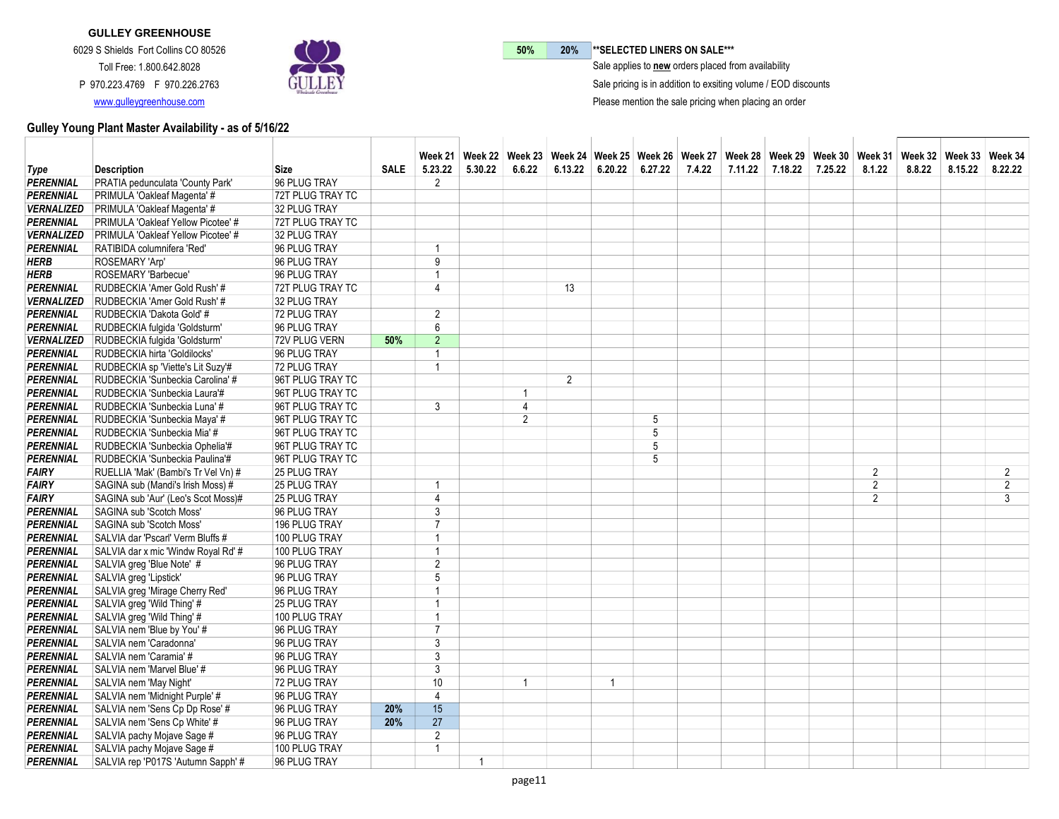

50% 20% \*\* SELECTED LINERS ON SALE\*\*\*

 $\bar{\ }$  Sale applies to new orders placed from availability

Sale pricing is in addition to exsiting volume / EOD discounts

Please mention the sale pricing when placing an order

|                   |                                           |                  |             |                |         | Week 21   Week 22   Week 23   Week 24   Week 25   Week 26   Week 27   Week 28   Week 39   Week 30   Week 31   Week 32   Week 33   Week 34 |                |         |         |        |         |         |         |                |        |         |                |
|-------------------|-------------------------------------------|------------------|-------------|----------------|---------|-------------------------------------------------------------------------------------------------------------------------------------------|----------------|---------|---------|--------|---------|---------|---------|----------------|--------|---------|----------------|
| <b>Type</b>       | <b>Description</b>                        | <b>Size</b>      | <b>SALE</b> | 5.23.22        | 5.30.22 | 6.6.22                                                                                                                                    | 6.13.22        | 6.20.22 | 6.27.22 | 7.4.22 | 7.11.22 | 7.18.22 | 7.25.22 | 8.1.22         | 8.8.22 | 8.15.22 | 8.22.22        |
| <b>PERENNIAL</b>  | PRATIA pedunculata 'County Park'          | 96 PLUG TRAY     |             | 2              |         |                                                                                                                                           |                |         |         |        |         |         |         |                |        |         |                |
| <b>PERENNIAL</b>  | PRIMULA 'Oakleaf Magenta' #               | 72T PLUG TRAY TC |             |                |         |                                                                                                                                           |                |         |         |        |         |         |         |                |        |         |                |
| <b>VERNALIZED</b> | PRIMULA 'Oakleaf Magenta' #               | 32 PLUG TRAY     |             |                |         |                                                                                                                                           |                |         |         |        |         |         |         |                |        |         |                |
| <b>PERENNIAL</b>  | PRIMULA 'Oakleaf Yellow Picotee' #        | 72T PLUG TRAY TC |             |                |         |                                                                                                                                           |                |         |         |        |         |         |         |                |        |         |                |
| <b>VERNALIZED</b> | <b>PRIMULA 'Oakleaf Yellow Picotee' #</b> | 32 PLUG TRAY     |             |                |         |                                                                                                                                           |                |         |         |        |         |         |         |                |        |         |                |
| <b>PERENNIAL</b>  | RATIBIDA columnifera 'Red'                | 96 PLUG TRAY     |             | $\overline{1}$ |         |                                                                                                                                           |                |         |         |        |         |         |         |                |        |         |                |
| <b>HERB</b>       | ROSEMARY 'Arp'                            | 96 PLUG TRAY     |             | 9              |         |                                                                                                                                           |                |         |         |        |         |         |         |                |        |         |                |
| <b>HERB</b>       | ROSEMARY 'Barbecue'                       | 96 PLUG TRAY     |             | $\overline{1}$ |         |                                                                                                                                           |                |         |         |        |         |         |         |                |        |         |                |
| <b>PERENNIAL</b>  | RUDBECKIA 'Amer Gold Rush' #              | 72T PLUG TRAY TC |             | $\overline{4}$ |         |                                                                                                                                           | 13             |         |         |        |         |         |         |                |        |         |                |
| <b>VERNALIZED</b> | RUDBECKIA 'Amer Gold Rush' #              | 32 PLUG TRAY     |             |                |         |                                                                                                                                           |                |         |         |        |         |         |         |                |        |         |                |
| <b>PERENNIAL</b>  | RUDBECKIA 'Dakota Gold' #                 | 72 PLUG TRAY     |             | $\overline{2}$ |         |                                                                                                                                           |                |         |         |        |         |         |         |                |        |         |                |
| <b>PERENNIAL</b>  | RUDBECKIA fulgida 'Goldsturm'             | 96 PLUG TRAY     |             | 6              |         |                                                                                                                                           |                |         |         |        |         |         |         |                |        |         |                |
| <b>VERNALIZED</b> | RUDBECKIA fulgida 'Goldsturm'             | 72V PLUG VERN    | 50%         | $\overline{2}$ |         |                                                                                                                                           |                |         |         |        |         |         |         |                |        |         |                |
| <b>PERENNIAL</b>  | RUDBECKIA hirta 'Goldilocks'              | 96 PLUG TRAY     |             | $\overline{1}$ |         |                                                                                                                                           |                |         |         |        |         |         |         |                |        |         |                |
| <b>PERENNIAL</b>  | RUDBECKIA sp 'Viette's Lit Suzy'#         | 72 PLUG TRAY     |             | $\overline{1}$ |         |                                                                                                                                           |                |         |         |        |         |         |         |                |        |         |                |
| <b>PERENNIAL</b>  | RUDBECKIA 'Sunbeckia Carolina' #          | 96T PLUG TRAY TC |             |                |         |                                                                                                                                           | $\overline{2}$ |         |         |        |         |         |         |                |        |         |                |
| <b>PERENNIAL</b>  | RUDBECKIA 'Sunbeckia Laura'#              | 96T PLUG TRAY TC |             |                |         | $\mathbf{1}$                                                                                                                              |                |         |         |        |         |         |         |                |        |         |                |
| <b>PERENNIAL</b>  | RUDBECKIA 'Sunbeckia Luna' #              | 96T PLUG TRAY TC |             | 3              |         | 4                                                                                                                                         |                |         |         |        |         |         |         |                |        |         |                |
| <b>PERENNIAL</b>  | RUDBECKIA 'Sunbeckia Maya' #              | 96T PLUG TRAY TC |             |                |         | $\overline{2}$                                                                                                                            |                |         | 5       |        |         |         |         |                |        |         |                |
| <b>PERENNIAL</b>  | RUDBECKIA 'Sunbeckia Mia' #               | 96T PLUG TRAY TC |             |                |         |                                                                                                                                           |                |         | 5       |        |         |         |         |                |        |         |                |
| <b>PERENNIAL</b>  | RUDBECKIA 'Sunbeckia Ophelia'#            | 96T PLUG TRAY TC |             |                |         |                                                                                                                                           |                |         | 5       |        |         |         |         |                |        |         |                |
| <b>PERENNIAL</b>  | RUDBECKIA 'Sunbeckia Paulina'#            | 96T PLUG TRAY TC |             |                |         |                                                                                                                                           |                |         | 5       |        |         |         |         |                |        |         |                |
| <b>FAIRY</b>      | RUELLIA 'Mak' (Bambi's Tr Vel Vn) #       | 25 PLUG TRAY     |             |                |         |                                                                                                                                           |                |         |         |        |         |         |         | $\overline{2}$ |        |         | $\overline{2}$ |
| <b>FAIRY</b>      | SAGINA sub (Mandi's Irish Moss) #         | 25 PLUG TRAY     |             | 1              |         |                                                                                                                                           |                |         |         |        |         |         |         | $\overline{2}$ |        |         | $\overline{2}$ |
| <b>FAIRY</b>      | SAGINA sub 'Aur' (Leo's Scot Moss)#       | 25 PLUG TRAY     |             | $\overline{4}$ |         |                                                                                                                                           |                |         |         |        |         |         |         | $\overline{2}$ |        |         | 3              |
| <b>PERENNIAL</b>  | SAGINA sub 'Scotch Moss'                  | 96 PLUG TRAY     |             | 3              |         |                                                                                                                                           |                |         |         |        |         |         |         |                |        |         |                |
| <b>PERENNIAL</b>  | SAGINA sub 'Scotch Moss'                  | 196 PLUG TRAY    |             | $\overline{7}$ |         |                                                                                                                                           |                |         |         |        |         |         |         |                |        |         |                |
| <b>PERENNIAL</b>  | SALVIA dar 'Pscarl' Verm Bluffs #         | 100 PLUG TRAY    |             | $\overline{1}$ |         |                                                                                                                                           |                |         |         |        |         |         |         |                |        |         |                |
| <b>PERENNIAL</b>  | SALVIA dar x mic 'Windw Royal Rd' #       | 100 PLUG TRAY    |             | $\overline{1}$ |         |                                                                                                                                           |                |         |         |        |         |         |         |                |        |         |                |
| <b>PERENNIAL</b>  | SALVIA greg 'Blue Note' #                 | 96 PLUG TRAY     |             | $\overline{2}$ |         |                                                                                                                                           |                |         |         |        |         |         |         |                |        |         |                |
| <b>PERENNIAL</b>  | SALVIA greg 'Lipstick'                    | 96 PLUG TRAY     |             | 5              |         |                                                                                                                                           |                |         |         |        |         |         |         |                |        |         |                |
| <b>PERENNIAL</b>  | SALVIA greg 'Mirage Cherry Red'           | 96 PLUG TRAY     |             | $\overline{1}$ |         |                                                                                                                                           |                |         |         |        |         |         |         |                |        |         |                |
| <b>PERENNIAL</b>  | SALVIA greg 'Wild Thing' #                | 25 PLUG TRAY     |             | $\overline{1}$ |         |                                                                                                                                           |                |         |         |        |         |         |         |                |        |         |                |
| <b>PERENNIAL</b>  | SALVIA greg 'Wild Thing' #                | 100 PLUG TRAY    |             | $\overline{1}$ |         |                                                                                                                                           |                |         |         |        |         |         |         |                |        |         |                |
| <b>PERENNIAL</b>  | SALVIA nem 'Blue by You' #                | 96 PLUG TRAY     |             | $\overline{7}$ |         |                                                                                                                                           |                |         |         |        |         |         |         |                |        |         |                |
| <b>PERENNIAL</b>  | SALVIA nem 'Caradonna'                    | 96 PLUG TRAY     |             | 3              |         |                                                                                                                                           |                |         |         |        |         |         |         |                |        |         |                |
| <b>PERENNIAL</b>  | SALVIA nem 'Caramia' #                    | 96 PLUG TRAY     |             | 3              |         |                                                                                                                                           |                |         |         |        |         |         |         |                |        |         |                |
| <b>PERENNIAL</b>  | SALVIA nem 'Marvel Blue' #                | 96 PLUG TRAY     |             | 3              |         |                                                                                                                                           |                |         |         |        |         |         |         |                |        |         |                |
| <b>PERENNIAL</b>  | SALVIA nem 'May Night'                    | 72 PLUG TRAY     |             | 10             |         | $\mathbf{1}$                                                                                                                              |                | 1       |         |        |         |         |         |                |        |         |                |
| <b>PERENNIAL</b>  | SALVIA nem 'Midnight Purple' #            | 96 PLUG TRAY     |             | $\overline{4}$ |         |                                                                                                                                           |                |         |         |        |         |         |         |                |        |         |                |
| <b>PERENNIAL</b>  | SALVIA nem 'Sens Cp Dp Rose' #            | 96 PLUG TRAY     | 20%         | 15             |         |                                                                                                                                           |                |         |         |        |         |         |         |                |        |         |                |
| <b>PERENNIAL</b>  | SALVIA nem 'Sens Cp White' #              | 96 PLUG TRAY     | 20%         | 27             |         |                                                                                                                                           |                |         |         |        |         |         |         |                |        |         |                |
| <b>PERENNIAL</b>  | SALVIA pachy Mojave Sage #                | 96 PLUG TRAY     |             | $\overline{2}$ |         |                                                                                                                                           |                |         |         |        |         |         |         |                |        |         |                |
| <b>PERENNIAL</b>  | SALVIA pachy Mojave Sage #                | 100 PLUG TRAY    |             | $\overline{1}$ |         |                                                                                                                                           |                |         |         |        |         |         |         |                |        |         |                |
| <b>PERENNIAL</b>  | SALVIA rep 'P017S 'Autumn Sapph' #        | 96 PLUG TRAY     |             |                | 1       |                                                                                                                                           |                |         |         |        |         |         |         |                |        |         |                |
|                   |                                           |                  |             |                |         |                                                                                                                                           |                |         |         |        |         |         |         |                |        |         |                |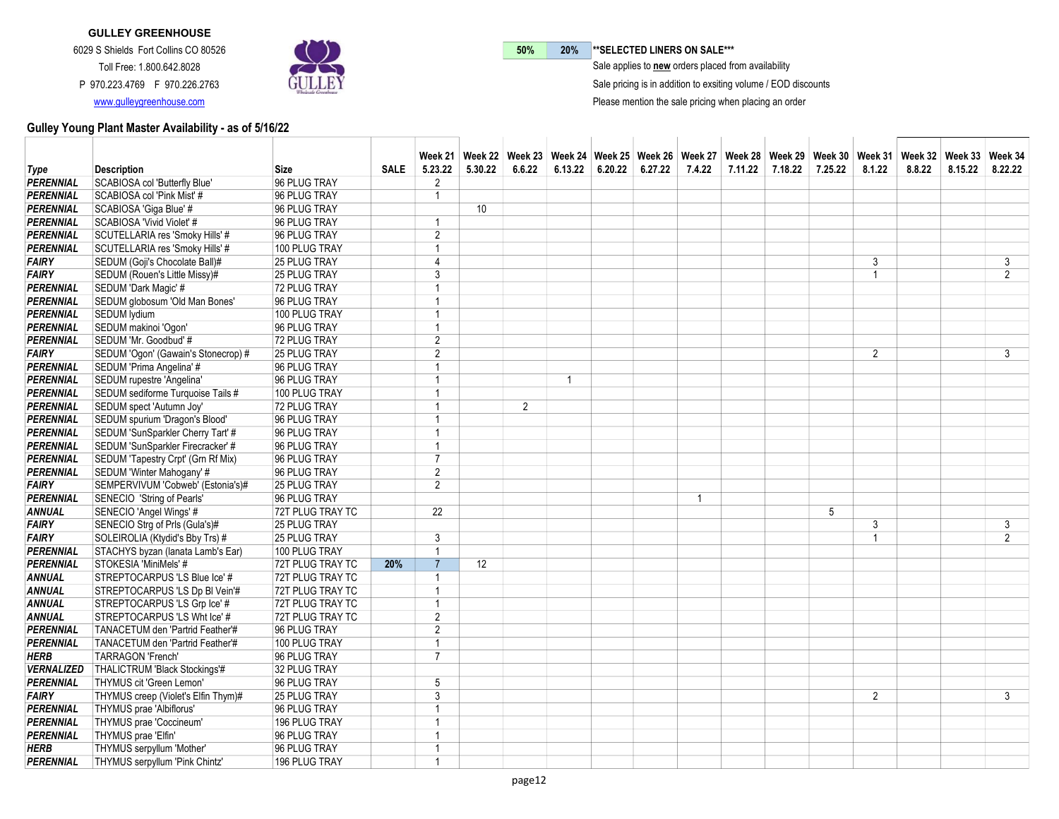

50% 20% \*\* SELECTED LINERS ON SALE\*\*\*  $\bar{\ }$  Sale applies to new orders placed from availability

Sale pricing is in addition to exsiting volume / EOD discounts

Please mention the sale pricing when placing an order

|                   |                                     |                  |             |                         | Week 21「Week 22」Week 23「Week 24「Week 25」Week 26「Week 27「Week 28」Week 29「Week 30」Week 31「Week 32」Week 33「Week 34 |                |                |         |         |        |         |         |         |                |        |         |                |
|-------------------|-------------------------------------|------------------|-------------|-------------------------|-----------------------------------------------------------------------------------------------------------------|----------------|----------------|---------|---------|--------|---------|---------|---------|----------------|--------|---------|----------------|
| <b>Type</b>       | <b>Description</b>                  | Size             | <b>SALE</b> | 5.23.22                 | 5.30.22                                                                                                         | 6.6.22         | 6.13.22        | 6.20.22 | 6.27.22 | 7.4.22 | 7.11.22 | 7.18.22 | 7.25.22 | 8.1.22         | 8.8.22 | 8.15.22 | 8.22.22        |
| <b>PERENNIAL</b>  | SCABIOSA col 'Butterfly Blue'       | 96 PLUG TRAY     |             | $\overline{2}$          |                                                                                                                 |                |                |         |         |        |         |         |         |                |        |         |                |
| <b>PERENNIAL</b>  | SCABIOSA col 'Pink Mist' #          | 96 PLUG TRAY     |             | $\overline{1}$          |                                                                                                                 |                |                |         |         |        |         |         |         |                |        |         |                |
| PERENNIAL         | SCABIOSA 'Giga Blue' #              | 96 PLUG TRAY     |             |                         | 10 <sup>°</sup>                                                                                                 |                |                |         |         |        |         |         |         |                |        |         |                |
| <b>PERENNIAL</b>  | SCABIOSA 'Vivid Violet' #           | 96 PLUG TRAY     |             | $\overline{\mathbf{1}}$ |                                                                                                                 |                |                |         |         |        |         |         |         |                |        |         |                |
| <b>PERENNIAL</b>  | SCUTELLARIA res 'Smoky Hills' #     | 96 PLUG TRAY     |             | 2                       |                                                                                                                 |                |                |         |         |        |         |         |         |                |        |         |                |
| <b>PERENNIAL</b>  | SCUTELLARIA res 'Smoky Hills' #     | 100 PLUG TRAY    |             | $\overline{1}$          |                                                                                                                 |                |                |         |         |        |         |         |         |                |        |         |                |
| <b>FAIRY</b>      | SEDUM (Goji's Chocolate Ball)#      | 25 PLUG TRAY     |             | $\overline{4}$          |                                                                                                                 |                |                |         |         |        |         |         |         | 3              |        |         | 3              |
| <b>FAIRY</b>      | SEDUM (Rouen's Little Missy)#       | 25 PLUG TRAY     |             | 3                       |                                                                                                                 |                |                |         |         |        |         |         |         | -1             |        |         | $\overline{2}$ |
| <b>PERENNIAL</b>  | SEDUM 'Dark Magic' #                | 72 PLUG TRAY     |             | $\overline{1}$          |                                                                                                                 |                |                |         |         |        |         |         |         |                |        |         |                |
| PERENNIAL         | SEDUM globosum 'Old Man Bones'      | 96 PLUG TRAY     |             | $\overline{1}$          |                                                                                                                 |                |                |         |         |        |         |         |         |                |        |         |                |
| <b>PERENNIAL</b>  | <b>SEDUM</b> lydium                 | 100 PLUG TRAY    |             | $\overline{1}$          |                                                                                                                 |                |                |         |         |        |         |         |         |                |        |         |                |
| PERENNIAL         | SEDUM makinoi 'Ogon'                | 96 PLUG TRAY     |             | $\overline{1}$          |                                                                                                                 |                |                |         |         |        |         |         |         |                |        |         |                |
| <b>PERENNIAL</b>  | SEDUM 'Mr. Goodbud' #               | 72 PLUG TRAY     |             | $\overline{2}$          |                                                                                                                 |                |                |         |         |        |         |         |         |                |        |         |                |
| <b>FAIRY</b>      | SEDUM 'Ogon' (Gawain's Stonecrop) # | 25 PLUG TRAY     |             | $\overline{2}$          |                                                                                                                 |                |                |         |         |        |         |         |         | $\overline{2}$ |        |         | 3              |
| <b>PERENNIAL</b>  | SEDUM 'Prima Angelina' #            | 96 PLUG TRAY     |             | 1                       |                                                                                                                 |                |                |         |         |        |         |         |         |                |        |         |                |
| <b>PERENNIAL</b>  | SEDUM rupestre 'Angelina'           | 96 PLUG TRAY     |             | $\overline{1}$          |                                                                                                                 |                | $\overline{1}$ |         |         |        |         |         |         |                |        |         |                |
| PERENNIAL         | SEDUM sediforme Turquoise Tails #   | 100 PLUG TRAY    |             | 1                       |                                                                                                                 |                |                |         |         |        |         |         |         |                |        |         |                |
| <b>PERENNIAL</b>  | SEDUM spect 'Autumn Joy'            | 72 PLUG TRAY     |             | $\overline{1}$          |                                                                                                                 | $\overline{2}$ |                |         |         |        |         |         |         |                |        |         |                |
| <b>PERENNIAL</b>  | SEDUM spurium 'Dragon's Blood'      | 96 PLUG TRAY     |             | $\overline{ }$          |                                                                                                                 |                |                |         |         |        |         |         |         |                |        |         |                |
| <b>PERENNIAL</b>  | SEDUM 'SunSparkler Cherry Tart' #   | 96 PLUG TRAY     |             | $\overline{1}$          |                                                                                                                 |                |                |         |         |        |         |         |         |                |        |         |                |
| PERENNIAL         | SEDUM 'SunSparkler Firecracker' #   | 96 PLUG TRAY     |             | $\overline{1}$          |                                                                                                                 |                |                |         |         |        |         |         |         |                |        |         |                |
| <b>PERENNIAL</b>  | SEDUM 'Tapestry Crpt' (Grn Rf Mix)  | 96 PLUG TRAY     |             | $\overline{7}$          |                                                                                                                 |                |                |         |         |        |         |         |         |                |        |         |                |
| <b>PERENNIAL</b>  | SEDUM 'Winter Mahogany' #           | 96 PLUG TRAY     |             | $\overline{2}$          |                                                                                                                 |                |                |         |         |        |         |         |         |                |        |         |                |
| <b>FAIRY</b>      | SEMPERVIVUM 'Cobweb' (Estonia's)#   | 25 PLUG TRAY     |             | $\overline{2}$          |                                                                                                                 |                |                |         |         |        |         |         |         |                |        |         |                |
| <b>PERENNIAL</b>  | SENECIO 'String of Pearls'          | 96 PLUG TRAY     |             |                         |                                                                                                                 |                |                |         |         | 1      |         |         |         |                |        |         |                |
| <b>ANNUAL</b>     | SENECIO 'Angel Wings' #             | 72T PLUG TRAY TC |             | 22                      |                                                                                                                 |                |                |         |         |        |         |         | 5       |                |        |         |                |
| <b>FAIRY</b>      | SENECIO Strg of Prls (Gula's)#      | 25 PLUG TRAY     |             |                         |                                                                                                                 |                |                |         |         |        |         |         |         | 3              |        |         | 3              |
| <b>FAIRY</b>      | SOLEIROLIA (Ktydid's Bby Trs) #     | 25 PLUG TRAY     |             | 3                       |                                                                                                                 |                |                |         |         |        |         |         |         |                |        |         | $\overline{2}$ |
| PERENNIAL         | STACHYS byzan (lanata Lamb's Ear)   | 100 PLUG TRAY    |             | $\overline{1}$          |                                                                                                                 |                |                |         |         |        |         |         |         |                |        |         |                |
| <b>PERENNIAL</b>  | STOKESIA 'MiniMels' #               | 72T PLUG TRAY TC | 20%         | $\overline{7}$          | 12                                                                                                              |                |                |         |         |        |         |         |         |                |        |         |                |
| <b>ANNUAL</b>     | STREPTOCARPUS 'LS Blue Ice' #       | 72T PLUG TRAY TC |             | $\overline{\mathbf{1}}$ |                                                                                                                 |                |                |         |         |        |         |         |         |                |        |         |                |
| <b>ANNUAL</b>     | STREPTOCARPUS 'LS Dp BI Vein'#      | 72T PLUG TRAY TC |             | $\overline{1}$          |                                                                                                                 |                |                |         |         |        |         |         |         |                |        |         |                |
| <b>ANNUAL</b>     | STREPTOCARPUS 'LS Grp Ice' #        | 72T PLUG TRAY TC |             | $\overline{1}$          |                                                                                                                 |                |                |         |         |        |         |         |         |                |        |         |                |
| <b>ANNUAL</b>     | STREPTOCARPUS 'LS Wht Ice' #        | 72T PLUG TRAY TC |             | $\overline{2}$          |                                                                                                                 |                |                |         |         |        |         |         |         |                |        |         |                |
| <b>PERENNIAL</b>  | TANACETUM den 'Partrid Feather'#    | 96 PLUG TRAY     |             | $\overline{2}$          |                                                                                                                 |                |                |         |         |        |         |         |         |                |        |         |                |
| PERENNIAL         | TANACETUM den 'Partrid Feather'#    | 100 PLUG TRAY    |             | $\overline{1}$          |                                                                                                                 |                |                |         |         |        |         |         |         |                |        |         |                |
| <b>HERB</b>       | <b>TARRAGON 'French'</b>            | 96 PLUG TRAY     |             | $\overline{7}$          |                                                                                                                 |                |                |         |         |        |         |         |         |                |        |         |                |
| <b>VERNALIZED</b> | THALICTRUM 'Black Stockings'#       | 32 PLUG TRAY     |             |                         |                                                                                                                 |                |                |         |         |        |         |         |         |                |        |         |                |
| <b>PERENNIAL</b>  | THYMUS cit 'Green Lemon'            | 96 PLUG TRAY     |             | 5                       |                                                                                                                 |                |                |         |         |        |         |         |         |                |        |         |                |
| <b>FAIRY</b>      | THYMUS creep (Violet's Elfin Thym)# | 25 PLUG TRAY     |             | 3                       |                                                                                                                 |                |                |         |         |        |         |         |         | $\overline{2}$ |        |         | 3              |
| <b>PERENNIAL</b>  | THYMUS prae 'Albiflorus'            | 96 PLUG TRAY     |             | $\overline{1}$          |                                                                                                                 |                |                |         |         |        |         |         |         |                |        |         |                |
| PERENNIAL         | THYMUS prae 'Coccineum'             | 196 PLUG TRAY    |             | 1                       |                                                                                                                 |                |                |         |         |        |         |         |         |                |        |         |                |
| PERENNIAL         | THYMUS prae 'Elfin'                 | 96 PLUG TRAY     |             | 1                       |                                                                                                                 |                |                |         |         |        |         |         |         |                |        |         |                |
| <b>HERB</b>       | THYMUS serpyllum 'Mother'           | 96 PLUG TRAY     |             | $\overline{1}$          |                                                                                                                 |                |                |         |         |        |         |         |         |                |        |         |                |
| <b>PERENNIAL</b>  | THYMUS serpyllum 'Pink Chintz'      | 196 PLUG TRAY    |             | $\overline{1}$          |                                                                                                                 |                |                |         |         |        |         |         |         |                |        |         |                |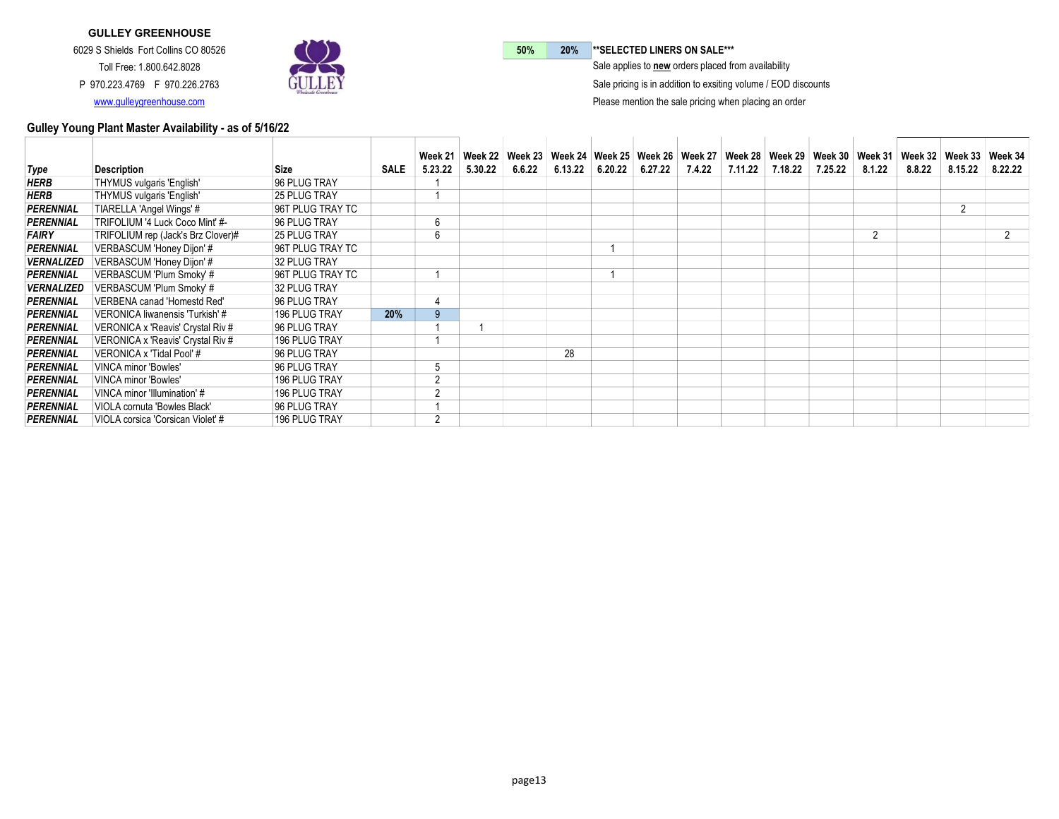

50% 20% \*\* SELECTED LINERS ON SALE\*\*\*

 $\bar{\ }$  Sale applies to new orders placed from availability

Sale pricing is in addition to exsiting volume / EOD discounts

Please mention the sale pricing when placing an order

| Type              | <b>Description</b>                 | Size                 | <b>SALE</b> | Week 21<br>5.23.22 | 5.30.22 | 6.6.22 | 6.13.22 | $6.20.22$ 6.27.22 | 7.4.22 7.11.22 | 7.18.22 | Week 22   Week 23   Week 24   Week 25   Week 26   Week 27   Week 28   Week 29   Week 30   Week 31   Week 32   Week 33<br>7.25.22 | 8.1.22         | 8.8.22 | 8.15.22        | Week 34<br>8.22.22 |
|-------------------|------------------------------------|----------------------|-------------|--------------------|---------|--------|---------|-------------------|----------------|---------|----------------------------------------------------------------------------------------------------------------------------------|----------------|--------|----------------|--------------------|
|                   |                                    |                      |             |                    |         |        |         |                   |                |         |                                                                                                                                  |                |        |                |                    |
| <b>HERB</b>       | THYMUS vulgaris 'English'          | 96 PLUG TRAY         |             |                    |         |        |         |                   |                |         |                                                                                                                                  |                |        |                |                    |
| <b>HERB</b>       | THYMUS vulgaris 'English'          | <b>25 PLUG TRAY</b>  |             |                    |         |        |         |                   |                |         |                                                                                                                                  |                |        |                |                    |
| PERENNIAL         | TIARELLA 'Angel Wings' #           | 96T PLUG TRAY TC     |             |                    |         |        |         |                   |                |         |                                                                                                                                  |                |        | $\overline{2}$ |                    |
| PERENNIAL         | TRIFOLIUM '4 Luck Coco Mint' #-    | 96 PLUG TRAY         |             | 6                  |         |        |         |                   |                |         |                                                                                                                                  |                |        |                |                    |
| <b>FAIRY</b>      | TRIFOLIUM rep (Jack's Brz Clover)# | <b>25 PLUG TRAY</b>  |             | 6                  |         |        |         |                   |                |         |                                                                                                                                  | $\overline{2}$ |        |                |                    |
| <b>PERENNIAL</b>  | VERBASCUM 'Honey Dijon' #          | 96T PLUG TRAY TC     |             |                    |         |        |         |                   |                |         |                                                                                                                                  |                |        |                |                    |
| <b>VERNALIZED</b> | VERBASCUM 'Honey Dijon' #          | 32 PLUG TRAY         |             |                    |         |        |         |                   |                |         |                                                                                                                                  |                |        |                |                    |
| PERENNIAL         | VERBASCUM 'Plum Smoky' #           | 96T PLUG TRAY TC     |             |                    |         |        |         |                   |                |         |                                                                                                                                  |                |        |                |                    |
| <b>VERNALIZED</b> | VERBASCUM 'Plum Smoky' #           | 32 PLUG TRAY         |             |                    |         |        |         |                   |                |         |                                                                                                                                  |                |        |                |                    |
| PERENNIAL         | VERBENA canad 'Homestd Red'        | 96 PLUG TRAY         |             | Δ                  |         |        |         |                   |                |         |                                                                                                                                  |                |        |                |                    |
| <b>PERENNIAL</b>  | VERONICA liwanensis 'Turkish' #    | 196 PLUG TRAY        | 20%         |                    |         |        |         |                   |                |         |                                                                                                                                  |                |        |                |                    |
| PERENNIAL         | VERONICA x 'Reavis' Crystal Riv #  | 96 PLUG TRAY         |             |                    |         |        |         |                   |                |         |                                                                                                                                  |                |        |                |                    |
| PERENNIAL         | VERONICA x 'Reavis' Crystal Riv #  | 196 PLUG TRAY        |             |                    |         |        |         |                   |                |         |                                                                                                                                  |                |        |                |                    |
| PERENNIAL         | VERONICA x 'Tidal Pool' #          | 96 PLUG TRAY         |             |                    |         |        | 28      |                   |                |         |                                                                                                                                  |                |        |                |                    |
| PERENNIAL         | <b>VINCA minor 'Bowles'</b>        | 96 PLUG TRAY         |             | 5                  |         |        |         |                   |                |         |                                                                                                                                  |                |        |                |                    |
| PERENNIAL         | VINCA minor 'Bowles'               | 196 PLUG TRAY        |             | $\overline{2}$     |         |        |         |                   |                |         |                                                                                                                                  |                |        |                |                    |
| <b>PERENNIAL</b>  | VINCA minor 'Illumination' #       | 196 PLUG TRAY        |             | $\sqrt{2}$         |         |        |         |                   |                |         |                                                                                                                                  |                |        |                |                    |
| PERENNIAL         | VIOLA cornuta 'Bowles Black'       | 96 PLUG TRAY         |             |                    |         |        |         |                   |                |         |                                                                                                                                  |                |        |                |                    |
| PERENNIAL         | VIOLA corsica 'Corsican Violet' #  | <b>196 PLUG TRAY</b> |             | $\mathcal{P}$      |         |        |         |                   |                |         |                                                                                                                                  |                |        |                |                    |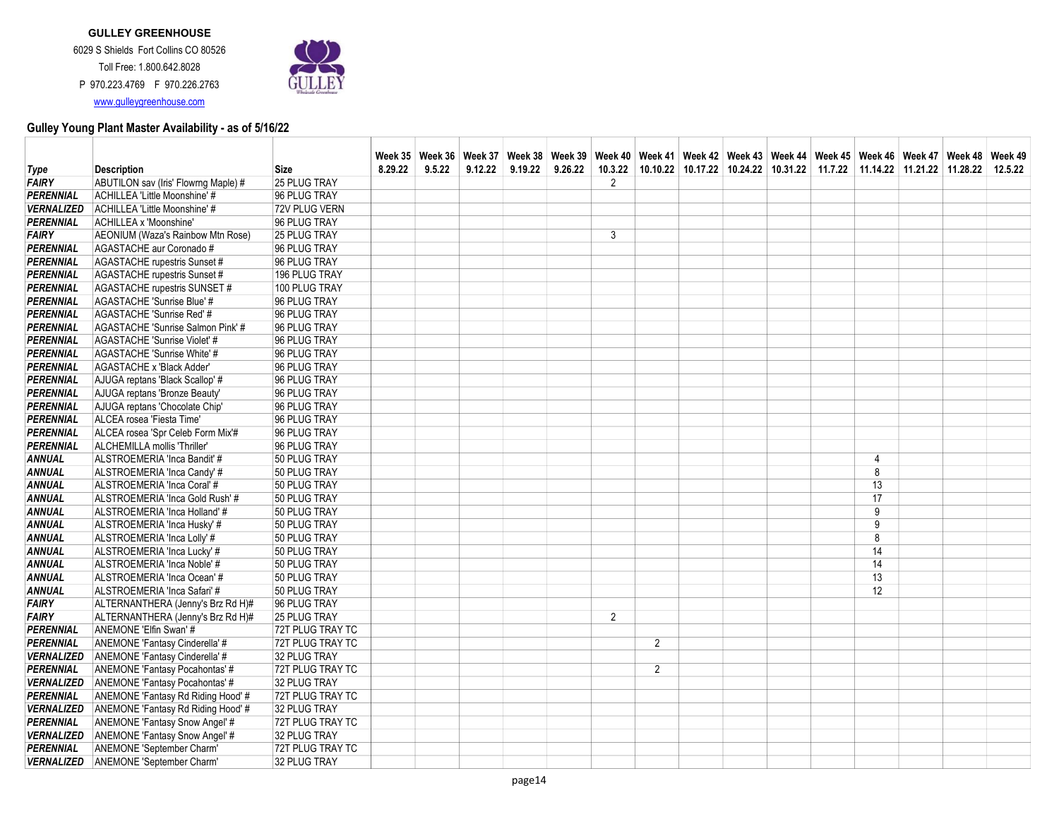

|                          |                                       |                  |         |        |         | Week 35   Week 36   Week 37   Week 38   Week 39   Week 40   Week 41   Week 42   Week 43   Week 44   Week 45   Week 46   Week 47   Week 48   Week 48   Week 49 |         |                |                |  |                                                                                |                |  |         |
|--------------------------|---------------------------------------|------------------|---------|--------|---------|---------------------------------------------------------------------------------------------------------------------------------------------------------------|---------|----------------|----------------|--|--------------------------------------------------------------------------------|----------------|--|---------|
| Type                     | <b>Description</b>                    | <b>Size</b>      | 8.29.22 | 9.5.22 | 9.12.22 | 9.19.22                                                                                                                                                       | 9.26.22 |                |                |  | 10.3.22 10.10.22 10.17.22 10.24.22 10.31.22 11.7.22 11.14.22 11.21.22 11.28.22 |                |  | 12.5.22 |
| <b>FAIRY</b>             | ABUTILON sav (Iris' Flowrng Maple) #  | 25 PLUG TRAY     |         |        |         |                                                                                                                                                               |         | $\overline{2}$ |                |  |                                                                                |                |  |         |
| <b>PERENNIAL</b>         | ACHILLEA 'Little Moonshine' #         | 96 PLUG TRAY     |         |        |         |                                                                                                                                                               |         |                |                |  |                                                                                |                |  |         |
| <b>VERNALIZED</b>        | ACHILLEA 'Little Moonshine' #         | 72V PLUG VERN    |         |        |         |                                                                                                                                                               |         |                |                |  |                                                                                |                |  |         |
| <b>PERENNIAL</b>         | <b>ACHILLEA x 'Moonshine'</b>         | 96 PLUG TRAY     |         |        |         |                                                                                                                                                               |         |                |                |  |                                                                                |                |  |         |
| <b>FAIRY</b>             | AEONIUM (Waza's Rainbow Mtn Rose)     | 25 PLUG TRAY     |         |        |         |                                                                                                                                                               |         | 3              |                |  |                                                                                |                |  |         |
| <b>PERENNIAL</b>         | AGASTACHE aur Coronado #              | 96 PLUG TRAY     |         |        |         |                                                                                                                                                               |         |                |                |  |                                                                                |                |  |         |
| <b>PERENNIAL</b>         | AGASTACHE rupestris Sunset #          | 96 PLUG TRAY     |         |        |         |                                                                                                                                                               |         |                |                |  |                                                                                |                |  |         |
| PERENNIAL                | AGASTACHE rupestris Sunset #          | 196 PLUG TRAY    |         |        |         |                                                                                                                                                               |         |                |                |  |                                                                                |                |  |         |
| <b>PERENNIAL</b>         | AGASTACHE rupestris SUNSET #          | 100 PLUG TRAY    |         |        |         |                                                                                                                                                               |         |                |                |  |                                                                                |                |  |         |
| <b>PERENNIAL</b>         | AGASTACHE 'Sunrise Blue' #            | 96 PLUG TRAY     |         |        |         |                                                                                                                                                               |         |                |                |  |                                                                                |                |  |         |
| <b>PERENNIAL</b>         | AGASTACHE 'Sunrise Red' #             | 96 PLUG TRAY     |         |        |         |                                                                                                                                                               |         |                |                |  |                                                                                |                |  |         |
| <b>PERENNIAL</b>         | AGASTACHE 'Sunrise Salmon Pink' #     | 96 PLUG TRAY     |         |        |         |                                                                                                                                                               |         |                |                |  |                                                                                |                |  |         |
| <b>PERENNIAL</b>         | AGASTACHE 'Sunrise Violet' #          | 96 PLUG TRAY     |         |        |         |                                                                                                                                                               |         |                |                |  |                                                                                |                |  |         |
| <b>PERENNIAL</b>         | AGASTACHE 'Sunrise White' #           | 96 PLUG TRAY     |         |        |         |                                                                                                                                                               |         |                |                |  |                                                                                |                |  |         |
| PERENNIAL                | AGASTACHE x 'Black Adder'             | 96 PLUG TRAY     |         |        |         |                                                                                                                                                               |         |                |                |  |                                                                                |                |  |         |
| <b>PERENNIAL</b>         | AJUGA reptans 'Black Scallop' #       | 96 PLUG TRAY     |         |        |         |                                                                                                                                                               |         |                |                |  |                                                                                |                |  |         |
| <b>PERENNIAL</b>         | AJUGA reptans 'Bronze Beauty'         | 96 PLUG TRAY     |         |        |         |                                                                                                                                                               |         |                |                |  |                                                                                |                |  |         |
| <b>PERENNIAL</b>         | AJUGA reptans 'Chocolate Chip'        | 96 PLUG TRAY     |         |        |         |                                                                                                                                                               |         |                |                |  |                                                                                |                |  |         |
| PERENNIAL                | ALCEA rosea 'Fiesta Time'             | 96 PLUG TRAY     |         |        |         |                                                                                                                                                               |         |                |                |  |                                                                                |                |  |         |
| <b>PERENNIAL</b>         | ALCEA rosea 'Spr Celeb Form Mix'#     | 96 PLUG TRAY     |         |        |         |                                                                                                                                                               |         |                |                |  |                                                                                |                |  |         |
| <b>PERENNIAL</b>         | ALCHEMILLA mollis 'Thriller           | 96 PLUG TRAY     |         |        |         |                                                                                                                                                               |         |                |                |  |                                                                                |                |  |         |
| <b>ANNUAL</b>            | ALSTROEMERIA 'Inca Bandit' #          | 50 PLUG TRAY     |         |        |         |                                                                                                                                                               |         |                |                |  |                                                                                | $\overline{4}$ |  |         |
| <b>ANNUAL</b>            | ALSTROEMERIA 'Inca Candy' #           | 50 PLUG TRAY     |         |        |         |                                                                                                                                                               |         |                |                |  |                                                                                | 8              |  |         |
| <b>ANNUAL</b>            | ALSTROEMERIA 'Inca Coral' #           | 50 PLUG TRAY     |         |        |         |                                                                                                                                                               |         |                |                |  |                                                                                | 13             |  |         |
| <b>ANNUAL</b>            | ALSTROEMERIA 'Inca Gold Rush' #       | 50 PLUG TRAY     |         |        |         |                                                                                                                                                               |         |                |                |  |                                                                                | 17             |  |         |
| <b>ANNUAL</b>            | ALSTROEMERIA 'Inca Holland' #         | 50 PLUG TRAY     |         |        |         |                                                                                                                                                               |         |                |                |  |                                                                                | 9              |  |         |
| <b>ANNUAL</b>            | ALSTROEMERIA 'Inca Husky' #           | 50 PLUG TRAY     |         |        |         |                                                                                                                                                               |         |                |                |  |                                                                                | 9              |  |         |
| <b>ANNUAL</b>            | ALSTROEMERIA 'Inca Lolly' #           | 50 PLUG TRAY     |         |        |         |                                                                                                                                                               |         |                |                |  |                                                                                | 8              |  |         |
| <b>ANNUAL</b>            | ALSTROEMERIA 'Inca Lucky' #           | 50 PLUG TRAY     |         |        |         |                                                                                                                                                               |         |                |                |  |                                                                                | 14             |  |         |
| <b>ANNUAL</b>            | ALSTROEMERIA 'Inca Noble' #           | 50 PLUG TRAY     |         |        |         |                                                                                                                                                               |         |                |                |  |                                                                                | 14             |  |         |
| <b>ANNUAL</b>            | ALSTROEMERIA 'Inca Ocean' #           | 50 PLUG TRAY     |         |        |         |                                                                                                                                                               |         |                |                |  |                                                                                | 13             |  |         |
| <b>ANNUAL</b>            | ALSTROEMERIA 'Inca Safari' #          | 50 PLUG TRAY     |         |        |         |                                                                                                                                                               |         |                |                |  |                                                                                | 12             |  |         |
| <b>FAIRY</b>             | ALTERNANTHERA (Jenny's Brz Rd H)#     | 96 PLUG TRAY     |         |        |         |                                                                                                                                                               |         |                |                |  |                                                                                |                |  |         |
| <b>FAIRY</b>             | ALTERNANTHERA (Jenny's Brz Rd H)#     | 25 PLUG TRAY     |         |        |         |                                                                                                                                                               |         | $\overline{2}$ |                |  |                                                                                |                |  |         |
| PERENNIAL                | ANEMONE 'Elfin Swan' #                | 72T PLUG TRAY TC |         |        |         |                                                                                                                                                               |         |                |                |  |                                                                                |                |  |         |
| PERENNIAL                | ANEMONE 'Fantasy Cinderella' #        | 72T PLUG TRAY TC |         |        |         |                                                                                                                                                               |         |                | $\overline{2}$ |  |                                                                                |                |  |         |
| <b>VERNALIZED</b>        | ANEMONE 'Fantasy Cinderella' #        | 32 PLUG TRAY     |         |        |         |                                                                                                                                                               |         |                |                |  |                                                                                |                |  |         |
| <b>PERENNIAL</b>         | ANEMONE 'Fantasy Pocahontas' #        | 72T PLUG TRAY TC |         |        |         |                                                                                                                                                               |         |                | $\overline{2}$ |  |                                                                                |                |  |         |
| <b>VERNALIZED</b>        | ANEMONE 'Fantasy Pocahontas' #        | 32 PLUG TRAY     |         |        |         |                                                                                                                                                               |         |                |                |  |                                                                                |                |  |         |
| <b>PERENNIAL</b>         | ANEMONE 'Fantasy Rd Riding Hood' #    | 72T PLUG TRAY TC |         |        |         |                                                                                                                                                               |         |                |                |  |                                                                                |                |  |         |
| <b>VERNALIZED</b>        | ANEMONE 'Fantasy Rd Riding Hood' #    | 32 PLUG TRAY     |         |        |         |                                                                                                                                                               |         |                |                |  |                                                                                |                |  |         |
| <b>PERENNIAL</b>         | <b>ANEMONE 'Fantasy Snow Angel' #</b> | 72T PLUG TRAY TC |         |        |         |                                                                                                                                                               |         |                |                |  |                                                                                |                |  |         |
| <i><b>VERNALIZED</b></i> | ANEMONE 'Fantasy Snow Angel' #        | 32 PLUG TRAY     |         |        |         |                                                                                                                                                               |         |                |                |  |                                                                                |                |  |         |
| <b>PERENNIAL</b>         | ANEMONE 'September Charm'             | 72T PLUG TRAY TC |         |        |         |                                                                                                                                                               |         |                |                |  |                                                                                |                |  |         |
| <b>VERNALIZED</b>        | ANEMONE 'September Charm'             | 32 PLUG TRAY     |         |        |         |                                                                                                                                                               |         |                |                |  |                                                                                |                |  |         |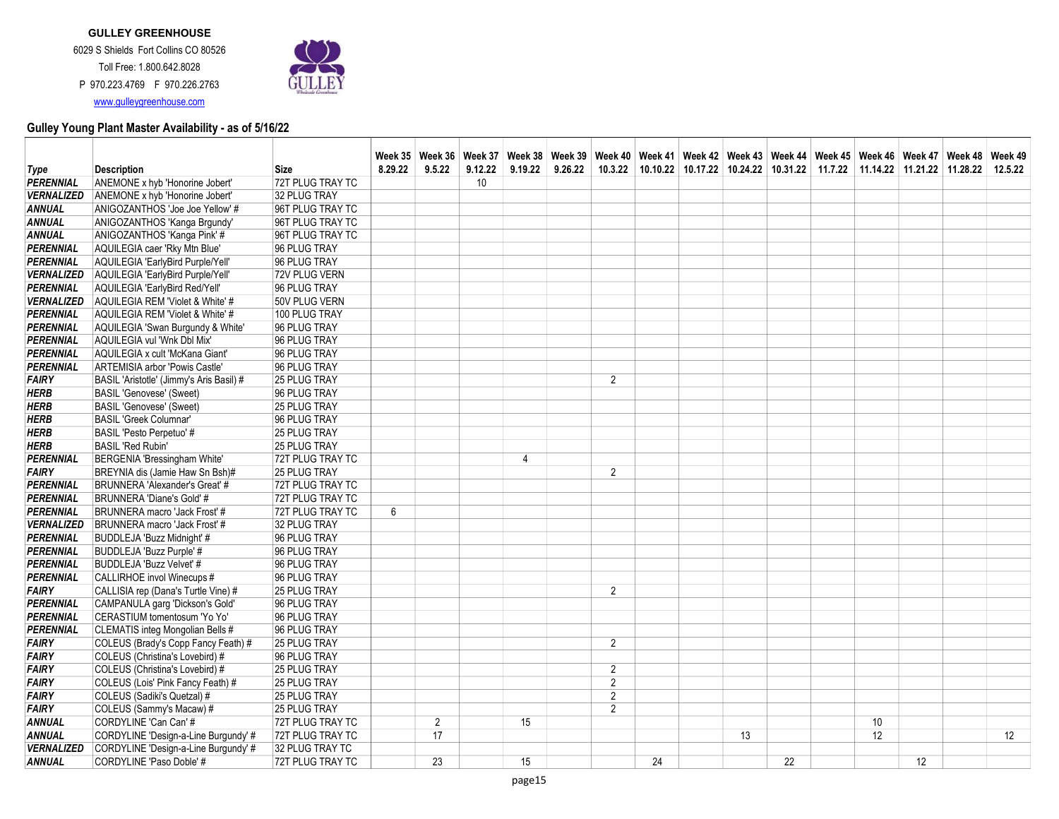Toll Free: 1.800.642.8028 P 970.223.4769 F 970.226.2763 www.gulleygreenhouse.com



| <b>Type</b>       | <b>Description</b>                       | Size                | 8.29.22 | 9.5.22 | 9.12.22 | 9.19.22        | 9.26.22 | Week 35 Week 36 Week 37 Week 38 Week 39 Week 40 Week 41 Week 42 Week 43 Week 44 Week 45 Week 46 Week 47 Week 48 Week 49 |    |    | 10.3.22 10.10.22 10.17.22 10.24.22 10.31.22 11.7.22 11.14.22 11.21.22 11.28.22 |    |    | 12.5.22 |
|-------------------|------------------------------------------|---------------------|---------|--------|---------|----------------|---------|-------------------------------------------------------------------------------------------------------------------------|----|----|--------------------------------------------------------------------------------|----|----|---------|
| PERENNIAL         | ANEMONE x hyb 'Honorine Jobert'          | 72T PLUG TRAY TC    |         |        | 10      |                |         |                                                                                                                         |    |    |                                                                                |    |    |         |
| <b>VERNALIZED</b> | ANEMONE x hyb 'Honorine Jobert'          | 32 PLUG TRAY        |         |        |         |                |         |                                                                                                                         |    |    |                                                                                |    |    |         |
| <b>ANNUAL</b>     | ANIGOZANTHOS 'Joe Joe Yellow' #          | 96T PLUG TRAY TC    |         |        |         |                |         |                                                                                                                         |    |    |                                                                                |    |    |         |
| <b>ANNUAL</b>     | ANIGOZANTHOS 'Kanga Brgundy'             | 96T PLUG TRAY TC    |         |        |         |                |         |                                                                                                                         |    |    |                                                                                |    |    |         |
| ANNUAL            | ANIGOZANTHOS 'Kanga Pink' #              | 96T PLUG TRAY TC    |         |        |         |                |         |                                                                                                                         |    |    |                                                                                |    |    |         |
| PERENNIAL         | AQUILEGIA caer 'Rky Mtn Blue'            | 96 PLUG TRAY        |         |        |         |                |         |                                                                                                                         |    |    |                                                                                |    |    |         |
| <b>PERENNIAL</b>  | AQUILEGIA 'EarlyBird Purple/Yell'        | 96 PLUG TRAY        |         |        |         |                |         |                                                                                                                         |    |    |                                                                                |    |    |         |
| <b>VERNALIZED</b> | AQUILEGIA 'EarlyBird Purple/Yell'        | 72V PLUG VERN       |         |        |         |                |         |                                                                                                                         |    |    |                                                                                |    |    |         |
| PERENNIAL         | AQUILEGIA 'EarlyBird Red/Yell'           | 96 PLUG TRAY        |         |        |         |                |         |                                                                                                                         |    |    |                                                                                |    |    |         |
| <b>VERNALIZED</b> | AQUILEGIA REM 'Violet & White' #         | 50V PLUG VERN       |         |        |         |                |         |                                                                                                                         |    |    |                                                                                |    |    |         |
| <b>PERENNIAL</b>  | AQUILEGIA REM 'Violet & White' #         | 100 PLUG TRAY       |         |        |         |                |         |                                                                                                                         |    |    |                                                                                |    |    |         |
| <b>PERENNIAL</b>  | AQUILEGIA 'Swan Burgundy & White'        | 96 PLUG TRAY        |         |        |         |                |         |                                                                                                                         |    |    |                                                                                |    |    |         |
| <b>PERENNIAL</b>  | AQUILEGIA vul 'Wnk Dbl Mix'              | 96 PLUG TRAY        |         |        |         |                |         |                                                                                                                         |    |    |                                                                                |    |    |         |
| PERENNIAL         | AQUILEGIA x cult 'McKana Giant'          | 96 PLUG TRAY        |         |        |         |                |         |                                                                                                                         |    |    |                                                                                |    |    |         |
| <b>PERENNIAL</b>  | ARTEMISIA arbor 'Powis Castle'           | 96 PLUG TRAY        |         |        |         |                |         |                                                                                                                         |    |    |                                                                                |    |    |         |
| <b>FAIRY</b>      | BASIL 'Aristotle' (Jimmy's Aris Basil) # | 25 PLUG TRAY        |         |        |         |                |         | $\overline{2}$                                                                                                          |    |    |                                                                                |    |    |         |
| <b>HERB</b>       | <b>BASIL 'Genovese' (Sweet)</b>          | 96 PLUG TRAY        |         |        |         |                |         |                                                                                                                         |    |    |                                                                                |    |    |         |
| <b>HERB</b>       | <b>BASIL 'Genovese' (Sweet)</b>          | <b>25 PLUG TRAY</b> |         |        |         |                |         |                                                                                                                         |    |    |                                                                                |    |    |         |
| <b>HERB</b>       | <b>BASIL 'Greek Columnar'</b>            | 96 PLUG TRAY        |         |        |         |                |         |                                                                                                                         |    |    |                                                                                |    |    |         |
| <b>HERB</b>       | BASIL 'Pesto Perpetuo' #                 | 25 PLUG TRAY        |         |        |         |                |         |                                                                                                                         |    |    |                                                                                |    |    |         |
| HERB              | <b>BASIL 'Red Rubin'</b>                 | 25 PLUG TRAY        |         |        |         |                |         |                                                                                                                         |    |    |                                                                                |    |    |         |
| <b>PERENNIAL</b>  | <b>BERGENIA 'Bressingham White'</b>      | 72T PLUG TRAY TC    |         |        |         | $\overline{4}$ |         |                                                                                                                         |    |    |                                                                                |    |    |         |
| <b>FAIRY</b>      | BREYNIA dis (Jamie Haw Sn Bsh)#          | <b>25 PLUG TRAY</b> |         |        |         |                |         | $\overline{2}$                                                                                                          |    |    |                                                                                |    |    |         |
| PERENNIAL         | BRUNNERA 'Alexander's Great' #           | 72T PLUG TRAY TC    |         |        |         |                |         |                                                                                                                         |    |    |                                                                                |    |    |         |
| <b>PERENNIAL</b>  | BRUNNERA 'Diane's Gold' #                | 72T PLUG TRAY TC    |         |        |         |                |         |                                                                                                                         |    |    |                                                                                |    |    |         |
| <b>PERENNIAL</b>  | BRUNNERA macro 'Jack Frost' #            | 72T PLUG TRAY TC    | 6       |        |         |                |         |                                                                                                                         |    |    |                                                                                |    |    |         |
| <b>VERNALIZED</b> | BRUNNERA macro 'Jack Frost' #            | 32 PLUG TRAY        |         |        |         |                |         |                                                                                                                         |    |    |                                                                                |    |    |         |
| <b>PERENNIAL</b>  | BUDDLEJA 'Buzz Midnight' #               | 96 PLUG TRAY        |         |        |         |                |         |                                                                                                                         |    |    |                                                                                |    |    |         |
| <b>PERENNIAL</b>  | BUDDLEJA 'Buzz Purple' #                 | 96 PLUG TRAY        |         |        |         |                |         |                                                                                                                         |    |    |                                                                                |    |    |         |
| <b>PERENNIAL</b>  | BUDDLEJA 'Buzz Velvet' #                 | 96 PLUG TRAY        |         |        |         |                |         |                                                                                                                         |    |    |                                                                                |    |    |         |
| <b>PERENNIAL</b>  | CALLIRHOE invol Winecups #               | 96 PLUG TRAY        |         |        |         |                |         |                                                                                                                         |    |    |                                                                                |    |    |         |
| <b>FAIRY</b>      | CALLISIA rep (Dana's Turtle Vine) #      | <b>25 PLUG TRAY</b> |         |        |         |                |         | $\overline{2}$                                                                                                          |    |    |                                                                                |    |    |         |
| PERENNIAL         | CAMPANULA garg 'Dickson's Gold'          | 96 PLUG TRAY        |         |        |         |                |         |                                                                                                                         |    |    |                                                                                |    |    |         |
| <b>PERENNIAL</b>  | CERASTIUM tomentosum 'Yo Yo'             | 96 PLUG TRAY        |         |        |         |                |         |                                                                                                                         |    |    |                                                                                |    |    |         |
| <b>PERENNIAL</b>  |                                          |                     |         |        |         |                |         |                                                                                                                         |    |    |                                                                                |    |    |         |
|                   | CLEMATIS integ Mongolian Bells #         | 96 PLUG TRAY        |         |        |         |                |         | $\overline{2}$                                                                                                          |    |    |                                                                                |    |    |         |
| <b>FAIRY</b>      | COLEUS (Brady's Copp Fancy Feath) #      | 25 PLUG TRAY        |         |        |         |                |         |                                                                                                                         |    |    |                                                                                |    |    |         |
| FAIRY             | COLEUS (Christina's Lovebird) #          | 96 PLUG TRAY        |         |        |         |                |         |                                                                                                                         |    |    |                                                                                |    |    |         |
| <b>FAIRY</b>      | COLEUS (Christina's Lovebird) #          | 25 PLUG TRAY        |         |        |         |                |         | 2                                                                                                                       |    |    |                                                                                |    |    |         |
| <b>FAIRY</b>      | COLEUS (Lois' Pink Fancy Feath) #        | 25 PLUG TRAY        |         |        |         |                |         | $\overline{2}$                                                                                                          |    |    |                                                                                |    |    |         |
| <b>FAIRY</b>      | COLEUS (Sadiki's Quetzal) #              | 25 PLUG TRAY        |         |        |         |                |         | $\overline{2}$                                                                                                          |    |    |                                                                                |    |    |         |
| <b>FAIRY</b>      | COLEUS (Sammy's Macaw) #                 | 25 PLUG TRAY        |         |        |         |                |         | $\overline{2}$                                                                                                          |    |    |                                                                                |    |    |         |
| <b>ANNUAL</b>     | CORDYLINE 'Can Can' #                    | 72T PLUG TRAY TC    |         | 2      |         | 15             |         |                                                                                                                         |    |    |                                                                                | 10 |    |         |
| ANNUAL            | CORDYLINE 'Design-a-Line Burgundy' #     | 72T PLUG TRAY TC    |         | 17     |         |                |         |                                                                                                                         |    | 13 |                                                                                | 12 |    | 12      |
| <b>VERNALIZED</b> | CORDYLINE 'Design-a-Line Burgundy' #     | 32 PLUG TRAY TC     |         |        |         |                |         |                                                                                                                         |    |    |                                                                                |    |    |         |
| ANNUAL            | CORDYLINE 'Paso Doble' #                 | 72T PLUG TRAY TC    |         | 23     |         | 15             |         |                                                                                                                         | 24 |    | 22                                                                             |    | 12 |         |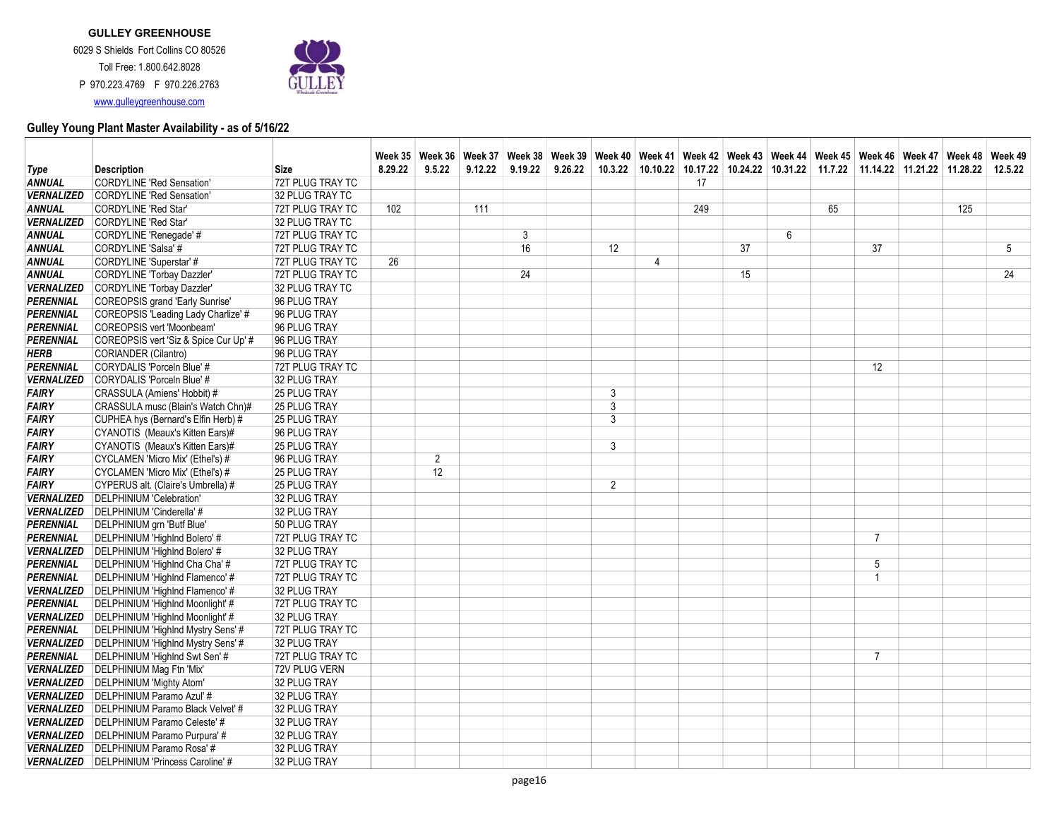

|                          |                                       |                  |         |                |         | Week 35 Neek 36 Week 37 Week 38 Week 39 Week 40 Week 41 Week 42 Week 43 Week 44 Week 45 Week 46 Week 47 Week 48 Week 49 |         |         |   |     |    |   |    |                                                                        |     |         |
|--------------------------|---------------------------------------|------------------|---------|----------------|---------|-------------------------------------------------------------------------------------------------------------------------|---------|---------|---|-----|----|---|----|------------------------------------------------------------------------|-----|---------|
| Type                     | <b>Description</b>                    | Size             | 8.29.22 | 9.5.22         | 9.12.22 | 9.19.22                                                                                                                 | 9.26.22 | 10.3.22 |   |     |    |   |    | 10.10.22 10.17.22 10.24.22 10.31.22 11.7.22 11.14.22 11.21.22 11.28.22 |     | 12.5.22 |
| ANNUAL                   | <b>CORDYLINE 'Red Sensation'</b>      | 72T PLUG TRAY TC |         |                |         |                                                                                                                         |         |         |   | 17  |    |   |    |                                                                        |     |         |
| <b>VERNALIZED</b>        | <b>CORDYLINE 'Red Sensation'</b>      | 32 PLUG TRAY TC  |         |                |         |                                                                                                                         |         |         |   |     |    |   |    |                                                                        |     |         |
| ANNUAL                   | <b>CORDYLINE 'Red Star'</b>           | 72T PLUG TRAY TC | 102     |                | 111     |                                                                                                                         |         |         |   | 249 |    |   | 65 |                                                                        | 125 |         |
| <b>VERNALIZED</b>        | CORDYLINE 'Red Star'                  | 32 PLUG TRAY TC  |         |                |         |                                                                                                                         |         |         |   |     |    |   |    |                                                                        |     |         |
| ANNUAL                   | CORDYLINE 'Renegade' #                | 72T PLUG TRAY TC |         |                |         | 3                                                                                                                       |         |         |   |     |    | 6 |    |                                                                        |     |         |
| ANNUAL                   | CORDYLINE 'Salsa' #                   | 72T PLUG TRAY TC |         |                |         | 16                                                                                                                      |         | 12      |   |     | 37 |   |    | 37                                                                     |     | 5       |
| ANNUAL                   | CORDYLINE 'Superstar' #               | 72T PLUG TRAY TC | 26      |                |         |                                                                                                                         |         |         | 4 |     |    |   |    |                                                                        |     |         |
| ANNUAL                   | <b>CORDYLINE 'Torbay Dazzler'</b>     | 72T PLUG TRAY TC |         |                |         | 24                                                                                                                      |         |         |   |     | 15 |   |    |                                                                        |     | 24      |
| <b>VERNALIZED</b>        | <b>CORDYLINE 'Torbay Dazzler'</b>     | 32 PLUG TRAY TC  |         |                |         |                                                                                                                         |         |         |   |     |    |   |    |                                                                        |     |         |
| PERENNIAL                | COREOPSIS grand 'Early Sunrise'       | 96 PLUG TRAY     |         |                |         |                                                                                                                         |         |         |   |     |    |   |    |                                                                        |     |         |
| PERENNIAL                | COREOPSIS 'Leading Lady Charlize' #   | 96 PLUG TRAY     |         |                |         |                                                                                                                         |         |         |   |     |    |   |    |                                                                        |     |         |
| PERENNIAL                | COREOPSIS vert 'Moonbeam'             | 96 PLUG TRAY     |         |                |         |                                                                                                                         |         |         |   |     |    |   |    |                                                                        |     |         |
| PERENNIAL                | COREOPSIS vert 'Siz & Spice Cur Up' # | 96 PLUG TRAY     |         |                |         |                                                                                                                         |         |         |   |     |    |   |    |                                                                        |     |         |
| HERB                     | CORIANDER (Cilantro)                  | 96 PLUG TRAY     |         |                |         |                                                                                                                         |         |         |   |     |    |   |    |                                                                        |     |         |
| PERENNIAL                | CORYDALIS 'Porceln Blue' #            | 72T PLUG TRAY TC |         |                |         |                                                                                                                         |         |         |   |     |    |   |    | 12                                                                     |     |         |
| <b>VERNALIZED</b>        | CORYDALIS 'Porceln Blue' #            | 32 PLUG TRAY     |         |                |         |                                                                                                                         |         |         |   |     |    |   |    |                                                                        |     |         |
| <b>FAIRY</b>             | CRASSULA (Amiens' Hobbit) #           | 25 PLUG TRAY     |         |                |         |                                                                                                                         |         | 3       |   |     |    |   |    |                                                                        |     |         |
| <b>FAIRY</b>             | CRASSULA musc (Blain's Watch Chn)#    | 25 PLUG TRAY     |         |                |         |                                                                                                                         |         | 3       |   |     |    |   |    |                                                                        |     |         |
| <b>FAIRY</b>             | CUPHEA hys (Bernard's Elfin Herb) #   | 25 PLUG TRAY     |         |                |         |                                                                                                                         |         | 3       |   |     |    |   |    |                                                                        |     |         |
| <b>FAIRY</b>             | CYANOTIS (Meaux's Kitten Ears)#       | 96 PLUG TRAY     |         |                |         |                                                                                                                         |         |         |   |     |    |   |    |                                                                        |     |         |
| <b>FAIRY</b>             | CYANOTIS (Meaux's Kitten Ears)#       | 25 PLUG TRAY     |         |                |         |                                                                                                                         |         | 3       |   |     |    |   |    |                                                                        |     |         |
| <b>FAIRY</b>             | CYCLAMEN 'Micro Mix' (Ethel's) #      | 96 PLUG TRAY     |         | $\overline{2}$ |         |                                                                                                                         |         |         |   |     |    |   |    |                                                                        |     |         |
| <b>FAIRY</b>             | CYCLAMEN 'Micro Mix' (Ethel's) #      | 25 PLUG TRAY     |         | 12             |         |                                                                                                                         |         |         |   |     |    |   |    |                                                                        |     |         |
| <b>FAIRY</b>             | CYPERUS alt. (Claire's Umbrella) #    | 25 PLUG TRAY     |         |                |         |                                                                                                                         |         | 2       |   |     |    |   |    |                                                                        |     |         |
| <b>VERNALIZED</b>        | DELPHINIUM 'Celebration'              | 32 PLUG TRAY     |         |                |         |                                                                                                                         |         |         |   |     |    |   |    |                                                                        |     |         |
| <b>VERNALIZED</b>        | DELPHINIUM 'Cinderella' #             | 32 PLUG TRAY     |         |                |         |                                                                                                                         |         |         |   |     |    |   |    |                                                                        |     |         |
| PERENNIAL                | DELPHINIUM grn 'Butf Blue'            | 50 PLUG TRAY     |         |                |         |                                                                                                                         |         |         |   |     |    |   |    |                                                                        |     |         |
| PERENNIAL                | DELPHINIUM 'Highlnd Bolero' #         | 72T PLUG TRAY TC |         |                |         |                                                                                                                         |         |         |   |     |    |   |    | $\overline{7}$                                                         |     |         |
| <b>VERNALIZED</b>        | DELPHINIUM 'Highlnd Bolero' #         | 32 PLUG TRAY     |         |                |         |                                                                                                                         |         |         |   |     |    |   |    |                                                                        |     |         |
| PERENNIAL                | DELPHINIUM 'Highlnd Cha Cha' #        | 72T PLUG TRAY TC |         |                |         |                                                                                                                         |         |         |   |     |    |   |    | 5                                                                      |     |         |
| PERENNIAL                | DELPHINIUM 'Highlnd Flamenco' #       | 72T PLUG TRAY TC |         |                |         |                                                                                                                         |         |         |   |     |    |   |    |                                                                        |     |         |
| <b>VERNALIZED</b>        | DELPHINIUM 'Highlnd Flamenco' #       | 32 PLUG TRAY     |         |                |         |                                                                                                                         |         |         |   |     |    |   |    |                                                                        |     |         |
| PERENNIAL                | DELPHINIUM 'Highlnd Moonlight' #      | 72T PLUG TRAY TC |         |                |         |                                                                                                                         |         |         |   |     |    |   |    |                                                                        |     |         |
| <b>VERNALIZED</b>        | DELPHINIUM 'Highlnd Moonlight' #      | 32 PLUG TRAY     |         |                |         |                                                                                                                         |         |         |   |     |    |   |    |                                                                        |     |         |
| PERENNIAL                | DELPHINIUM 'Highlnd Mystry Sens' #    | 72T PLUG TRAY TC |         |                |         |                                                                                                                         |         |         |   |     |    |   |    |                                                                        |     |         |
| <b>VERNALIZED</b>        | DELPHINIUM 'Highlnd Mystry Sens' #    | 32 PLUG TRAY     |         |                |         |                                                                                                                         |         |         |   |     |    |   |    |                                                                        |     |         |
| PERENNIAL                | DELPHINIUM 'Highlnd Swt Sen' #        | 72T PLUG TRAY TC |         |                |         |                                                                                                                         |         |         |   |     |    |   |    | $\overline{7}$                                                         |     |         |
| <b>VERNALIZED</b>        | DELPHINIUM Mag Ftn 'Mix'              | 72V PLUG VERN    |         |                |         |                                                                                                                         |         |         |   |     |    |   |    |                                                                        |     |         |
| <b>VERNALIZED</b>        | DELPHINIUM 'Mighty Atom'              | 32 PLUG TRAY     |         |                |         |                                                                                                                         |         |         |   |     |    |   |    |                                                                        |     |         |
| <b>VERNALIZED</b>        | DELPHINIUM Paramo Azul' #             | 32 PLUG TRAY     |         |                |         |                                                                                                                         |         |         |   |     |    |   |    |                                                                        |     |         |
| <b>VERNALIZED</b>        | DELPHINIUM Paramo Black Velvet' #     | 32 PLUG TRAY     |         |                |         |                                                                                                                         |         |         |   |     |    |   |    |                                                                        |     |         |
| <i><b>VERNALIZED</b></i> | DELPHINIUM Paramo Celeste' #          | 32 PLUG TRAY     |         |                |         |                                                                                                                         |         |         |   |     |    |   |    |                                                                        |     |         |
| <b>VERNALIZED</b>        | DELPHINIUM Paramo Purpura' #          | 32 PLUG TRAY     |         |                |         |                                                                                                                         |         |         |   |     |    |   |    |                                                                        |     |         |
| <b>VERNALIZED</b>        | DELPHINIUM Paramo Rosa' #             | 32 PLUG TRAY     |         |                |         |                                                                                                                         |         |         |   |     |    |   |    |                                                                        |     |         |
| <b>VERNALIZED</b>        | DELPHINIUM 'Princess Caroline' #      | 32 PLUG TRAY     |         |                |         |                                                                                                                         |         |         |   |     |    |   |    |                                                                        |     |         |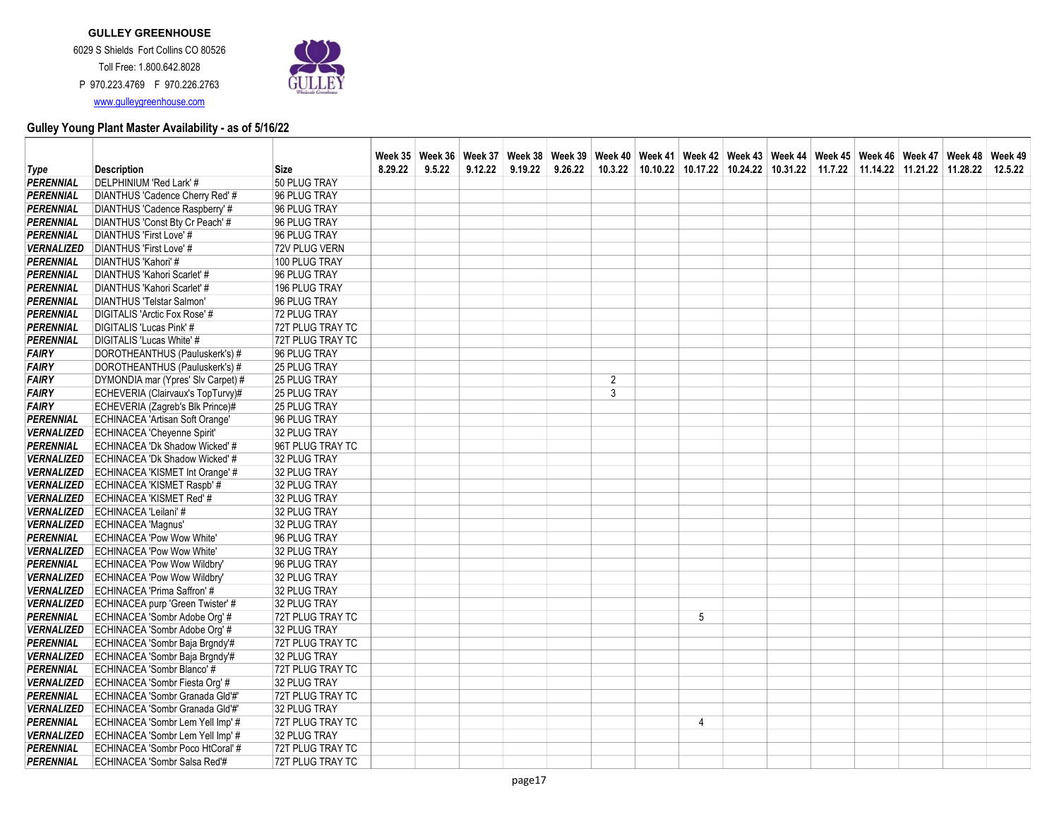

|                                        |                                                                   |                              |         |        |         |         |         |                |   |  | Week 35   Week 36   Week 37   Week 38   Week 39   Week 40   Week 41   Week 42   Week 43   Week 44   Week 46   Week 46   Week 47   Week 48   Week 49 |  |  |
|----------------------------------------|-------------------------------------------------------------------|------------------------------|---------|--------|---------|---------|---------|----------------|---|--|-----------------------------------------------------------------------------------------------------------------------------------------------------|--|--|
| Type                                   | <b>Description</b>                                                | <b>Size</b>                  | 8.29.22 | 9.5.22 | 9.12.22 | 9.19.22 | 9.26.22 |                |   |  | 10.3.22   10.10.22   10.17.22   10.24.22   10.31.22   11.7.22   11.14.22   11.21.22   11.28.22   12.5.22                                            |  |  |
| PERENNIAL                              | DELPHINIUM 'Red Lark' #                                           | 50 PLUG TRAY                 |         |        |         |         |         |                |   |  |                                                                                                                                                     |  |  |
| <b>PERENNIAL</b>                       | DIANTHUS 'Cadence Cherry Red' #                                   | 96 PLUG TRAY                 |         |        |         |         |         |                |   |  |                                                                                                                                                     |  |  |
| <b>PERENNIAL</b>                       | DIANTHUS 'Cadence Raspberry' #                                    | 96 PLUG TRAY                 |         |        |         |         |         |                |   |  |                                                                                                                                                     |  |  |
| <b>PERENNIAL</b>                       | DIANTHUS 'Const Bty Cr Peach' #                                   | 96 PLUG TRAY                 |         |        |         |         |         |                |   |  |                                                                                                                                                     |  |  |
| <b>PERENNIAL</b>                       | DIANTHUS 'First Love' #                                           | 96 PLUG TRAY                 |         |        |         |         |         |                |   |  |                                                                                                                                                     |  |  |
| <b>VERNALIZED</b>                      | DIANTHUS 'First Love' #                                           | 72V PLUG VERN                |         |        |         |         |         |                |   |  |                                                                                                                                                     |  |  |
| <b>PERENNIAL</b>                       | DIANTHUS 'Kahori' #                                               | 100 PLUG TRAY                |         |        |         |         |         |                |   |  |                                                                                                                                                     |  |  |
| <b>PERENNIAL</b>                       | DIANTHUS 'Kahori Scarlet' #                                       | 96 PLUG TRAY                 |         |        |         |         |         |                |   |  |                                                                                                                                                     |  |  |
| <b>PERENNIAL</b>                       | DIANTHUS 'Kahori Scarlet' #                                       | 196 PLUG TRAY                |         |        |         |         |         |                |   |  |                                                                                                                                                     |  |  |
| <b>PERENNIAL</b>                       | DIANTHUS 'Telstar Salmon'                                         | 96 PLUG TRAY                 |         |        |         |         |         |                |   |  |                                                                                                                                                     |  |  |
| <b>PERENNIAL</b>                       | DIGITALIS 'Arctic Fox Rose' #                                     | 72 PLUG TRAY                 |         |        |         |         |         |                |   |  |                                                                                                                                                     |  |  |
| <b>PERENNIAL</b>                       | <b>DIGITALIS 'Lucas Pink' #</b>                                   | 72T PLUG TRAY TC             |         |        |         |         |         |                |   |  |                                                                                                                                                     |  |  |
| <b>PERENNIAL</b>                       | DIGITALIS 'Lucas White' #                                         | 72T PLUG TRAY TC             |         |        |         |         |         |                |   |  |                                                                                                                                                     |  |  |
| <b>FAIRY</b>                           | DOROTHEANTHUS (Pauluskerk's) #                                    | 96 PLUG TRAY                 |         |        |         |         |         |                |   |  |                                                                                                                                                     |  |  |
| <b>FAIRY</b>                           | DOROTHEANTHUS (Pauluskerk's) #                                    | 25 PLUG TRAY                 |         |        |         |         |         |                |   |  |                                                                                                                                                     |  |  |
| <b>FAIRY</b>                           | DYMONDIA mar (Ypres' Slv Carpet) #                                | 25 PLUG TRAY                 |         |        |         |         |         | $\overline{2}$ |   |  |                                                                                                                                                     |  |  |
| <b>FAIRY</b>                           | ECHEVERIA (Clairvaux's TopTurvy)#                                 | <b>25 PLUG TRAY</b>          |         |        |         |         |         | 3              |   |  |                                                                                                                                                     |  |  |
| <b>FAIRY</b>                           | ECHEVERIA (Zagreb's Blk Prince)#                                  | 25 PLUG TRAY                 |         |        |         |         |         |                |   |  |                                                                                                                                                     |  |  |
| PERENNIAL                              | ECHINACEA 'Artisan Soft Orange'                                   | 96 PLUG TRAY                 |         |        |         |         |         |                |   |  |                                                                                                                                                     |  |  |
| <b>VERNALIZED</b>                      | <b>ECHINACEA 'Cheyenne Spirit'</b>                                | 32 PLUG TRAY                 |         |        |         |         |         |                |   |  |                                                                                                                                                     |  |  |
| <b>PERENNIAL</b>                       | ECHINACEA 'Dk Shadow Wicked' #                                    | 96T PLUG TRAY TC             |         |        |         |         |         |                |   |  |                                                                                                                                                     |  |  |
| <b>VERNALIZED</b>                      | ECHINACEA 'Dk Shadow Wicked' #                                    | 32 PLUG TRAY                 |         |        |         |         |         |                |   |  |                                                                                                                                                     |  |  |
| <b>VERNALIZED</b>                      | ECHINACEA 'KISMET Int Orange' #                                   | 32 PLUG TRAY                 |         |        |         |         |         |                |   |  |                                                                                                                                                     |  |  |
| <b>VERNALIZED</b>                      | ECHINACEA 'KISMET Raspb' #                                        | 32 PLUG TRAY                 |         |        |         |         |         |                |   |  |                                                                                                                                                     |  |  |
| <b>VERNALIZED</b>                      | ECHINACEA 'KISMET Red' #                                          | 32 PLUG TRAY                 |         |        |         |         |         |                |   |  |                                                                                                                                                     |  |  |
| <b>VERNALIZED</b><br><b>VERNALIZED</b> | ECHINACEA 'Leilani' #                                             | 32 PLUG TRAY                 |         |        |         |         |         |                |   |  |                                                                                                                                                     |  |  |
|                                        | <b>ECHINACEA 'Magnus'</b>                                         | 32 PLUG TRAY                 |         |        |         |         |         |                |   |  |                                                                                                                                                     |  |  |
| <b>PERENNIAL</b><br><b>VERNALIZED</b>  | <b>ECHINACEA 'Pow Wow White'</b>                                  | 96 PLUG TRAY                 |         |        |         |         |         |                |   |  |                                                                                                                                                     |  |  |
| <b>PERENNIAL</b>                       | <b>ECHINACEA 'Pow Wow White'</b>                                  | 32 PLUG TRAY                 |         |        |         |         |         |                |   |  |                                                                                                                                                     |  |  |
| <b>VERNALIZED</b>                      | ECHINACEA 'Pow Wow Wildbry'<br><b>ECHINACEA 'Pow Wow Wildbry'</b> | 96 PLUG TRAY<br>32 PLUG TRAY |         |        |         |         |         |                |   |  |                                                                                                                                                     |  |  |
| <b>VERNALIZED</b>                      | ECHINACEA 'Prima Saffron' #                                       | 32 PLUG TRAY                 |         |        |         |         |         |                |   |  |                                                                                                                                                     |  |  |
| <b>VERNALIZED</b>                      | ECHINACEA purp 'Green Twister' #                                  | 32 PLUG TRAY                 |         |        |         |         |         |                |   |  |                                                                                                                                                     |  |  |
| <b>PERENNIAL</b>                       | ECHINACEA 'Sombr Adobe Org' #                                     | 72T PLUG TRAY TC             |         |        |         |         |         |                | 5 |  |                                                                                                                                                     |  |  |
| <b>VERNALIZED</b>                      | ECHINACEA 'Sombr Adobe Org' #                                     | 32 PLUG TRAY                 |         |        |         |         |         |                |   |  |                                                                                                                                                     |  |  |
| <b>PERENNIAL</b>                       | ECHINACEA 'Sombr Baja Brgndy'#                                    | 72T PLUG TRAY TC             |         |        |         |         |         |                |   |  |                                                                                                                                                     |  |  |
| <b>VERNALIZED</b>                      | ECHINACEA 'Sombr Baja Brgndy'#                                    | 32 PLUG TRAY                 |         |        |         |         |         |                |   |  |                                                                                                                                                     |  |  |
| <b>PERENNIAL</b>                       | ECHINACEA 'Sombr Blanco' #                                        | 72T PLUG TRAY TC             |         |        |         |         |         |                |   |  |                                                                                                                                                     |  |  |
| <b>VERNALIZED</b>                      | ECHINACEA 'Sombr Fiesta Org' #                                    | 32 PLUG TRAY                 |         |        |         |         |         |                |   |  |                                                                                                                                                     |  |  |
| <b>PERENNIAL</b>                       | ECHINACEA 'Sombr Granada Gld'#'                                   | 72T PLUG TRAY TC             |         |        |         |         |         |                |   |  |                                                                                                                                                     |  |  |
| <b>VERNALIZED</b>                      | ECHINACEA 'Sombr Granada Gld'#'                                   | 32 PLUG TRAY                 |         |        |         |         |         |                |   |  |                                                                                                                                                     |  |  |
| <b>PERENNIAL</b>                       | ECHINACEA 'Sombr Lem Yell Imp' #                                  | 72T PLUG TRAY TC             |         |        |         |         |         |                | 4 |  |                                                                                                                                                     |  |  |
| <b>VERNALIZED</b>                      | ECHINACEA 'Sombr Lem Yell Imp' #                                  | 32 PLUG TRAY                 |         |        |         |         |         |                |   |  |                                                                                                                                                     |  |  |
| <b>PERENNIAL</b>                       | ECHINACEA 'Sombr Poco HtCoral' #                                  | 72T PLUG TRAY TC             |         |        |         |         |         |                |   |  |                                                                                                                                                     |  |  |
| <b>PERENNIAL</b>                       | ECHINACEA 'Sombr Salsa Red'#                                      | 72T PLUG TRAY TC             |         |        |         |         |         |                |   |  |                                                                                                                                                     |  |  |
|                                        |                                                                   |                              |         |        |         |         |         |                |   |  |                                                                                                                                                     |  |  |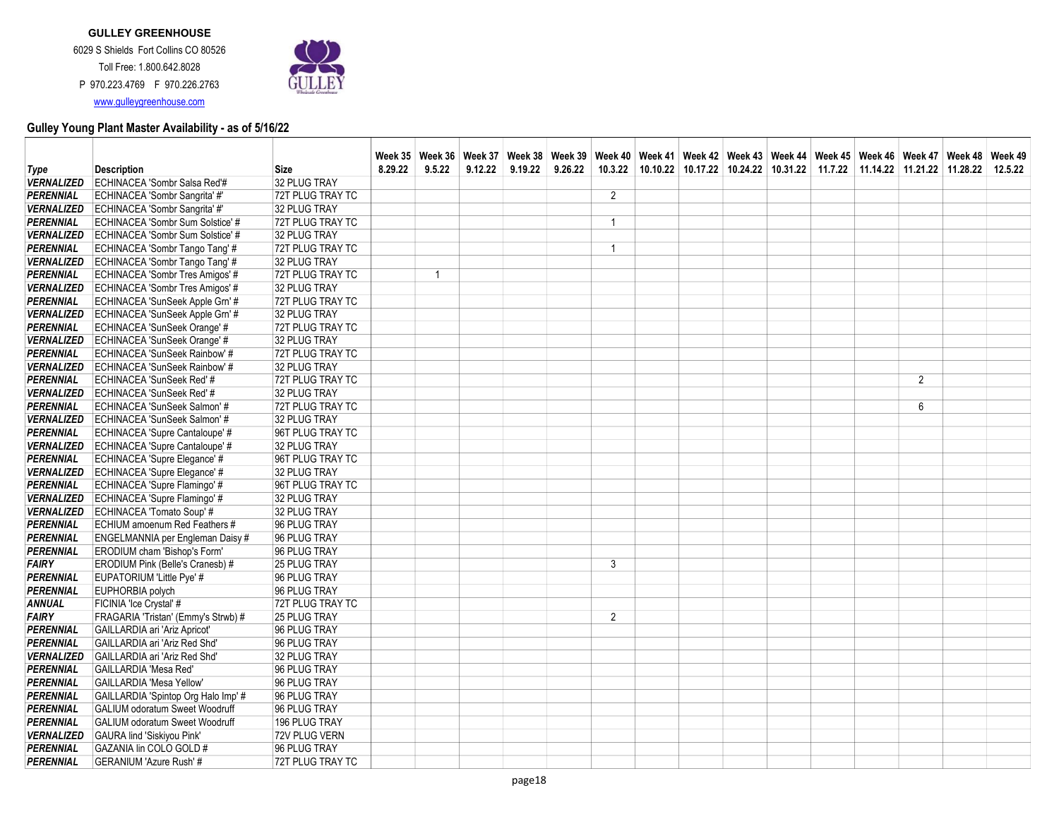www.gulleygreenhouse.com



|                   |                                       |                  |         |                |         | Week 35   Week 36   Week 37   Week 38   Week 39   Week 40   Week 41   Week 42   Week 43   Week 44   Week 45   Week 49   Week 48   Week 48   Week 48   Week 48   Week 48   Week 49   Week 49   Week 49   Week 49   Week 49   We |         |                |  |  |                                                                                                                  |                |  |
|-------------------|---------------------------------------|------------------|---------|----------------|---------|--------------------------------------------------------------------------------------------------------------------------------------------------------------------------------------------------------------------------------|---------|----------------|--|--|------------------------------------------------------------------------------------------------------------------|----------------|--|
| Type              | <b>Description</b>                    | <b>Size</b>      | 8.29.22 | 9.5.22         | 9.12.22 | 9.19.22                                                                                                                                                                                                                        | 9.26.22 | 10.3.22        |  |  | $10.10.22$   $10.17.22$   $10.24.22$   $10.31.22$   $11.7.22$   $11.14.22$   $11.21.22$   $11.28.22$   $12.5.22$ |                |  |
| <b>VERNALIZED</b> | ECHINACEA 'Sombr Salsa Red'#          | 32 PLUG TRAY     |         |                |         |                                                                                                                                                                                                                                |         |                |  |  |                                                                                                                  |                |  |
| PERENNIAL         | ECHINACEA 'Sombr Sangrita' #'         | 72T PLUG TRAY TC |         |                |         |                                                                                                                                                                                                                                |         | 2              |  |  |                                                                                                                  |                |  |
| <b>VERNALIZED</b> | ECHINACEA 'Sombr Sangrita' #'         | 32 PLUG TRAY     |         |                |         |                                                                                                                                                                                                                                |         |                |  |  |                                                                                                                  |                |  |
| <b>PERENNIAL</b>  | ECHINACEA 'Sombr Sum Solstice' #      | 72T PLUG TRAY TC |         |                |         |                                                                                                                                                                                                                                |         | 1              |  |  |                                                                                                                  |                |  |
| <b>VERNALIZED</b> | ECHINACEA 'Sombr Sum Solstice' #      | 32 PLUG TRAY     |         |                |         |                                                                                                                                                                                                                                |         |                |  |  |                                                                                                                  |                |  |
| <b>PERENNIAL</b>  | ECHINACEA 'Sombr Tango Tang' #        | 72T PLUG TRAY TC |         |                |         |                                                                                                                                                                                                                                |         | 1              |  |  |                                                                                                                  |                |  |
| <b>VERNALIZED</b> | ECHINACEA 'Sombr Tango Tang' #        | 32 PLUG TRAY     |         |                |         |                                                                                                                                                                                                                                |         |                |  |  |                                                                                                                  |                |  |
| <b>PERENNIAL</b>  | ECHINACEA 'Sombr Tres Amigos' #       | 72T PLUG TRAY TC |         | $\overline{1}$ |         |                                                                                                                                                                                                                                |         |                |  |  |                                                                                                                  |                |  |
| <b>VERNALIZED</b> | ECHINACEA 'Sombr Tres Amigos' #       | 32 PLUG TRAY     |         |                |         |                                                                                                                                                                                                                                |         |                |  |  |                                                                                                                  |                |  |
| PERENNIAL         | ECHINACEA 'SunSeek Apple Grn' #       | 72T PLUG TRAY TC |         |                |         |                                                                                                                                                                                                                                |         |                |  |  |                                                                                                                  |                |  |
| <b>VERNALIZED</b> | ECHINACEA 'SunSeek Apple Grn' #       | 32 PLUG TRAY     |         |                |         |                                                                                                                                                                                                                                |         |                |  |  |                                                                                                                  |                |  |
| <b>PERENNIAL</b>  | ECHINACEA 'SunSeek Orange' #          | 72T PLUG TRAY TC |         |                |         |                                                                                                                                                                                                                                |         |                |  |  |                                                                                                                  |                |  |
| <b>VERNALIZED</b> | ECHINACEA 'SunSeek Orange' #          | 32 PLUG TRAY     |         |                |         |                                                                                                                                                                                                                                |         |                |  |  |                                                                                                                  |                |  |
| <b>PERENNIAL</b>  | ECHINACEA 'SunSeek Rainbow' #         | 72T PLUG TRAY TC |         |                |         |                                                                                                                                                                                                                                |         |                |  |  |                                                                                                                  |                |  |
| <b>VERNALIZED</b> | ECHINACEA 'SunSeek Rainbow' #         | 32 PLUG TRAY     |         |                |         |                                                                                                                                                                                                                                |         |                |  |  |                                                                                                                  |                |  |
| <b>PERENNIAL</b>  | ECHINACEA 'SunSeek Red' #             | 72T PLUG TRAY TC |         |                |         |                                                                                                                                                                                                                                |         |                |  |  |                                                                                                                  | $\overline{2}$ |  |
| <b>VERNALIZED</b> | ECHINACEA 'SunSeek Red' #             | 32 PLUG TRAY     |         |                |         |                                                                                                                                                                                                                                |         |                |  |  |                                                                                                                  |                |  |
| <b>PERENNIAL</b>  | ECHINACEA 'SunSeek Salmon' #          | 72T PLUG TRAY TC |         |                |         |                                                                                                                                                                                                                                |         |                |  |  |                                                                                                                  | 6              |  |
| <b>VERNALIZED</b> | ECHINACEA 'SunSeek Salmon' #          | 32 PLUG TRAY     |         |                |         |                                                                                                                                                                                                                                |         |                |  |  |                                                                                                                  |                |  |
| PERENNIAL         | ECHINACEA 'Supre Cantaloupe' #        | 96T PLUG TRAY TC |         |                |         |                                                                                                                                                                                                                                |         |                |  |  |                                                                                                                  |                |  |
| <b>VERNALIZED</b> | ECHINACEA 'Supre Cantaloupe' #        | 32 PLUG TRAY     |         |                |         |                                                                                                                                                                                                                                |         |                |  |  |                                                                                                                  |                |  |
| <b>PERENNIAL</b>  | ECHINACEA 'Supre Elegance' #          | 96T PLUG TRAY TC |         |                |         |                                                                                                                                                                                                                                |         |                |  |  |                                                                                                                  |                |  |
| <b>VERNALIZED</b> | ECHINACEA 'Supre Elegance' #          | 32 PLUG TRAY     |         |                |         |                                                                                                                                                                                                                                |         |                |  |  |                                                                                                                  |                |  |
| <b>PERENNIAL</b>  | ECHINACEA 'Supre Flamingo' #          | 96T PLUG TRAY TC |         |                |         |                                                                                                                                                                                                                                |         |                |  |  |                                                                                                                  |                |  |
| <b>VERNALIZED</b> | ECHINACEA 'Supre Flamingo' #          | 32 PLUG TRAY     |         |                |         |                                                                                                                                                                                                                                |         |                |  |  |                                                                                                                  |                |  |
| <b>VERNALIZED</b> | ECHINACEA 'Tomato Soup' #             | 32 PLUG TRAY     |         |                |         |                                                                                                                                                                                                                                |         |                |  |  |                                                                                                                  |                |  |
| <b>PERENNIAL</b>  | ECHIUM amoenum Red Feathers #         | 96 PLUG TRAY     |         |                |         |                                                                                                                                                                                                                                |         |                |  |  |                                                                                                                  |                |  |
| <b>PERENNIAL</b>  | ENGELMANNIA per Engleman Daisy #      | 96 PLUG TRAY     |         |                |         |                                                                                                                                                                                                                                |         |                |  |  |                                                                                                                  |                |  |
| <b>PERENNIAL</b>  | ERODIUM cham 'Bishop's Form'          | 96 PLUG TRAY     |         |                |         |                                                                                                                                                                                                                                |         |                |  |  |                                                                                                                  |                |  |
| <b>FAIRY</b>      | ERODIUM Pink (Belle's Cranesb) #      | 25 PLUG TRAY     |         |                |         |                                                                                                                                                                                                                                |         | 3              |  |  |                                                                                                                  |                |  |
| <b>PERENNIAL</b>  | EUPATORIUM 'Little Pye' #             | 96 PLUG TRAY     |         |                |         |                                                                                                                                                                                                                                |         |                |  |  |                                                                                                                  |                |  |
| <b>PERENNIAL</b>  | EUPHORBIA polych                      | 96 PLUG TRAY     |         |                |         |                                                                                                                                                                                                                                |         |                |  |  |                                                                                                                  |                |  |
| <b>ANNUAL</b>     | FICINIA 'Ice Crystal' #               | 72T PLUG TRAY TC |         |                |         |                                                                                                                                                                                                                                |         |                |  |  |                                                                                                                  |                |  |
| <b>FAIRY</b>      | FRAGARIA 'Tristan' (Emmy's Strwb) #   | 25 PLUG TRAY     |         |                |         |                                                                                                                                                                                                                                |         | $\overline{2}$ |  |  |                                                                                                                  |                |  |
| PERENNIAL         | GAILLARDIA ari 'Ariz Apricot'         | 96 PLUG TRAY     |         |                |         |                                                                                                                                                                                                                                |         |                |  |  |                                                                                                                  |                |  |
| <b>PERENNIAL</b>  | GAILLARDIA ari 'Ariz Red Shd'         | 96 PLUG TRAY     |         |                |         |                                                                                                                                                                                                                                |         |                |  |  |                                                                                                                  |                |  |
| <b>VERNALIZED</b> | GAILLARDIA ari 'Ariz Red Shd'         | 32 PLUG TRAY     |         |                |         |                                                                                                                                                                                                                                |         |                |  |  |                                                                                                                  |                |  |
| <b>PERENNIAL</b>  | <b>GAILLARDIA 'Mesa Red'</b>          | 96 PLUG TRAY     |         |                |         |                                                                                                                                                                                                                                |         |                |  |  |                                                                                                                  |                |  |
| <b>PERENNIAL</b>  | GAILLARDIA 'Mesa Yellow'              | 96 PLUG TRAY     |         |                |         |                                                                                                                                                                                                                                |         |                |  |  |                                                                                                                  |                |  |
| PERENNIAL         | GAILLARDIA 'Spintop Org Halo Imp' #   | 96 PLUG TRAY     |         |                |         |                                                                                                                                                                                                                                |         |                |  |  |                                                                                                                  |                |  |
| <b>PERENNIAL</b>  | <b>GALIUM odoratum Sweet Woodruff</b> | 96 PLUG TRAY     |         |                |         |                                                                                                                                                                                                                                |         |                |  |  |                                                                                                                  |                |  |
| <b>PERENNIAL</b>  | <b>GALIUM odoratum Sweet Woodruff</b> | 196 PLUG TRAY    |         |                |         |                                                                                                                                                                                                                                |         |                |  |  |                                                                                                                  |                |  |
| <b>VERNALIZED</b> | GAURA lind 'Siskiyou Pink'            | 72V PLUG VERN    |         |                |         |                                                                                                                                                                                                                                |         |                |  |  |                                                                                                                  |                |  |
| <b>PERENNIAL</b>  | GAZANIA lin COLO GOLD #               | 96 PLUG TRAY     |         |                |         |                                                                                                                                                                                                                                |         |                |  |  |                                                                                                                  |                |  |
| <b>PERENNIAL</b>  | <b>GERANIUM 'Azure Rush'#</b>         | 72T PLUG TRAY TC |         |                |         |                                                                                                                                                                                                                                |         |                |  |  |                                                                                                                  |                |  |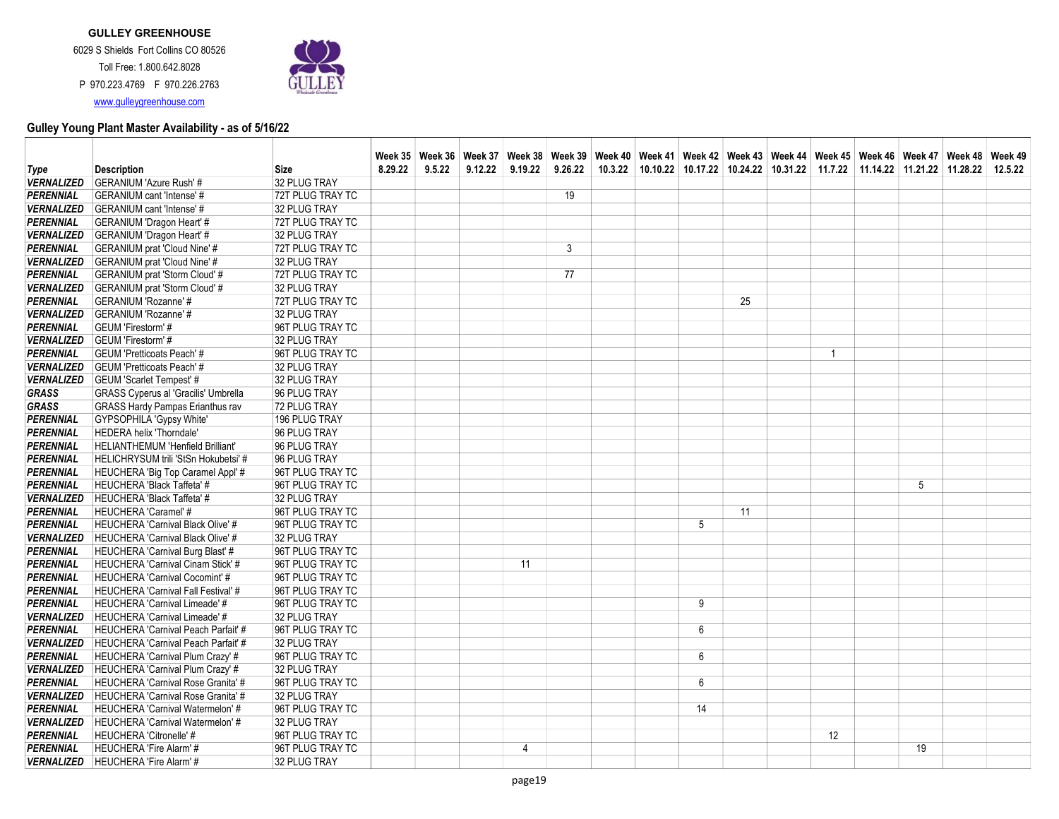Toll Free: 1.800.642.8028 P 970.223.4769 F 970.226.2763 www.gulleygreenhouse.com



|                                      |                                                                       |                                      |         |        |         |         |         | Week 35 Week 36 Week 37 Week 38 Week 39 Week 40 Week 41 Week 42 Week 43 Week 44 Week 45 Week 46 Week 47 Week 48 Week 49 |    |    |              |                 |  |
|--------------------------------------|-----------------------------------------------------------------------|--------------------------------------|---------|--------|---------|---------|---------|-------------------------------------------------------------------------------------------------------------------------|----|----|--------------|-----------------|--|
| Type                                 | <b>Description</b>                                                    | <b>Size</b>                          | 8.29.22 | 9.5.22 | 9.12.22 | 9.19.22 | 9.26.22 | 10.3.22   10.10.22   10.17.22   10.24.22   10.31.22   11.7.22   11.14.22   11.21.22   11.28.22   12.5.22                |    |    |              |                 |  |
| <b>VERNALIZED</b>                    | GERANIUM 'Azure Rush' #                                               | 32 PLUG TRAY                         |         |        |         |         |         |                                                                                                                         |    |    |              |                 |  |
| <b>PERENNIAL</b>                     | <b>GERANIUM</b> cant 'Intense' #                                      | 72T PLUG TRAY TC                     |         |        |         |         | 19      |                                                                                                                         |    |    |              |                 |  |
| <b>VERNALIZED</b>                    | <b>GERANIUM</b> cant 'Intense' #                                      | 32 PLUG TRAY                         |         |        |         |         |         |                                                                                                                         |    |    |              |                 |  |
| <b>PERENNIAL</b>                     | <b>GERANIUM 'Dragon Heart' #</b>                                      | 72T PLUG TRAY TC                     |         |        |         |         |         |                                                                                                                         |    |    |              |                 |  |
| <b>VERNALIZED</b>                    | <b>GERANIUM 'Dragon Heart' #</b>                                      | 32 PLUG TRAY                         |         |        |         |         |         |                                                                                                                         |    |    |              |                 |  |
| <b>PERENNIAL</b>                     | GERANIUM prat 'Cloud Nine' #                                          | 72T PLUG TRAY TC                     |         |        |         |         | 3       |                                                                                                                         |    |    |              |                 |  |
| <b>VERNALIZED</b>                    | <b>GERANIUM</b> prat 'Cloud Nine' #                                   | 32 PLUG TRAY                         |         |        |         |         |         |                                                                                                                         |    |    |              |                 |  |
| <b>PERENNIAL</b>                     | <b>GERANIUM prat 'Storm Cloud' #</b>                                  | 72T PLUG TRAY TC                     |         |        |         |         | 77      |                                                                                                                         |    |    |              |                 |  |
| <b>VERNALIZED</b>                    | <b>GERANIUM</b> prat 'Storm Cloud' #                                  | 32 PLUG TRAY                         |         |        |         |         |         |                                                                                                                         |    |    |              |                 |  |
| <b>PERENNIAL</b>                     | <b>GERANIUM 'Rozanne' #</b>                                           | 72T PLUG TRAY TC                     |         |        |         |         |         |                                                                                                                         |    | 25 |              |                 |  |
| <b>VERNALIZED</b>                    | <b>GERANIUM 'Rozanne' #</b>                                           | 32 PLUG TRAY                         |         |        |         |         |         |                                                                                                                         |    |    |              |                 |  |
| <b>PERENNIAL</b>                     | GEUM 'Firestorm' #                                                    | 96T PLUG TRAY TC                     |         |        |         |         |         |                                                                                                                         |    |    |              |                 |  |
| <b>VERNALIZED</b>                    | GEUM 'Firestorm' #                                                    | 32 PLUG TRAY                         |         |        |         |         |         |                                                                                                                         |    |    |              |                 |  |
| <b>PERENNIAL</b>                     | <b>GEUM 'Pretticoats Peach' #</b>                                     | 96T PLUG TRAY TC                     |         |        |         |         |         |                                                                                                                         |    |    | $\mathbf{1}$ |                 |  |
| <b>VERNALIZED</b>                    | <b>GEUM 'Pretticoats Peach'#</b>                                      | 32 PLUG TRAY                         |         |        |         |         |         |                                                                                                                         |    |    |              |                 |  |
| <b>VERNALIZED</b>                    | <b>GEUM 'Scarlet Tempest' #</b>                                       | 32 PLUG TRAY                         |         |        |         |         |         |                                                                                                                         |    |    |              |                 |  |
| <b>GRASS</b>                         | <b>GRASS Cyperus al 'Gracilis' Umbrella</b>                           | 96 PLUG TRAY                         |         |        |         |         |         |                                                                                                                         |    |    |              |                 |  |
| <b>GRASS</b>                         | <b>GRASS Hardy Pampas Erianthus rav</b>                               | 72 PLUG TRAY                         |         |        |         |         |         |                                                                                                                         |    |    |              |                 |  |
| <b>PERENNIAL</b>                     | GYPSOPHILA 'Gypsy White'                                              | 196 PLUG TRAY                        |         |        |         |         |         |                                                                                                                         |    |    |              |                 |  |
| <b>PERENNIAL</b>                     | HEDERA helix 'Thorndale'                                              | 96 PLUG TRAY                         |         |        |         |         |         |                                                                                                                         |    |    |              |                 |  |
| <b>PERENNIAL</b>                     | <b>HELIANTHEMUM 'Henfield Brilliant'</b>                              | 96 PLUG TRAY                         |         |        |         |         |         |                                                                                                                         |    |    |              |                 |  |
| PERENNIAL                            | HELICHRYSUM trili 'StSn Hokubetsi' #                                  | 96 PLUG TRAY                         |         |        |         |         |         |                                                                                                                         |    |    |              |                 |  |
| <b>PERENNIAL</b>                     | HEUCHERA 'Big Top Caramel Appl' #                                     | 96T PLUG TRAY TC                     |         |        |         |         |         |                                                                                                                         |    |    |              |                 |  |
| <b>PERENNIAL</b>                     | <b>HEUCHERA 'Black Taffeta' #</b>                                     | 96T PLUG TRAY TC                     |         |        |         |         |         |                                                                                                                         |    |    |              | $5\phantom{.0}$ |  |
| <b>VERNALIZED</b>                    | HEUCHERA 'Black Taffeta' #                                            | 32 PLUG TRAY                         |         |        |         |         |         |                                                                                                                         |    |    |              |                 |  |
| PERENNIAL                            | HEUCHERA 'Caramel' #                                                  | 96T PLUG TRAY TC                     |         |        |         |         |         |                                                                                                                         |    | 11 |              |                 |  |
| PERENNIAL                            | <b>HEUCHERA 'Carnival Black Olive' #</b>                              | 96T PLUG TRAY TC                     |         |        |         |         |         |                                                                                                                         | 5  |    |              |                 |  |
| <b>VERNALIZED</b>                    | HEUCHERA 'Carnival Black Olive' #                                     | 32 PLUG TRAY                         |         |        |         |         |         |                                                                                                                         |    |    |              |                 |  |
| <b>PERENNIAL</b><br><b>PERENNIAL</b> | HEUCHERA 'Carnival Burg Blast' #<br>HEUCHERA 'Carnival Cinam Stick' # | 96T PLUG TRAY TC<br>96T PLUG TRAY TC |         |        |         | 11      |         |                                                                                                                         |    |    |              |                 |  |
| <b>PERENNIAL</b>                     | <b>HEUCHERA 'Carnival Cocomint' #</b>                                 | 96T PLUG TRAY TC                     |         |        |         |         |         |                                                                                                                         |    |    |              |                 |  |
| PERENNIAL                            | <b>HEUCHERA 'Carnival Fall Festival' #</b>                            | 96T PLUG TRAY TC                     |         |        |         |         |         |                                                                                                                         |    |    |              |                 |  |
| <b>PERENNIAL</b>                     | HEUCHERA 'Carnival Limeade' #                                         | 96T PLUG TRAY TC                     |         |        |         |         |         |                                                                                                                         | 9  |    |              |                 |  |
| <b>VERNALIZED</b>                    | HEUCHERA 'Carnival Limeade' #                                         | 32 PLUG TRAY                         |         |        |         |         |         |                                                                                                                         |    |    |              |                 |  |
| <b>PERENNIAL</b>                     | <b>HEUCHERA 'Carnival Peach Parfait' #</b>                            | 96T PLUG TRAY TC                     |         |        |         |         |         |                                                                                                                         | 6  |    |              |                 |  |
| <b>VERNALIZED</b>                    | HEUCHERA 'Carnival Peach Parfait' #                                   | 32 PLUG TRAY                         |         |        |         |         |         |                                                                                                                         |    |    |              |                 |  |
| <b>PERENNIAL</b>                     | HEUCHERA 'Carnival Plum Crazy' #                                      | 96T PLUG TRAY TC                     |         |        |         |         |         |                                                                                                                         | 6  |    |              |                 |  |
| <b>VERNALIZED</b>                    | HEUCHERA 'Carnival Plum Crazy' #                                      | 32 PLUG TRAY                         |         |        |         |         |         |                                                                                                                         |    |    |              |                 |  |
| <b>PERENNIAL</b>                     | HEUCHERA 'Carnival Rose Granita' #                                    | 96T PLUG TRAY TC                     |         |        |         |         |         |                                                                                                                         | 6  |    |              |                 |  |
| <b>VERNALIZED</b>                    | HEUCHERA 'Carnival Rose Granita' #                                    | 32 PLUG TRAY                         |         |        |         |         |         |                                                                                                                         |    |    |              |                 |  |
| <b>PERENNIAL</b>                     | <b>HEUCHERA 'Carnival Watermelon'#</b>                                | 96T PLUG TRAY TC                     |         |        |         |         |         |                                                                                                                         | 14 |    |              |                 |  |
| <b>VERNALIZED</b>                    | HEUCHERA 'Carnival Watermelon' #                                      | 32 PLUG TRAY                         |         |        |         |         |         |                                                                                                                         |    |    |              |                 |  |
| PERENNIAL                            | <b>HEUCHERA 'Citronelle' #</b>                                        | 96T PLUG TRAY TC                     |         |        |         |         |         |                                                                                                                         |    |    | 12           |                 |  |
| PERENNIAL                            | <b>HEUCHERA 'Fire Alarm'#</b>                                         | 96T PLUG TRAY TC                     |         |        |         | 4       |         |                                                                                                                         |    |    |              | 19              |  |
| <b>VERNALIZED</b>                    | HEUCHERA 'Fire Alarm' #                                               | 32 PLUG TRAY                         |         |        |         |         |         |                                                                                                                         |    |    |              |                 |  |
|                                      |                                                                       |                                      |         |        |         |         |         |                                                                                                                         |    |    |              |                 |  |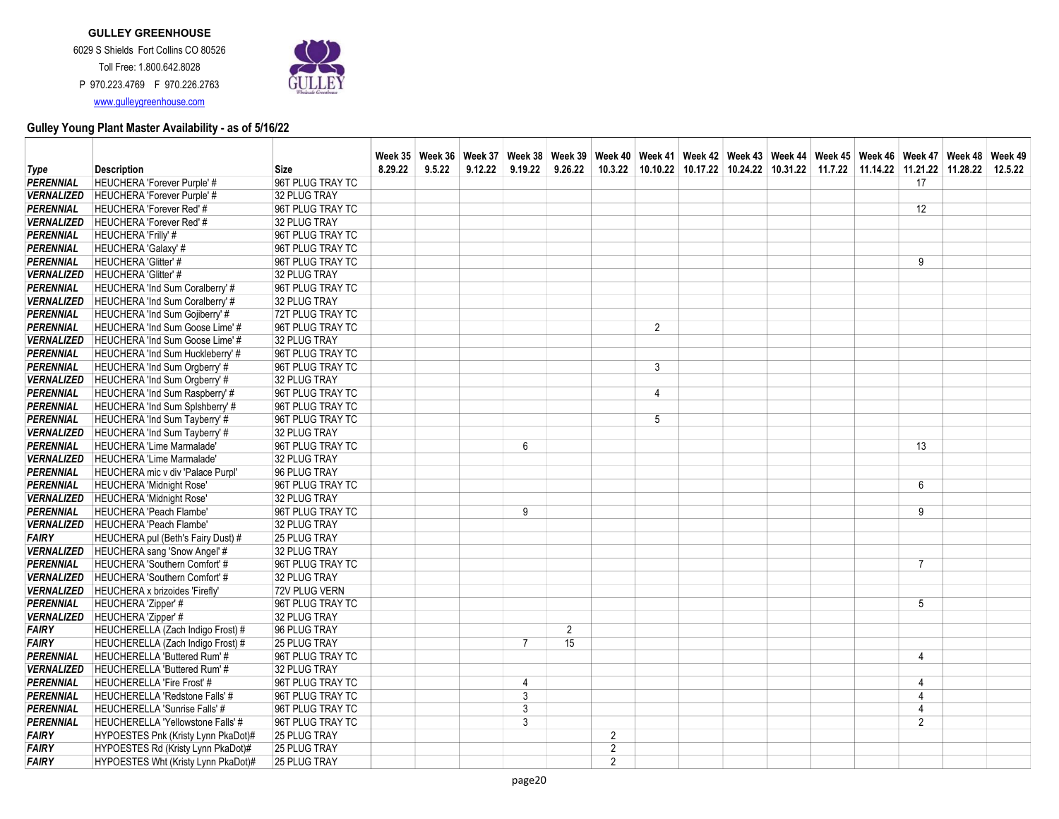

|                                        |                                                              |                               |         |        |         |                |                |                |                |  | Week 35   Week 36   Week 37   Week 38   Week 39   Week 40   Week 41   Week 42   Week 43   Week 44   Week 46   Week 46   Week 47   Week 48   Week 49 |  |                |         |
|----------------------------------------|--------------------------------------------------------------|-------------------------------|---------|--------|---------|----------------|----------------|----------------|----------------|--|-----------------------------------------------------------------------------------------------------------------------------------------------------|--|----------------|---------|
| Type                                   | <b>Description</b>                                           | <b>Size</b>                   | 8.29.22 | 9.5.22 | 9.12.22 | 9.19.22        | 9.26.22        |                |                |  | 10.3.22 10.10.22 10.17.22 10.24.22 10.31.22 11.7.22 11.14.22 11.21.22 11.28.22                                                                      |  |                | 12.5.22 |
| <b>PERENNIAL</b>                       | HEUCHERA 'Forever Purple' #                                  | 96T PLUG TRAY TC              |         |        |         |                |                |                |                |  |                                                                                                                                                     |  | 17             |         |
| <b>VERNALIZED</b>                      | <b>HEUCHERA 'Forever Purple' #</b>                           | 32 PLUG TRAY                  |         |        |         |                |                |                |                |  |                                                                                                                                                     |  |                |         |
| <b>PERENNIAL</b>                       | <b>HEUCHERA 'Forever Red' #</b>                              | 96T PLUG TRAY TC              |         |        |         |                |                |                |                |  |                                                                                                                                                     |  | 12             |         |
| <b>VERNALIZED</b>                      | HEUCHERA 'Forever Red' #                                     | 32 PLUG TRAY                  |         |        |         |                |                |                |                |  |                                                                                                                                                     |  |                |         |
| PERENNIAL                              | <b>HEUCHERA 'Frilly' #</b>                                   | 96T PLUG TRAY TC              |         |        |         |                |                |                |                |  |                                                                                                                                                     |  |                |         |
| <b>PERENNIAL</b>                       | HEUCHERA 'Galaxy' #                                          | 96T PLUG TRAY TC              |         |        |         |                |                |                |                |  |                                                                                                                                                     |  |                |         |
| <b>PERENNIAL</b>                       | HEUCHERA 'Glitter' #                                         | 96T PLUG TRAY TC              |         |        |         |                |                |                |                |  |                                                                                                                                                     |  | 9              |         |
| <b>VERNALIZED</b>                      | HEUCHERA 'Glitter' #                                         | 32 PLUG TRAY                  |         |        |         |                |                |                |                |  |                                                                                                                                                     |  |                |         |
| PERENNIAL                              | HEUCHERA 'Ind Sum Coralberry' #                              | 96T PLUG TRAY TC              |         |        |         |                |                |                |                |  |                                                                                                                                                     |  |                |         |
| <b>VERNALIZED</b>                      | HEUCHERA 'Ind Sum Coralberry' #                              | 32 PLUG TRAY                  |         |        |         |                |                |                |                |  |                                                                                                                                                     |  |                |         |
| <b>PERENNIAL</b>                       | HEUCHERA 'Ind Sum Gojiberry' #                               | 72T PLUG TRAY TC              |         |        |         |                |                |                |                |  |                                                                                                                                                     |  |                |         |
| <b>PERENNIAL</b>                       | HEUCHERA 'Ind Sum Goose Lime' #                              | 96T PLUG TRAY TC              |         |        |         |                |                |                | 2              |  |                                                                                                                                                     |  |                |         |
| <b>VERNALIZED</b>                      | HEUCHERA 'Ind Sum Goose Lime' #                              | 32 PLUG TRAY                  |         |        |         |                |                |                |                |  |                                                                                                                                                     |  |                |         |
| <b>PERENNIAL</b>                       | HEUCHERA 'Ind Sum Huckleberry' #                             | 96T PLUG TRAY TC              |         |        |         |                |                |                |                |  |                                                                                                                                                     |  |                |         |
| <b>PERENNIAL</b>                       | HEUCHERA 'Ind Sum Orgberry' #                                | 96T PLUG TRAY TC              |         |        |         |                |                |                | 3              |  |                                                                                                                                                     |  |                |         |
| <b>VERNALIZED</b>                      | HEUCHERA 'Ind Sum Orgberry' #                                | 32 PLUG TRAY                  |         |        |         |                |                |                |                |  |                                                                                                                                                     |  |                |         |
| PERENNIAL                              | HEUCHERA 'Ind Sum Raspberry' #                               | 96T PLUG TRAY TC              |         |        |         |                |                |                | $\overline{4}$ |  |                                                                                                                                                     |  |                |         |
| <b>PERENNIAL</b>                       | HEUCHERA 'Ind Sum Splshberry' #                              | 96T PLUG TRAY TC              |         |        |         |                |                |                |                |  |                                                                                                                                                     |  |                |         |
| <b>PERENNIAL</b>                       | HEUCHERA 'Ind Sum Tayberry' #                                | 96T PLUG TRAY TC              |         |        |         |                |                |                | 5              |  |                                                                                                                                                     |  |                |         |
| <b>VERNALIZED</b>                      | HEUCHERA 'Ind Sum Tayberry' #                                | 32 PLUG TRAY                  |         |        |         |                |                |                |                |  |                                                                                                                                                     |  |                |         |
| <b>PERENNIAL</b>                       | HEUCHERA 'Lime Marmalade'                                    | 96T PLUG TRAY TC              |         |        |         | 6              |                |                |                |  |                                                                                                                                                     |  | 13             |         |
| <b>VERNALIZED</b>                      | HEUCHERA 'Lime Marmalade'                                    | 32 PLUG TRAY                  |         |        |         |                |                |                |                |  |                                                                                                                                                     |  |                |         |
| <b>PERENNIAL</b>                       | HEUCHERA mic v div 'Palace Purpl'                            | 96 PLUG TRAY                  |         |        |         |                |                |                |                |  |                                                                                                                                                     |  |                |         |
| <b>PERENNIAL</b>                       | HEUCHERA 'Midnight Rose'                                     | 96T PLUG TRAY TC              |         |        |         |                |                |                |                |  |                                                                                                                                                     |  | $6\phantom{1}$ |         |
| <b>VERNALIZED</b>                      | HEUCHERA 'Midnight Rose'                                     | 32 PLUG TRAY                  |         |        |         |                |                |                |                |  |                                                                                                                                                     |  |                |         |
| PERENNIAL                              | HEUCHERA 'Peach Flambe'                                      | 96T PLUG TRAY TC              |         |        |         | 9              |                |                |                |  |                                                                                                                                                     |  | 9              |         |
| <b>VERNALIZED</b>                      | HEUCHERA 'Peach Flambe'                                      | 32 PLUG TRAY                  |         |        |         |                |                |                |                |  |                                                                                                                                                     |  |                |         |
| <b>FAIRY</b>                           | HEUCHERA pul (Beth's Fairy Dust) #                           | 25 PLUG TRAY                  |         |        |         |                |                |                |                |  |                                                                                                                                                     |  |                |         |
| <b>VERNALIZED</b>                      | HEUCHERA sang 'Snow Angel' #                                 | 32 PLUG TRAY                  |         |        |         |                |                |                |                |  |                                                                                                                                                     |  |                |         |
| <b>PERENNIAL</b>                       | HEUCHERA 'Southern Comfort' #                                | 96T PLUG TRAY TC              |         |        |         |                |                |                |                |  |                                                                                                                                                     |  | $\overline{7}$ |         |
| <b>VERNALIZED</b><br><b>VERNALIZED</b> | HEUCHERA 'Southern Comfort' #                                | 32 PLUG TRAY<br>72V PLUG VERN |         |        |         |                |                |                |                |  |                                                                                                                                                     |  |                |         |
| <b>PERENNIAL</b>                       | <b>HEUCHERA x brizoides 'Firefly'</b><br>HEUCHERA 'Zipper' # | 96T PLUG TRAY TC              |         |        |         |                |                |                |                |  |                                                                                                                                                     |  | 5              |         |
| <b>VERNALIZED</b>                      | HEUCHERA 'Zipper' #                                          | 32 PLUG TRAY                  |         |        |         |                |                |                |                |  |                                                                                                                                                     |  |                |         |
| <b>FAIRY</b>                           | HEUCHERELLA (Zach Indigo Frost) #                            | 96 PLUG TRAY                  |         |        |         |                | $\overline{2}$ |                |                |  |                                                                                                                                                     |  |                |         |
| <b>FAIRY</b>                           | HEUCHERELLA (Zach Indigo Frost) #                            | <b>25 PLUG TRAY</b>           |         |        |         | $\overline{7}$ | 15             |                |                |  |                                                                                                                                                     |  |                |         |
| <b>PERENNIAL</b>                       | HEUCHERELLA 'Buttered Rum' #                                 | 96T PLUG TRAY TC              |         |        |         |                |                |                |                |  |                                                                                                                                                     |  | $\overline{4}$ |         |
| <b>VERNALIZED</b>                      | HEUCHERELLA 'Buttered Rum' #                                 | 32 PLUG TRAY                  |         |        |         |                |                |                |                |  |                                                                                                                                                     |  |                |         |
| PERENNIAL                              | <b>HEUCHERELLA 'Fire Frost' #</b>                            | 96T PLUG TRAY TC              |         |        |         | $\overline{4}$ |                |                |                |  |                                                                                                                                                     |  | $\overline{4}$ |         |
| <b>PERENNIAL</b>                       | HEUCHERELLA 'Redstone Falls' #                               | 96T PLUG TRAY TC              |         |        |         | $\mathfrak{Z}$ |                |                |                |  |                                                                                                                                                     |  | $\overline{4}$ |         |
| <b>PERENNIAL</b>                       | HEUCHERELLA 'Sunrise Falls' #                                | 96T PLUG TRAY TC              |         |        |         | 3              |                |                |                |  |                                                                                                                                                     |  | $\overline{4}$ |         |
| <b>PERENNIAL</b>                       | HEUCHERELLA 'Yellowstone Falls' #                            | 96T PLUG TRAY TC              |         |        |         | 3              |                |                |                |  |                                                                                                                                                     |  | $\overline{2}$ |         |
| FAIRY                                  | HYPOESTES Pnk (Kristy Lynn PkaDot)#                          | <b>25 PLUG TRAY</b>           |         |        |         |                |                | 2              |                |  |                                                                                                                                                     |  |                |         |
| FAIRY                                  | HYPOESTES Rd (Kristy Lynn PkaDot)#                           | <b>25 PLUG TRAY</b>           |         |        |         |                |                | $\overline{2}$ |                |  |                                                                                                                                                     |  |                |         |
| <b>FAIRY</b>                           | HYPOESTES Wht (Kristy Lynn PkaDot)#                          | <b>25 PLUG TRAY</b>           |         |        |         |                |                | $\overline{2}$ |                |  |                                                                                                                                                     |  |                |         |
|                                        |                                                              |                               |         |        |         |                |                |                |                |  |                                                                                                                                                     |  |                |         |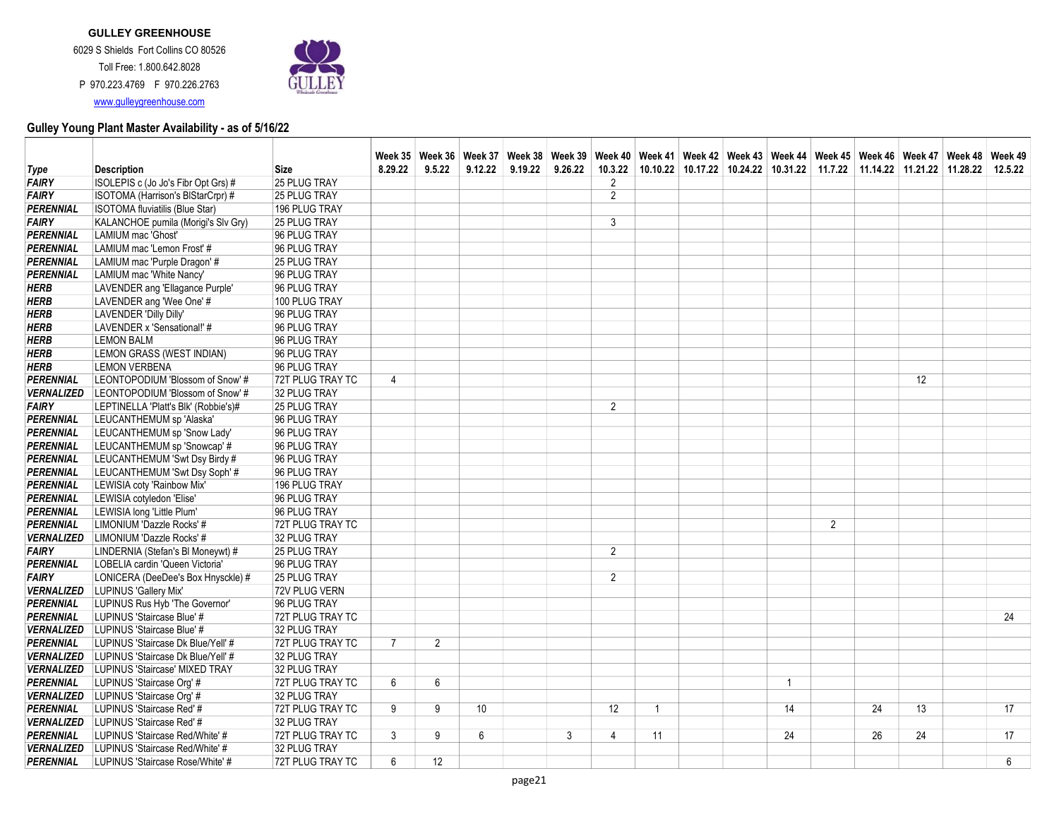www.gulleygreenhouse.com



|                          |                                      |                     |                |                |                  | Week 35 Week 36 Week 37 Week 38 Week 39 Week 40 Week 41 Week 42 Week 43 Week 44 Week 45 Week 46 Week 47 Week 48 Week 49 |         |                |                |  |                |                |    |                                                                                |    |
|--------------------------|--------------------------------------|---------------------|----------------|----------------|------------------|-------------------------------------------------------------------------------------------------------------------------|---------|----------------|----------------|--|----------------|----------------|----|--------------------------------------------------------------------------------|----|
| Type                     | <b>Description</b>                   | <b>Size</b>         | 8.29.22        | 9.5.22         | 9.12.22          | 9.19.22                                                                                                                 | 9.26.22 | 10.3.22        |                |  |                |                |    | 10.10.22 10.17.22 10.24.22 10.31.22 11.7.22 11.14.22 11.21.22 11.28.22 12.5.22 |    |
| <b>FAIRY</b>             | ISOLEPIS c (Jo Jo's Fibr Opt Grs) #  | 25 PLUG TRAY        |                |                |                  |                                                                                                                         |         | 2              |                |  |                |                |    |                                                                                |    |
| <b>FAIRY</b>             | ISOTOMA (Harrison's BIStarCrpr) #    | 25 PLUG TRAY        |                |                |                  |                                                                                                                         |         | $\overline{2}$ |                |  |                |                |    |                                                                                |    |
| <b>PERENNIAL</b>         | ISOTOMA fluviatilis (Blue Star)      | 196 PLUG TRAY       |                |                |                  |                                                                                                                         |         |                |                |  |                |                |    |                                                                                |    |
| <b>FAIRY</b>             | KALANCHOE pumila (Morigi's Slv Gry)  | <b>25 PLUG TRAY</b> |                |                |                  |                                                                                                                         |         | 3              |                |  |                |                |    |                                                                                |    |
| PERENNIAL                | LAMIUM mac 'Ghost'                   | 96 PLUG TRAY        |                |                |                  |                                                                                                                         |         |                |                |  |                |                |    |                                                                                |    |
| <b>PERENNIAL</b>         | LAMIUM mac 'Lemon Frost' #           | 96 PLUG TRAY        |                |                |                  |                                                                                                                         |         |                |                |  |                |                |    |                                                                                |    |
| <b>PERENNIAL</b>         | LAMIUM mac 'Purple Dragon' #         | 25 PLUG TRAY        |                |                |                  |                                                                                                                         |         |                |                |  |                |                |    |                                                                                |    |
| <b>PERENNIAL</b>         | LAMIUM mac 'White Nancy'             | 96 PLUG TRAY        |                |                |                  |                                                                                                                         |         |                |                |  |                |                |    |                                                                                |    |
| <b>HERB</b>              | LAVENDER ang 'Ellagance Purple'      | 96 PLUG TRAY        |                |                |                  |                                                                                                                         |         |                |                |  |                |                |    |                                                                                |    |
| <b>HERB</b>              | LAVENDER ang 'Wee One' #             | 100 PLUG TRAY       |                |                |                  |                                                                                                                         |         |                |                |  |                |                |    |                                                                                |    |
| <b>HERB</b>              | LAVENDER 'Dilly Dilly'               | 96 PLUG TRAY        |                |                |                  |                                                                                                                         |         |                |                |  |                |                |    |                                                                                |    |
| <b>HERB</b>              | LAVENDER x 'Sensational!' #          | 96 PLUG TRAY        |                |                |                  |                                                                                                                         |         |                |                |  |                |                |    |                                                                                |    |
| <b>HERB</b>              | <b>LEMON BALM</b>                    | 96 PLUG TRAY        |                |                |                  |                                                                                                                         |         |                |                |  |                |                |    |                                                                                |    |
| <b>HERB</b>              | LEMON GRASS (WEST INDIAN)            | 96 PLUG TRAY        |                |                |                  |                                                                                                                         |         |                |                |  |                |                |    |                                                                                |    |
| <b>HERB</b>              | <b>LEMON VERBENA</b>                 | 96 PLUG TRAY        |                |                |                  |                                                                                                                         |         |                |                |  |                |                |    |                                                                                |    |
| PERENNIAL                | LEONTOPODIUM 'Blossom of Snow' #     | 72T PLUG TRAY TC    | $\overline{4}$ |                |                  |                                                                                                                         |         |                |                |  |                |                |    | 12                                                                             |    |
| <b>VERNALIZED</b>        | LEONTOPODIUM 'Blossom of Snow' #     | 32 PLUG TRAY        |                |                |                  |                                                                                                                         |         |                |                |  |                |                |    |                                                                                |    |
| <b>FAIRY</b>             | LEPTINELLA 'Platt's Blk' (Robbie's)# | 25 PLUG TRAY        |                |                |                  |                                                                                                                         |         | $\overline{2}$ |                |  |                |                |    |                                                                                |    |
| <b>PERENNIAL</b>         | LEUCANTHEMUM sp 'Alaska'             | 96 PLUG TRAY        |                |                |                  |                                                                                                                         |         |                |                |  |                |                |    |                                                                                |    |
| <b>PERENNIAL</b>         | LEUCANTHEMUM sp 'Snow Lady'          | 96 PLUG TRAY        |                |                |                  |                                                                                                                         |         |                |                |  |                |                |    |                                                                                |    |
| PERENNIAL                | LEUCANTHEMUM sp 'Snowcap' #          | 96 PLUG TRAY        |                |                |                  |                                                                                                                         |         |                |                |  |                |                |    |                                                                                |    |
| PERENNIAL                | LEUCANTHEMUM 'Swt Dsy Birdy #        | 96 PLUG TRAY        |                |                |                  |                                                                                                                         |         |                |                |  |                |                |    |                                                                                |    |
| <b>PERENNIAL</b>         | LEUCANTHEMUM 'Swt Dsy Soph' #        | 96 PLUG TRAY        |                |                |                  |                                                                                                                         |         |                |                |  |                |                |    |                                                                                |    |
| <b>PERENNIAL</b>         | LEWISIA coty 'Rainbow Mix'           | 196 PLUG TRAY       |                |                |                  |                                                                                                                         |         |                |                |  |                |                |    |                                                                                |    |
| <b>PERENNIAL</b>         | LEWISIA cotyledon 'Elise'            | 96 PLUG TRAY        |                |                |                  |                                                                                                                         |         |                |                |  |                |                |    |                                                                                |    |
| PERENNIAL                | LEWISIA long 'Little Plum'           | 96 PLUG TRAY        |                |                |                  |                                                                                                                         |         |                |                |  |                |                |    |                                                                                |    |
| PERENNIAL                | LIMONIUM 'Dazzle Rocks' #            | 72T PLUG TRAY TC    |                |                |                  |                                                                                                                         |         |                |                |  |                | $\overline{2}$ |    |                                                                                |    |
| <b>VERNALIZED</b>        | LIMONIUM 'Dazzle Rocks' #            | 32 PLUG TRAY        |                |                |                  |                                                                                                                         |         |                |                |  |                |                |    |                                                                                |    |
| <b>FAIRY</b>             | LINDERNIA (Stefan's BI Moneywt) #    | 25 PLUG TRAY        |                |                |                  |                                                                                                                         |         | $\overline{2}$ |                |  |                |                |    |                                                                                |    |
| <b>PERENNIAL</b>         | LOBELIA cardin 'Queen Victoria'      | 96 PLUG TRAY        |                |                |                  |                                                                                                                         |         |                |                |  |                |                |    |                                                                                |    |
| <b>FAIRY</b>             | LONICERA (DeeDee's Box Hnysckle) #   | <b>25 PLUG TRAY</b> |                |                |                  |                                                                                                                         |         | $\overline{2}$ |                |  |                |                |    |                                                                                |    |
| <b>VERNALIZED</b>        | LUPINUS 'Gallery Mix'                | 72V PLUG VERN       |                |                |                  |                                                                                                                         |         |                |                |  |                |                |    |                                                                                |    |
| <b>PERENNIAL</b>         | LUPINUS Rus Hyb 'The Governor'       | 96 PLUG TRAY        |                |                |                  |                                                                                                                         |         |                |                |  |                |                |    |                                                                                |    |
| <b>PERENNIAL</b>         | LUPINUS 'Staircase Blue' #           | 72T PLUG TRAY TC    |                |                |                  |                                                                                                                         |         |                |                |  |                |                |    |                                                                                | 24 |
| <b>VERNALIZED</b>        | LUPINUS 'Staircase Blue' #           | 32 PLUG TRAY        |                |                |                  |                                                                                                                         |         |                |                |  |                |                |    |                                                                                |    |
| <b>PERENNIAL</b>         | LUPINUS 'Staircase Dk Blue/Yell' #   | 72T PLUG TRAY TC    | $\overline{7}$ | $\overline{2}$ |                  |                                                                                                                         |         |                |                |  |                |                |    |                                                                                |    |
| <b>VERNALIZED</b>        | LUPINUS 'Staircase Dk Blue/Yell' #   | 32 PLUG TRAY        |                |                |                  |                                                                                                                         |         |                |                |  |                |                |    |                                                                                |    |
| <b>VERNALIZED</b>        | LUPINUS 'Staircase' MIXED TRAY       | 32 PLUG TRAY        |                |                |                  |                                                                                                                         |         |                |                |  |                |                |    |                                                                                |    |
| <b>PERENNIAL</b>         | LUPINUS 'Staircase Org' #            | 72T PLUG TRAY TC    | 6              | 6              |                  |                                                                                                                         |         |                |                |  | $\overline{1}$ |                |    |                                                                                |    |
| <b>VERNALIZED</b>        | LUPINUS 'Staircase Org' #            | 32 PLUG TRAY        |                |                |                  |                                                                                                                         |         |                |                |  |                |                |    |                                                                                |    |
| <b>PERENNIAL</b>         | LUPINUS 'Staircase Red' #            | 72T PLUG TRAY TC    | 9              | 9              | 10 <sup>10</sup> |                                                                                                                         |         | 12             | $\overline{1}$ |  | 14             |                | 24 | 13                                                                             | 17 |
| <i><b>VERNALIZED</b></i> | LUPINUS 'Staircase Red' #            | 32 PLUG TRAY        |                |                |                  |                                                                                                                         |         |                |                |  |                |                |    |                                                                                |    |
| PERENNIAL                | LUPINUS 'Staircase Red/White' #      | 72T PLUG TRAY TC    | 3              | 9              | 6                |                                                                                                                         | 3       | 4              | 11             |  | 24             |                | 26 | 24                                                                             | 17 |
| <b>VERNALIZED</b>        | LUPINUS 'Staircase Red/White' #      | 32 PLUG TRAY        |                |                |                  |                                                                                                                         |         |                |                |  |                |                |    |                                                                                |    |
| <b>PERENNIAL</b>         | LUPINUS 'Staircase Rose/White' #     | 72T PLUG TRAY TC    | 6              | 12             |                  |                                                                                                                         |         |                |                |  |                |                |    |                                                                                | 6  |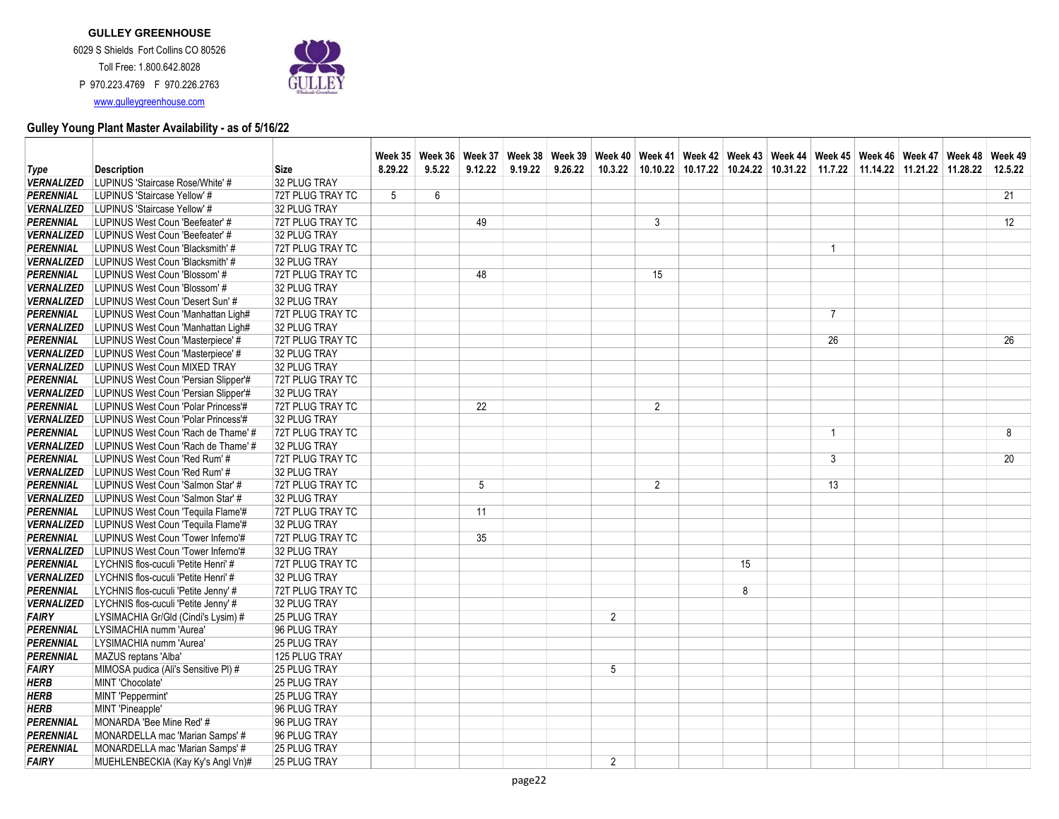

|                   |                                      |                  |         |        |         | Week 35   Week 36   Week 37   Week 38   Week 39   Week 40   Week 41   Week 42   Week 43   Week 44   Week 46   Week 46   Week 47   Week 48   Week 49 |                |                |    |                                                                                |                |  |         |
|-------------------|--------------------------------------|------------------|---------|--------|---------|-----------------------------------------------------------------------------------------------------------------------------------------------------|----------------|----------------|----|--------------------------------------------------------------------------------|----------------|--|---------|
| Type              | <b>Description</b>                   | <b>Size</b>      | 8.29.22 | 9.5.22 | 9.12.22 | $9.19.22$ $9.26.22$                                                                                                                                 |                |                |    | 10.3.22 10.10.22 10.17.22 10.24.22 10.31.22 11.7.22 11.14.22 11.21.22 11.28.22 |                |  | 12.5.22 |
| <b>VERNALIZED</b> | LUPINUS 'Staircase Rose/White' #     | 32 PLUG TRAY     |         |        |         |                                                                                                                                                     |                |                |    |                                                                                |                |  |         |
| <b>PERENNIAL</b>  | LUPINUS 'Staircase Yellow' #         | 72T PLUG TRAY TC | 5       | 6      |         |                                                                                                                                                     |                |                |    |                                                                                |                |  | 21      |
| <b>VERNALIZED</b> | LUPINUS 'Staircase Yellow' #         | 32 PLUG TRAY     |         |        |         |                                                                                                                                                     |                |                |    |                                                                                |                |  |         |
| <b>PERENNIAL</b>  | LUPINUS West Coun 'Beefeater' #      | 72T PLUG TRAY TC |         |        | 49      |                                                                                                                                                     |                | 3              |    |                                                                                |                |  | 12      |
| <b>VERNALIZED</b> | LUPINUS West Coun 'Beefeater' #      | 32 PLUG TRAY     |         |        |         |                                                                                                                                                     |                |                |    |                                                                                |                |  |         |
| PERENNIAL         | LUPINUS West Coun 'Blacksmith' #     | 72T PLUG TRAY TC |         |        |         |                                                                                                                                                     |                |                |    |                                                                                | $\mathbf{1}$   |  |         |
| <b>VERNALIZED</b> | LUPINUS West Coun 'Blacksmith' #     | 32 PLUG TRAY     |         |        |         |                                                                                                                                                     |                |                |    |                                                                                |                |  |         |
| <b>PERENNIAL</b>  | LUPINUS West Coun 'Blossom' #        | 72T PLUG TRAY TC |         |        | 48      |                                                                                                                                                     |                | 15             |    |                                                                                |                |  |         |
| <b>VERNALIZED</b> | LUPINUS West Coun 'Blossom' #        | 32 PLUG TRAY     |         |        |         |                                                                                                                                                     |                |                |    |                                                                                |                |  |         |
| <b>VERNALIZED</b> | LUPINUS West Coun 'Desert Sun' #     | 32 PLUG TRAY     |         |        |         |                                                                                                                                                     |                |                |    |                                                                                |                |  |         |
| PERENNIAL         | LUPINUS West Coun 'Manhattan Ligh#   | 72T PLUG TRAY TC |         |        |         |                                                                                                                                                     |                |                |    |                                                                                | $\overline{7}$ |  |         |
| <b>VERNALIZED</b> | LUPINUS West Coun 'Manhattan Ligh#   | 32 PLUG TRAY     |         |        |         |                                                                                                                                                     |                |                |    |                                                                                |                |  |         |
| PERENNIAL         | LUPINUS West Coun 'Masterpiece' #    | 72T PLUG TRAY TC |         |        |         |                                                                                                                                                     |                |                |    |                                                                                | 26             |  | 26      |
| <b>VERNALIZED</b> | LUPINUS West Coun 'Masterpiece' #    | 32 PLUG TRAY     |         |        |         |                                                                                                                                                     |                |                |    |                                                                                |                |  |         |
| <b>VERNALIZED</b> | LUPINUS West Coun MIXED TRAY         | 32 PLUG TRAY     |         |        |         |                                                                                                                                                     |                |                |    |                                                                                |                |  |         |
| PERENNIAL         | LUPINUS West Coun 'Persian Slipper'# | 72T PLUG TRAY TC |         |        |         |                                                                                                                                                     |                |                |    |                                                                                |                |  |         |
| <b>VERNALIZED</b> | LUPINUS West Coun 'Persian Slipper'# | 32 PLUG TRAY     |         |        |         |                                                                                                                                                     |                |                |    |                                                                                |                |  |         |
| PERENNIAL         | LUPINUS West Coun 'Polar Princess'#  | 72T PLUG TRAY TC |         |        | 22      |                                                                                                                                                     |                | $\overline{2}$ |    |                                                                                |                |  |         |
| <b>VERNALIZED</b> | LUPINUS West Coun 'Polar Princess'#  | 32 PLUG TRAY     |         |        |         |                                                                                                                                                     |                |                |    |                                                                                |                |  |         |
| <b>PERENNIAL</b>  | LUPINUS West Coun 'Rach de Thame' #  | 72T PLUG TRAY TC |         |        |         |                                                                                                                                                     |                |                |    |                                                                                | $\overline{1}$ |  | 8       |
| <b>VERNALIZED</b> | LUPINUS West Coun 'Rach de Thame' #  | 32 PLUG TRAY     |         |        |         |                                                                                                                                                     |                |                |    |                                                                                |                |  |         |
| PERENNIAL         | LUPINUS West Coun 'Red Rum' #        | 72T PLUG TRAY TC |         |        |         |                                                                                                                                                     |                |                |    |                                                                                | $\mathbf{3}$   |  | 20      |
| <b>VERNALIZED</b> | LUPINUS West Coun 'Red Rum' #        | 32 PLUG TRAY     |         |        |         |                                                                                                                                                     |                |                |    |                                                                                |                |  |         |
| <b>PERENNIAL</b>  | LUPINUS West Coun 'Salmon Star' #    | 72T PLUG TRAY TC |         |        | 5       |                                                                                                                                                     |                | $\overline{2}$ |    |                                                                                | 13             |  |         |
| <b>VERNALIZED</b> | LUPINUS West Coun 'Salmon Star' #    | 32 PLUG TRAY     |         |        |         |                                                                                                                                                     |                |                |    |                                                                                |                |  |         |
| PERENNIAL         | LUPINUS West Coun 'Tequila Flame'#   | 72T PLUG TRAY TC |         |        | 11      |                                                                                                                                                     |                |                |    |                                                                                |                |  |         |
| <b>VERNALIZED</b> | LUPINUS West Coun 'Tequila Flame'#   | 32 PLUG TRAY     |         |        |         |                                                                                                                                                     |                |                |    |                                                                                |                |  |         |
| PERENNIAL         | LUPINUS West Coun 'Tower Inferno'#   | 72T PLUG TRAY TC |         |        | 35      |                                                                                                                                                     |                |                |    |                                                                                |                |  |         |
| <b>VERNALIZED</b> | LUPINUS West Coun 'Tower Inferno'#   | 32 PLUG TRAY     |         |        |         |                                                                                                                                                     |                |                |    |                                                                                |                |  |         |
| PERENNIAL         | LYCHNIS flos-cuculi 'Petite Henri' # | 72T PLUG TRAY TC |         |        |         |                                                                                                                                                     |                |                | 15 |                                                                                |                |  |         |
| <b>VERNALIZED</b> | LYCHNIS flos-cuculi 'Petite Henri' # | 32 PLUG TRAY     |         |        |         |                                                                                                                                                     |                |                |    |                                                                                |                |  |         |
| PERENNIAL         | LYCHNIS flos-cuculi 'Petite Jenny' # | 72T PLUG TRAY TC |         |        |         |                                                                                                                                                     |                |                | 8  |                                                                                |                |  |         |
| <b>VERNALIZED</b> | LYCHNIS flos-cuculi 'Petite Jenny' # | 32 PLUG TRAY     |         |        |         |                                                                                                                                                     |                |                |    |                                                                                |                |  |         |
| <b>FAIRY</b>      | LYSIMACHIA Gr/Gld (Cindi's Lysim) #  | 25 PLUG TRAY     |         |        |         |                                                                                                                                                     | $\overline{2}$ |                |    |                                                                                |                |  |         |
| PERENNIAL         | LYSIMACHIA numm 'Aurea'              | 96 PLUG TRAY     |         |        |         |                                                                                                                                                     |                |                |    |                                                                                |                |  |         |
| <b>PERENNIAL</b>  | LYSIMACHIA numm 'Aurea'              | 25 PLUG TRAY     |         |        |         |                                                                                                                                                     |                |                |    |                                                                                |                |  |         |
| PERENNIAL         | MAZUS reptans 'Alba'                 | 125 PLUG TRAY    |         |        |         |                                                                                                                                                     |                |                |    |                                                                                |                |  |         |
| <b>FAIRY</b>      | MIMOSA pudica (Ali's Sensitive PI) # | 25 PLUG TRAY     |         |        |         |                                                                                                                                                     | 5              |                |    |                                                                                |                |  |         |
| HERB              | MINT 'Chocolate'                     | 25 PLUG TRAY     |         |        |         |                                                                                                                                                     |                |                |    |                                                                                |                |  |         |
| <b>HERB</b>       | MINT 'Peppermint'                    | 25 PLUG TRAY     |         |        |         |                                                                                                                                                     |                |                |    |                                                                                |                |  |         |
| <b>HERB</b>       | MINT 'Pineapple'                     | 96 PLUG TRAY     |         |        |         |                                                                                                                                                     |                |                |    |                                                                                |                |  |         |
| PERENNIAL         | MONARDA 'Bee Mine Red' #             | 96 PLUG TRAY     |         |        |         |                                                                                                                                                     |                |                |    |                                                                                |                |  |         |
| PERENNIAL         | MONARDELLA mac 'Marian Samps' #      | 96 PLUG TRAY     |         |        |         |                                                                                                                                                     |                |                |    |                                                                                |                |  |         |
| <b>PERENNIAL</b>  | MONARDELLA mac 'Marian Samps' #      | 25 PLUG TRAY     |         |        |         |                                                                                                                                                     |                |                |    |                                                                                |                |  |         |
| <b>FAIRY</b>      | MUEHLENBECKIA (Kay Ky's Angl Vn)#    | 25 PLUG TRAY     |         |        |         |                                                                                                                                                     | 2              |                |    |                                                                                |                |  |         |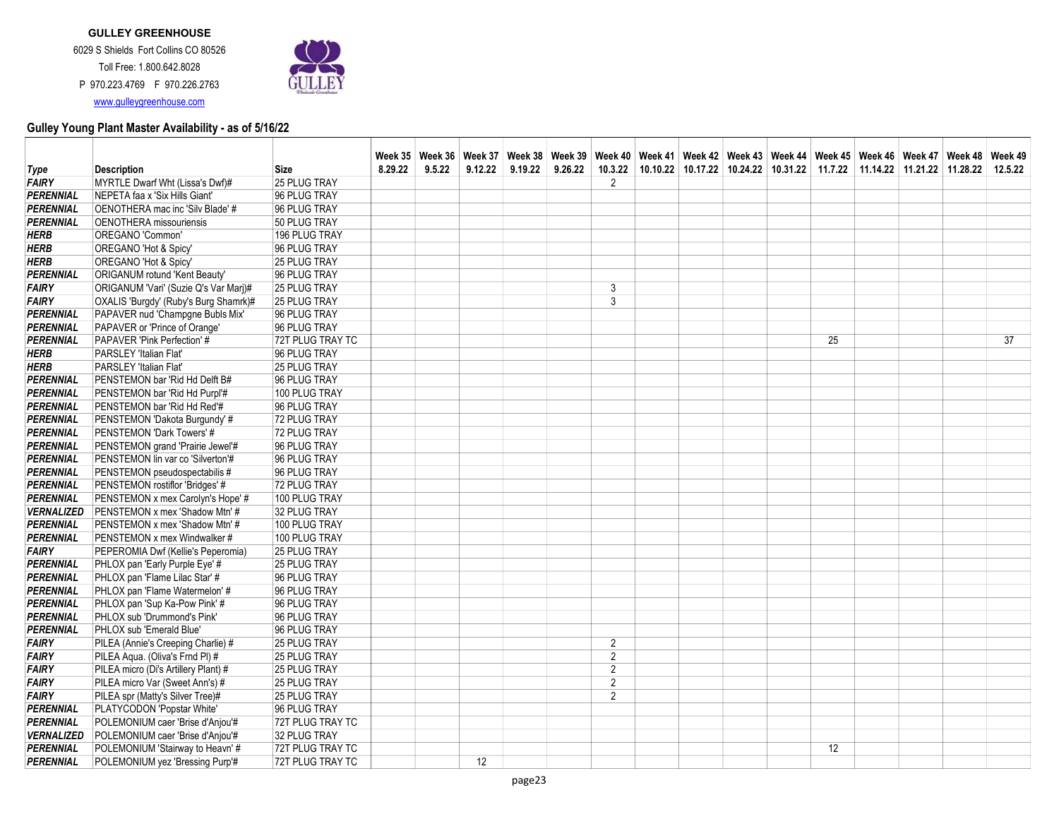

|                        |                                                                 |                              |         |        |                 | Week 35   Week 36   Week 37   Week 38   Week 39   Week 40   Week 41   Week 42   Week 43   Week 44   Week 46   Week 46   Week 48   Week 48   Week 49 |         |                |  |  |    |                                                                                        |  |    |
|------------------------|-----------------------------------------------------------------|------------------------------|---------|--------|-----------------|-----------------------------------------------------------------------------------------------------------------------------------------------------|---------|----------------|--|--|----|----------------------------------------------------------------------------------------|--|----|
| Type                   | <b>Description</b>                                              | <b>Size</b>                  | 8.29.22 | 9.5.22 | 9.12.22         | 9.19.22                                                                                                                                             | 9.26.22 |                |  |  |    | 10.3.22 10.10.22 10.17.22 10.24.22 10.31.22 11.7.22 11.14.22 11.21.22 11.28.22 12.5.22 |  |    |
| <b>FAIRY</b>           | MYRTLE Dwarf Wht (Lissa's Dwf)#                                 | 25 PLUG TRAY                 |         |        |                 |                                                                                                                                                     |         | 2              |  |  |    |                                                                                        |  |    |
| <b>PERENNIAL</b>       | NEPETA faa x 'Six Hills Giant'                                  | 96 PLUG TRAY                 |         |        |                 |                                                                                                                                                     |         |                |  |  |    |                                                                                        |  |    |
| PERENNIAL              | OENOTHERA mac inc 'Silv Blade' #                                | 96 PLUG TRAY                 |         |        |                 |                                                                                                                                                     |         |                |  |  |    |                                                                                        |  |    |
| <b>PERENNIAL</b>       | <b>OENOTHERA</b> missouriensis                                  | 50 PLUG TRAY                 |         |        |                 |                                                                                                                                                     |         |                |  |  |    |                                                                                        |  |    |
| <b>HERB</b>            | OREGANO 'Common'                                                | 196 PLUG TRAY                |         |        |                 |                                                                                                                                                     |         |                |  |  |    |                                                                                        |  |    |
| HERB                   | OREGANO 'Hot & Spicy'                                           | 96 PLUG TRAY                 |         |        |                 |                                                                                                                                                     |         |                |  |  |    |                                                                                        |  |    |
| <b>HERB</b>            | OREGANO 'Hot & Spicy'                                           | 25 PLUG TRAY                 |         |        |                 |                                                                                                                                                     |         |                |  |  |    |                                                                                        |  |    |
| PERENNIAL              | ORIGANUM rotund 'Kent Beauty'                                   | 96 PLUG TRAY                 |         |        |                 |                                                                                                                                                     |         |                |  |  |    |                                                                                        |  |    |
| <b>FAIRY</b>           | ORIGANUM 'Vari' (Suzie Q's Var Marj)#                           | <b>25 PLUG TRAY</b>          |         |        |                 |                                                                                                                                                     |         | 3              |  |  |    |                                                                                        |  |    |
| <b>FAIRY</b>           | OXALIS 'Burgdy' (Ruby's Burg Shamrk)#                           | 25 PLUG TRAY                 |         |        |                 |                                                                                                                                                     |         | $\overline{3}$ |  |  |    |                                                                                        |  |    |
| <b>PERENNIAL</b>       | PAPAVER nud 'Champgne Bubls Mix'                                | 96 PLUG TRAY                 |         |        |                 |                                                                                                                                                     |         |                |  |  |    |                                                                                        |  |    |
| <b>PERENNIAL</b>       | PAPAVER or 'Prince of Orange'                                   | 96 PLUG TRAY                 |         |        |                 |                                                                                                                                                     |         |                |  |  |    |                                                                                        |  |    |
| PERENNIAL              | PAPAVER 'Pink Perfection' #                                     | 72T PLUG TRAY TC             |         |        |                 |                                                                                                                                                     |         |                |  |  | 25 |                                                                                        |  | 37 |
| HERB                   | PARSLEY 'Italian Flat'                                          | 96 PLUG TRAY                 |         |        |                 |                                                                                                                                                     |         |                |  |  |    |                                                                                        |  |    |
| <b>HERB</b>            | PARSLEY 'Italian Flat'                                          | 25 PLUG TRAY                 |         |        |                 |                                                                                                                                                     |         |                |  |  |    |                                                                                        |  |    |
| PERENNIAL              | PENSTEMON bar 'Rid Hd Delft B#                                  | 96 PLUG TRAY                 |         |        |                 |                                                                                                                                                     |         |                |  |  |    |                                                                                        |  |    |
| PERENNIAL              | PENSTEMON bar 'Rid Hd Purpl'#                                   | 100 PLUG TRAY                |         |        |                 |                                                                                                                                                     |         |                |  |  |    |                                                                                        |  |    |
| PERENNIAL              | PENSTEMON bar 'Rid Hd Red'#                                     | 96 PLUG TRAY                 |         |        |                 |                                                                                                                                                     |         |                |  |  |    |                                                                                        |  |    |
| <b>PERENNIAL</b>       | PENSTEMON 'Dakota Burgundy' #                                   | 72 PLUG TRAY                 |         |        |                 |                                                                                                                                                     |         |                |  |  |    |                                                                                        |  |    |
| PERENNIAL              | PENSTEMON 'Dark Towers' #                                       | 72 PLUG TRAY                 |         |        |                 |                                                                                                                                                     |         |                |  |  |    |                                                                                        |  |    |
| PERENNIAL              | PENSTEMON grand 'Prairie Jewel'#                                | 96 PLUG TRAY                 |         |        |                 |                                                                                                                                                     |         |                |  |  |    |                                                                                        |  |    |
| <b>PERENNIAL</b>       | PENSTEMON lin var co 'Silverton'#                               | 96 PLUG TRAY                 |         |        |                 |                                                                                                                                                     |         |                |  |  |    |                                                                                        |  |    |
| PERENNIAL              | PENSTEMON pseudospectabilis #                                   | 96 PLUG TRAY                 |         |        |                 |                                                                                                                                                     |         |                |  |  |    |                                                                                        |  |    |
| PERENNIAL              | PENSTEMON rostiflor 'Bridges' #                                 | 72 PLUG TRAY                 |         |        |                 |                                                                                                                                                     |         |                |  |  |    |                                                                                        |  |    |
| PERENNIAL              | PENSTEMON x mex Carolyn's Hope' #                               | 100 PLUG TRAY                |         |        |                 |                                                                                                                                                     |         |                |  |  |    |                                                                                        |  |    |
| <b>VERNALIZED</b>      | PENSTEMON x mex 'Shadow Mtn' #                                  | 32 PLUG TRAY                 |         |        |                 |                                                                                                                                                     |         |                |  |  |    |                                                                                        |  |    |
| PERENNIAL              | PENSTEMON x mex 'Shadow Mtn' #                                  | 100 PLUG TRAY                |         |        |                 |                                                                                                                                                     |         |                |  |  |    |                                                                                        |  |    |
| PERENNIAL              | PENSTEMON x mex Windwalker #                                    | 100 PLUG TRAY                |         |        |                 |                                                                                                                                                     |         |                |  |  |    |                                                                                        |  |    |
| <b>FAIRY</b>           | PEPEROMIA Dwf (Kellie's Peperomia)                              | 25 PLUG TRAY                 |         |        |                 |                                                                                                                                                     |         |                |  |  |    |                                                                                        |  |    |
| PERENNIAL              | PHLOX pan 'Early Purple Eye' #                                  | 25 PLUG TRAY                 |         |        |                 |                                                                                                                                                     |         |                |  |  |    |                                                                                        |  |    |
| PERENNIAL              | PHLOX pan 'Flame Lilac Star' #                                  | 96 PLUG TRAY                 |         |        |                 |                                                                                                                                                     |         |                |  |  |    |                                                                                        |  |    |
| PERENNIAL<br>PERENNIAL | PHLOX pan 'Flame Watermelon' #<br>PHLOX pan 'Sup Ka-Pow Pink' # | 96 PLUG TRAY<br>96 PLUG TRAY |         |        |                 |                                                                                                                                                     |         |                |  |  |    |                                                                                        |  |    |
| PERENNIAL              | PHLOX sub 'Drummond's Pink'                                     | 96 PLUG TRAY                 |         |        |                 |                                                                                                                                                     |         |                |  |  |    |                                                                                        |  |    |
| PERENNIAL              | PHLOX sub 'Emerald Blue'                                        | 96 PLUG TRAY                 |         |        |                 |                                                                                                                                                     |         |                |  |  |    |                                                                                        |  |    |
| <b>FAIRY</b>           | PILEA (Annie's Creeping Charlie) #                              | 25 PLUG TRAY                 |         |        |                 |                                                                                                                                                     |         | $\overline{2}$ |  |  |    |                                                                                        |  |    |
| <b>FAIRY</b>           | PILEA Aqua. (Oliva's Frnd PI) #                                 | 25 PLUG TRAY                 |         |        |                 |                                                                                                                                                     |         | $\overline{2}$ |  |  |    |                                                                                        |  |    |
| <b>FAIRY</b>           | PILEA micro (Di's Artillery Plant) #                            | 25 PLUG TRAY                 |         |        |                 |                                                                                                                                                     |         | $\overline{2}$ |  |  |    |                                                                                        |  |    |
| <b>FAIRY</b>           | PILEA micro Var (Sweet Ann's) #                                 | 25 PLUG TRAY                 |         |        |                 |                                                                                                                                                     |         | $\overline{2}$ |  |  |    |                                                                                        |  |    |
| <b>FAIRY</b>           | PILEA spr (Matty's Silver Tree)#                                | <b>25 PLUG TRAY</b>          |         |        |                 |                                                                                                                                                     |         | $\overline{2}$ |  |  |    |                                                                                        |  |    |
| PERENNIAL              | PLATYCODON 'Popstar White'                                      | 96 PLUG TRAY                 |         |        |                 |                                                                                                                                                     |         |                |  |  |    |                                                                                        |  |    |
| PERENNIAL              | POLEMONIUM caer 'Brise d'Anjou'#                                | 72T PLUG TRAY TC             |         |        |                 |                                                                                                                                                     |         |                |  |  |    |                                                                                        |  |    |
| <b>VERNALIZED</b>      | POLEMONIUM caer 'Brise d'Anjou'#                                | 32 PLUG TRAY                 |         |        |                 |                                                                                                                                                     |         |                |  |  |    |                                                                                        |  |    |
| PERENNIAL              | POLEMONIUM 'Stairway to Heavn' #                                | 72T PLUG TRAY TC             |         |        |                 |                                                                                                                                                     |         |                |  |  | 12 |                                                                                        |  |    |
| PERENNIAL              | POLEMONIUM yez 'Bressing Purp'#                                 | 72T PLUG TRAY TC             |         |        | 12 <sup>°</sup> |                                                                                                                                                     |         |                |  |  |    |                                                                                        |  |    |
|                        |                                                                 |                              |         |        |                 |                                                                                                                                                     |         |                |  |  |    |                                                                                        |  |    |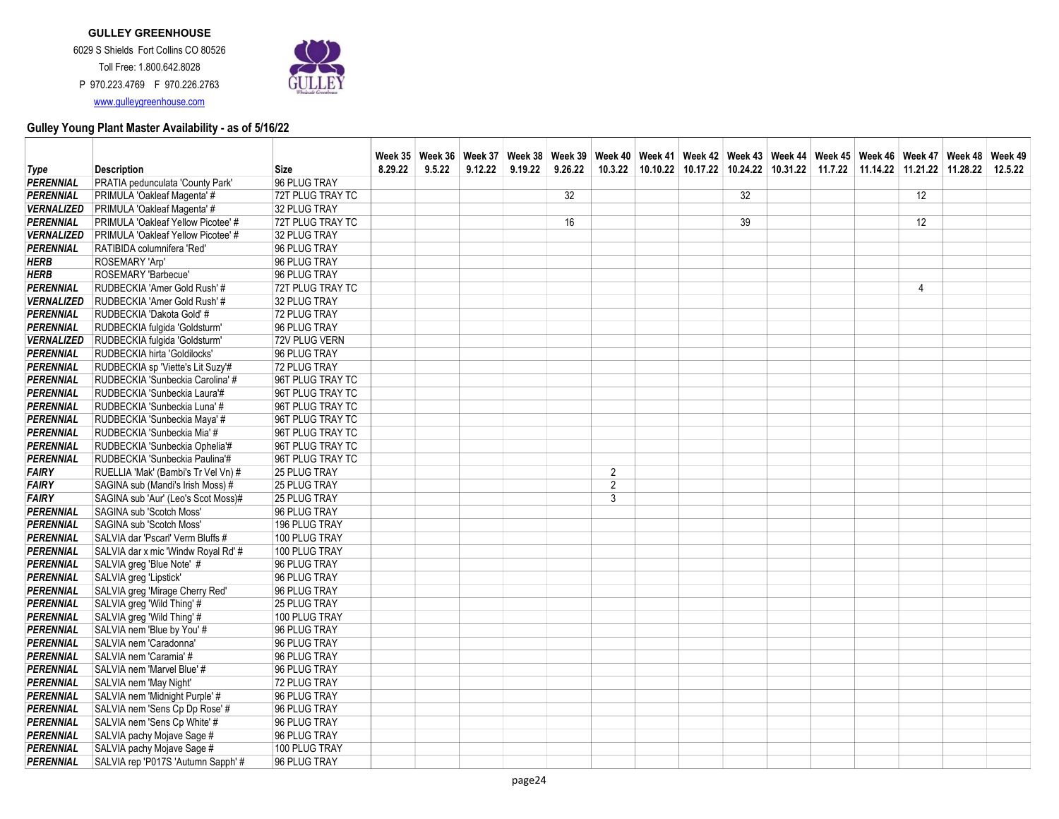

P 970.223.4769 F 970.226.2763 www.gulleygreenhouse.com

|                                      |                                                           |                              |         |        |         |         |         |                |  |    | Week 35   Week 36   Week 37   Week 38   Week 39   Week 40   Week 41   Week 42   Week 43   Week 44   Week 46   Week 46   Week 47   Week 48   Week 49 |  |    |         |
|--------------------------------------|-----------------------------------------------------------|------------------------------|---------|--------|---------|---------|---------|----------------|--|----|-----------------------------------------------------------------------------------------------------------------------------------------------------|--|----|---------|
| Type                                 | <b>Description</b>                                        | <b>Size</b>                  | 8.29.22 | 9.5.22 | 9.12.22 | 9.19.22 | 9.26.22 |                |  |    | $10.3.22$   10.10.22   10.17.22   10.24.22   10.31.22   11.7.22   11.14.22   11.21.22   11.28.22                                                    |  |    | 12.5.22 |
| PERENNIAL                            | PRATIA pedunculata 'County Park'                          | 96 PLUG TRAY                 |         |        |         |         |         |                |  |    |                                                                                                                                                     |  |    |         |
| PERENNIAL                            | PRIMULA 'Oakleaf Magenta' #                               | 72T PLUG TRAY TC             |         |        |         |         | 32      |                |  | 32 |                                                                                                                                                     |  | 12 |         |
| <b>VERNALIZED</b>                    | PRIMULA 'Oakleaf Magenta' #                               | 32 PLUG TRAY                 |         |        |         |         |         |                |  |    |                                                                                                                                                     |  |    |         |
| <b>PERENNIAL</b>                     | PRIMULA 'Oakleaf Yellow Picotee' #                        | 72T PLUG TRAY TC             |         |        |         |         | 16      |                |  | 39 |                                                                                                                                                     |  | 12 |         |
| <b>VERNALIZED</b>                    | PRIMULA 'Oakleaf Yellow Picotee' #                        | 32 PLUG TRAY                 |         |        |         |         |         |                |  |    |                                                                                                                                                     |  |    |         |
| PERENNIAL                            | RATIBIDA columnifera 'Red'                                | 96 PLUG TRAY                 |         |        |         |         |         |                |  |    |                                                                                                                                                     |  |    |         |
| <b>HERB</b>                          | ROSEMARY 'Arp'                                            | 96 PLUG TRAY                 |         |        |         |         |         |                |  |    |                                                                                                                                                     |  |    |         |
| <b>HERB</b>                          | ROSEMARY 'Barbecue'                                       | 96 PLUG TRAY                 |         |        |         |         |         |                |  |    |                                                                                                                                                     |  |    |         |
| PERENNIAL                            | RUDBECKIA 'Amer Gold Rush' #                              | 72T PLUG TRAY TC             |         |        |         |         |         |                |  |    |                                                                                                                                                     |  | 4  |         |
| <i><b>VERNALIZED</b></i>             | RUDBECKIA 'Amer Gold Rush' #                              | 32 PLUG TRAY                 |         |        |         |         |         |                |  |    |                                                                                                                                                     |  |    |         |
| <b>PERENNIAL</b>                     | RUDBECKIA 'Dakota Gold' #                                 | 72 PLUG TRAY                 |         |        |         |         |         |                |  |    |                                                                                                                                                     |  |    |         |
| <b>PERENNIAL</b>                     | RUDBECKIA fulgida 'Goldsturm'                             | 96 PLUG TRAY                 |         |        |         |         |         |                |  |    |                                                                                                                                                     |  |    |         |
| <b>VERNALIZED</b>                    | RUDBECKIA fulgida 'Goldsturm'                             | 72V PLUG VERN                |         |        |         |         |         |                |  |    |                                                                                                                                                     |  |    |         |
| <b>PERENNIAL</b>                     | RUDBECKIA hirta 'Goldilocks'                              | 96 PLUG TRAY                 |         |        |         |         |         |                |  |    |                                                                                                                                                     |  |    |         |
| <b>PERENNIAL</b>                     | RUDBECKIA sp 'Viette's Lit Suzy'#                         | 72 PLUG TRAY                 |         |        |         |         |         |                |  |    |                                                                                                                                                     |  |    |         |
| PERENNIAL                            | RUDBECKIA 'Sunbeckia Carolina' #                          | 96T PLUG TRAY TC             |         |        |         |         |         |                |  |    |                                                                                                                                                     |  |    |         |
| PERENNIAL                            | RUDBECKIA 'Sunbeckia Laura'#                              | 96T PLUG TRAY TC             |         |        |         |         |         |                |  |    |                                                                                                                                                     |  |    |         |
| <b>PERENNIAL</b>                     | RUDBECKIA 'Sunbeckia Luna' #                              | 96T PLUG TRAY TC             |         |        |         |         |         |                |  |    |                                                                                                                                                     |  |    |         |
| PERENNIAL                            | RUDBECKIA 'Sunbeckia Maya' #                              | 96T PLUG TRAY TC             |         |        |         |         |         |                |  |    |                                                                                                                                                     |  |    |         |
| <b>PERENNIAL</b>                     | RUDBECKIA 'Sunbeckia Mia' #                               | 96T PLUG TRAY TC             |         |        |         |         |         |                |  |    |                                                                                                                                                     |  |    |         |
| <b>PERENNIAL</b>                     | RUDBECKIA 'Sunbeckia Ophelia'#                            | 96T PLUG TRAY TC             |         |        |         |         |         |                |  |    |                                                                                                                                                     |  |    |         |
| <b>PERENNIAL</b>                     | RUDBECKIA 'Sunbeckia Paulina'#                            | 96T PLUG TRAY TC             |         |        |         |         |         |                |  |    |                                                                                                                                                     |  |    |         |
| FAIRY                                | RUELLIA 'Mak' (Bambi's Tr Vel Vn) #                       | <b>25 PLUG TRAY</b>          |         |        |         |         |         | $\overline{2}$ |  |    |                                                                                                                                                     |  |    |         |
| <b>FAIRY</b>                         | SAGINA sub (Mandi's Irish Moss) #                         | 25 PLUG TRAY                 |         |        |         |         |         | $\overline{2}$ |  |    |                                                                                                                                                     |  |    |         |
| <b>FAIRY</b>                         | SAGINA sub 'Aur' (Leo's Scot Moss)#                       | 25 PLUG TRAY                 |         |        |         |         |         | 3              |  |    |                                                                                                                                                     |  |    |         |
| PERENNIAL                            | SAGINA sub 'Scotch Moss'                                  | 96 PLUG TRAY                 |         |        |         |         |         |                |  |    |                                                                                                                                                     |  |    |         |
| PERENNIAL                            | SAGINA sub 'Scotch Moss'                                  | 196 PLUG TRAY                |         |        |         |         |         |                |  |    |                                                                                                                                                     |  |    |         |
| <b>PERENNIAL</b>                     | SALVIA dar 'Pscarl' Verm Bluffs #                         | 100 PLUG TRAY                |         |        |         |         |         |                |  |    |                                                                                                                                                     |  |    |         |
| <b>PERENNIAL</b>                     | SALVIA dar x mic 'Windw Royal Rd' #                       | 100 PLUG TRAY                |         |        |         |         |         |                |  |    |                                                                                                                                                     |  |    |         |
| <b>PERENNIAL</b><br><b>PERENNIAL</b> | SALVIA greg 'Blue Note' #                                 | 96 PLUG TRAY<br>96 PLUG TRAY |         |        |         |         |         |                |  |    |                                                                                                                                                     |  |    |         |
| <b>PERENNIAL</b>                     | SALVIA greg 'Lipstick'<br>SALVIA greg 'Mirage Cherry Red' | 96 PLUG TRAY                 |         |        |         |         |         |                |  |    |                                                                                                                                                     |  |    |         |
| <b>PERENNIAL</b>                     | SALVIA greg 'Wild Thing' #                                | 25 PLUG TRAY                 |         |        |         |         |         |                |  |    |                                                                                                                                                     |  |    |         |
| <b>PERENNIAL</b>                     | SALVIA greg 'Wild Thing' #                                | 100 PLUG TRAY                |         |        |         |         |         |                |  |    |                                                                                                                                                     |  |    |         |
| <b>PERENNIAL</b>                     | SALVIA nem 'Blue by You' #                                | 96 PLUG TRAY                 |         |        |         |         |         |                |  |    |                                                                                                                                                     |  |    |         |
| <b>PERENNIAL</b>                     | SALVIA nem 'Caradonna'                                    | 96 PLUG TRAY                 |         |        |         |         |         |                |  |    |                                                                                                                                                     |  |    |         |
| <b>PERENNIAL</b>                     | SALVIA nem 'Caramia' #                                    | 96 PLUG TRAY                 |         |        |         |         |         |                |  |    |                                                                                                                                                     |  |    |         |
| <b>PERENNIAL</b>                     | SALVIA nem 'Marvel Blue' #                                | 96 PLUG TRAY                 |         |        |         |         |         |                |  |    |                                                                                                                                                     |  |    |         |
| PERENNIAL                            | SALVIA nem 'May Night'                                    | 72 PLUG TRAY                 |         |        |         |         |         |                |  |    |                                                                                                                                                     |  |    |         |
| <b>PERENNIAL</b>                     | SALVIA nem 'Midnight Purple' #                            | 96 PLUG TRAY                 |         |        |         |         |         |                |  |    |                                                                                                                                                     |  |    |         |
| PERENNIAL                            | SALVIA nem 'Sens Cp Dp Rose' #                            | 96 PLUG TRAY                 |         |        |         |         |         |                |  |    |                                                                                                                                                     |  |    |         |
| <b>PERENNIAL</b>                     | SALVIA nem 'Sens Cp White' #                              | 96 PLUG TRAY                 |         |        |         |         |         |                |  |    |                                                                                                                                                     |  |    |         |
| <b>PERENNIAL</b>                     | SALVIA pachy Mojave Sage #                                | 96 PLUG TRAY                 |         |        |         |         |         |                |  |    |                                                                                                                                                     |  |    |         |
| <b>PERENNIAL</b>                     | SALVIA pachy Mojave Sage #                                | 100 PLUG TRAY                |         |        |         |         |         |                |  |    |                                                                                                                                                     |  |    |         |
| <b>PERENNIAL</b>                     | SALVIA rep 'P017S 'Autumn Sapph' #                        | 96 PLUG TRAY                 |         |        |         |         |         |                |  |    |                                                                                                                                                     |  |    |         |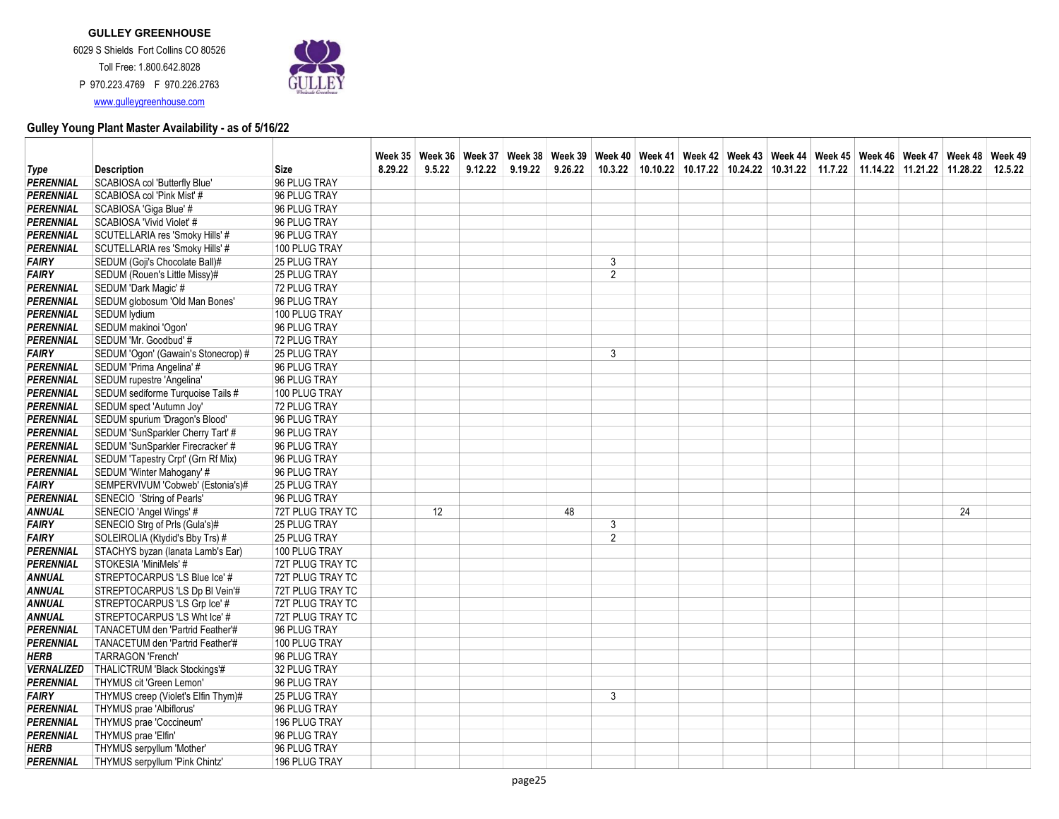

|                   |                                     |                     |         |        |         |         |         |                |  |  |  | Week 35   Week 36   Week 37   Week 38   Week 39   Week 40   Week 41   Week 42   Week 43   Week 45   Week 46   Week 47   Week 48   Week 48   Week 48 |    |         |
|-------------------|-------------------------------------|---------------------|---------|--------|---------|---------|---------|----------------|--|--|--|-----------------------------------------------------------------------------------------------------------------------------------------------------|----|---------|
| Type              | <b>Description</b>                  | Size                | 8.29.22 | 9.5.22 | 9.12.22 | 9.19.22 | 9.26.22 | 10.3.22        |  |  |  | $10.10.22$   10.17.22   10.24.22   10.31.22   11.7.22   11.14.22   11.21.22   11.28.22                                                              |    | 12.5.22 |
| PERENNIAL         | SCABIOSA col 'Butterfly Blue'       | 96 PLUG TRAY        |         |        |         |         |         |                |  |  |  |                                                                                                                                                     |    |         |
| <b>PERENNIAL</b>  | SCABIOSA col 'Pink Mist' #          | 96 PLUG TRAY        |         |        |         |         |         |                |  |  |  |                                                                                                                                                     |    |         |
| <b>PERENNIAL</b>  | SCABIOSA 'Giga Blue' #              | 96 PLUG TRAY        |         |        |         |         |         |                |  |  |  |                                                                                                                                                     |    |         |
| <b>PERENNIAL</b>  | SCABIOSA 'Vivid Violet' #           | 96 PLUG TRAY        |         |        |         |         |         |                |  |  |  |                                                                                                                                                     |    |         |
| <b>PERENNIAL</b>  | SCUTELLARIA res 'Smoky Hills' #     | 96 PLUG TRAY        |         |        |         |         |         |                |  |  |  |                                                                                                                                                     |    |         |
| PERENNIAL         | SCUTELLARIA res 'Smoky Hills' #     | 100 PLUG TRAY       |         |        |         |         |         |                |  |  |  |                                                                                                                                                     |    |         |
| <b>FAIRY</b>      | SEDUM (Goji's Chocolate Ball)#      | 25 PLUG TRAY        |         |        |         |         |         | 3              |  |  |  |                                                                                                                                                     |    |         |
| <b>FAIRY</b>      | SEDUM (Rouen's Little Missy)#       | 25 PLUG TRAY        |         |        |         |         |         | $\overline{2}$ |  |  |  |                                                                                                                                                     |    |         |
| <b>PERENNIAL</b>  | SEDUM 'Dark Magic' #                | 72 PLUG TRAY        |         |        |         |         |         |                |  |  |  |                                                                                                                                                     |    |         |
| <b>PERENNIAL</b>  | SEDUM globosum 'Old Man Bones'      | 96 PLUG TRAY        |         |        |         |         |         |                |  |  |  |                                                                                                                                                     |    |         |
| <b>PERENNIAL</b>  | <b>SEDUM</b> lydium                 | 100 PLUG TRAY       |         |        |         |         |         |                |  |  |  |                                                                                                                                                     |    |         |
| <b>PERENNIAL</b>  | SEDUM makinoi 'Ogon'                | 96 PLUG TRAY        |         |        |         |         |         |                |  |  |  |                                                                                                                                                     |    |         |
| PERENNIAL         | SEDUM 'Mr. Goodbud' #               | 72 PLUG TRAY        |         |        |         |         |         |                |  |  |  |                                                                                                                                                     |    |         |
| <b>FAIRY</b>      | SEDUM 'Ogon' (Gawain's Stonecrop) # | 25 PLUG TRAY        |         |        |         |         |         | 3              |  |  |  |                                                                                                                                                     |    |         |
| <b>PERENNIAL</b>  | SEDUM 'Prima Angelina' #            | 96 PLUG TRAY        |         |        |         |         |         |                |  |  |  |                                                                                                                                                     |    |         |
| <b>PERENNIAL</b>  | SEDUM rupestre 'Angelina'           | 96 PLUG TRAY        |         |        |         |         |         |                |  |  |  |                                                                                                                                                     |    |         |
| PERENNIAL         | SEDUM sediforme Turquoise Tails #   | 100 PLUG TRAY       |         |        |         |         |         |                |  |  |  |                                                                                                                                                     |    |         |
| <b>PERENNIAL</b>  | SEDUM spect 'Autumn Joy'            | 72 PLUG TRAY        |         |        |         |         |         |                |  |  |  |                                                                                                                                                     |    |         |
| PERENNIAL         | SEDUM spurium 'Dragon's Blood'      | 96 PLUG TRAY        |         |        |         |         |         |                |  |  |  |                                                                                                                                                     |    |         |
| <b>PERENNIAL</b>  | SEDUM 'SunSparkler Cherry Tart' #   | 96 PLUG TRAY        |         |        |         |         |         |                |  |  |  |                                                                                                                                                     |    |         |
| <b>PERENNIAL</b>  | SEDUM 'SunSparkler Firecracker' #   | 96 PLUG TRAY        |         |        |         |         |         |                |  |  |  |                                                                                                                                                     |    |         |
| <b>PERENNIAL</b>  | SEDUM 'Tapestry Crpt' (Grn Rf Mix)  | 96 PLUG TRAY        |         |        |         |         |         |                |  |  |  |                                                                                                                                                     |    |         |
| <b>PERENNIAL</b>  | SEDUM 'Winter Mahogany' #           | 96 PLUG TRAY        |         |        |         |         |         |                |  |  |  |                                                                                                                                                     |    |         |
| <b>FAIRY</b>      | SEMPERVIVUM 'Cobweb' (Estonia's)#   | 25 PLUG TRAY        |         |        |         |         |         |                |  |  |  |                                                                                                                                                     |    |         |
| <b>PERENNIAL</b>  | SENECIO 'String of Pearls'          | 96 PLUG TRAY        |         |        |         |         |         |                |  |  |  |                                                                                                                                                     |    |         |
| ANNUAL            | SENECIO 'Angel Wings' #             | 72T PLUG TRAY TC    |         | 12     |         |         | 48      |                |  |  |  |                                                                                                                                                     | 24 |         |
| <b>FAIRY</b>      | SENECIO Strg of Prls (Gula's)#      | 25 PLUG TRAY        |         |        |         |         |         | 3              |  |  |  |                                                                                                                                                     |    |         |
| <b>FAIRY</b>      | SOLEIROLIA (Ktydid's Bby Trs) #     | 25 PLUG TRAY        |         |        |         |         |         | 2              |  |  |  |                                                                                                                                                     |    |         |
| PERENNIAL         | STACHYS byzan (lanata Lamb's Ear)   | 100 PLUG TRAY       |         |        |         |         |         |                |  |  |  |                                                                                                                                                     |    |         |
| <b>PERENNIAL</b>  | STOKESIA 'MiniMels' #               | 72T PLUG TRAY TC    |         |        |         |         |         |                |  |  |  |                                                                                                                                                     |    |         |
| <b>ANNUAL</b>     | STREPTOCARPUS 'LS Blue Ice' #       | 72T PLUG TRAY TC    |         |        |         |         |         |                |  |  |  |                                                                                                                                                     |    |         |
| <b>ANNUAL</b>     | STREPTOCARPUS 'LS Dp BI Vein'#      | 72T PLUG TRAY TC    |         |        |         |         |         |                |  |  |  |                                                                                                                                                     |    |         |
| <b>ANNUAL</b>     | STREPTOCARPUS 'LS Grp Ice' #        | 72T PLUG TRAY TC    |         |        |         |         |         |                |  |  |  |                                                                                                                                                     |    |         |
| <b>ANNUAL</b>     | STREPTOCARPUS 'LS Wht Ice' #        | 72T PLUG TRAY TC    |         |        |         |         |         |                |  |  |  |                                                                                                                                                     |    |         |
| PERENNIAL         | TANACETUM den 'Partrid Feather'#    | 96 PLUG TRAY        |         |        |         |         |         |                |  |  |  |                                                                                                                                                     |    |         |
| <b>PERENNIAL</b>  | TANACETUM den 'Partrid Feather'#    | 100 PLUG TRAY       |         |        |         |         |         |                |  |  |  |                                                                                                                                                     |    |         |
| <b>HERB</b>       | <b>TARRAGON 'French'</b>            | 96 PLUG TRAY        |         |        |         |         |         |                |  |  |  |                                                                                                                                                     |    |         |
| <b>VERNALIZED</b> | THALICTRUM 'Black Stockings'#       | 32 PLUG TRAY        |         |        |         |         |         |                |  |  |  |                                                                                                                                                     |    |         |
| <b>PERENNIAL</b>  | THYMUS cit 'Green Lemon'            | 96 PLUG TRAY        |         |        |         |         |         |                |  |  |  |                                                                                                                                                     |    |         |
| <b>FAIRY</b>      | THYMUS creep (Violet's Elfin Thym)# | <b>25 PLUG TRAY</b> |         |        |         |         |         | 3              |  |  |  |                                                                                                                                                     |    |         |
| PERENNIAL         | THYMUS prae 'Albiflorus'            | 96 PLUG TRAY        |         |        |         |         |         |                |  |  |  |                                                                                                                                                     |    |         |
| PERENNIAL         | THYMUS prae 'Coccineum'             | 196 PLUG TRAY       |         |        |         |         |         |                |  |  |  |                                                                                                                                                     |    |         |
| PERENNIAL         | THYMUS prae 'Elfin'                 | 96 PLUG TRAY        |         |        |         |         |         |                |  |  |  |                                                                                                                                                     |    |         |
| <b>HERB</b>       | THYMUS serpyllum 'Mother'           | 96 PLUG TRAY        |         |        |         |         |         |                |  |  |  |                                                                                                                                                     |    |         |
| <b>PERENNIAL</b>  | THYMUS serpyllum 'Pink Chintz'      | 196 PLUG TRAY       |         |        |         |         |         |                |  |  |  |                                                                                                                                                     |    |         |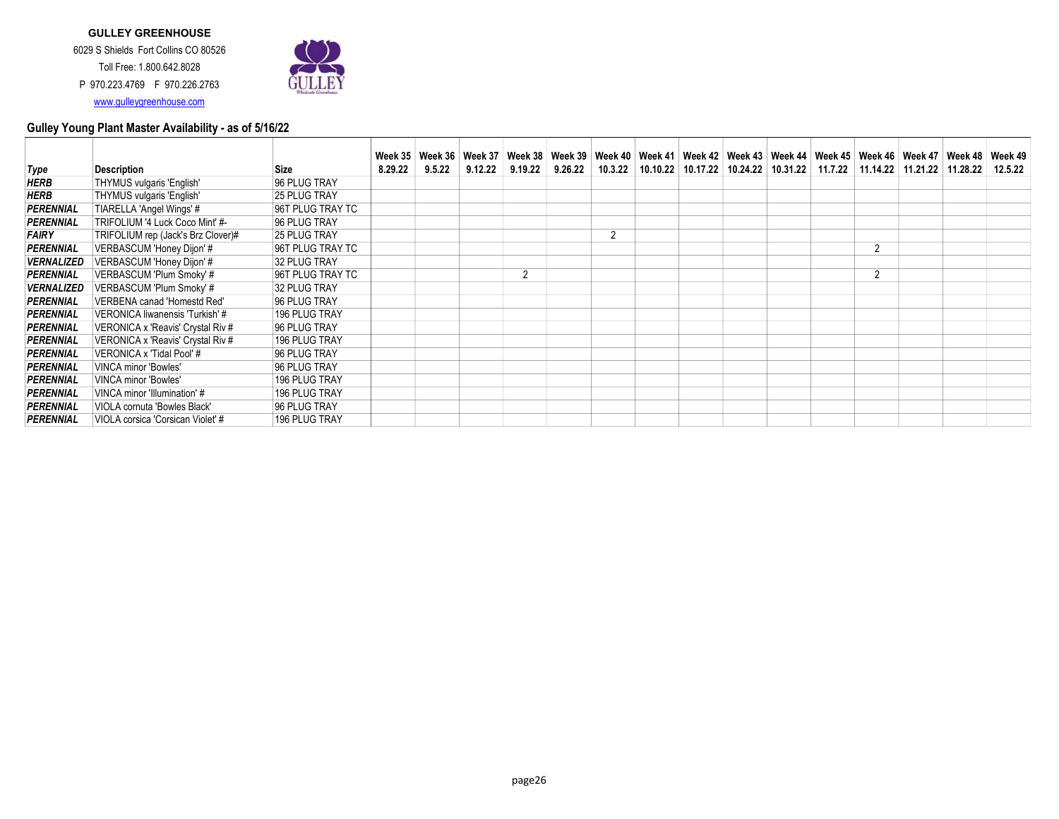

| <b>Description</b>                 | <b>Size</b>         | 9.5.22 |         |                          | 9.26.22 |         |                             |  |  |                |  |                                                                                                                                                                                                               |
|------------------------------------|---------------------|--------|---------|--------------------------|---------|---------|-----------------------------|--|--|----------------|--|---------------------------------------------------------------------------------------------------------------------------------------------------------------------------------------------------------------|
| THYMUS vulgaris 'English'          | 96 PLUG TRAY        |        |         |                          |         |         |                             |  |  |                |  |                                                                                                                                                                                                               |
| THYMUS vulgaris 'English'          | 25 PLUG TRAY        |        |         |                          |         |         |                             |  |  |                |  |                                                                                                                                                                                                               |
| TIARELLA 'Angel Wings' #           | 96T PLUG TRAY TC    |        |         |                          |         |         |                             |  |  |                |  |                                                                                                                                                                                                               |
| TRIFOLIUM '4 Luck Coco Mint' #-    | 96 PLUG TRAY        |        |         |                          |         |         |                             |  |  |                |  |                                                                                                                                                                                                               |
| TRIFOLIUM rep (Jack's Brz Clover)# | <b>25 PLUG TRAY</b> |        |         |                          |         | 2       |                             |  |  |                |  |                                                                                                                                                                                                               |
| VERBASCUM 'Honey Dijon' #          | 96T PLUG TRAY TC    |        |         |                          |         |         |                             |  |  | $\overline{2}$ |  |                                                                                                                                                                                                               |
| VERBASCUM 'Honey Dijon' #          | 32 PLUG TRAY        |        |         |                          |         |         |                             |  |  |                |  |                                                                                                                                                                                                               |
| VERBASCUM 'Plum Smoky' #           | 96T PLUG TRAY TC    |        |         | $\overline{2}$           |         |         |                             |  |  | C              |  |                                                                                                                                                                                                               |
| VERBASCUM 'Plum Smoky' #           | 32 PLUG TRAY        |        |         |                          |         |         |                             |  |  |                |  |                                                                                                                                                                                                               |
| VERBENA canad 'Homestd Red'        | 96 PLUG TRAY        |        |         |                          |         |         |                             |  |  |                |  |                                                                                                                                                                                                               |
| VERONICA liwanensis 'Turkish' #    | 196 PLUG TRAY       |        |         |                          |         |         |                             |  |  |                |  |                                                                                                                                                                                                               |
| VERONICA x 'Reavis' Crystal Riv #  | 96 PLUG TRAY        |        |         |                          |         |         |                             |  |  |                |  |                                                                                                                                                                                                               |
| VERONICA x 'Reavis' Crystal Riv #  | 196 PLUG TRAY       |        |         |                          |         |         |                             |  |  |                |  |                                                                                                                                                                                                               |
| VERONICA x 'Tidal Pool' #          | 96 PLUG TRAY        |        |         |                          |         |         |                             |  |  |                |  |                                                                                                                                                                                                               |
| <b>VINCA minor 'Bowles'</b>        | 96 PLUG TRAY        |        |         |                          |         |         |                             |  |  |                |  |                                                                                                                                                                                                               |
| <b>VINCA minor 'Bowles'</b>        | 196 PLUG TRAY       |        |         |                          |         |         |                             |  |  |                |  |                                                                                                                                                                                                               |
| VINCA minor 'Illumination' #       | 196 PLUG TRAY       |        |         |                          |         |         |                             |  |  |                |  |                                                                                                                                                                                                               |
| VIOLA cornuta 'Bowles Black'       | 96 PLUG TRAY        |        |         |                          |         |         |                             |  |  |                |  |                                                                                                                                                                                                               |
| VIOLA corsica 'Corsican Violet' #  | 196 PLUG TRAY       |        |         |                          |         |         |                             |  |  |                |  |                                                                                                                                                                                                               |
|                                    |                     |        | 8.29.22 | Week $35 \mid$ Week $36$ | 9.12.22 | 9.19.22 | Week 37   Week 38   Week 39 |  |  |                |  | Week 40   Week 41   Week 42   Week 43   Week 44   Week 45   Week 46   Week 47   Week 48   Week 49<br>10.3.22   10.10.22   10.17.22   10.24.22   10.31.22   11.7.22   11.14.22   11.21.22   11.28.22   12.5.22 |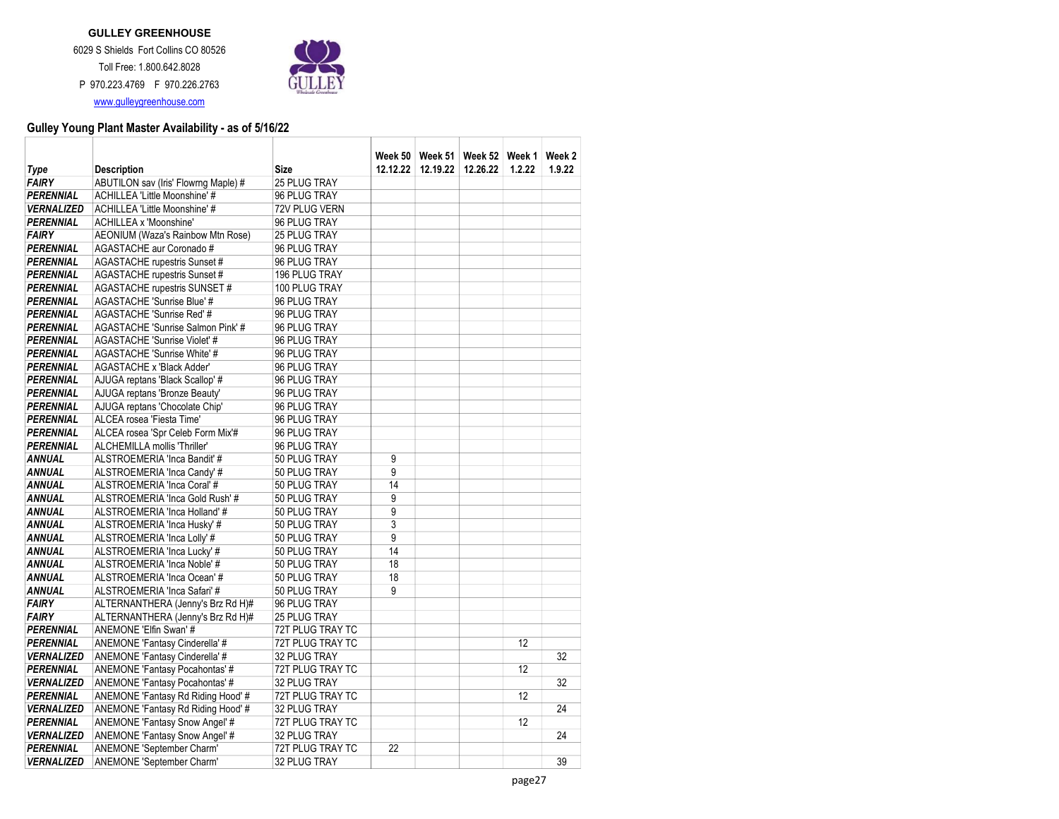

|                   |                                      |                      |                | Week 50   Week 51 | Week 52 Neek 1 |        | Week 2 |
|-------------------|--------------------------------------|----------------------|----------------|-------------------|----------------|--------|--------|
| Type              | <b>Description</b>                   | <b>Size</b>          | 12.12.22       | 12.19.22          | 12.26.22       | 1.2.22 | 1.9.22 |
| <b>FAIRY</b>      | ABUTILON sav (Iris' Flowrng Maple) # | 25 PLUG TRAY         |                |                   |                |        |        |
| <b>PERENNIAL</b>  | ACHILLEA 'Little Moonshine' #        | 96 PLUG TRAY         |                |                   |                |        |        |
| <b>VERNALIZED</b> | ACHILLEA 'Little Moonshine' #        | 72V PLUG VERN        |                |                   |                |        |        |
| PERENNIAL         | ACHILLEA x 'Moonshine'               | 96 PLUG TRAY         |                |                   |                |        |        |
| <b>FAIRY</b>      | AEONIUM (Waza's Rainbow Mtn Rose)    | 25 PLUG TRAY         |                |                   |                |        |        |
| PERENNIAL         | AGASTACHE aur Coronado #             | 96 PLUG TRAY         |                |                   |                |        |        |
| <b>PERENNIAL</b>  | <b>AGASTACHE</b> rupestris Sunset #  | 96 PLUG TRAY         |                |                   |                |        |        |
| <b>PERENNIAL</b>  | AGASTACHE rupestris Sunset #         | <b>196 PLUG TRAY</b> |                |                   |                |        |        |
| <b>PERENNIAL</b>  | AGASTACHE rupestris SUNSET #         | 100 PLUG TRAY        |                |                   |                |        |        |
| <b>PERENNIAL</b>  | AGASTACHE 'Sunrise Blue' #           | 96 PLUG TRAY         |                |                   |                |        |        |
| PERENNIAL         | AGASTACHE 'Sunrise Red' #            | 96 PLUG TRAY         |                |                   |                |        |        |
| <b>PERENNIAL</b>  | AGASTACHE 'Sunrise Salmon Pink' #    | 96 PLUG TRAY         |                |                   |                |        |        |
| <b>PERENNIAL</b>  | AGASTACHE 'Sunrise Violet' #         | 96 PLUG TRAY         |                |                   |                |        |        |
| PERENNIAL         | AGASTACHE 'Sunrise White' #          | 96 PLUG TRAY         |                |                   |                |        |        |
| <b>PERENNIAL</b>  | AGASTACHE x 'Black Adder'            | 96 PLUG TRAY         |                |                   |                |        |        |
| <b>PERENNIAL</b>  | AJUGA reptans 'Black Scallop' #      | 96 PLUG TRAY         |                |                   |                |        |        |
| PERENNIAL         | AJUGA reptans 'Bronze Beauty'        | 96 PLUG TRAY         |                |                   |                |        |        |
| <b>PERENNIAL</b>  | AJUGA reptans 'Chocolate Chip'       | 96 PLUG TRAY         |                |                   |                |        |        |
| <b>PERENNIAL</b>  | ALCEA rosea 'Fiesta Time'            | 96 PLUG TRAY         |                |                   |                |        |        |
| <b>PERENNIAL</b>  | ALCEA rosea 'Spr Celeb Form Mix'#    | 96 PLUG TRAY         |                |                   |                |        |        |
| <b>PERENNIAL</b>  | ALCHEMILLA mollis 'Thriller'         | 96 PLUG TRAY         |                |                   |                |        |        |
| ANNUAL            | ALSTROEMERIA 'Inca Bandit' #         | 50 PLUG TRAY         | 9              |                   |                |        |        |
| <b>ANNUAL</b>     | ALSTROEMERIA 'Inca Candy' #          | 50 PLUG TRAY         | 9              |                   |                |        |        |
| <b>ANNUAL</b>     | ALSTROEMERIA 'Inca Coral' #          | 50 PLUG TRAY         | 14             |                   |                |        |        |
| <b>ANNUAL</b>     | ALSTROEMERIA 'Inca Gold Rush' #      | 50 PLUG TRAY         | 9              |                   |                |        |        |
| <b>ANNUAL</b>     | ALSTROEMERIA 'Inca Holland' #        | 50 PLUG TRAY         | 9              |                   |                |        |        |
| <b>ANNUAL</b>     | ALSTROEMERIA 'Inca Husky' #          | 50 PLUG TRAY         | $\overline{3}$ |                   |                |        |        |
| <b>ANNUAL</b>     | ALSTROEMERIA 'Inca Lolly' #          | 50 PLUG TRAY         | 9              |                   |                |        |        |
| <b>ANNUAL</b>     | ALSTROEMERIA 'Inca Lucky' #          | 50 PLUG TRAY         | 14             |                   |                |        |        |
| <b>ANNUAL</b>     | ALSTROEMERIA 'Inca Noble' #          | 50 PLUG TRAY         | 18             |                   |                |        |        |
| <b>ANNUAL</b>     | ALSTROEMERIA 'Inca Ocean' #          | 50 PLUG TRAY         | 18             |                   |                |        |        |
| <b>ANNUAL</b>     | ALSTROEMERIA 'Inca Safari' #         | 50 PLUG TRAY         | 9              |                   |                |        |        |
| <b>FAIRY</b>      | ALTERNANTHERA (Jenny's Brz Rd H)#    | 96 PLUG TRAY         |                |                   |                |        |        |
| <b>FAIRY</b>      | ALTERNANTHERA (Jenny's Brz Rd H)#    | 25 PLUG TRAY         |                |                   |                |        |        |
| PERENNIAL         | ANEMONE 'Elfin Swan' #               | 72T PLUG TRAY TC     |                |                   |                |        |        |
| <b>PERENNIAL</b>  | ANEMONE 'Fantasy Cinderella' #       | 72T PLUG TRAY TC     |                |                   |                | 12     |        |
| <b>VERNALIZED</b> | ANEMONE 'Fantasy Cinderella' #       | 32 PLUG TRAY         |                |                   |                |        | 32     |
| PERENNIAL         | ANEMONE 'Fantasy Pocahontas' #       | 72T PLUG TRAY TC     |                |                   |                | 12     |        |
| <b>VERNALIZED</b> | ANEMONE 'Fantasy Pocahontas' #       | 32 PLUG TRAY         |                |                   |                |        | 32     |
| <b>PERENNIAL</b>  | ANEMONE 'Fantasy Rd Riding Hood' #   | 72T PLUG TRAY TC     |                |                   |                | 12     |        |
| <b>VERNALIZED</b> | ANEMONE 'Fantasy Rd Riding Hood' #   | 32 PLUG TRAY         |                |                   |                |        | 24     |
| <b>PERENNIAL</b>  | ANEMONE 'Fantasy Snow Angel' #       | 72T PLUG TRAY TC     |                |                   |                | 12     |        |
| <b>VERNALIZED</b> | ANEMONE 'Fantasy Snow Angel' #       | 32 PLUG TRAY         |                |                   |                |        | 24     |
| <b>PERENNIAL</b>  | ANEMONE 'September Charm'            | 72T PLUG TRAY TC     | 22             |                   |                |        |        |
| <b>VERNALIZED</b> | ANEMONE 'September Charm'            | 32 PLUG TRAY         |                |                   |                |        | 39     |
|                   |                                      |                      |                |                   |                |        |        |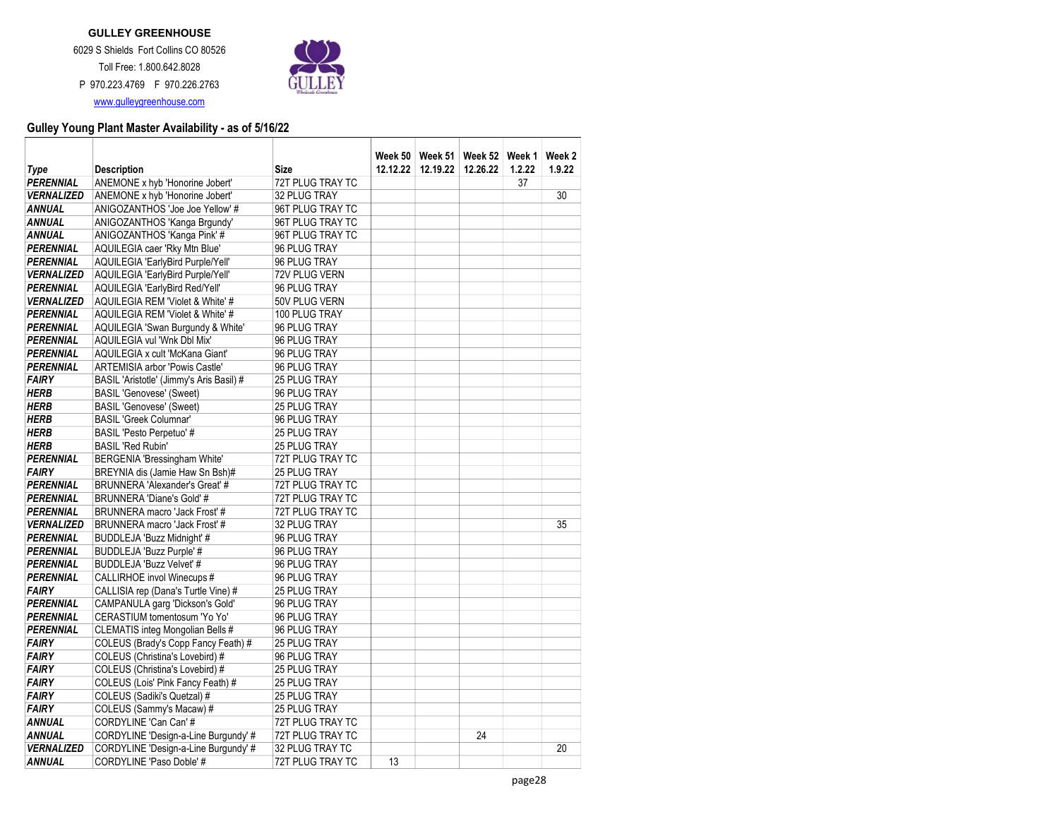

|                   |                                          |                  | Week 50 l |          | Week 51   Week 52   Week 1 |        | Week 2 |
|-------------------|------------------------------------------|------------------|-----------|----------|----------------------------|--------|--------|
| Type              | <b>Description</b>                       | <b>Size</b>      | 12.12.22  | 12.19.22 | 12.26.22                   | 1.2.22 | 1.9.22 |
| <b>PERENNIAL</b>  | ANEMONE x hyb 'Honorine Jobert'          | 72T PLUG TRAY TC |           |          |                            | 37     |        |
| <b>VERNALIZED</b> | ANEMONE x hyb 'Honorine Jobert'          | 32 PLUG TRAY     |           |          |                            |        | 30     |
| <b>ANNUAL</b>     | ANIGOZANTHOS 'Joe Joe Yellow' #          | 96T PLUG TRAY TC |           |          |                            |        |        |
| <b>ANNUAL</b>     | ANIGOZANTHOS 'Kanga Brgundy'             | 96T PLUG TRAY TC |           |          |                            |        |        |
| <b>ANNUAL</b>     | ANIGOZANTHOS 'Kanga Pink' #              | 96T PLUG TRAY TC |           |          |                            |        |        |
| <b>PERENNIAL</b>  | AQUILEGIA caer 'Rky Mtn Blue'            | 96 PLUG TRAY     |           |          |                            |        |        |
| <b>PERENNIAL</b>  | AQUILEGIA 'EarlyBird Purple/Yell'        | 96 PLUG TRAY     |           |          |                            |        |        |
| <b>VERNALIZED</b> | AQUILEGIA 'EarlyBird Purple/Yell'        | 72V PLUG VERN    |           |          |                            |        |        |
| <b>PERENNIAL</b>  | AQUILEGIA 'EarlyBird Red/Yell'           | 96 PLUG TRAY     |           |          |                            |        |        |
| <b>VERNALIZED</b> | AQUILEGIA REM 'Violet & White' #         | 50V PLUG VERN    |           |          |                            |        |        |
| <b>PERENNIAL</b>  | AQUILEGIA REM 'Violet & White' #         | 100 PLUG TRAY    |           |          |                            |        |        |
| PERENNIAL         | AQUILEGIA 'Swan Burgundy & White'        | 96 PLUG TRAY     |           |          |                            |        |        |
| <b>PERENNIAL</b>  | AQUILEGIA vul 'Wnk Dbl Mix'              | 96 PLUG TRAY     |           |          |                            |        |        |
| <b>PERENNIAL</b>  | AQUILEGIA x cult 'McKana Giant'          | 96 PLUG TRAY     |           |          |                            |        |        |
| <b>PERENNIAL</b>  | ARTEMISIA arbor 'Powis Castle'           | 96 PLUG TRAY     |           |          |                            |        |        |
| <b>FAIRY</b>      | BASIL 'Aristotle' (Jimmy's Aris Basil) # | 25 PLUG TRAY     |           |          |                            |        |        |
| <b>HERB</b>       | <b>BASIL 'Genovese' (Sweet)</b>          | 96 PLUG TRAY     |           |          |                            |        |        |
| <b>HERB</b>       | <b>BASIL 'Genovese' (Sweet)</b>          | 25 PLUG TRAY     |           |          |                            |        |        |
| <b>HERB</b>       | <b>BASIL 'Greek Columnar'</b>            | 96 PLUG TRAY     |           |          |                            |        |        |
| <b>HERB</b>       | <b>BASIL 'Pesto Perpetuo' #</b>          | 25 PLUG TRAY     |           |          |                            |        |        |
| <b>HERB</b>       | <b>BASIL 'Red Rubin'</b>                 | 25 PLUG TRAY     |           |          |                            |        |        |
| <b>PERENNIAL</b>  | BERGENIA 'Bressingham White'             | 72T PLUG TRAY TC |           |          |                            |        |        |
| <b>FAIRY</b>      | BREYNIA dis (Jamie Haw Sn Bsh)#          | 25 PLUG TRAY     |           |          |                            |        |        |
| <b>PERENNIAL</b>  | BRUNNERA 'Alexander's Great' #           | 72T PLUG TRAY TC |           |          |                            |        |        |
| <b>PERENNIAL</b>  | BRUNNERA 'Diane's Gold' #                | 72T PLUG TRAY TC |           |          |                            |        |        |
| <b>PERENNIAL</b>  | BRUNNERA macro 'Jack Frost' #            | 72T PLUG TRAY TC |           |          |                            |        |        |
| <b>VERNALIZED</b> | BRUNNERA macro 'Jack Frost' #            | 32 PLUG TRAY     |           |          |                            |        | 35     |
| <b>PERENNIAL</b>  | BUDDLEJA 'Buzz Midnight' #               | 96 PLUG TRAY     |           |          |                            |        |        |
| <b>PERENNIAL</b>  | BUDDLEJA 'Buzz Purple' #                 | 96 PLUG TRAY     |           |          |                            |        |        |
| PERENNIAL         | BUDDLEJA 'Buzz Velvet' #                 | 96 PLUG TRAY     |           |          |                            |        |        |
| <b>PERENNIAL</b>  | CALLIRHOE invol Winecups #               | 96 PLUG TRAY     |           |          |                            |        |        |
| <b>FAIRY</b>      | CALLISIA rep (Dana's Turtle Vine) #      | 25 PLUG TRAY     |           |          |                            |        |        |
| <b>PERENNIAL</b>  | CAMPANULA garg 'Dickson's Gold'          | 96 PLUG TRAY     |           |          |                            |        |        |
| <b>PERENNIAL</b>  | CERASTIUM tomentosum 'Yo Yo'             | 96 PLUG TRAY     |           |          |                            |        |        |
| <b>PERENNIAL</b>  | CLEMATIS integ Mongolian Bells #         | 96 PLUG TRAY     |           |          |                            |        |        |
| <b>FAIRY</b>      | COLEUS (Brady's Copp Fancy Feath) #      | 25 PLUG TRAY     |           |          |                            |        |        |
| <b>FAIRY</b>      | COLEUS (Christina's Lovebird) #          | 96 PLUG TRAY     |           |          |                            |        |        |
| <b>FAIRY</b>      | COLEUS (Christina's Lovebird) #          | 25 PLUG TRAY     |           |          |                            |        |        |
| <b>FAIRY</b>      | COLEUS (Lois' Pink Fancy Feath) #        | 25 PLUG TRAY     |           |          |                            |        |        |
| <b>FAIRY</b>      | COLEUS (Sadiki's Quetzal) #              | 25 PLUG TRAY     |           |          |                            |        |        |
| <b>FAIRY</b>      | COLEUS (Sammy's Macaw) #                 | 25 PLUG TRAY     |           |          |                            |        |        |
| <b>ANNUAL</b>     | CORDYLINE 'Can Can' #                    | 72T PLUG TRAY TC |           |          |                            |        |        |
| <b>ANNUAL</b>     | CORDYLINE 'Design-a-Line Burgundy' #     | 72T PLUG TRAY TC |           |          | 24                         |        |        |
| <b>VERNALIZED</b> | CORDYLINE 'Design-a-Line Burgundy' #     | 32 PLUG TRAY TC  |           |          |                            |        | 20     |
| <b>ANNUAL</b>     | CORDYLINE 'Paso Doble' #                 | 72T PLUG TRAY TC | 13        |          |                            |        |        |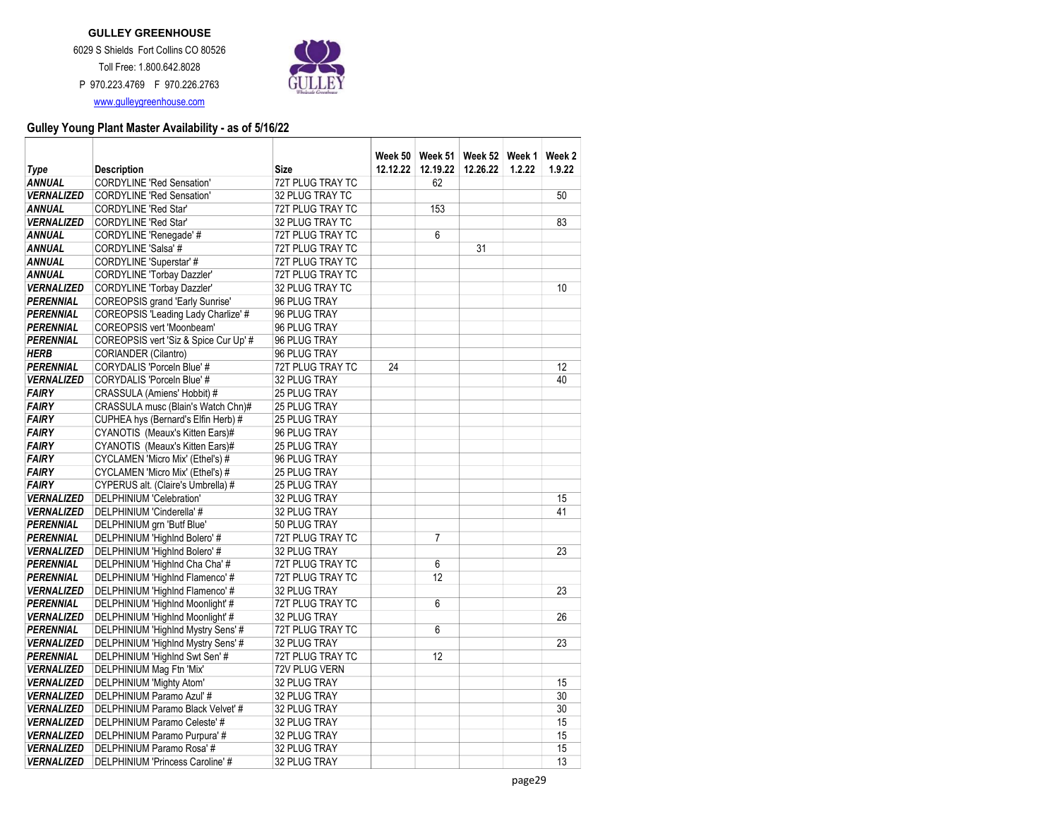

| Type              | <b>Description</b>                     | <b>Size</b>      | Week 50 l<br>12.12.22 | 12.19.22       | Week 51   Week 52   Week 1<br>12.26.22 | 1.2.22 | Week 2<br>1.9.22 |
|-------------------|----------------------------------------|------------------|-----------------------|----------------|----------------------------------------|--------|------------------|
| <b>ANNUAL</b>     | <b>CORDYLINE 'Red Sensation'</b>       | 72T PLUG TRAY TC |                       | 62             |                                        |        |                  |
| <b>VERNALIZED</b> | <b>CORDYLINE 'Red Sensation'</b>       | 32 PLUG TRAY TC  |                       |                |                                        |        | 50               |
| <b>ANNUAL</b>     | <b>CORDYLINE 'Red Star'</b>            | 72T PLUG TRAY TC |                       | 153            |                                        |        |                  |
| <b>VERNALIZED</b> | <b>CORDYLINE 'Red Star'</b>            | 32 PLUG TRAY TC  |                       |                |                                        |        | 83               |
| <b>ANNUAL</b>     | CORDYLINE 'Renegade' #                 | 72T PLUG TRAY TC |                       | 6              |                                        |        |                  |
| <b>ANNUAL</b>     | CORDYLINE 'Salsa' #                    | 72T PLUG TRAY TC |                       |                | 31                                     |        |                  |
| <b>ANNUAL</b>     | CORDYLINE 'Superstar' #                | 72T PLUG TRAY TC |                       |                |                                        |        |                  |
| <b>ANNUAL</b>     | <b>CORDYLINE 'Torbay Dazzler'</b>      | 72T PLUG TRAY TC |                       |                |                                        |        |                  |
| <b>VERNALIZED</b> | <b>CORDYLINE 'Torbay Dazzler'</b>      | 32 PLUG TRAY TC  |                       |                |                                        |        | 10               |
| <b>PERENNIAL</b>  | <b>COREOPSIS</b> grand 'Early Sunrise' | 96 PLUG TRAY     |                       |                |                                        |        |                  |
| <b>PERENNIAL</b>  | COREOPSIS 'Leading Lady Charlize' #    | 96 PLUG TRAY     |                       |                |                                        |        |                  |
| <b>PERENNIAL</b>  | <b>COREOPSIS vert 'Moonbeam'</b>       | 96 PLUG TRAY     |                       |                |                                        |        |                  |
| <b>PERENNIAL</b>  | COREOPSIS vert 'Siz & Spice Cur Up' #  | 96 PLUG TRAY     |                       |                |                                        |        |                  |
| <b>HERB</b>       | CORIANDER (Cilantro)                   | 96 PLUG TRAY     |                       |                |                                        |        |                  |
| PERENNIAL         | CORYDALIS 'Porceln Blue' #             | 72T PLUG TRAY TC | 24                    |                |                                        |        | 12               |
| <b>VERNALIZED</b> | CORYDALIS 'Porceln Blue' #             | 32 PLUG TRAY     |                       |                |                                        |        | 40               |
| <b>FAIRY</b>      | CRASSULA (Amiens' Hobbit) #            | 25 PLUG TRAY     |                       |                |                                        |        |                  |
| <b>FAIRY</b>      | CRASSULA musc (Blain's Watch Chn)#     | 25 PLUG TRAY     |                       |                |                                        |        |                  |
| <b>FAIRY</b>      | CUPHEA hys (Bernard's Elfin Herb) #    | 25 PLUG TRAY     |                       |                |                                        |        |                  |
| <b>FAIRY</b>      | CYANOTIS (Meaux's Kitten Ears)#        | 96 PLUG TRAY     |                       |                |                                        |        |                  |
| <b>FAIRY</b>      | CYANOTIS (Meaux's Kitten Ears)#        | 25 PLUG TRAY     |                       |                |                                        |        |                  |
| <b>FAIRY</b>      | CYCLAMEN 'Micro Mix' (Ethel's) #       | 96 PLUG TRAY     |                       |                |                                        |        |                  |
| <b>FAIRY</b>      | CYCLAMEN 'Micro Mix' (Ethel's) #       | 25 PLUG TRAY     |                       |                |                                        |        |                  |
| <b>FAIRY</b>      | CYPERUS alt. (Claire's Umbrella) #     | 25 PLUG TRAY     |                       |                |                                        |        |                  |
| <b>VERNALIZED</b> | DELPHINIUM 'Celebration'               | 32 PLUG TRAY     |                       |                |                                        |        | 15               |
| <b>VERNALIZED</b> | DELPHINIUM 'Cinderella' #              | 32 PLUG TRAY     |                       |                |                                        |        | 41               |
| <b>PERENNIAL</b>  | DELPHINIUM grn 'Butf Blue'             | 50 PLUG TRAY     |                       |                |                                        |        |                  |
| <b>PERENNIAL</b>  | DELPHINIUM 'Highlnd Bolero' #          | 72T PLUG TRAY TC |                       | $\overline{7}$ |                                        |        |                  |
| <b>VERNALIZED</b> | DELPHINIUM 'Highlnd Bolero' #          | 32 PLUG TRAY     |                       |                |                                        |        | 23               |
| <b>PERENNIAL</b>  | DELPHINIUM 'Highlnd Cha Cha' #         | 72T PLUG TRAY TC |                       | 6              |                                        |        |                  |
| <b>PERENNIAL</b>  | DELPHINIUM 'Highlnd Flamenco' #        | 72T PLUG TRAY TC |                       | 12             |                                        |        |                  |
| <b>VERNALIZED</b> | DELPHINIUM 'Highlnd Flamenco' #        | 32 PLUG TRAY     |                       |                |                                        |        | 23               |
| <b>PERENNIAL</b>  | DELPHINIUM 'Highlnd Moonlight' #       | 72T PLUG TRAY TC |                       | 6              |                                        |        |                  |
| <b>VERNALIZED</b> | DELPHINIUM 'Highlnd Moonlight' #       | 32 PLUG TRAY     |                       |                |                                        |        | 26               |
| PERENNIAL         | DELPHINIUM 'Highlnd Mystry Sens' #     | 72T PLUG TRAY TC |                       | 6              |                                        |        |                  |
| <b>VERNALIZED</b> | DELPHINIUM 'Highlnd Mystry Sens' #     | 32 PLUG TRAY     |                       |                |                                        |        | 23               |
| PERENNIAL         | DELPHINIUM 'Highlnd Swt Sen' #         | 72T PLUG TRAY TC |                       | 12             |                                        |        |                  |
| <b>VERNALIZED</b> | DELPHINIUM Mag Ftn 'Mix'               | 72V PLUG VERN    |                       |                |                                        |        |                  |
| <b>VERNALIZED</b> | DELPHINIUM 'Mighty Atom'               | 32 PLUG TRAY     |                       |                |                                        |        | 15               |
| <b>VERNALIZED</b> | DELPHINIUM Paramo Azul' #              | 32 PLUG TRAY     |                       |                |                                        |        | 30               |
| <b>VERNALIZED</b> | DELPHINIUM Paramo Black Velvet' #      | 32 PLUG TRAY     |                       |                |                                        |        | 30               |
| <b>VERNALIZED</b> | DELPHINIUM Paramo Celeste' #           | 32 PLUG TRAY     |                       |                |                                        |        | 15               |
| <b>VERNALIZED</b> | DELPHINIUM Paramo Purpura' #           | 32 PLUG TRAY     |                       |                |                                        |        | 15               |
| <b>VERNALIZED</b> | DELPHINIUM Paramo Rosa' #              | 32 PLUG TRAY     |                       |                |                                        |        | 15               |
| <b>VERNALIZED</b> | DELPHINIUM 'Princess Caroline' #       | 32 PLUG TRAY     |                       |                |                                        |        | 13               |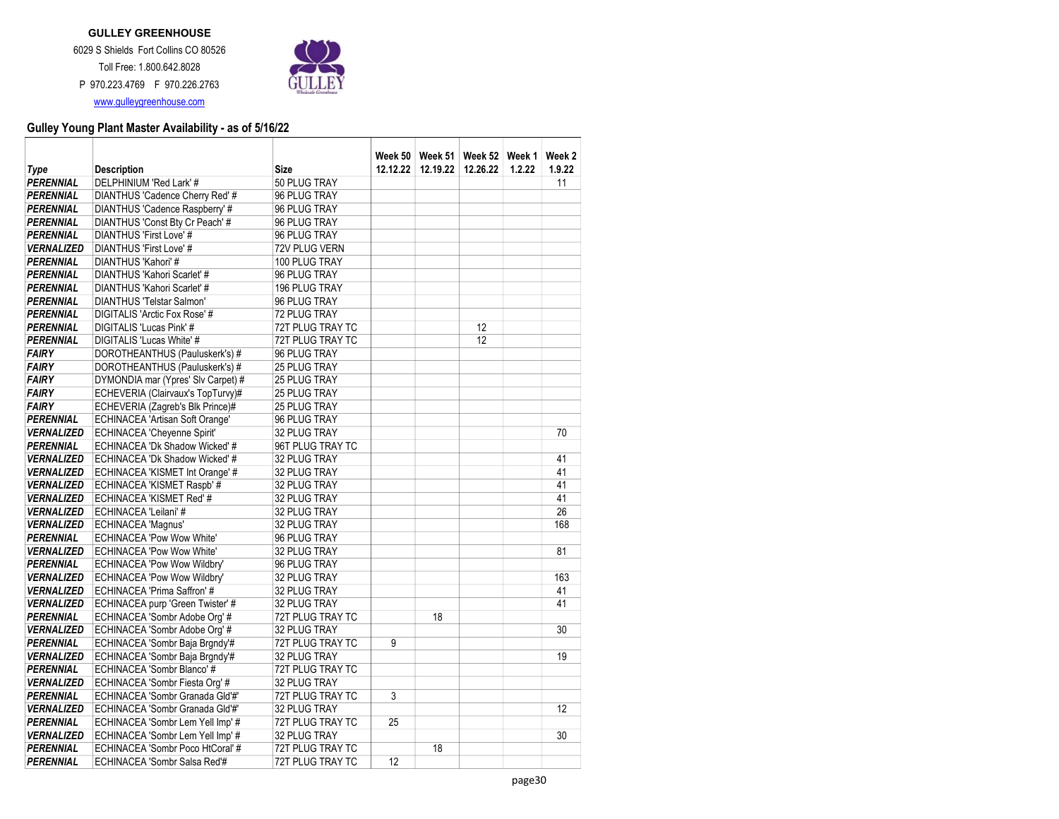

| Type              | <b>Description</b>                     | Size             | 12.12.22 | Week 50   Week 51   Week 52   Week 1  <br>12.19.22 | 12.26.22 | 1.2.22 | Week 2<br>1.9.22 |
|-------------------|----------------------------------------|------------------|----------|----------------------------------------------------|----------|--------|------------------|
| <b>PERENNIAL</b>  | DELPHINIUM 'Red Lark' #                | 50 PLUG TRAY     |          |                                                    |          |        | 11               |
| <b>PERENNIAL</b>  | DIANTHUS 'Cadence Cherry Red' #        | 96 PLUG TRAY     |          |                                                    |          |        |                  |
| <b>PERENNIAL</b>  | DIANTHUS 'Cadence Raspberry' #         | 96 PLUG TRAY     |          |                                                    |          |        |                  |
| <b>PERENNIAL</b>  | DIANTHUS 'Const Bty Cr Peach' #        | 96 PLUG TRAY     |          |                                                    |          |        |                  |
| <b>PERENNIAL</b>  | DIANTHUS 'First Love' #                | 96 PLUG TRAY     |          |                                                    |          |        |                  |
| <b>VERNALIZED</b> | DIANTHUS 'First Love' #                | 72V PLUG VERN    |          |                                                    |          |        |                  |
| <b>PERENNIAL</b>  | DIANTHUS 'Kahori' #                    | 100 PLUG TRAY    |          |                                                    |          |        |                  |
| <b>PERENNIAL</b>  | DIANTHUS 'Kahori Scarlet' #            | 96 PLUG TRAY     |          |                                                    |          |        |                  |
| <b>PERENNIAL</b>  | DIANTHUS 'Kahori Scarlet' #            | 196 PLUG TRAY    |          |                                                    |          |        |                  |
| <b>PERENNIAL</b>  | <b>DIANTHUS 'Telstar Salmon'</b>       | 96 PLUG TRAY     |          |                                                    |          |        |                  |
| <b>PERENNIAL</b>  | DIGITALIS 'Arctic Fox Rose' #          | 72 PLUG TRAY     |          |                                                    |          |        |                  |
| <b>PERENNIAL</b>  | DIGITALIS 'Lucas Pink' #               | 72T PLUG TRAY TC |          |                                                    | 12       |        |                  |
| <b>PERENNIAL</b>  | DIGITALIS 'Lucas White' #              | 72T PLUG TRAY TC |          |                                                    | 12       |        |                  |
| <b>FAIRY</b>      | DOROTHEANTHUS (Pauluskerk's) #         | 96 PLUG TRAY     |          |                                                    |          |        |                  |
| <b>FAIRY</b>      | DOROTHEANTHUS (Pauluskerk's) #         | 25 PLUG TRAY     |          |                                                    |          |        |                  |
| <b>FAIRY</b>      | DYMONDIA mar (Ypres' Slv Carpet) #     | 25 PLUG TRAY     |          |                                                    |          |        |                  |
| <b>FAIRY</b>      | ECHEVERIA (Clairvaux's TopTurvy)#      | 25 PLUG TRAY     |          |                                                    |          |        |                  |
| <b>FAIRY</b>      | ECHEVERIA (Zagreb's Blk Prince)#       | 25 PLUG TRAY     |          |                                                    |          |        |                  |
| <b>PERENNIAL</b>  | <b>ECHINACEA 'Artisan Soft Orange'</b> | 96 PLUG TRAY     |          |                                                    |          |        |                  |
| <b>VERNALIZED</b> | <b>ECHINACEA 'Cheyenne Spirit'</b>     | 32 PLUG TRAY     |          |                                                    |          |        | 70               |
| <b>PERENNIAL</b>  | ECHINACEA 'Dk Shadow Wicked' #         | 96T PLUG TRAY TC |          |                                                    |          |        |                  |
| <b>VERNALIZED</b> | ECHINACEA 'Dk Shadow Wicked' #         | 32 PLUG TRAY     |          |                                                    |          |        | 41               |
| <b>VERNALIZED</b> | ECHINACEA 'KISMET Int Orange' #        | 32 PLUG TRAY     |          |                                                    |          |        | 41               |
| <b>VERNALIZED</b> | ECHINACEA 'KISMET Raspb' #             | 32 PLUG TRAY     |          |                                                    |          |        | 41               |
| <b>VERNALIZED</b> | ECHINACEA 'KISMET Red' #               | 32 PLUG TRAY     |          |                                                    |          |        | 41               |
| <b>VERNALIZED</b> | ECHINACEA 'Leilani' #                  | 32 PLUG TRAY     |          |                                                    |          |        | 26               |
| <b>VERNALIZED</b> | <b>ECHINACEA 'Magnus'</b>              | 32 PLUG TRAY     |          |                                                    |          |        | 168              |
| <b>PERENNIAL</b>  | <b>ECHINACEA 'Pow Wow White'</b>       | 96 PLUG TRAY     |          |                                                    |          |        |                  |
| <b>VERNALIZED</b> | <b>ECHINACEA 'Pow Wow White'</b>       | 32 PLUG TRAY     |          |                                                    |          |        | 81               |
| <b>PERENNIAL</b>  | ECHINACEA 'Pow Wow Wildbry'            | 96 PLUG TRAY     |          |                                                    |          |        |                  |
| <b>VERNALIZED</b> | ECHINACEA 'Pow Wow Wildbry'            | 32 PLUG TRAY     |          |                                                    |          |        | 163              |
| <b>VERNALIZED</b> | ECHINACEA 'Prima Saffron' #            | 32 PLUG TRAY     |          |                                                    |          |        | 41               |
| <b>VERNALIZED</b> | ECHINACEA purp 'Green Twister' #       | 32 PLUG TRAY     |          |                                                    |          |        | 41               |
| <b>PERENNIAL</b>  | ECHINACEA 'Sombr Adobe Org' #          | 72T PLUG TRAY TC |          | 18                                                 |          |        |                  |
| <b>VERNALIZED</b> | ECHINACEA 'Sombr Adobe Org' #          | 32 PLUG TRAY     |          |                                                    |          |        | 30               |
| <b>PERENNIAL</b>  | ECHINACEA 'Sombr Baja Brgndy'#         | 72T PLUG TRAY TC | 9        |                                                    |          |        |                  |
| <b>VERNALIZED</b> | ECHINACEA 'Sombr Baja Brgndy'#         | 32 PLUG TRAY     |          |                                                    |          |        | 19               |
| <b>PERENNIAL</b>  | ECHINACEA 'Sombr Blanco' #             | 72T PLUG TRAY TC |          |                                                    |          |        |                  |
| <b>VERNALIZED</b> | ECHINACEA 'Sombr Fiesta Org' #         | 32 PLUG TRAY     |          |                                                    |          |        |                  |
| <b>PERENNIAL</b>  | ECHINACEA 'Sombr Granada Gld'#'        | 72T PLUG TRAY TC | 3        |                                                    |          |        |                  |
| <b>VERNALIZED</b> | ECHINACEA 'Sombr Granada Gld'#'        | 32 PLUG TRAY     |          |                                                    |          |        | 12               |
| <b>PERENNIAL</b>  | ECHINACEA 'Sombr Lem Yell Imp' #       | 72T PLUG TRAY TC | 25       |                                                    |          |        |                  |
| <b>VERNALIZED</b> | ECHINACEA 'Sombr Lem Yell Imp' #       | 32 PLUG TRAY     |          |                                                    |          |        | 30               |
| <b>PERENNIAL</b>  | ECHINACEA 'Sombr Poco HtCoral' #       | 72T PLUG TRAY TC |          | 18                                                 |          |        |                  |
| <b>PERENNIAL</b>  | ECHINACEA 'Sombr Salsa Red'#           | 72T PLUG TRAY TC | 12       |                                                    |          |        |                  |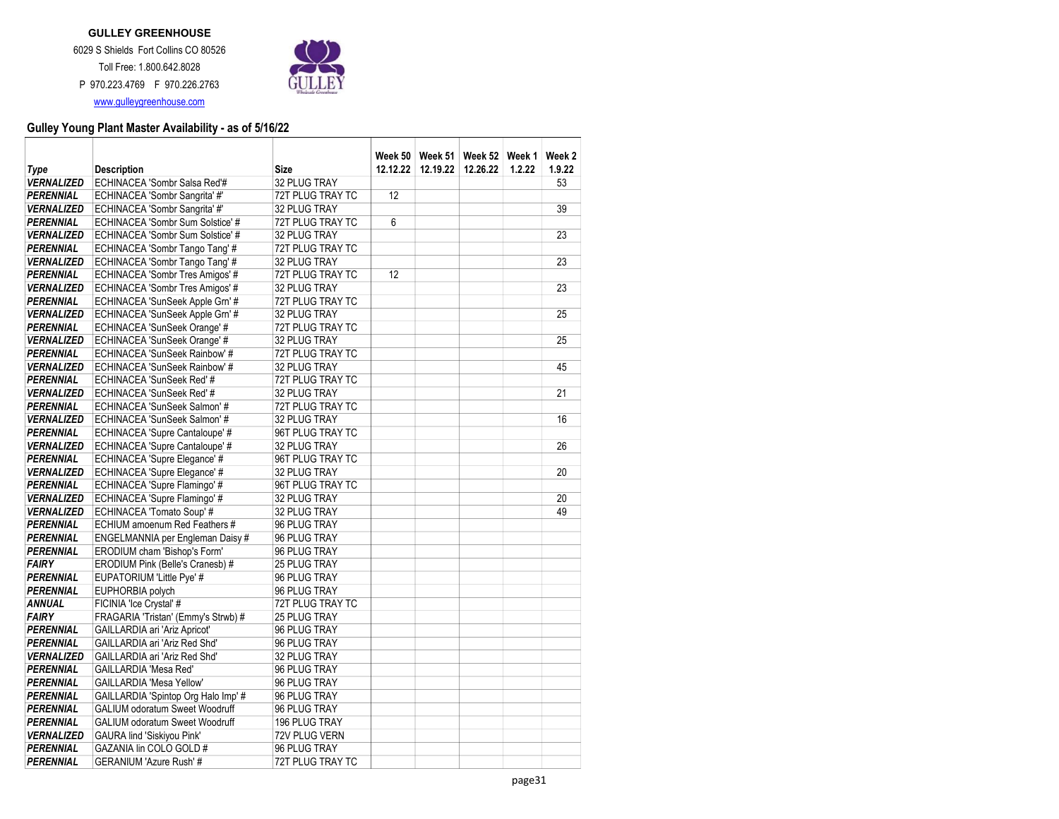

| Type                                  | <b>Description</b>                                           | Size                          | 12.12.22 | 12.19.22 | Week 50   Week 51   Week 52   Week 1<br>12.26.22 | 1.2.22 | Week 2<br>1.9.22 |
|---------------------------------------|--------------------------------------------------------------|-------------------------------|----------|----------|--------------------------------------------------|--------|------------------|
| <b>VERNALIZED</b>                     | ECHINACEA 'Sombr Salsa Red'#                                 | 32 PLUG TRAY                  |          |          |                                                  |        | 53               |
| <b>PERENNIAL</b>                      | ECHINACEA 'Sombr Sangrita' #'                                | 72T PLUG TRAY TC              | 12       |          |                                                  |        |                  |
| <b>VERNALIZED</b>                     | ECHINACEA 'Sombr Sangrita' #'                                | 32 PLUG TRAY                  |          |          |                                                  |        | 39               |
| <b>PERENNIAL</b>                      | ECHINACEA 'Sombr Sum Solstice' #                             | 72T PLUG TRAY TC              | 6        |          |                                                  |        |                  |
| <b>VERNALIZED</b>                     | ECHINACEA 'Sombr Sum Solstice' #                             | 32 PLUG TRAY                  |          |          |                                                  |        | 23               |
| <b>PERENNIAL</b>                      | ECHINACEA 'Sombr Tango Tang' #                               | 72T PLUG TRAY TC              |          |          |                                                  |        |                  |
| <b>VERNALIZED</b>                     | ECHINACEA 'Sombr Tango Tang' #                               | 32 PLUG TRAY                  |          |          |                                                  |        | 23               |
| <b>PERENNIAL</b>                      | ECHINACEA 'Sombr Tres Amigos' #                              | 72T PLUG TRAY TC              | 12       |          |                                                  |        |                  |
| <b>VERNALIZED</b>                     | ECHINACEA 'Sombr Tres Amigos' #                              | 32 PLUG TRAY                  |          |          |                                                  |        | 23               |
| <b>PERENNIAL</b>                      | ECHINACEA 'SunSeek Apple Grn' #                              | 72T PLUG TRAY TC              |          |          |                                                  |        |                  |
| <b>VERNALIZED</b>                     | ECHINACEA 'SunSeek Apple Grn' #                              | 32 PLUG TRAY                  |          |          |                                                  |        | 25               |
| <b>PERENNIAL</b>                      | ECHINACEA 'SunSeek Orange' #                                 | 72T PLUG TRAY TC              |          |          |                                                  |        |                  |
| <b>VERNALIZED</b>                     | ECHINACEA 'SunSeek Orange' #                                 | 32 PLUG TRAY                  |          |          |                                                  |        | 25               |
| <b>PERENNIAL</b>                      | ECHINACEA 'SunSeek Rainbow' #                                | 72T PLUG TRAY TC              |          |          |                                                  |        |                  |
| <b>VERNALIZED</b>                     | ECHINACEA 'SunSeek Rainbow' #                                | 32 PLUG TRAY                  |          |          |                                                  |        | 45               |
| <b>PERENNIAL</b>                      | ECHINACEA 'SunSeek Red' #                                    | 72T PLUG TRAY TC              |          |          |                                                  |        |                  |
| <b>VERNALIZED</b>                     | ECHINACEA 'SunSeek Red' #                                    | 32 PLUG TRAY                  |          |          |                                                  |        | 21               |
| <b>PERENNIAL</b>                      | ECHINACEA 'SunSeek Salmon' #                                 | 72T PLUG TRAY TC              |          |          |                                                  |        |                  |
| <b>VERNALIZED</b>                     | ECHINACEA 'SunSeek Salmon' #                                 | 32 PLUG TRAY                  |          |          |                                                  |        | 16               |
| <b>PERENNIAL</b>                      | ECHINACEA 'Supre Cantaloupe' #                               | 96T PLUG TRAY TC              |          |          |                                                  |        |                  |
| <b>VERNALIZED</b>                     | ECHINACEA 'Supre Cantaloupe' #                               | 32 PLUG TRAY                  |          |          |                                                  |        | 26               |
| <b>PERENNIAL</b>                      | ECHINACEA 'Supre Elegance' #                                 | 96T PLUG TRAY TC              |          |          |                                                  |        |                  |
| <b>VERNALIZED</b>                     | ECHINACEA 'Supre Elegance' #                                 | 32 PLUG TRAY                  |          |          |                                                  |        | 20               |
| <b>PERENNIAL</b>                      | ECHINACEA 'Supre Flamingo' #                                 | 96T PLUG TRAY TC              |          |          |                                                  |        |                  |
| <b>VERNALIZED</b>                     | ECHINACEA 'Supre Flamingo' #                                 | 32 PLUG TRAY                  |          |          |                                                  |        | 20               |
| <b>VERNALIZED</b>                     | ECHINACEA 'Tomato Soup' #                                    | 32 PLUG TRAY                  |          |          |                                                  |        | 49               |
| <b>PERENNIAL</b>                      | ECHIUM amoenum Red Feathers #                                | 96 PLUG TRAY                  |          |          |                                                  |        |                  |
| <b>PERENNIAL</b>                      | ENGELMANNIA per Engleman Daisy #                             | 96 PLUG TRAY                  |          |          |                                                  |        |                  |
| <b>PERENNIAL</b>                      | ERODIUM cham 'Bishop's Form'                                 | 96 PLUG TRAY                  |          |          |                                                  |        |                  |
| <b>FAIRY</b>                          | ERODIUM Pink (Belle's Cranesb) #                             | 25 PLUG TRAY                  |          |          |                                                  |        |                  |
| <b>PERENNIAL</b>                      | EUPATORIUM 'Little Pye' #                                    | 96 PLUG TRAY                  |          |          |                                                  |        |                  |
| <b>PERENNIAL</b>                      | EUPHORBIA polych                                             | 96 PLUG TRAY                  |          |          |                                                  |        |                  |
| <b>ANNUAL</b>                         | FICINIA 'Ice Crystal' #                                      | 72T PLUG TRAY TC              |          |          |                                                  |        |                  |
| <b>FAIRY</b>                          | FRAGARIA 'Tristan' (Emmy's Strwb) #                          | 25 PLUG TRAY                  |          |          |                                                  |        |                  |
| <b>PERENNIAL</b>                      | GAILLARDIA ari 'Ariz Apricot'                                | 96 PLUG TRAY                  |          |          |                                                  |        |                  |
| <b>PERENNIAL</b>                      | GAILLARDIA ari 'Ariz Red Shd'                                | 96 PLUG TRAY                  |          |          |                                                  |        |                  |
| <b>VERNALIZED</b>                     | GAILLARDIA ari 'Ariz Red Shd'                                | 32 PLUG TRAY                  |          |          |                                                  |        |                  |
| <b>PERENNIAL</b>                      | GAILLARDIA 'Mesa Red'                                        | 96 PLUG TRAY                  |          |          |                                                  |        |                  |
| <b>PERENNIAL</b>                      | <b>GAILLARDIA 'Mesa Yellow'</b>                              | 96 PLUG TRAY                  |          |          |                                                  |        |                  |
| <b>PERENNIAL</b>                      | GAILLARDIA 'Spintop Org Halo Imp' #                          | 96 PLUG TRAY                  |          |          |                                                  |        |                  |
| <b>PERENNIAL</b>                      | <b>GALIUM odoratum Sweet Woodruff</b>                        | 96 PLUG TRAY                  |          |          |                                                  |        |                  |
| <b>PERENNIAL</b>                      | <b>GALIUM odoratum Sweet Woodruff</b>                        | 196 PLUG TRAY                 |          |          |                                                  |        |                  |
| <b>VERNALIZED</b><br><b>PERENNIAL</b> | <b>GAURA lind 'Siskiyou Pink'</b><br>GAZANIA lin COLO GOLD # | 72V PLUG VERN<br>96 PLUG TRAY |          |          |                                                  |        |                  |
|                                       |                                                              |                               |          |          |                                                  |        |                  |
| <b>PERENNIAL</b>                      | GERANIUM 'Azure Rush' #                                      | 72T PLUG TRAY TC              |          |          |                                                  |        |                  |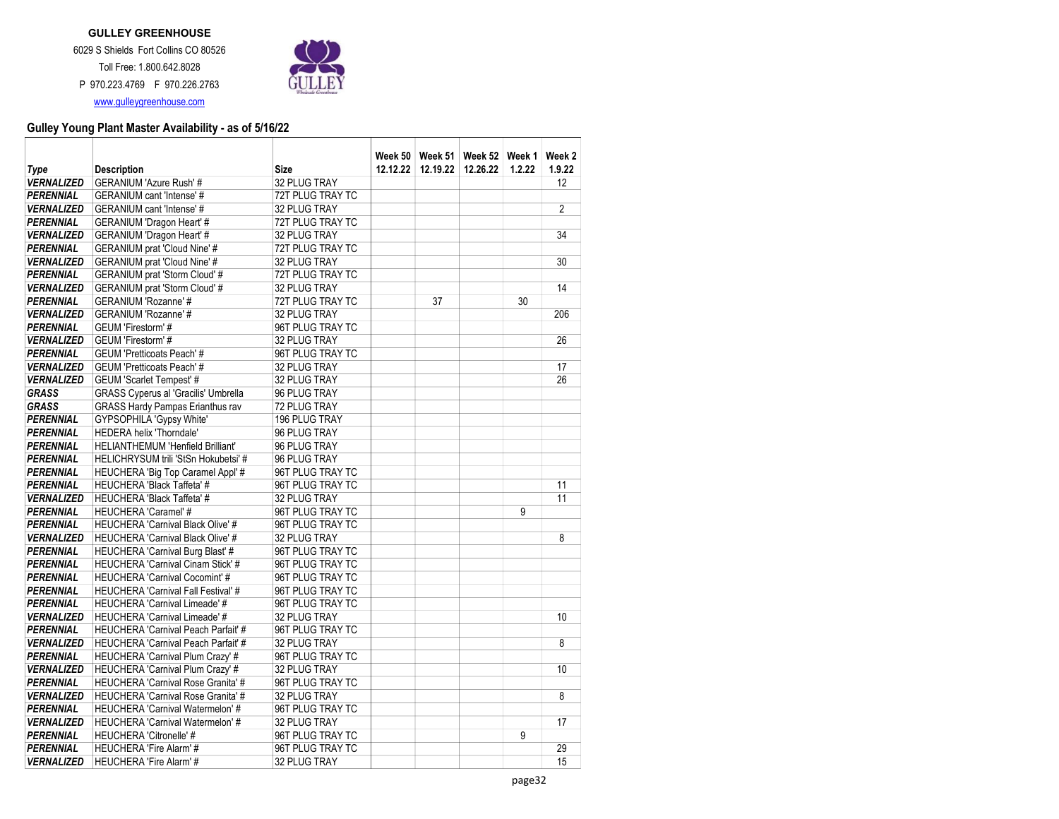

| Type              | <b>Description</b>                          | <b>Size</b>      | 12.12.22 | 12.19.22 | Week 50   Week 51   Week 52   Week 1<br>12.26.22 | 1.2.22 | Week 2<br>1.9.22 |
|-------------------|---------------------------------------------|------------------|----------|----------|--------------------------------------------------|--------|------------------|
| <b>VERNALIZED</b> | <b>GERANIUM 'Azure Rush'#</b>               | 32 PLUG TRAY     |          |          |                                                  |        | 12               |
| <b>PERENNIAL</b>  | GERANIUM cant 'Intense' #                   | 72T PLUG TRAY TC |          |          |                                                  |        |                  |
| <b>VERNALIZED</b> | <b>GERANIUM cant 'Intense' #</b>            | 32 PLUG TRAY     |          |          |                                                  |        | $\overline{2}$   |
| <b>PERENNIAL</b>  | GERANIUM 'Dragon Heart' #                   | 72T PLUG TRAY TC |          |          |                                                  |        |                  |
| <b>VERNALIZED</b> | GERANIUM 'Dragon Heart' #                   | 32 PLUG TRAY     |          |          |                                                  |        | 34               |
| <b>PERENNIAL</b>  | <b>GERANIUM</b> prat 'Cloud Nine' #         | 72T PLUG TRAY TC |          |          |                                                  |        |                  |
| <b>VERNALIZED</b> | <b>GERANIUM</b> prat 'Cloud Nine' #         | 32 PLUG TRAY     |          |          |                                                  |        | 30               |
| <b>PERENNIAL</b>  | <b>GERANIUM</b> prat 'Storm Cloud' #        | 72T PLUG TRAY TC |          |          |                                                  |        |                  |
| <b>VERNALIZED</b> | <b>GERANIUM</b> prat 'Storm Cloud' #        | 32 PLUG TRAY     |          |          |                                                  |        | 14               |
| <b>PERENNIAL</b>  | GERANIUM 'Rozanne' #                        | 72T PLUG TRAY TC |          | 37       |                                                  | 30     |                  |
| <b>VERNALIZED</b> | GERANIUM 'Rozanne' #                        | 32 PLUG TRAY     |          |          |                                                  |        | 206              |
| <b>PERENNIAL</b>  | GEUM 'Firestorm' #                          | 96T PLUG TRAY TC |          |          |                                                  |        |                  |
| <b>VERNALIZED</b> | GEUM 'Firestorm'#                           | 32 PLUG TRAY     |          |          |                                                  |        | 26               |
| <b>PERENNIAL</b>  | <b>GEUM 'Pretticoats Peach' #</b>           | 96T PLUG TRAY TC |          |          |                                                  |        |                  |
| <b>VERNALIZED</b> | <b>GEUM 'Pretticoats Peach' #</b>           | 32 PLUG TRAY     |          |          |                                                  |        | 17               |
| <b>VERNALIZED</b> | <b>GEUM 'Scarlet Tempest' #</b>             | 32 PLUG TRAY     |          |          |                                                  |        | 26               |
| <b>GRASS</b>      | <b>GRASS Cyperus al 'Gracilis' Umbrella</b> | 96 PLUG TRAY     |          |          |                                                  |        |                  |
| <b>GRASS</b>      | <b>GRASS Hardy Pampas Erianthus rav</b>     | 72 PLUG TRAY     |          |          |                                                  |        |                  |
| <b>PERENNIAL</b>  | GYPSOPHILA 'Gypsy White'                    | 196 PLUG TRAY    |          |          |                                                  |        |                  |
| <b>PERENNIAL</b>  | <b>HEDERA helix 'Thorndale'</b>             | 96 PLUG TRAY     |          |          |                                                  |        |                  |
| <b>PERENNIAL</b>  | <b>HELIANTHEMUM 'Henfield Brilliant'</b>    | 96 PLUG TRAY     |          |          |                                                  |        |                  |
| <b>PERENNIAL</b>  | HELICHRYSUM trili 'StSn Hokubetsi' #        | 96 PLUG TRAY     |          |          |                                                  |        |                  |
| <b>PERENNIAL</b>  | HEUCHERA 'Big Top Caramel Appl' #           | 96T PLUG TRAY TC |          |          |                                                  |        |                  |
| <b>PERENNIAL</b>  | <b>HEUCHERA 'Black Taffeta' #</b>           | 96T PLUG TRAY TC |          |          |                                                  |        | 11               |
| <b>VERNALIZED</b> | <b>HEUCHERA 'Black Taffeta' #</b>           | 32 PLUG TRAY     |          |          |                                                  |        | 11               |
| <b>PERENNIAL</b>  | HEUCHERA 'Caramel' #                        | 96T PLUG TRAY TC |          |          |                                                  | 9      |                  |
| <b>PERENNIAL</b>  | <b>HEUCHERA 'Carnival Black Olive' #</b>    | 96T PLUG TRAY TC |          |          |                                                  |        |                  |
| <b>VERNALIZED</b> | <b>HEUCHERA 'Carnival Black Olive' #</b>    | 32 PLUG TRAY     |          |          |                                                  |        | 8                |
| <b>PERENNIAL</b>  | <b>HEUCHERA 'Carnival Burg Blast' #</b>     | 96T PLUG TRAY TC |          |          |                                                  |        |                  |
| <b>PERENNIAL</b>  | HEUCHERA 'Carnival Cinam Stick' #           | 96T PLUG TRAY TC |          |          |                                                  |        |                  |
| <b>PERENNIAL</b>  | <b>HEUCHERA 'Carnival Cocomint' #</b>       | 96T PLUG TRAY TC |          |          |                                                  |        |                  |
| <b>PERENNIAL</b>  | <b>HEUCHERA 'Carnival Fall Festival' #</b>  | 96T PLUG TRAY TC |          |          |                                                  |        |                  |
| <b>PERENNIAL</b>  | HEUCHERA 'Carnival Limeade' #               | 96T PLUG TRAY TC |          |          |                                                  |        |                  |
| <b>VERNALIZED</b> | <b>HEUCHERA 'Carnival Limeade' #</b>        | 32 PLUG TRAY     |          |          |                                                  |        | 10               |
| <b>PERENNIAL</b>  | <b>HEUCHERA 'Carnival Peach Parfait' #</b>  | 96T PLUG TRAY TC |          |          |                                                  |        |                  |
| <b>VERNALIZED</b> | <b>HEUCHERA 'Carnival Peach Parfait' #</b>  | 32 PLUG TRAY     |          |          |                                                  |        | 8                |
| <b>PERENNIAL</b>  | HEUCHERA 'Carnival Plum Crazy' #            | 96T PLUG TRAY TC |          |          |                                                  |        |                  |
| <b>VERNALIZED</b> | HEUCHERA 'Carnival Plum Crazy' #            | 32 PLUG TRAY     |          |          |                                                  |        | 10               |
| <b>PERENNIAL</b>  | <b>HEUCHERA 'Carnival Rose Granita' #</b>   | 96T PLUG TRAY TC |          |          |                                                  |        |                  |
| <b>VERNALIZED</b> | <b>HEUCHERA 'Carnival Rose Granita' #</b>   | 32 PLUG TRAY     |          |          |                                                  |        | 8                |
| <b>PERENNIAL</b>  | <b>HEUCHERA 'Carnival Watermelon' #</b>     | 96T PLUG TRAY TC |          |          |                                                  |        |                  |
| <b>VERNALIZED</b> | <b>HEUCHERA 'Carnival Watermelon'#</b>      | 32 PLUG TRAY     |          |          |                                                  |        | 17               |
| <b>PERENNIAL</b>  | <b>HEUCHERA 'Citronelle'#</b>               | 96T PLUG TRAY TC |          |          |                                                  | 9      |                  |
| <b>PERENNIAL</b>  | <b>HEUCHERA 'Fire Alarm'#</b>               | 96T PLUG TRAY TC |          |          |                                                  |        | 29               |
| <b>VERNALIZED</b> | <b>HEUCHERA 'Fire Alarm'#</b>               | 32 PLUG TRAY     |          |          |                                                  |        | 15               |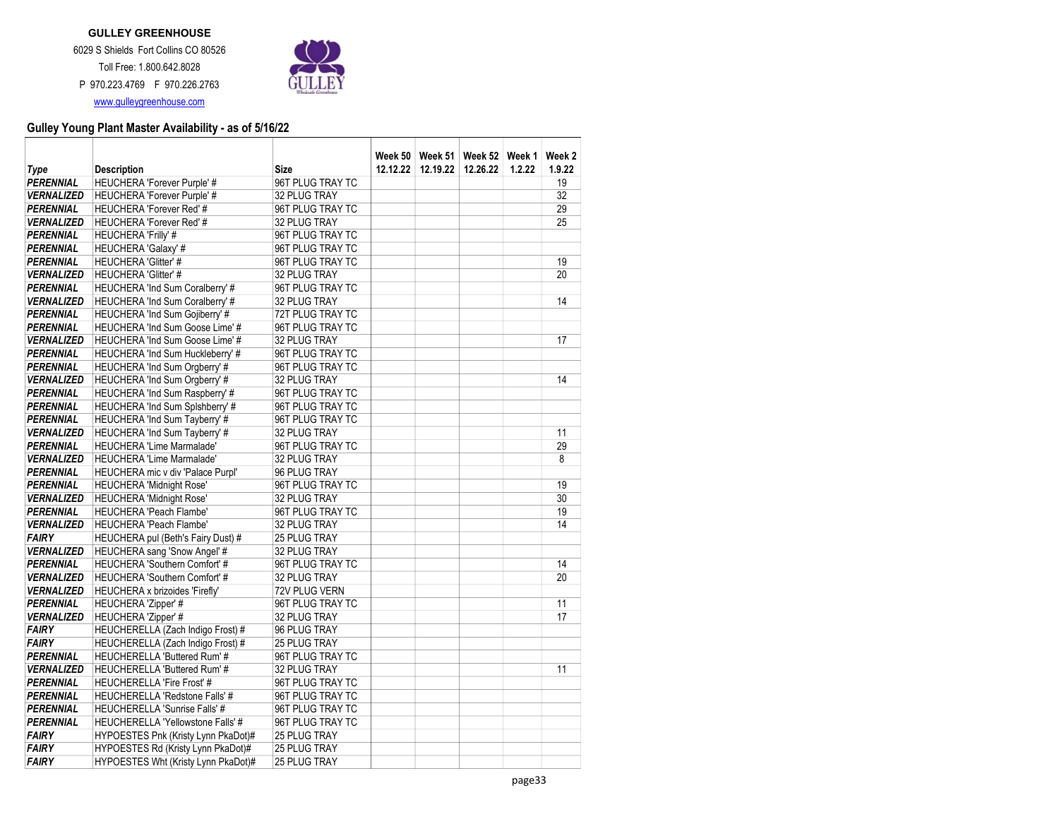

| Type              | <b>Description</b>                   | Size             | 12.12.22 | 12.19.22 | Week 50   Week 51   Week 52   Week 1<br>12.26.22 | 1.2.22 | Week 2<br>1.9.22 |
|-------------------|--------------------------------------|------------------|----------|----------|--------------------------------------------------|--------|------------------|
| <b>PERENNIAL</b>  | <b>HEUCHERA 'Forever Purple' #</b>   | 96T PLUG TRAY TC |          |          |                                                  |        | 19               |
| <b>VERNALIZED</b> | <b>HEUCHERA 'Forever Purple' #</b>   | 32 PLUG TRAY     |          |          |                                                  |        | 32               |
| <b>PERENNIAL</b>  | <b>HEUCHERA 'Forever Red'#</b>       | 96T PLUG TRAY TC |          |          |                                                  |        | 29               |
| <b>VERNALIZED</b> | <b>HEUCHERA 'Forever Red'#</b>       | 32 PLUG TRAY     |          |          |                                                  |        | 25               |
| <b>PERENNIAL</b>  | <b>HEUCHERA 'Frilly' #</b>           | 96T PLUG TRAY TC |          |          |                                                  |        |                  |
| <b>PERENNIAL</b>  | <b>HEUCHERA 'Galaxy' #</b>           | 96T PLUG TRAY TC |          |          |                                                  |        |                  |
| <b>PERENNIAL</b>  | <b>HEUCHERA 'Glitter' #</b>          | 96T PLUG TRAY TC |          |          |                                                  |        | 19               |
| <b>VERNALIZED</b> | <b>HEUCHERA 'Glitter' #</b>          | 32 PLUG TRAY     |          |          |                                                  |        | 20               |
| <b>PERENNIAL</b>  | HEUCHERA 'Ind Sum Coralberry' #      | 96T PLUG TRAY TC |          |          |                                                  |        |                  |
| <b>VERNALIZED</b> | HEUCHERA 'Ind Sum Coralberry' #      | 32 PLUG TRAY     |          |          |                                                  |        | 14               |
| <b>PERENNIAL</b>  | HEUCHERA 'Ind Sum Gojiberry' #       | 72T PLUG TRAY TC |          |          |                                                  |        |                  |
| <b>PERENNIAL</b>  | HEUCHERA 'Ind Sum Goose Lime' #      | 96T PLUG TRAY TC |          |          |                                                  |        |                  |
| <b>VERNALIZED</b> | HEUCHERA 'Ind Sum Goose Lime' #      | 32 PLUG TRAY     |          |          |                                                  |        | 17               |
| PERENNIAL         | HEUCHERA 'Ind Sum Huckleberry' #     | 96T PLUG TRAY TC |          |          |                                                  |        |                  |
| <b>PERENNIAL</b>  | HEUCHERA 'Ind Sum Orgberry' #        | 96T PLUG TRAY TC |          |          |                                                  |        |                  |
| <b>VERNALIZED</b> | HEUCHERA 'Ind Sum Orgberry' #        | 32 PLUG TRAY     |          |          |                                                  |        | 14               |
| <b>PERENNIAL</b>  | HEUCHERA 'Ind Sum Raspberry' #       | 96T PLUG TRAY TC |          |          |                                                  |        |                  |
| <b>PERENNIAL</b>  | HEUCHERA 'Ind Sum Splshberry' #      | 96T PLUG TRAY TC |          |          |                                                  |        |                  |
| <b>PERENNIAL</b>  | HEUCHERA 'Ind Sum Tayberry' #        | 96T PLUG TRAY TC |          |          |                                                  |        |                  |
| <b>VERNALIZED</b> | HEUCHERA 'Ind Sum Tayberry' #        | 32 PLUG TRAY     |          |          |                                                  |        | 11               |
| <b>PERENNIAL</b>  | <b>HEUCHERA 'Lime Marmalade'</b>     | 96T PLUG TRAY TC |          |          |                                                  |        | 29               |
| <b>VERNALIZED</b> | <b>HEUCHERA 'Lime Marmalade'</b>     | 32 PLUG TRAY     |          |          |                                                  |        | 8                |
| <b>PERENNIAL</b>  | HEUCHERA mic v div 'Palace Purpl'    | 96 PLUG TRAY     |          |          |                                                  |        |                  |
| <b>PERENNIAL</b>  | HEUCHERA 'Midnight Rose'             | 96T PLUG TRAY TC |          |          |                                                  |        | 19               |
| <b>VERNALIZED</b> | <b>HEUCHERA 'Midnight Rose'</b>      | 32 PLUG TRAY     |          |          |                                                  |        | 30               |
| <b>PERENNIAL</b>  | <b>HEUCHERA 'Peach Flambe'</b>       | 96T PLUG TRAY TC |          |          |                                                  |        | 19               |
| <b>VERNALIZED</b> | <b>HEUCHERA 'Peach Flambe'</b>       | 32 PLUG TRAY     |          |          |                                                  |        | 14               |
| <b>FAIRY</b>      | HEUCHERA pul (Beth's Fairy Dust) #   | 25 PLUG TRAY     |          |          |                                                  |        |                  |
| <b>VERNALIZED</b> | HEUCHERA sang 'Snow Angel' #         | 32 PLUG TRAY     |          |          |                                                  |        |                  |
| <b>PERENNIAL</b>  | <b>HEUCHERA 'Southern Comfort' #</b> | 96T PLUG TRAY TC |          |          |                                                  |        | 14               |
| <b>VERNALIZED</b> | HEUCHERA 'Southern Comfort' #        | 32 PLUG TRAY     |          |          |                                                  |        | 20               |
| <b>VERNALIZED</b> | HEUCHERA x brizoides 'Firefly'       | 72V PLUG VERN    |          |          |                                                  |        |                  |
| PERENNIAL         | <b>HEUCHERA 'Zipper' #</b>           | 96T PLUG TRAY TC |          |          |                                                  |        | 11               |
| <b>VERNALIZED</b> | <b>HEUCHERA 'Zipper' #</b>           | 32 PLUG TRAY     |          |          |                                                  |        | 17               |
| <b>FAIRY</b>      | HEUCHERELLA (Zach Indigo Frost) #    | 96 PLUG TRAY     |          |          |                                                  |        |                  |
| <b>FAIRY</b>      | HEUCHERELLA (Zach Indigo Frost) #    | 25 PLUG TRAY     |          |          |                                                  |        |                  |
| <b>PERENNIAL</b>  | <b>HEUCHERELLA 'Buttered Rum'#</b>   | 96T PLUG TRAY TC |          |          |                                                  |        |                  |
| <b>VERNALIZED</b> | HEUCHERELLA 'Buttered Rum' #         | 32 PLUG TRAY     |          |          |                                                  |        | 11               |
| <b>PERENNIAL</b>  | <b>HEUCHERELLA 'Fire Frost' #</b>    | 96T PLUG TRAY TC |          |          |                                                  |        |                  |
| <b>PERENNIAL</b>  | HEUCHERELLA 'Redstone Falls' #       | 96T PLUG TRAY TC |          |          |                                                  |        |                  |
| <b>PERENNIAL</b>  | <b>HEUCHERELLA 'Sunrise Falls' #</b> | 96T PLUG TRAY TC |          |          |                                                  |        |                  |
| <b>PERENNIAL</b>  | HEUCHERELLA 'Yellowstone Falls' #    | 96T PLUG TRAY TC |          |          |                                                  |        |                  |
| <b>FAIRY</b>      | HYPOESTES Pnk (Kristy Lynn PkaDot)#  | 25 PLUG TRAY     |          |          |                                                  |        |                  |
| <b>FAIRY</b>      | HYPOESTES Rd (Kristy Lynn PkaDot)#   | 25 PLUG TRAY     |          |          |                                                  |        |                  |
| <b>FAIRY</b>      | HYPOESTES Wht (Kristy Lynn PkaDot)#  | 25 PLUG TRAY     |          |          |                                                  |        |                  |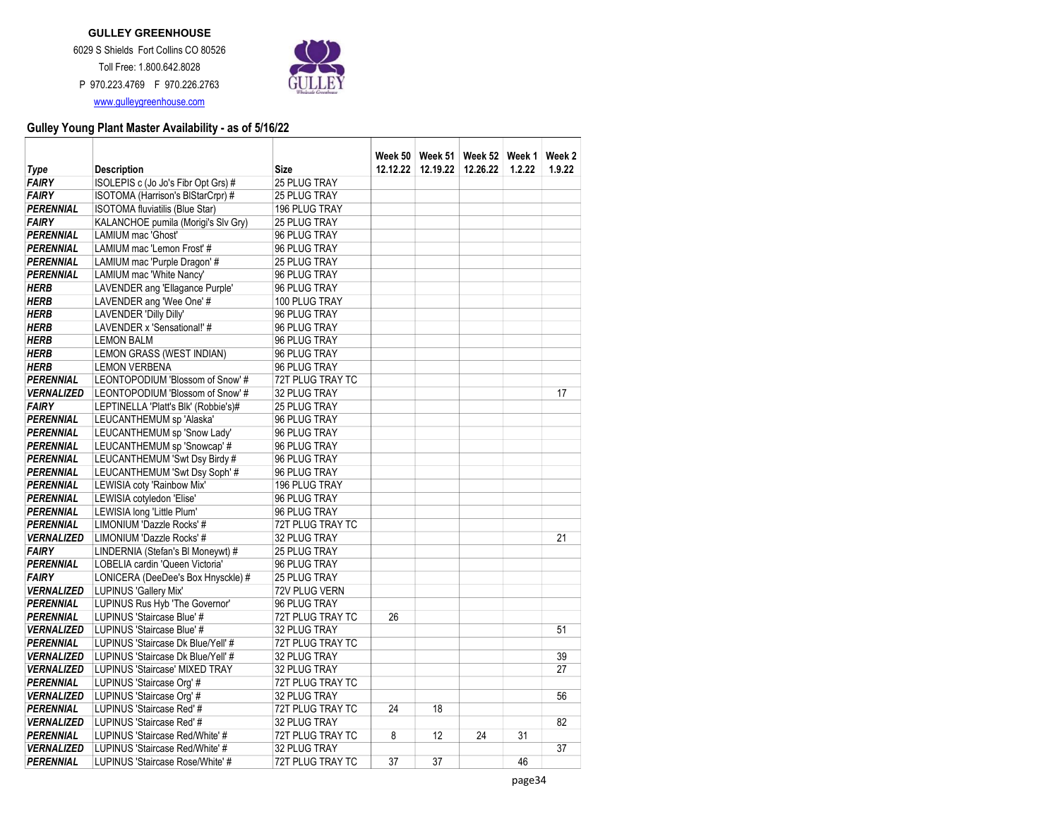

|                               |                                      |                  |          |          | Week 50   Week 51   Week 52   Week 1 |        | Week 2 |
|-------------------------------|--------------------------------------|------------------|----------|----------|--------------------------------------|--------|--------|
| <b>Type</b>                   | <b>Description</b>                   | Size             | 12.12.22 | 12.19.22 | 12.26.22                             | 1.2.22 | 1.9.22 |
| <b>FAIRY</b>                  | ISOLEPIS c (Jo Jo's Fibr Opt Grs) #  | 25 PLUG TRAY     |          |          |                                      |        |        |
| <b>FAIRY</b>                  | ISOTOMA (Harrison's BIStarCrpr) #    | 25 PLUG TRAY     |          |          |                                      |        |        |
| <b>PERENNIAL</b>              | ISOTOMA fluviatilis (Blue Star)      | 196 PLUG TRAY    |          |          |                                      |        |        |
| <b>FAIRY</b>                  | KALANCHOE pumila (Morigi's Slv Gry)  | 25 PLUG TRAY     |          |          |                                      |        |        |
| PERENNIAL<br><b>PERENNIAL</b> | LAMIUM mac 'Ghost'                   | 96 PLUG TRAY     |          |          |                                      |        |        |
|                               | LAMIUM mac 'Lemon Frost' #           | 96 PLUG TRAY     |          |          |                                      |        |        |
| <b>PERENNIAL</b>              | LAMIUM mac 'Purple Dragon' #         | 25 PLUG TRAY     |          |          |                                      |        |        |
| <b>PERENNIAL</b>              | LAMIUM mac 'White Nancy'             | 96 PLUG TRAY     |          |          |                                      |        |        |
| <b>HERB</b>                   | LAVENDER ang 'Ellagance Purple'      | 96 PLUG TRAY     |          |          |                                      |        |        |
| <b>HERB</b>                   | LAVENDER ang 'Wee One' #             | 100 PLUG TRAY    |          |          |                                      |        |        |
| <b>HERB</b>                   | <b>LAVENDER 'Dilly Dilly'</b>        | 96 PLUG TRAY     |          |          |                                      |        |        |
| <b>HERB</b>                   | LAVENDER x 'Sensational!' #          | 96 PLUG TRAY     |          |          |                                      |        |        |
| <b>HERB</b>                   | <b>LEMON BALM</b>                    | 96 PLUG TRAY     |          |          |                                      |        |        |
| <b>HERB</b>                   | LEMON GRASS (WEST INDIAN)            | 96 PLUG TRAY     |          |          |                                      |        |        |
| <b>HERB</b>                   | <b>LEMON VERBENA</b>                 | 96 PLUG TRAY     |          |          |                                      |        |        |
| <b>PERENNIAL</b>              | LEONTOPODIUM 'Blossom of Snow' #     | 72T PLUG TRAY TC |          |          |                                      |        |        |
| <b>VERNALIZED</b>             | LEONTOPODIUM 'Blossom of Snow' #     | 32 PLUG TRAY     |          |          |                                      |        | 17     |
| <b>FAIRY</b>                  | LEPTINELLA 'Platt's Blk' (Robbie's)# | 25 PLUG TRAY     |          |          |                                      |        |        |
| PERENNIAL                     | LEUCANTHEMUM sp 'Alaska'             | 96 PLUG TRAY     |          |          |                                      |        |        |
| <b>PERENNIAL</b>              | LEUCANTHEMUM sp 'Snow Lady'          | 96 PLUG TRAY     |          |          |                                      |        |        |
| <b>PERENNIAL</b>              | LEUCANTHEMUM sp 'Snowcap' #          | 96 PLUG TRAY     |          |          |                                      |        |        |
| <b>PERENNIAL</b>              | LEUCANTHEMUM 'Swt Dsy Birdy #        | 96 PLUG TRAY     |          |          |                                      |        |        |
| <b>PERENNIAL</b>              | LEUCANTHEMUM 'Swt Dsy Soph' #        | 96 PLUG TRAY     |          |          |                                      |        |        |
| <b>PERENNIAL</b>              | LEWISIA coty 'Rainbow Mix'           | 196 PLUG TRAY    |          |          |                                      |        |        |
| <b>PERENNIAL</b>              | LEWISIA cotyledon 'Elise'            | 96 PLUG TRAY     |          |          |                                      |        |        |
| <b>PERENNIAL</b>              | LEWISIA long 'Little Plum'           | 96 PLUG TRAY     |          |          |                                      |        |        |
| <b>PERENNIAL</b>              | LIMONIUM 'Dazzle Rocks' #            | 72T PLUG TRAY TC |          |          |                                      |        |        |
| <b>VERNALIZED</b>             | LIMONIUM 'Dazzle Rocks' #            | 32 PLUG TRAY     |          |          |                                      |        | 21     |
| <b>FAIRY</b>                  | LINDERNIA (Stefan's BI Moneywt) #    | 25 PLUG TRAY     |          |          |                                      |        |        |
| <b>PERENNIAL</b>              | LOBELIA cardin 'Queen Victoria'      | 96 PLUG TRAY     |          |          |                                      |        |        |
| <b>FAIRY</b>                  | LONICERA (DeeDee's Box Hnysckle) #   | 25 PLUG TRAY     |          |          |                                      |        |        |
| <b>VERNALIZED</b>             | LUPINUS 'Gallery Mix'                | 72V PLUG VERN    |          |          |                                      |        |        |
| <b>PERENNIAL</b>              | LUPINUS Rus Hyb 'The Governor'       | 96 PLUG TRAY     |          |          |                                      |        |        |
| <b>PERENNIAL</b>              | LUPINUS 'Staircase Blue' #           | 72T PLUG TRAY TC | 26       |          |                                      |        |        |
| <b>VERNALIZED</b>             | LUPINUS 'Staircase Blue' #           | 32 PLUG TRAY     |          |          |                                      |        | 51     |
| <b>PERENNIAL</b>              | LUPINUS 'Staircase Dk Blue/Yell' #   | 72T PLUG TRAY TC |          |          |                                      |        |        |
| <b>VERNALIZED</b>             | LUPINUS 'Staircase Dk Blue/Yell' #   | 32 PLUG TRAY     |          |          |                                      |        | 39     |
| <b>VERNALIZED</b>             | LUPINUS 'Staircase' MIXED TRAY       | 32 PLUG TRAY     |          |          |                                      |        | 27     |
| PERENNIAL                     | LUPINUS 'Staircase Org' #            | 72T PLUG TRAY TC |          |          |                                      |        |        |
| <b>VERNALIZED</b>             | LUPINUS 'Staircase Org' #            | 32 PLUG TRAY     |          |          |                                      |        | 56     |
| <b>PERENNIAL</b>              | LUPINUS 'Staircase Red' #            | 72T PLUG TRAY TC | 24       | 18       |                                      |        |        |
| <b>VERNALIZED</b>             | LUPINUS 'Staircase Red' #            | 32 PLUG TRAY     |          |          |                                      |        | 82     |
| <b>PERENNIAL</b>              | LUPINUS 'Staircase Red/White' #      | 72T PLUG TRAY TC | 8        | 12       | 24                                   | 31     |        |
| <b>VERNALIZED</b>             | LUPINUS 'Staircase Red/White' #      | 32 PLUG TRAY     |          |          |                                      |        | 37     |
| <b>PERENNIAL</b>              | LUPINUS 'Staircase Rose/White' #     | 72T PLUG TRAY TC | 37       | 37       |                                      | 46     |        |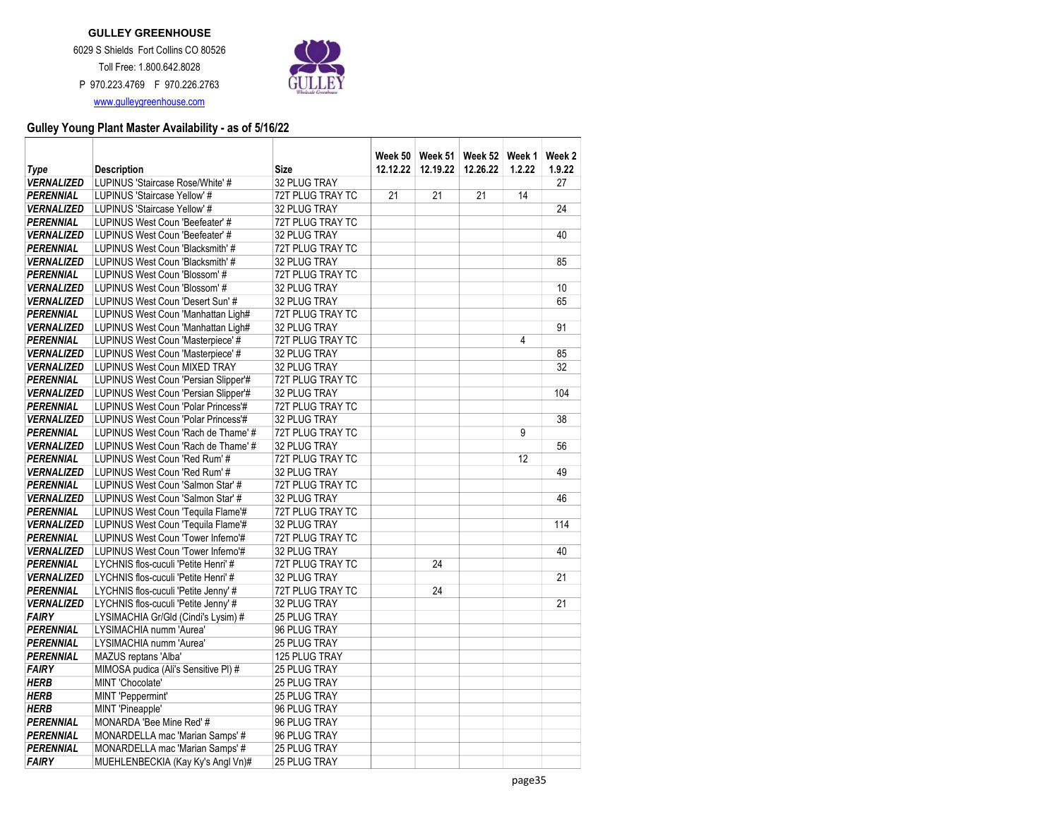

| Type                                                                                                                                                          | <b>Description</b>                                                                                                                                                                                                                                                                                                     | Size                                                                                                                                                                 | 12.12.22 | 12.19.22 | Week 50   Week 51   Week 52   Week 1  <br>12.26.22 | 1.2.22 | Week 2<br>1.9.22 |
|---------------------------------------------------------------------------------------------------------------------------------------------------------------|------------------------------------------------------------------------------------------------------------------------------------------------------------------------------------------------------------------------------------------------------------------------------------------------------------------------|----------------------------------------------------------------------------------------------------------------------------------------------------------------------|----------|----------|----------------------------------------------------|--------|------------------|
| <b>VERNALIZED</b>                                                                                                                                             | LUPINUS 'Staircase Rose/White' #                                                                                                                                                                                                                                                                                       | 32 PLUG TRAY                                                                                                                                                         |          |          |                                                    |        | 27               |
| <b>PERENNIAL</b>                                                                                                                                              | LUPINUS 'Staircase Yellow' #                                                                                                                                                                                                                                                                                           | 72T PLUG TRAY TC                                                                                                                                                     | 21       | 21       | 21                                                 | 14     |                  |
| <b>VERNALIZED</b>                                                                                                                                             | LUPINUS 'Staircase Yellow' #                                                                                                                                                                                                                                                                                           | 32 PLUG TRAY                                                                                                                                                         |          |          |                                                    |        | 24               |
| <b>PERENNIAL</b>                                                                                                                                              | LUPINUS West Coun 'Beefeater' #                                                                                                                                                                                                                                                                                        | 72T PLUG TRAY TC                                                                                                                                                     |          |          |                                                    |        |                  |
| <b>VERNALIZED</b>                                                                                                                                             | LUPINUS West Coun 'Beefeater' #                                                                                                                                                                                                                                                                                        | 32 PLUG TRAY                                                                                                                                                         |          |          |                                                    |        | 40               |
| PERENNIAL                                                                                                                                                     | LUPINUS West Coun 'Blacksmith' #                                                                                                                                                                                                                                                                                       | 72T PLUG TRAY TC                                                                                                                                                     |          |          |                                                    |        |                  |
| <b>VERNALIZED</b>                                                                                                                                             | LUPINUS West Coun 'Blacksmith' #                                                                                                                                                                                                                                                                                       | 32 PLUG TRAY                                                                                                                                                         |          |          |                                                    |        | 85               |
| <b>PERENNIAL</b>                                                                                                                                              | LUPINUS West Coun 'Blossom' #                                                                                                                                                                                                                                                                                          | 72T PLUG TRAY TC                                                                                                                                                     |          |          |                                                    |        |                  |
| <b>VERNALIZED</b>                                                                                                                                             | LUPINUS West Coun 'Blossom' #                                                                                                                                                                                                                                                                                          | 32 PLUG TRAY                                                                                                                                                         |          |          |                                                    |        | 10               |
| <b>VERNALIZED</b>                                                                                                                                             | LUPINUS West Coun 'Desert Sun' #                                                                                                                                                                                                                                                                                       | 32 PLUG TRAY                                                                                                                                                         |          |          |                                                    |        | 65               |
| <b>PERENNIAL</b>                                                                                                                                              | LUPINUS West Coun 'Manhattan Ligh#                                                                                                                                                                                                                                                                                     | 72T PLUG TRAY TC                                                                                                                                                     |          |          |                                                    |        |                  |
| <b>VERNALIZED</b>                                                                                                                                             | LUPINUS West Coun 'Manhattan Ligh#                                                                                                                                                                                                                                                                                     | 32 PLUG TRAY                                                                                                                                                         |          |          |                                                    |        | 91               |
| PERENNIAL                                                                                                                                                     | LUPINUS West Coun 'Masterpiece' #                                                                                                                                                                                                                                                                                      | 72T PLUG TRAY TC                                                                                                                                                     |          |          |                                                    | 4      |                  |
| <b>VERNALIZED</b>                                                                                                                                             | LUPINUS West Coun 'Masterpiece' #                                                                                                                                                                                                                                                                                      | 32 PLUG TRAY                                                                                                                                                         |          |          |                                                    |        | 85               |
| <b>VERNALIZED</b>                                                                                                                                             | LUPINUS West Coun MIXED TRAY                                                                                                                                                                                                                                                                                           | 32 PLUG TRAY                                                                                                                                                         |          |          |                                                    |        | 32               |
| PERENNIAL                                                                                                                                                     | LUPINUS West Coun 'Persian Slipper'#                                                                                                                                                                                                                                                                                   | 72T PLUG TRAY TC                                                                                                                                                     |          |          |                                                    |        |                  |
| <b>VERNALIZED</b>                                                                                                                                             | LUPINUS West Coun 'Persian Slipper'#                                                                                                                                                                                                                                                                                   | 32 PLUG TRAY                                                                                                                                                         |          |          |                                                    |        | 104              |
| <b>PERENNIAL</b>                                                                                                                                              | LUPINUS West Coun 'Polar Princess'#                                                                                                                                                                                                                                                                                    | 72T PLUG TRAY TC                                                                                                                                                     |          |          |                                                    |        |                  |
| <b>VERNALIZED</b>                                                                                                                                             | LUPINUS West Coun 'Polar Princess'#                                                                                                                                                                                                                                                                                    | 32 PLUG TRAY                                                                                                                                                         |          |          |                                                    |        | 38               |
| <b>PERENNIAL</b>                                                                                                                                              | LUPINUS West Coun 'Rach de Thame' #                                                                                                                                                                                                                                                                                    | 72T PLUG TRAY TC                                                                                                                                                     |          |          |                                                    | 9      |                  |
| <b>VERNALIZED</b>                                                                                                                                             | LUPINUS West Coun 'Rach de Thame' #                                                                                                                                                                                                                                                                                    | 32 PLUG TRAY                                                                                                                                                         |          |          |                                                    |        | 56               |
| <b>PERENNIAL</b>                                                                                                                                              | LUPINUS West Coun 'Red Rum' #                                                                                                                                                                                                                                                                                          | 72T PLUG TRAY TC                                                                                                                                                     |          |          |                                                    | 12     |                  |
| <b>VERNALIZED</b>                                                                                                                                             | LUPINUS West Coun 'Red Rum' #                                                                                                                                                                                                                                                                                          | 32 PLUG TRAY                                                                                                                                                         |          |          |                                                    |        | 49               |
| <b>PERENNIAL</b>                                                                                                                                              | LUPINUS West Coun 'Salmon Star' #                                                                                                                                                                                                                                                                                      | 72T PLUG TRAY TC                                                                                                                                                     |          |          |                                                    |        |                  |
| <b>VERNALIZED</b>                                                                                                                                             | LUPINUS West Coun 'Salmon Star' #                                                                                                                                                                                                                                                                                      | 32 PLUG TRAY                                                                                                                                                         |          |          |                                                    |        | 46               |
| <b>PERENNIAL</b>                                                                                                                                              | LUPINUS West Coun 'Tequila Flame'#                                                                                                                                                                                                                                                                                     | 72T PLUG TRAY TC                                                                                                                                                     |          |          |                                                    |        |                  |
| <b>VERNALIZED</b>                                                                                                                                             | LUPINUS West Coun 'Tequila Flame'#                                                                                                                                                                                                                                                                                     | 32 PLUG TRAY                                                                                                                                                         |          |          |                                                    |        | 114              |
| <b>PERENNIAL</b>                                                                                                                                              | LUPINUS West Coun 'Tower Inferno'#                                                                                                                                                                                                                                                                                     | 72T PLUG TRAY TC                                                                                                                                                     |          |          |                                                    |        |                  |
| <b>VERNALIZED</b>                                                                                                                                             | LUPINUS West Coun 'Tower Inferno'#                                                                                                                                                                                                                                                                                     | 32 PLUG TRAY                                                                                                                                                         |          | 24       |                                                    |        | 40               |
| <b>PERENNIAL</b>                                                                                                                                              | LYCHNIS flos-cuculi 'Petite Henri' #<br>LYCHNIS flos-cuculi 'Petite Henri' #                                                                                                                                                                                                                                           | 72T PLUG TRAY TC<br>32 PLUG TRAY                                                                                                                                     |          |          |                                                    |        | 21               |
| <b>VERNALIZED</b>                                                                                                                                             | LYCHNIS flos-cuculi 'Petite Jenny' #                                                                                                                                                                                                                                                                                   |                                                                                                                                                                      |          | 24       |                                                    |        |                  |
| PERENNIAL<br><b>VERNALIZED</b>                                                                                                                                | LYCHNIS flos-cuculi 'Petite Jenny' #                                                                                                                                                                                                                                                                                   | 72T PLUG TRAY TC<br>32 PLUG TRAY                                                                                                                                     |          |          |                                                    |        | 21               |
| <b>FAIRY</b>                                                                                                                                                  | LYSIMACHIA Gr/Gld (Cindi's Lysim) #                                                                                                                                                                                                                                                                                    | 25 PLUG TRAY                                                                                                                                                         |          |          |                                                    |        |                  |
|                                                                                                                                                               |                                                                                                                                                                                                                                                                                                                        |                                                                                                                                                                      |          |          |                                                    |        |                  |
|                                                                                                                                                               |                                                                                                                                                                                                                                                                                                                        |                                                                                                                                                                      |          |          |                                                    |        |                  |
|                                                                                                                                                               |                                                                                                                                                                                                                                                                                                                        |                                                                                                                                                                      |          |          |                                                    |        |                  |
|                                                                                                                                                               |                                                                                                                                                                                                                                                                                                                        |                                                                                                                                                                      |          |          |                                                    |        |                  |
|                                                                                                                                                               |                                                                                                                                                                                                                                                                                                                        |                                                                                                                                                                      |          |          |                                                    |        |                  |
|                                                                                                                                                               |                                                                                                                                                                                                                                                                                                                        |                                                                                                                                                                      |          |          |                                                    |        |                  |
|                                                                                                                                                               |                                                                                                                                                                                                                                                                                                                        |                                                                                                                                                                      |          |          |                                                    |        |                  |
|                                                                                                                                                               |                                                                                                                                                                                                                                                                                                                        |                                                                                                                                                                      |          |          |                                                    |        |                  |
|                                                                                                                                                               |                                                                                                                                                                                                                                                                                                                        |                                                                                                                                                                      |          |          |                                                    |        |                  |
| <b>PERENNIAL</b>                                                                                                                                              |                                                                                                                                                                                                                                                                                                                        |                                                                                                                                                                      |          |          |                                                    |        |                  |
| <b>FAIRY</b>                                                                                                                                                  |                                                                                                                                                                                                                                                                                                                        | 25 PLUG TRAY                                                                                                                                                         |          |          |                                                    |        |                  |
| <b>PERENNIAL</b><br><b>PERENNIAL</b><br><b>PERENNIAL</b><br><b>FAIRY</b><br><b>HERB</b><br><b>HERB</b><br><b>HERB</b><br><b>PERENNIAL</b><br><b>PERENNIAL</b> | LYSIMACHIA numm 'Aurea'<br>LYSIMACHIA numm 'Aurea'<br>MAZUS reptans 'Alba'<br>MIMOSA pudica (Ali's Sensitive PI) #<br>MINT 'Chocolate'<br>MINT 'Peppermint'<br>MINT 'Pineapple'<br>MONARDA 'Bee Mine Red' #<br>MONARDELLA mac 'Marian Samps' #<br>MONARDELLA mac 'Marian Samps' #<br>MUEHLENBECKIA (Kay Ky's Angl Vn)# | 96 PLUG TRAY<br><b>25 PLUG TRAY</b><br>125 PLUG TRAY<br>25 PLUG TRAY<br>25 PLUG TRAY<br>25 PLUG TRAY<br>96 PLUG TRAY<br>96 PLUG TRAY<br>96 PLUG TRAY<br>25 PLUG TRAY |          |          |                                                    |        |                  |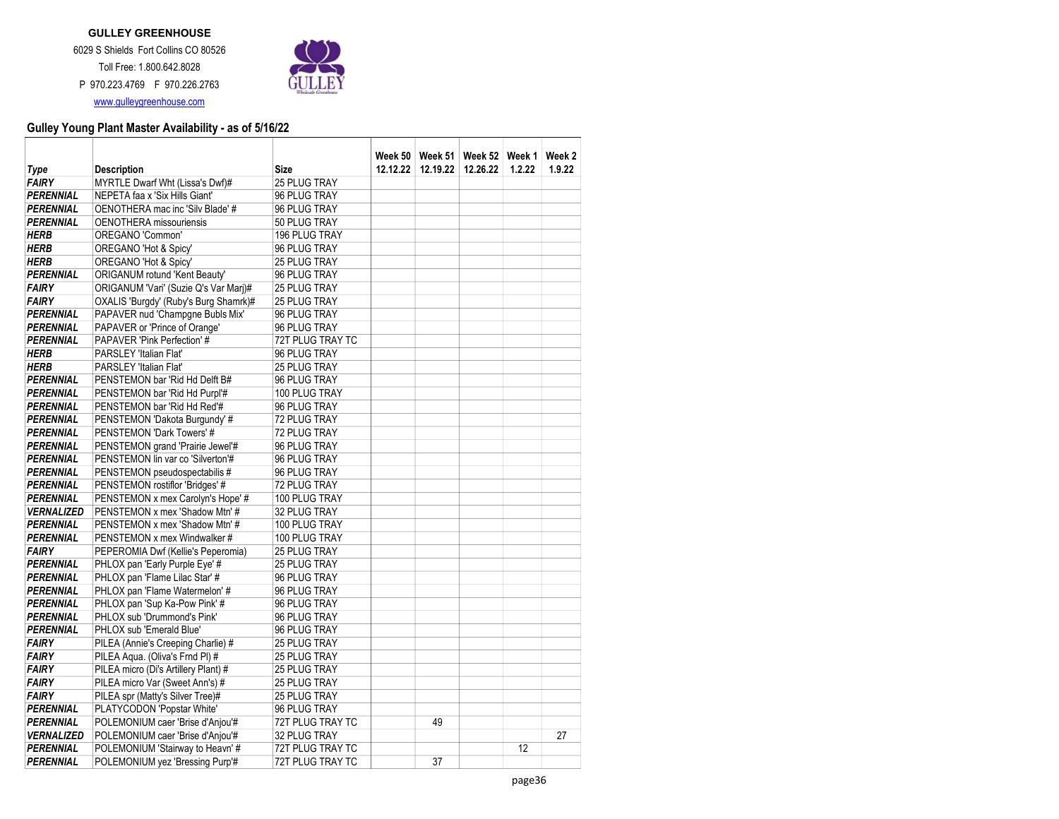

|                   |                                       |                     | Week 50  |          | Week 51 Week 52 Week 1 |        | Week 2 |
|-------------------|---------------------------------------|---------------------|----------|----------|------------------------|--------|--------|
| Type              | <b>Description</b>                    | <b>Size</b>         | 12.12.22 | 12.19.22 | 12.26.22               | 1.2.22 | 1.9.22 |
| <b>FAIRY</b>      | MYRTLE Dwarf Wht (Lissa's Dwf)#       | 25 PLUG TRAY        |          |          |                        |        |        |
| <b>PERENNIAL</b>  | NEPETA faa x 'Six Hills Giant'        | 96 PLUG TRAY        |          |          |                        |        |        |
| <b>PERENNIAL</b>  | OENOTHERA mac inc 'Silv Blade' #      | 96 PLUG TRAY        |          |          |                        |        |        |
| <b>PERENNIAL</b>  | <b>OENOTHERA</b> missouriensis        | 50 PLUG TRAY        |          |          |                        |        |        |
| <b>HERB</b>       | OREGANO 'Common'                      | 196 PLUG TRAY       |          |          |                        |        |        |
| <b>HERB</b>       | OREGANO 'Hot & Spicy'                 | 96 PLUG TRAY        |          |          |                        |        |        |
| <b>HERB</b>       | OREGANO 'Hot & Spicy'                 | 25 PLUG TRAY        |          |          |                        |        |        |
| <b>PERENNIAL</b>  | ORIGANUM rotund 'Kent Beauty'         | 96 PLUG TRAY        |          |          |                        |        |        |
| <b>FAIRY</b>      | ORIGANUM 'Vari' (Suzie Q's Var Marj)# | 25 PLUG TRAY        |          |          |                        |        |        |
| <b>FAIRY</b>      | OXALIS 'Burgdy' (Ruby's Burg Shamrk)# | 25 PLUG TRAY        |          |          |                        |        |        |
| PERENNIAL         | PAPAVER nud 'Champgne Bubls Mix'      | 96 PLUG TRAY        |          |          |                        |        |        |
| PERENNIAL         | PAPAVER or 'Prince of Orange'         | 96 PLUG TRAY        |          |          |                        |        |        |
| <b>PERENNIAL</b>  | PAPAVER 'Pink Perfection' #           | 72T PLUG TRAY TC    |          |          |                        |        |        |
| <b>HERB</b>       | PARSLEY 'Italian Flat'                | 96 PLUG TRAY        |          |          |                        |        |        |
| <b>HERB</b>       | PARSLEY 'Italian Flat'                | 25 PLUG TRAY        |          |          |                        |        |        |
| <b>PERENNIAL</b>  | PENSTEMON bar 'Rid Hd Delft B#        | 96 PLUG TRAY        |          |          |                        |        |        |
| <b>PERENNIAL</b>  | PENSTEMON bar 'Rid Hd Purpl'#         | 100 PLUG TRAY       |          |          |                        |        |        |
| <b>PERENNIAL</b>  | PENSTEMON bar 'Rid Hd Red'#           | 96 PLUG TRAY        |          |          |                        |        |        |
| <b>PERENNIAL</b>  | PENSTEMON 'Dakota Burgundy' #         | 72 PLUG TRAY        |          |          |                        |        |        |
| <b>PERENNIAL</b>  | PENSTEMON 'Dark Towers' #             | 72 PLUG TRAY        |          |          |                        |        |        |
| PERENNIAL         | PENSTEMON grand 'Prairie Jewel'#      | 96 PLUG TRAY        |          |          |                        |        |        |
| <b>PERENNIAL</b>  | PENSTEMON lin var co 'Silverton'#     | 96 PLUG TRAY        |          |          |                        |        |        |
| <b>PERENNIAL</b>  | PENSTEMON pseudospectabilis #         | 96 PLUG TRAY        |          |          |                        |        |        |
| <b>PERENNIAL</b>  | PENSTEMON rostiflor 'Bridges' #       | 72 PLUG TRAY        |          |          |                        |        |        |
| <b>PERENNIAL</b>  | PENSTEMON x mex Carolyn's Hope' #     | 100 PLUG TRAY       |          |          |                        |        |        |
| <b>VERNALIZED</b> | PENSTEMON x mex 'Shadow Mtn' #        | 32 PLUG TRAY        |          |          |                        |        |        |
| <b>PERENNIAL</b>  | PENSTEMON x mex 'Shadow Mtn' #        | 100 PLUG TRAY       |          |          |                        |        |        |
| <b>PERENNIAL</b>  | PENSTEMON x mex Windwalker #          | 100 PLUG TRAY       |          |          |                        |        |        |
| <b>FAIRY</b>      | PEPEROMIA Dwf (Kellie's Peperomia)    | 25 PLUG TRAY        |          |          |                        |        |        |
| <b>PERENNIAL</b>  | PHLOX pan 'Early Purple Eye' #        | 25 PLUG TRAY        |          |          |                        |        |        |
| <b>PERENNIAL</b>  | PHLOX pan 'Flame Lilac Star' #        | 96 PLUG TRAY        |          |          |                        |        |        |
| <b>PERENNIAL</b>  | PHLOX pan 'Flame Watermelon' #        | 96 PLUG TRAY        |          |          |                        |        |        |
| <b>PERENNIAL</b>  | PHLOX pan 'Sup Ka-Pow Pink' #         | 96 PLUG TRAY        |          |          |                        |        |        |
| <b>PERENNIAL</b>  | PHLOX sub 'Drummond's Pink'           | 96 PLUG TRAY        |          |          |                        |        |        |
| <b>PERENNIAL</b>  | PHLOX sub 'Emerald Blue'              | 96 PLUG TRAY        |          |          |                        |        |        |
| <b>FAIRY</b>      | PILEA (Annie's Creeping Charlie) #    | <b>25 PLUG TRAY</b> |          |          |                        |        |        |
| <b>FAIRY</b>      | PILEA Agua. (Oliva's Frnd PI) #       | <b>25 PLUG TRAY</b> |          |          |                        |        |        |
| <b>FAIRY</b>      | PILEA micro (Di's Artillery Plant) #  | 25 PLUG TRAY        |          |          |                        |        |        |
| <b>FAIRY</b>      | PILEA micro Var (Sweet Ann's) #       | 25 PLUG TRAY        |          |          |                        |        |        |
| <b>FAIRY</b>      | PILEA spr (Matty's Silver Tree)#      | 25 PLUG TRAY        |          |          |                        |        |        |
| <b>PERENNIAL</b>  | PLATYCODON 'Popstar White'            | 96 PLUG TRAY        |          |          |                        |        |        |
| <b>PERENNIAL</b>  | POLEMONIUM caer 'Brise d'Anjou'#      | 72T PLUG TRAY TC    |          | 49       |                        |        |        |
| <b>VERNALIZED</b> | POLEMONIUM caer 'Brise d'Anjou'#      | 32 PLUG TRAY        |          |          |                        |        | 27     |
| <b>PERENNIAL</b>  | POLEMONIUM 'Stairway to Heavn' #      | 72T PLUG TRAY TC    |          |          |                        | 12     |        |
| <b>PERENNIAL</b>  | POLEMONIUM yez 'Bressing Purp'#       | 72T PLUG TRAY TC    |          | 37       |                        |        |        |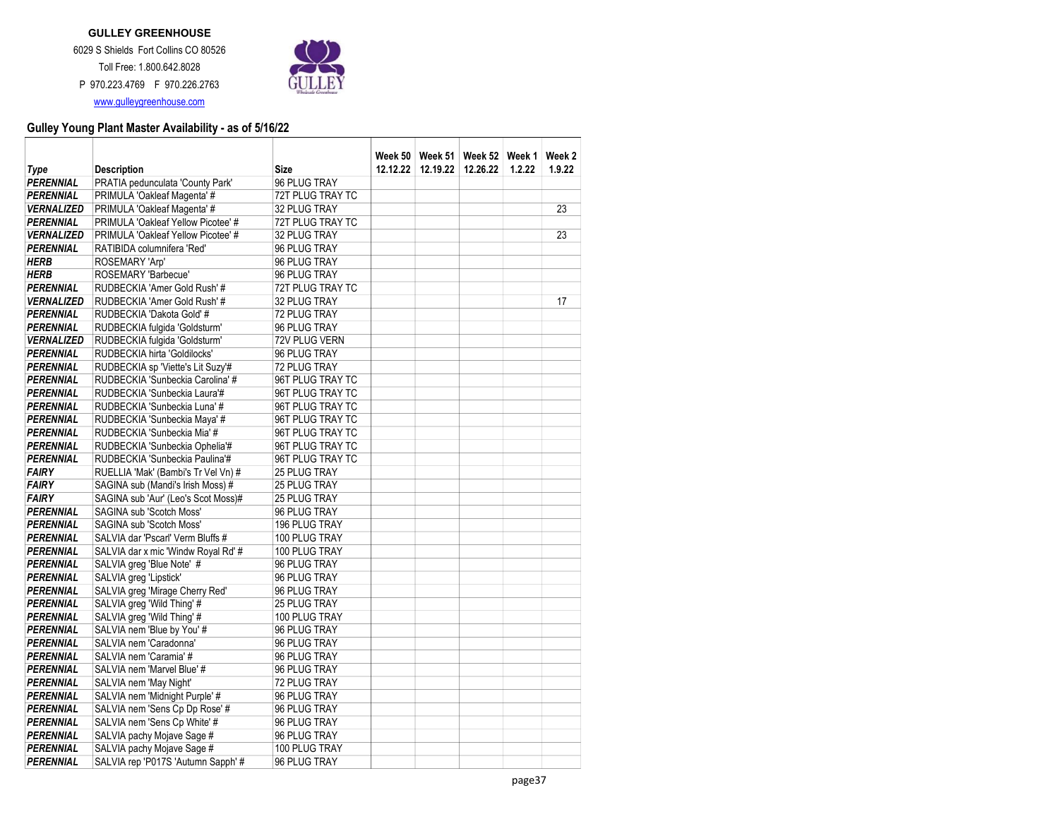

|                                       |                                                                   |                                  |          | Week 50   Week 51   Week 52 |          | Week 1 | Week 2 |
|---------------------------------------|-------------------------------------------------------------------|----------------------------------|----------|-----------------------------|----------|--------|--------|
| Type                                  | <b>Description</b>                                                | <b>Size</b>                      | 12.12.22 | 12.19.22                    | 12.26.22 | 1.2.22 | 1.9.22 |
| PERENNIAL                             | PRATIA pedunculata 'County Park'                                  | 96 PLUG TRAY                     |          |                             |          |        |        |
| <b>PERENNIAL</b>                      | PRIMULA 'Oakleaf Magenta' #                                       | 72T PLUG TRAY TC                 |          |                             |          |        |        |
| <b>VERNALIZED</b>                     | PRIMULA 'Oakleaf Magenta' #<br>PRIMULA 'Oakleaf Yellow Picotee' # | 32 PLUG TRAY                     |          |                             |          |        | 23     |
| <b>PERENNIAL</b><br><b>VERNALIZED</b> | PRIMULA 'Oakleaf Yellow Picotee' #                                | 72T PLUG TRAY TC<br>32 PLUG TRAY |          |                             |          |        | 23     |
| <b>PERENNIAL</b>                      | RATIBIDA columnifera 'Red'                                        | 96 PLUG TRAY                     |          |                             |          |        |        |
| <b>HERB</b>                           | ROSEMARY 'Arp'                                                    | 96 PLUG TRAY                     |          |                             |          |        |        |
| <b>HERB</b>                           | ROSEMARY 'Barbecue'                                               | 96 PLUG TRAY                     |          |                             |          |        |        |
| <b>PERENNIAL</b>                      | RUDBECKIA 'Amer Gold Rush' #                                      | 72T PLUG TRAY TC                 |          |                             |          |        |        |
| <b>VERNALIZED</b>                     | RUDBECKIA 'Amer Gold Rush' #                                      | 32 PLUG TRAY                     |          |                             |          |        | 17     |
| <b>PERENNIAL</b>                      | RUDBECKIA 'Dakota Gold' #                                         | 72 PLUG TRAY                     |          |                             |          |        |        |
| <b>PERENNIAL</b>                      | RUDBECKIA fulgida 'Goldsturm'                                     | 96 PLUG TRAY                     |          |                             |          |        |        |
| <b><i>VERNALIZED</i></b>              | RUDBECKIA fulgida 'Goldsturm'                                     | 72V PLUG VERN                    |          |                             |          |        |        |
| <b>PERENNIAL</b>                      | RUDBECKIA hirta 'Goldilocks'                                      | 96 PLUG TRAY                     |          |                             |          |        |        |
| <b>PERENNIAL</b>                      | RUDBECKIA sp 'Viette's Lit Suzy'#                                 | 72 PLUG TRAY                     |          |                             |          |        |        |
| <b>PERENNIAL</b>                      | RUDBECKIA 'Sunbeckia Carolina' #                                  | 96T PLUG TRAY TC                 |          |                             |          |        |        |
| <b>PERENNIAL</b>                      | RUDBECKIA 'Sunbeckia Laura'#                                      | 96T PLUG TRAY TC                 |          |                             |          |        |        |
| <b>PERENNIAL</b>                      | RUDBECKIA 'Sunbeckia Luna' #                                      | 96T PLUG TRAY TC                 |          |                             |          |        |        |
| <b>PERENNIAL</b>                      | RUDBECKIA 'Sunbeckia Maya' #                                      | 96T PLUG TRAY TC                 |          |                             |          |        |        |
| <b>PERENNIAL</b>                      | RUDBECKIA 'Sunbeckia Mia' #                                       | 96T PLUG TRAY TC                 |          |                             |          |        |        |
| <b>PERENNIAL</b>                      | RUDBECKIA 'Sunbeckia Ophelia'#                                    | 96T PLUG TRAY TC                 |          |                             |          |        |        |
| <b>PERENNIAL</b>                      | RUDBECKIA 'Sunbeckia Paulina'#                                    | 96T PLUG TRAY TC                 |          |                             |          |        |        |
| <b>FAIRY</b>                          | RUELLIA 'Mak' (Bambi's Tr Vel Vn) #                               | 25 PLUG TRAY                     |          |                             |          |        |        |
| <b>FAIRY</b>                          | SAGINA sub (Mandi's Irish Moss) #                                 | 25 PLUG TRAY                     |          |                             |          |        |        |
| <b>FAIRY</b>                          | SAGINA sub 'Aur' (Leo's Scot Moss)#                               | 25 PLUG TRAY                     |          |                             |          |        |        |
| <b>PERENNIAL</b>                      | SAGINA sub 'Scotch Moss'                                          | 96 PLUG TRAY                     |          |                             |          |        |        |
| <b>PERENNIAL</b>                      | SAGINA sub 'Scotch Moss'                                          | 196 PLUG TRAY                    |          |                             |          |        |        |
| <b>PERENNIAL</b>                      | SALVIA dar 'Pscarl' Verm Bluffs #                                 | 100 PLUG TRAY                    |          |                             |          |        |        |
| <b>PERENNIAL</b>                      | SALVIA dar x mic 'Windw Royal Rd' #                               | 100 PLUG TRAY                    |          |                             |          |        |        |
| <b>PERENNIAL</b>                      | SALVIA greg 'Blue Note' #                                         | 96 PLUG TRAY                     |          |                             |          |        |        |
| <b>PERENNIAL</b>                      | SALVIA greg 'Lipstick'                                            | 96 PLUG TRAY                     |          |                             |          |        |        |
| <b>PERENNIAL</b>                      | SALVIA greg 'Mirage Cherry Red'                                   | 96 PLUG TRAY                     |          |                             |          |        |        |
| <b>PERENNIAL</b>                      | SALVIA greg 'Wild Thing' #                                        | 25 PLUG TRAY                     |          |                             |          |        |        |
| <b>PERENNIAL</b>                      | SALVIA greg 'Wild Thing' #                                        | 100 PLUG TRAY                    |          |                             |          |        |        |
| <b>PERENNIAL</b>                      | SALVIA nem 'Blue by You' #                                        | 96 PLUG TRAY                     |          |                             |          |        |        |
| <b>PERENNIAL</b>                      | SALVIA nem 'Caradonna'                                            | 96 PLUG TRAY                     |          |                             |          |        |        |
| <b>PERENNIAL</b>                      | SALVIA nem 'Caramia' #                                            | 96 PLUG TRAY                     |          |                             |          |        |        |
| <b>PERENNIAL</b><br><b>PERENNIAL</b>  | SALVIA nem 'Marvel Blue' #<br>SALVIA nem 'May Night'              | 96 PLUG TRAY<br>72 PLUG TRAY     |          |                             |          |        |        |
|                                       | SALVIA nem 'Midnight Purple' #                                    |                                  |          |                             |          |        |        |
| <b>PERENNIAL</b><br><b>PERENNIAL</b>  | SALVIA nem 'Sens Cp Dp Rose' #                                    | 96 PLUG TRAY<br>96 PLUG TRAY     |          |                             |          |        |        |
| <b>PERENNIAL</b>                      | SALVIA nem 'Sens Cp White' #                                      | 96 PLUG TRAY                     |          |                             |          |        |        |
| <b>PERENNIAL</b>                      | SALVIA pachy Mojave Sage #                                        | 96 PLUG TRAY                     |          |                             |          |        |        |
| <b>PERENNIAL</b>                      | SALVIA pachy Mojave Sage #                                        | 100 PLUG TRAY                    |          |                             |          |        |        |
| <b>PERENNIAL</b>                      | SALVIA rep 'P017S 'Autumn Sapph' #                                | 96 PLUG TRAY                     |          |                             |          |        |        |
|                                       |                                                                   |                                  |          |                             |          |        |        |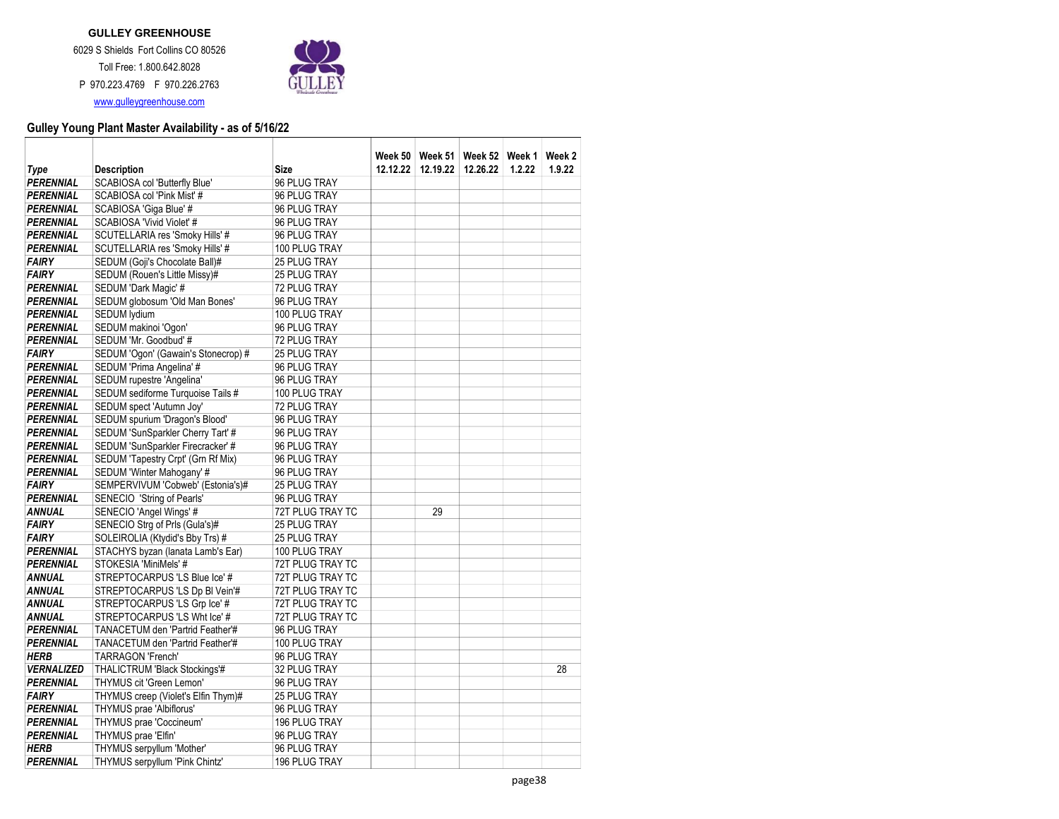

|                   |                                                                    |                                            |          | Week 50   Week 51   Week 52 |          | Week 1 | Week 2 |
|-------------------|--------------------------------------------------------------------|--------------------------------------------|----------|-----------------------------|----------|--------|--------|
| Type<br>PERENNIAL | <b>Description</b>                                                 | Size<br>96 PLUG TRAY                       | 12.12.22 | 12.19.22                    | 12.26.22 | 1.2.22 | 1.9.22 |
| <b>PERENNIAL</b>  | SCABIOSA col 'Butterfly Blue'<br>SCABIOSA col 'Pink Mist' #        | 96 PLUG TRAY                               |          |                             |          |        |        |
| <b>PERENNIAL</b>  | SCABIOSA 'Giga Blue' #                                             | 96 PLUG TRAY                               |          |                             |          |        |        |
| <b>PERENNIAL</b>  | SCABIOSA 'Vivid Violet' #                                          | 96 PLUG TRAY                               |          |                             |          |        |        |
| <b>PERENNIAL</b>  |                                                                    | 96 PLUG TRAY                               |          |                             |          |        |        |
| PERENNIAL         | SCUTELLARIA res 'Smoky Hills' #<br>SCUTELLARIA res 'Smoky Hills' # | 100 PLUG TRAY                              |          |                             |          |        |        |
| <b>FAIRY</b>      | SEDUM (Goji's Chocolate Ball)#                                     |                                            |          |                             |          |        |        |
| <b>FAIRY</b>      |                                                                    | <b>25 PLUG TRAY</b><br><b>25 PLUG TRAY</b> |          |                             |          |        |        |
| <b>PERENNIAL</b>  | SEDUM (Rouen's Little Missy)#                                      | 72 PLUG TRAY                               |          |                             |          |        |        |
| PERENNIAL         | SEDUM 'Dark Magic' #<br>SEDUM globosum 'Old Man Bones'             | 96 PLUG TRAY                               |          |                             |          |        |        |
| <b>PERENNIAL</b>  | SEDUM lydium                                                       | 100 PLUG TRAY                              |          |                             |          |        |        |
| PERENNIAL         | SEDUM makinoi 'Ogon'                                               | 96 PLUG TRAY                               |          |                             |          |        |        |
| PERENNIAL         | SEDUM 'Mr. Goodbud' #                                              | 72 PLUG TRAY                               |          |                             |          |        |        |
| <b>FAIRY</b>      | SEDUM 'Ogon' (Gawain's Stonecrop) #                                | 25 PLUG TRAY                               |          |                             |          |        |        |
| <b>PERENNIAL</b>  | SEDUM 'Prima Angelina' #                                           | 96 PLUG TRAY                               |          |                             |          |        |        |
| <b>PERENNIAL</b>  | SEDUM rupestre 'Angelina'                                          | 96 PLUG TRAY                               |          |                             |          |        |        |
| PERENNIAL         | SEDUM sediforme Turquoise Tails #                                  | 100 PLUG TRAY                              |          |                             |          |        |        |
| <b>PERENNIAL</b>  | SEDUM spect 'Autumn Joy'                                           | 72 PLUG TRAY                               |          |                             |          |        |        |
| PERENNIAL         | SEDUM spurium 'Dragon's Blood'                                     | 96 PLUG TRAY                               |          |                             |          |        |        |
| PERENNIAL         | SEDUM 'SunSparkler Cherry Tart' #                                  | 96 PLUG TRAY                               |          |                             |          |        |        |
| <b>PERENNIAL</b>  | SEDUM 'SunSparkler Firecracker' #                                  | 96 PLUG TRAY                               |          |                             |          |        |        |
| <b>PERENNIAL</b>  | SEDUM 'Tapestry Crpt' (Grn Rf Mix)                                 | 96 PLUG TRAY                               |          |                             |          |        |        |
| PERENNIAL         | SEDUM 'Winter Mahogany' #                                          | 96 PLUG TRAY                               |          |                             |          |        |        |
| <b>FAIRY</b>      |                                                                    | 25 PLUG TRAY                               |          |                             |          |        |        |
| <b>PERENNIAL</b>  | SEMPERVIVUM 'Cobweb' (Estonia's)#<br>SENECIO 'String of Pearls'    | 96 PLUG TRAY                               |          |                             |          |        |        |
| <b>ANNUAL</b>     | SENECIO 'Angel Wings' #                                            | 72T PLUG TRAY TC                           |          | 29                          |          |        |        |
| <b>FAIRY</b>      | SENECIO Strg of Prls (Gula's)#                                     | 25 PLUG TRAY                               |          |                             |          |        |        |
| <b>FAIRY</b>      | SOLEIROLIA (Ktydid's Bby Trs) #                                    | 25 PLUG TRAY                               |          |                             |          |        |        |
| <b>PERENNIAL</b>  | STACHYS byzan (lanata Lamb's Ear)                                  | 100 PLUG TRAY                              |          |                             |          |        |        |
| <b>PERENNIAL</b>  | STOKESIA 'MiniMels' #                                              | 72T PLUG TRAY TC                           |          |                             |          |        |        |
| <b>ANNUAL</b>     | STREPTOCARPUS 'LS Blue Ice' #                                      | 72T PLUG TRAY TC                           |          |                             |          |        |        |
| <b>ANNUAL</b>     | STREPTOCARPUS 'LS Dp BI Vein'#                                     | 72T PLUG TRAY TC                           |          |                             |          |        |        |
| <b>ANNUAL</b>     | STREPTOCARPUS 'LS Grp Ice' #                                       | 72T PLUG TRAY TC                           |          |                             |          |        |        |
| <b>ANNUAL</b>     | STREPTOCARPUS 'LS Wht Ice' #                                       | 72T PLUG TRAY TC                           |          |                             |          |        |        |
| PERENNIAL         | TANACETUM den 'Partrid Feather'#                                   | 96 PLUG TRAY                               |          |                             |          |        |        |
| <b>PERENNIAL</b>  | TANACETUM den 'Partrid Feather'#                                   | 100 PLUG TRAY                              |          |                             |          |        |        |
| <b>HERB</b>       | <b>TARRAGON 'French'</b>                                           | 96 PLUG TRAY                               |          |                             |          |        |        |
| <b>VERNALIZED</b> | THALICTRUM 'Black Stockings'#                                      | 32 PLUG TRAY                               |          |                             |          |        | 28     |
| <b>PERENNIAL</b>  | THYMUS cit 'Green Lemon'                                           | 96 PLUG TRAY                               |          |                             |          |        |        |
| <b>FAIRY</b>      | THYMUS creep (Violet's Elfin Thym)#                                | 25 PLUG TRAY                               |          |                             |          |        |        |
| <b>PERENNIAL</b>  | THYMUS prae 'Albiflorus'                                           | 96 PLUG TRAY                               |          |                             |          |        |        |
| PERENNIAL         | THYMUS prae 'Coccineum'                                            | 196 PLUG TRAY                              |          |                             |          |        |        |
| PERENNIAL         | THYMUS prae 'Elfin'                                                | 96 PLUG TRAY                               |          |                             |          |        |        |
| <b>HERB</b>       | THYMUS serpyllum 'Mother'                                          | 96 PLUG TRAY                               |          |                             |          |        |        |
| <b>PERENNIAL</b>  | THYMUS serpyllum 'Pink Chintz'                                     | 196 PLUG TRAY                              |          |                             |          |        |        |
|                   |                                                                    |                                            |          |                             |          |        |        |